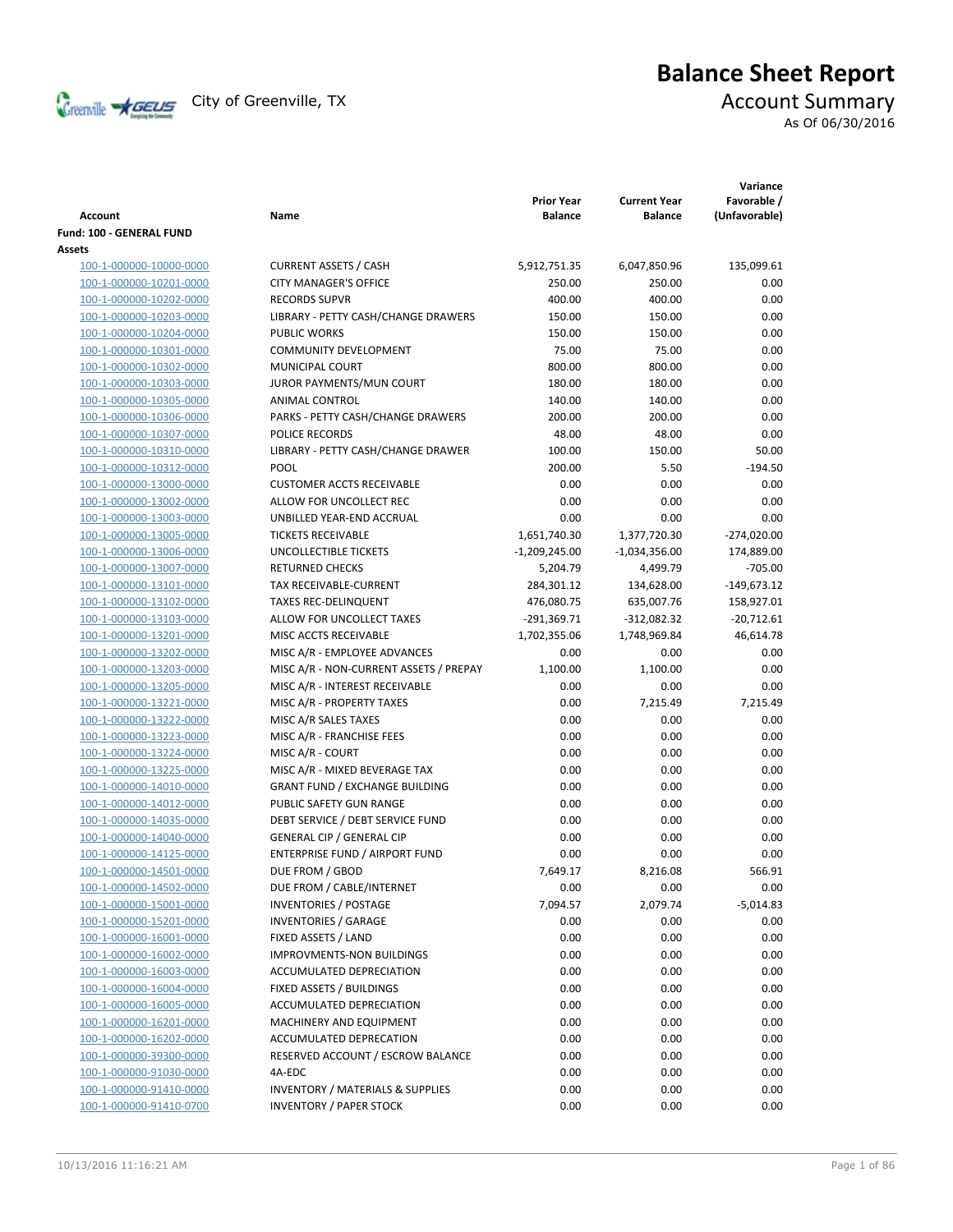

# **Balance Sheet Report**

As Of 06/30/2016

| Account                                            | Name                                                        | <b>Prior Year</b><br><b>Balance</b> | <b>Current Year</b><br><b>Balance</b> | Variance<br>Favorable /<br>(Unfavorable) |
|----------------------------------------------------|-------------------------------------------------------------|-------------------------------------|---------------------------------------|------------------------------------------|
| Fund: 100 - GENERAL FUND                           |                                                             |                                     |                                       |                                          |
| Assets                                             |                                                             |                                     |                                       |                                          |
| 100-1-000000-10000-0000                            | <b>CURRENT ASSETS / CASH</b>                                | 5,912,751.35                        | 6,047,850.96                          | 135,099.61                               |
| 100-1-000000-10201-0000                            | <b>CITY MANAGER'S OFFICE</b>                                | 250.00                              | 250.00                                | 0.00                                     |
| 100-1-000000-10202-0000                            | <b>RECORDS SUPVR</b>                                        | 400.00                              | 400.00                                | 0.00                                     |
| 100-1-000000-10203-0000                            | LIBRARY - PETTY CASH/CHANGE DRAWERS                         | 150.00                              | 150.00                                | 0.00                                     |
| 100-1-000000-10204-0000                            | <b>PUBLIC WORKS</b>                                         | 150.00                              | 150.00                                | 0.00                                     |
| 100-1-000000-10301-0000                            | <b>COMMUNITY DEVELOPMENT</b>                                | 75.00                               | 75.00                                 | 0.00                                     |
| 100-1-000000-10302-0000                            | MUNICIPAL COURT                                             | 800.00                              | 800.00                                | 0.00                                     |
| 100-1-000000-10303-0000                            | JUROR PAYMENTS/MUN COURT                                    | 180.00                              | 180.00                                | 0.00                                     |
| 100-1-000000-10305-0000                            | ANIMAL CONTROL                                              | 140.00                              | 140.00                                | 0.00                                     |
| 100-1-000000-10306-0000                            | PARKS - PETTY CASH/CHANGE DRAWERS                           | 200.00                              | 200.00                                | 0.00                                     |
| 100-1-000000-10307-0000                            | POLICE RECORDS                                              | 48.00                               | 48.00                                 | 0.00                                     |
| 100-1-000000-10310-0000                            | LIBRARY - PETTY CASH/CHANGE DRAWER                          | 100.00                              | 150.00                                | 50.00                                    |
| 100-1-000000-10312-0000                            | POOL                                                        | 200.00                              | 5.50                                  | $-194.50$                                |
| 100-1-000000-13000-0000                            | <b>CUSTOMER ACCTS RECEIVABLE</b>                            | 0.00                                | 0.00                                  | 0.00                                     |
| 100-1-000000-13002-0000                            | ALLOW FOR UNCOLLECT REC                                     | 0.00                                | 0.00                                  | 0.00                                     |
| 100-1-000000-13003-0000                            | UNBILLED YEAR-END ACCRUAL                                   | 0.00                                | 0.00                                  | 0.00                                     |
| 100-1-000000-13005-0000                            | <b>TICKETS RECEIVABLE</b>                                   | 1,651,740.30                        | 1,377,720.30                          | $-274,020.00$                            |
| 100-1-000000-13006-0000                            | UNCOLLECTIBLE TICKETS                                       | $-1,209,245.00$                     | $-1,034,356.00$                       | 174,889.00                               |
| 100-1-000000-13007-0000                            | <b>RETURNED CHECKS</b>                                      | 5,204.79                            | 4,499.79                              | $-705.00$                                |
| 100-1-000000-13101-0000                            | TAX RECEIVABLE-CURRENT                                      | 284,301.12                          | 134,628.00                            | $-149,673.12$                            |
| 100-1-000000-13102-0000                            | <b>TAXES REC-DELINQUENT</b>                                 | 476,080.75                          | 635,007.76                            | 158,927.01                               |
| 100-1-000000-13103-0000                            | ALLOW FOR UNCOLLECT TAXES                                   | $-291,369.71$                       | $-312,082.32$                         | $-20,712.61$                             |
| 100-1-000000-13201-0000                            | MISC ACCTS RECEIVABLE                                       | 1,702,355.06                        | 1,748,969.84                          | 46,614.78                                |
| 100-1-000000-13202-0000                            | MISC A/R - EMPLOYEE ADVANCES                                | 0.00                                | 0.00                                  | 0.00                                     |
| 100-1-000000-13203-0000                            | MISC A/R - NON-CURRENT ASSETS / PREPAY                      | 1,100.00                            | 1,100.00                              | 0.00                                     |
| 100-1-000000-13205-0000                            | MISC A/R - INTEREST RECEIVABLE                              | 0.00                                | 0.00                                  | 0.00                                     |
| 100-1-000000-13221-0000                            | MISC A/R - PROPERTY TAXES                                   | 0.00                                | 7,215.49                              | 7,215.49                                 |
| 100-1-000000-13222-0000                            | MISC A/R SALES TAXES                                        | 0.00                                | 0.00                                  | 0.00                                     |
| 100-1-000000-13223-0000                            | MISC A/R - FRANCHISE FEES                                   | 0.00                                | 0.00                                  | 0.00                                     |
| 100-1-000000-13224-0000                            | MISC A/R - COURT                                            | 0.00                                | 0.00                                  | 0.00                                     |
| 100-1-000000-13225-0000                            | MISC A/R - MIXED BEVERAGE TAX                               | 0.00                                | 0.00                                  | 0.00                                     |
| 100-1-000000-14010-0000                            | <b>GRANT FUND / EXCHANGE BUILDING</b>                       | 0.00                                | 0.00                                  | 0.00                                     |
| 100-1-000000-14012-0000                            | PUBLIC SAFETY GUN RANGE                                     | 0.00                                | 0.00                                  | 0.00                                     |
| 100-1-000000-14035-0000                            | DEBT SERVICE / DEBT SERVICE FUND                            | 0.00                                | 0.00                                  | 0.00                                     |
| 100-1-000000-14040-0000                            | <b>GENERAL CIP / GENERAL CIP</b>                            | 0.00                                | 0.00                                  | 0.00                                     |
| 100-1-000000-14125-0000                            | ENTERPRISE FUND / AIRPORT FUND                              | 0.00                                | 0.00                                  | 0.00                                     |
| 100-1-000000-14501-0000                            | DUE FROM / GBOD                                             | 7,649.17                            | 8,216.08                              | 566.91                                   |
| 100-1-000000-14502-0000                            | DUE FROM / CABLE/INTERNET                                   | 0.00<br>7,094.57                    | 0.00                                  | 0.00                                     |
| 100-1-000000-15001-0000                            | <b>INVENTORIES / POSTAGE</b><br><b>INVENTORIES / GARAGE</b> |                                     | 2,079.74                              | $-5,014.83$                              |
| 100-1-000000-15201-0000                            |                                                             | 0.00                                | 0.00                                  | 0.00                                     |
| 100-1-000000-16001-0000<br>100-1-000000-16002-0000 | FIXED ASSETS / LAND<br><b>IMPROVMENTS-NON BUILDINGS</b>     | 0.00<br>0.00                        | 0.00<br>0.00                          | 0.00<br>0.00                             |
|                                                    | ACCUMULATED DEPRECIATION                                    | 0.00                                | 0.00                                  | 0.00                                     |
| 100-1-000000-16003-0000<br>100-1-000000-16004-0000 | FIXED ASSETS / BUILDINGS                                    | 0.00                                | 0.00                                  | 0.00                                     |
| 100-1-000000-16005-0000                            | ACCUMULATED DEPRECIATION                                    | 0.00                                | 0.00                                  | 0.00                                     |
| 100-1-000000-16201-0000                            | MACHINERY AND EQUIPMENT                                     | 0.00                                | 0.00                                  | 0.00                                     |
| 100-1-000000-16202-0000                            | ACCUMULATED DEPRECATION                                     | 0.00                                | 0.00                                  | 0.00                                     |
| 100-1-000000-39300-0000                            | RESERVED ACCOUNT / ESCROW BALANCE                           | 0.00                                | 0.00                                  | 0.00                                     |
| 100-1-000000-91030-0000                            | 4A-EDC                                                      | 0.00                                | 0.00                                  | 0.00                                     |
| 100-1-000000-91410-0000                            | <b>INVENTORY / MATERIALS &amp; SUPPLIES</b>                 | 0.00                                | 0.00                                  | 0.00                                     |
| 100-1-000000-91410-0700                            | <b>INVENTORY / PAPER STOCK</b>                              | 0.00                                | 0.00                                  | 0.00                                     |
|                                                    |                                                             |                                     |                                       |                                          |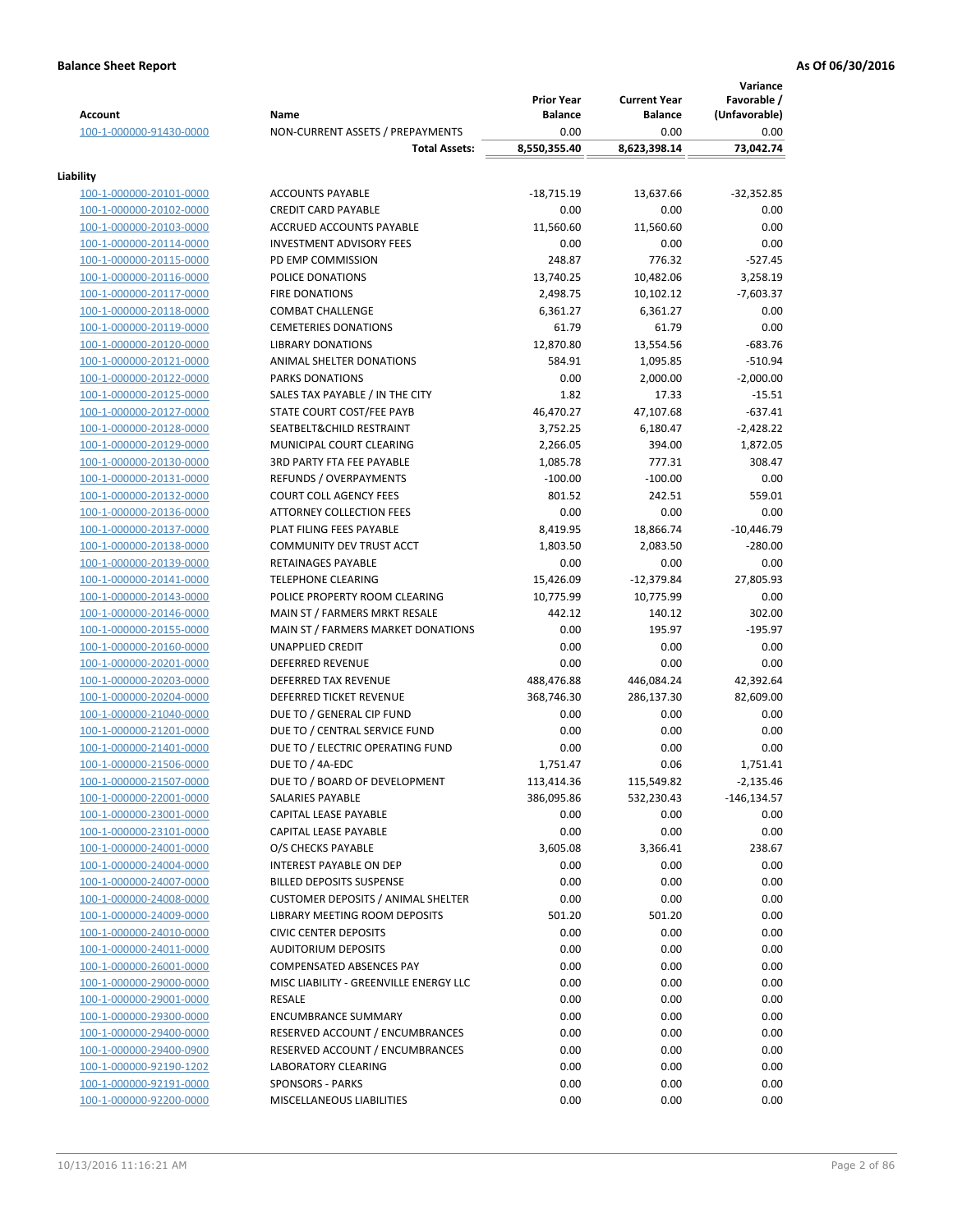|                                                    |                                               | <b>Prior Year</b> | <b>Current Year</b> | Variance<br>Favorable / |
|----------------------------------------------------|-----------------------------------------------|-------------------|---------------------|-------------------------|
| <b>Account</b>                                     | Name                                          | <b>Balance</b>    | <b>Balance</b>      | (Unfavorable)           |
| 100-1-000000-91430-0000                            | NON-CURRENT ASSETS / PREPAYMENTS              | 0.00              | 0.00                | 0.00                    |
|                                                    | <b>Total Assets:</b>                          | 8,550,355.40      | 8,623,398.14        | 73,042.74               |
| Liability                                          |                                               |                   |                     |                         |
| 100-1-000000-20101-0000                            | <b>ACCOUNTS PAYABLE</b>                       | $-18,715.19$      | 13,637.66           | $-32,352.85$            |
| 100-1-000000-20102-0000                            | <b>CREDIT CARD PAYABLE</b>                    | 0.00              | 0.00                | 0.00                    |
| 100-1-000000-20103-0000                            | ACCRUED ACCOUNTS PAYABLE                      | 11,560.60         | 11,560.60           | 0.00                    |
| 100-1-000000-20114-0000                            | <b>INVESTMENT ADVISORY FEES</b>               | 0.00              | 0.00                | 0.00                    |
| 100-1-000000-20115-0000                            | PD EMP COMMISSION                             | 248.87            | 776.32              | $-527.45$               |
| 100-1-000000-20116-0000                            | POLICE DONATIONS                              | 13,740.25         | 10,482.06           | 3,258.19                |
| 100-1-000000-20117-0000                            | <b>FIRE DONATIONS</b>                         | 2,498.75          | 10,102.12           | $-7,603.37$             |
| 100-1-000000-20118-0000                            | <b>COMBAT CHALLENGE</b>                       | 6,361.27          | 6,361.27            | 0.00                    |
| 100-1-000000-20119-0000                            | <b>CEMETERIES DONATIONS</b>                   | 61.79             | 61.79               | 0.00                    |
| 100-1-000000-20120-0000                            | <b>LIBRARY DONATIONS</b>                      | 12,870.80         | 13,554.56           | $-683.76$               |
| 100-1-000000-20121-0000                            | ANIMAL SHELTER DONATIONS                      | 584.91            | 1,095.85            | $-510.94$               |
| 100-1-000000-20122-0000                            | <b>PARKS DONATIONS</b>                        | 0.00              | 2,000.00            | $-2,000.00$             |
| 100-1-000000-20125-0000                            | SALES TAX PAYABLE / IN THE CITY               | 1.82              | 17.33               | $-15.51$                |
| 100-1-000000-20127-0000                            | STATE COURT COST/FEE PAYB                     | 46,470.27         | 47,107.68           | $-637.41$               |
| 100-1-000000-20128-0000                            | SEATBELT&CHILD RESTRAINT                      | 3,752.25          | 6,180.47            | $-2,428.22$             |
| 100-1-000000-20129-0000                            | MUNICIPAL COURT CLEARING                      | 2,266.05          | 394.00              | 1,872.05                |
| 100-1-000000-20130-0000                            | <b>3RD PARTY FTA FEE PAYABLE</b>              | 1,085.78          | 777.31              | 308.47                  |
| 100-1-000000-20131-0000                            | REFUNDS / OVERPAYMENTS                        | $-100.00$         | $-100.00$           | 0.00                    |
| 100-1-000000-20132-0000                            | <b>COURT COLL AGENCY FEES</b>                 | 801.52            | 242.51              | 559.01                  |
| 100-1-000000-20136-0000                            | <b>ATTORNEY COLLECTION FEES</b>               | 0.00              | 0.00                | 0.00                    |
| 100-1-000000-20137-0000                            | PLAT FILING FEES PAYABLE                      | 8,419.95          | 18,866.74           | $-10,446.79$            |
| 100-1-000000-20138-0000                            | COMMUNITY DEV TRUST ACCT                      | 1,803.50          | 2,083.50            | $-280.00$               |
| 100-1-000000-20139-0000                            | RETAINAGES PAYABLE                            | 0.00              | 0.00                | 0.00                    |
| 100-1-000000-20141-0000                            | <b>TELEPHONE CLEARING</b>                     | 15,426.09         | $-12,379.84$        | 27,805.93               |
| 100-1-000000-20143-0000                            | POLICE PROPERTY ROOM CLEARING                 | 10,775.99         | 10,775.99           | 0.00                    |
| 100-1-000000-20146-0000                            | MAIN ST / FARMERS MRKT RESALE                 | 442.12            | 140.12              | 302.00                  |
| 100-1-000000-20155-0000                            | MAIN ST / FARMERS MARKET DONATIONS            | 0.00              | 195.97              | $-195.97$               |
| 100-1-000000-20160-0000                            | UNAPPLIED CREDIT                              | 0.00              | 0.00                | 0.00                    |
| 100-1-000000-20201-0000                            | <b>DEFERRED REVENUE</b>                       | 0.00              | 0.00                | 0.00                    |
| 100-1-000000-20203-0000                            | DEFERRED TAX REVENUE                          | 488,476.88        | 446,084.24          | 42,392.64               |
| 100-1-000000-20204-0000                            | DEFERRED TICKET REVENUE                       | 368,746.30        | 286,137.30          | 82,609.00               |
| 100-1-000000-21040-0000                            | DUE TO / GENERAL CIP FUND                     | 0.00              | 0.00                | 0.00                    |
| 100-1-000000-21201-0000                            | DUE TO / CENTRAL SERVICE FUND                 | 0.00              | 0.00                | 0.00                    |
| 100-1-000000-21401-0000                            | DUE TO / ELECTRIC OPERATING FUND              | 0.00              | 0.00                | 0.00                    |
| 100-1-000000-21506-0000                            | DUE TO / 4A-EDC                               | 1,751.47          | 0.06                | 1,751.41                |
| 100-1-000000-21507-0000                            | DUE TO / BOARD OF DEVELOPMENT                 | 113,414.36        | 115,549.82          | $-2,135.46$             |
| 100-1-000000-22001-0000                            | SALARIES PAYABLE                              | 386,095.86        | 532,230.43          | -146,134.57             |
| 100-1-000000-23001-0000                            | CAPITAL LEASE PAYABLE                         | 0.00              | 0.00                | 0.00                    |
| 100-1-000000-23101-0000                            | CAPITAL LEASE PAYABLE                         | 0.00              | 0.00                | 0.00                    |
| 100-1-000000-24001-0000<br>100-1-000000-24004-0000 | O/S CHECKS PAYABLE<br>INTEREST PAYABLE ON DEP | 3,605.08<br>0.00  | 3,366.41<br>0.00    | 238.67<br>0.00          |
| 100-1-000000-24007-0000                            | <b>BILLED DEPOSITS SUSPENSE</b>               | 0.00              | 0.00                | 0.00                    |
| 100-1-000000-24008-0000                            | <b>CUSTOMER DEPOSITS / ANIMAL SHELTER</b>     | 0.00              | 0.00                | 0.00                    |
| 100-1-000000-24009-0000                            | LIBRARY MEETING ROOM DEPOSITS                 | 501.20            | 501.20              | 0.00                    |
| 100-1-000000-24010-0000                            | <b>CIVIC CENTER DEPOSITS</b>                  | 0.00              | 0.00                | 0.00                    |
| 100-1-000000-24011-0000                            | <b>AUDITORIUM DEPOSITS</b>                    | 0.00              | 0.00                | 0.00                    |
| 100-1-000000-26001-0000                            | <b>COMPENSATED ABSENCES PAY</b>               | 0.00              | 0.00                | 0.00                    |
| 100-1-000000-29000-0000                            | MISC LIABILITY - GREENVILLE ENERGY LLC        | 0.00              | 0.00                | 0.00                    |
| 100-1-000000-29001-0000                            | RESALE                                        | 0.00              | 0.00                | 0.00                    |
| 100-1-000000-29300-0000                            | <b>ENCUMBRANCE SUMMARY</b>                    | 0.00              | 0.00                | 0.00                    |
| 100-1-000000-29400-0000                            | RESERVED ACCOUNT / ENCUMBRANCES               | 0.00              | 0.00                | 0.00                    |
| 100-1-000000-29400-0900                            | RESERVED ACCOUNT / ENCUMBRANCES               | 0.00              | 0.00                | 0.00                    |
| 100-1-000000-92190-1202                            | LABORATORY CLEARING                           | 0.00              | 0.00                | 0.00                    |
| 100-1-000000-92191-0000                            | <b>SPONSORS - PARKS</b>                       | 0.00              | 0.00                | 0.00                    |
| 100-1-000000-92200-0000                            | MISCELLANEOUS LIABILITIES                     | 0.00              | 0.00                | 0.00                    |
|                                                    |                                               |                   |                     |                         |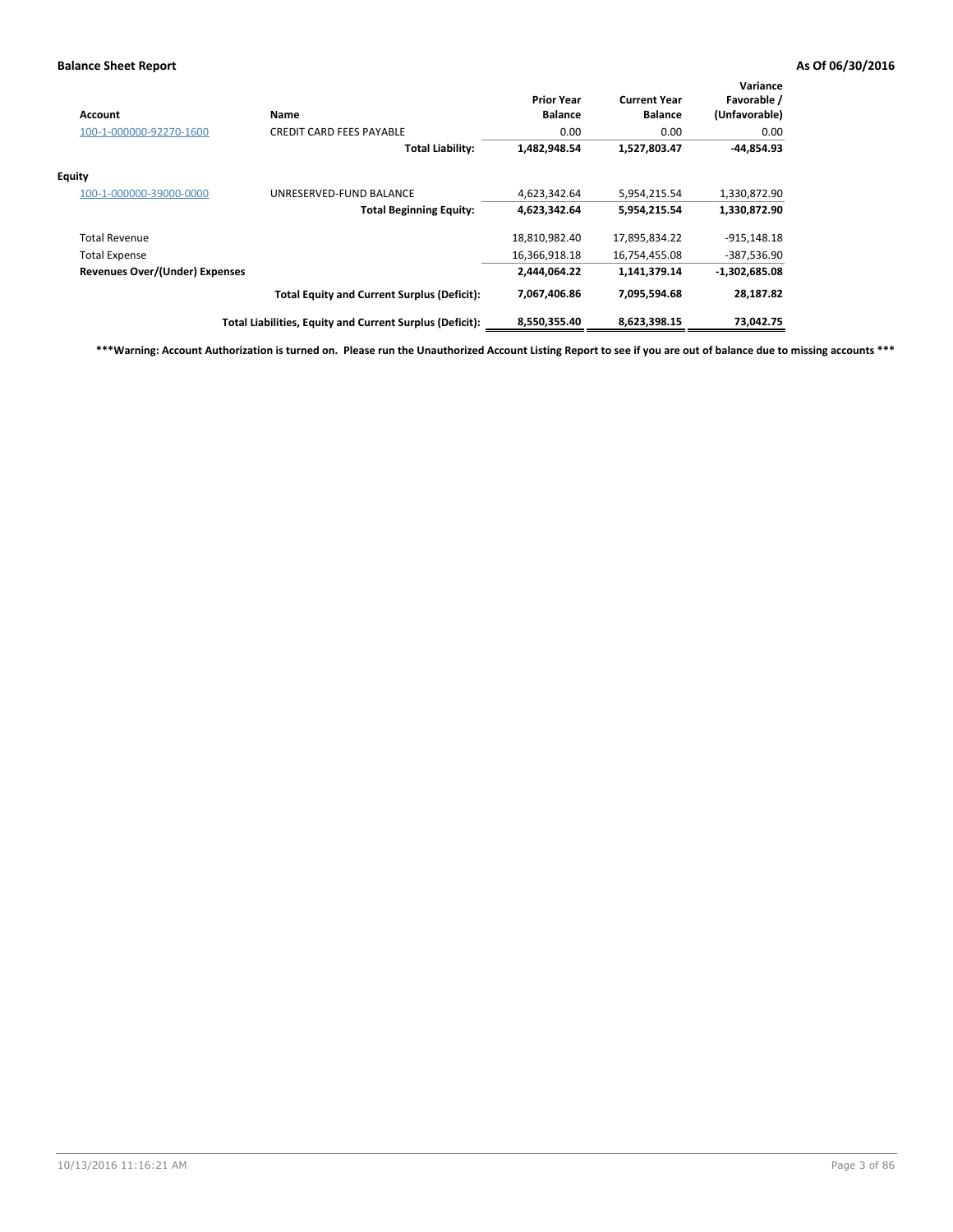| Account                               | Name                                                     | <b>Prior Year</b><br><b>Balance</b> | <b>Current Year</b><br><b>Balance</b> | Variance<br>Favorable /<br>(Unfavorable) |
|---------------------------------------|----------------------------------------------------------|-------------------------------------|---------------------------------------|------------------------------------------|
| 100-1-000000-92270-1600               | <b>CREDIT CARD FEES PAYABLE</b>                          | 0.00                                | 0.00                                  | 0.00                                     |
|                                       | <b>Total Liability:</b>                                  | 1,482,948.54                        | 1,527,803.47                          | -44,854.93                               |
| Equity                                |                                                          |                                     |                                       |                                          |
| 100-1-000000-39000-0000               | UNRESERVED-FUND BALANCE                                  | 4,623,342.64                        | 5,954,215.54                          | 1,330,872.90                             |
|                                       | <b>Total Beginning Equity:</b>                           | 4,623,342.64                        | 5,954,215.54                          | 1,330,872.90                             |
| <b>Total Revenue</b>                  |                                                          | 18,810,982.40                       | 17,895,834.22                         | $-915,148.18$                            |
| <b>Total Expense</b>                  |                                                          | 16,366,918.18                       | 16,754,455.08                         | -387,536.90                              |
| <b>Revenues Over/(Under) Expenses</b> |                                                          | 2,444,064.22                        | 1,141,379.14                          | $-1,302,685.08$                          |
|                                       | <b>Total Equity and Current Surplus (Deficit):</b>       | 7,067,406.86                        | 7,095,594.68                          | 28,187.82                                |
|                                       | Total Liabilities, Equity and Current Surplus (Deficit): | 8,550,355.40                        | 8,623,398.15                          | 73,042.75                                |

**\*\*\*Warning: Account Authorization is turned on. Please run the Unauthorized Account Listing Report to see if you are out of balance due to missing accounts \*\*\***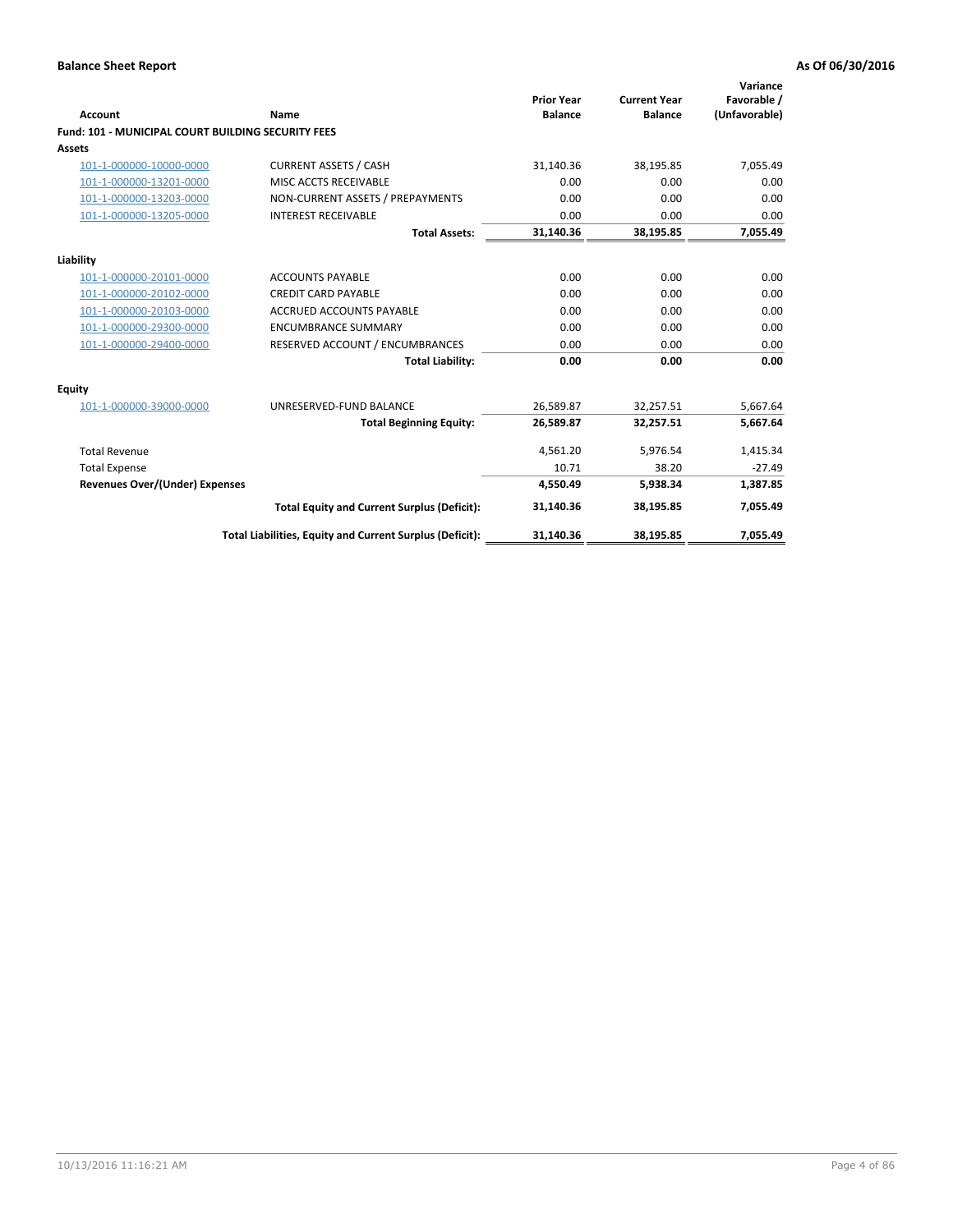| Account                                                   | Name                                                     | <b>Prior Year</b><br><b>Balance</b> | <b>Current Year</b><br><b>Balance</b> | Variance<br>Favorable /<br>(Unfavorable) |
|-----------------------------------------------------------|----------------------------------------------------------|-------------------------------------|---------------------------------------|------------------------------------------|
| <b>Fund: 101 - MUNICIPAL COURT BUILDING SECURITY FEES</b> |                                                          |                                     |                                       |                                          |
| <b>Assets</b>                                             |                                                          |                                     |                                       |                                          |
| 101-1-000000-10000-0000                                   | <b>CURRENT ASSETS / CASH</b>                             | 31,140.36                           | 38,195.85                             | 7,055.49                                 |
| 101-1-000000-13201-0000                                   | MISC ACCTS RECEIVABLE                                    | 0.00                                | 0.00                                  | 0.00                                     |
| 101-1-000000-13203-0000                                   | NON-CURRENT ASSETS / PREPAYMENTS                         | 0.00                                | 0.00                                  | 0.00                                     |
| 101-1-000000-13205-0000                                   | <b>INTEREST RECEIVABLE</b>                               | 0.00                                | 0.00                                  | 0.00                                     |
|                                                           | <b>Total Assets:</b>                                     | 31,140.36                           | 38,195.85                             | 7,055.49                                 |
| Liability                                                 |                                                          |                                     |                                       |                                          |
| 101-1-000000-20101-0000                                   | <b>ACCOUNTS PAYABLE</b>                                  | 0.00                                | 0.00                                  | 0.00                                     |
| 101-1-000000-20102-0000                                   | <b>CREDIT CARD PAYABLE</b>                               | 0.00                                | 0.00                                  | 0.00                                     |
| 101-1-000000-20103-0000                                   | <b>ACCRUED ACCOUNTS PAYABLE</b>                          | 0.00                                | 0.00                                  | 0.00                                     |
| 101-1-000000-29300-0000                                   | <b>ENCUMBRANCE SUMMARY</b>                               | 0.00                                | 0.00                                  | 0.00                                     |
| 101-1-000000-29400-0000                                   | RESERVED ACCOUNT / ENCUMBRANCES                          | 0.00                                | 0.00                                  | 0.00                                     |
|                                                           | <b>Total Liability:</b>                                  | 0.00                                | 0.00                                  | 0.00                                     |
| <b>Equity</b>                                             |                                                          |                                     |                                       |                                          |
| 101-1-000000-39000-0000                                   | UNRESERVED-FUND BALANCE                                  | 26,589.87                           | 32,257.51                             | 5,667.64                                 |
|                                                           | <b>Total Beginning Equity:</b>                           | 26,589.87                           | 32,257.51                             | 5,667.64                                 |
| <b>Total Revenue</b>                                      |                                                          | 4,561.20                            | 5,976.54                              | 1,415.34                                 |
| <b>Total Expense</b>                                      |                                                          | 10.71                               | 38.20                                 | $-27.49$                                 |
| <b>Revenues Over/(Under) Expenses</b>                     |                                                          | 4,550.49                            | 5,938.34                              | 1,387.85                                 |
|                                                           | <b>Total Equity and Current Surplus (Deficit):</b>       | 31,140.36                           | 38,195.85                             | 7,055.49                                 |
|                                                           | Total Liabilities, Equity and Current Surplus (Deficit): | 31,140.36                           | 38,195.85                             | 7,055.49                                 |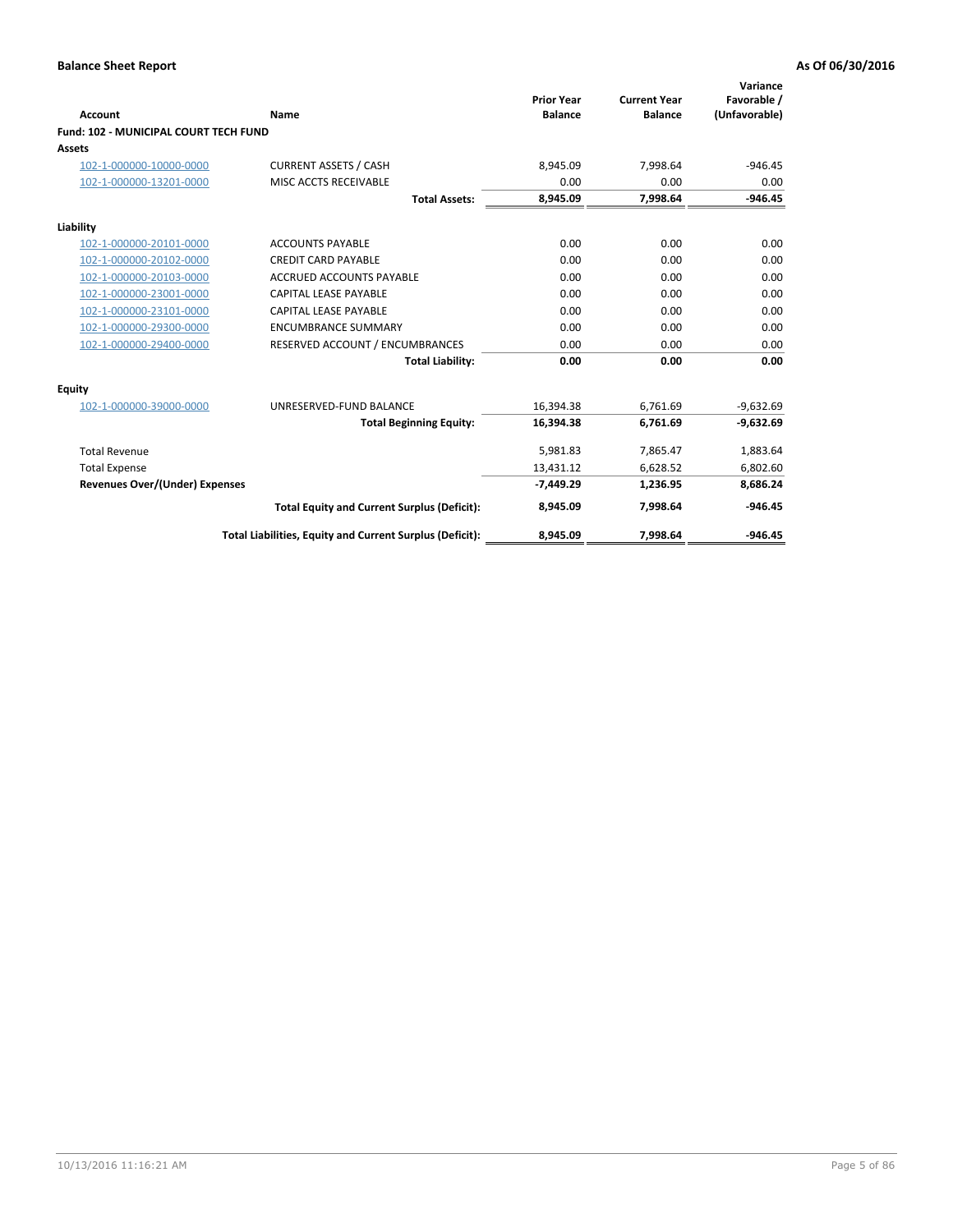|                                              |                                                          |                                     |                                       | Variance                     |
|----------------------------------------------|----------------------------------------------------------|-------------------------------------|---------------------------------------|------------------------------|
| <b>Account</b>                               | <b>Name</b>                                              | <b>Prior Year</b><br><b>Balance</b> | <b>Current Year</b><br><b>Balance</b> | Favorable /<br>(Unfavorable) |
| <b>Fund: 102 - MUNICIPAL COURT TECH FUND</b> |                                                          |                                     |                                       |                              |
| <b>Assets</b>                                |                                                          |                                     |                                       |                              |
| 102-1-000000-10000-0000                      | <b>CURRENT ASSETS / CASH</b>                             | 8,945.09                            | 7,998.64                              | $-946.45$                    |
| 102-1-000000-13201-0000                      | MISC ACCTS RECEIVABLE                                    | 0.00                                | 0.00                                  | 0.00                         |
|                                              | <b>Total Assets:</b>                                     | 8,945.09                            | 7,998.64                              | $-946.45$                    |
| Liability                                    |                                                          |                                     |                                       |                              |
| 102-1-000000-20101-0000                      | <b>ACCOUNTS PAYABLE</b>                                  | 0.00                                | 0.00                                  | 0.00                         |
| 102-1-000000-20102-0000                      | <b>CREDIT CARD PAYABLE</b>                               | 0.00                                | 0.00                                  | 0.00                         |
| 102-1-000000-20103-0000                      | <b>ACCRUED ACCOUNTS PAYABLE</b>                          | 0.00                                | 0.00                                  | 0.00                         |
| 102-1-000000-23001-0000                      | <b>CAPITAL LEASE PAYABLE</b>                             | 0.00                                | 0.00                                  | 0.00                         |
| 102-1-000000-23101-0000                      | CAPITAL LEASE PAYABLE                                    | 0.00                                | 0.00                                  | 0.00                         |
| 102-1-000000-29300-0000                      | <b>ENCUMBRANCE SUMMARY</b>                               | 0.00                                | 0.00                                  | 0.00                         |
| 102-1-000000-29400-0000                      | RESERVED ACCOUNT / ENCUMBRANCES                          | 0.00                                | 0.00                                  | 0.00                         |
|                                              | <b>Total Liability:</b>                                  | 0.00                                | 0.00                                  | 0.00                         |
| Equity                                       |                                                          |                                     |                                       |                              |
| 102-1-000000-39000-0000                      | UNRESERVED-FUND BALANCE                                  | 16,394.38                           | 6,761.69                              | $-9,632.69$                  |
|                                              | <b>Total Beginning Equity:</b>                           | 16,394.38                           | 6,761.69                              | $-9,632.69$                  |
| <b>Total Revenue</b>                         |                                                          | 5,981.83                            | 7,865.47                              | 1,883.64                     |
| <b>Total Expense</b>                         |                                                          | 13,431.12                           | 6,628.52                              | 6,802.60                     |
| Revenues Over/(Under) Expenses               |                                                          | $-7,449.29$                         | 1,236.95                              | 8,686.24                     |
|                                              | <b>Total Equity and Current Surplus (Deficit):</b>       | 8,945.09                            | 7,998.64                              | $-946.45$                    |
|                                              | Total Liabilities, Equity and Current Surplus (Deficit): | 8,945.09                            | 7,998.64                              | $-946.45$                    |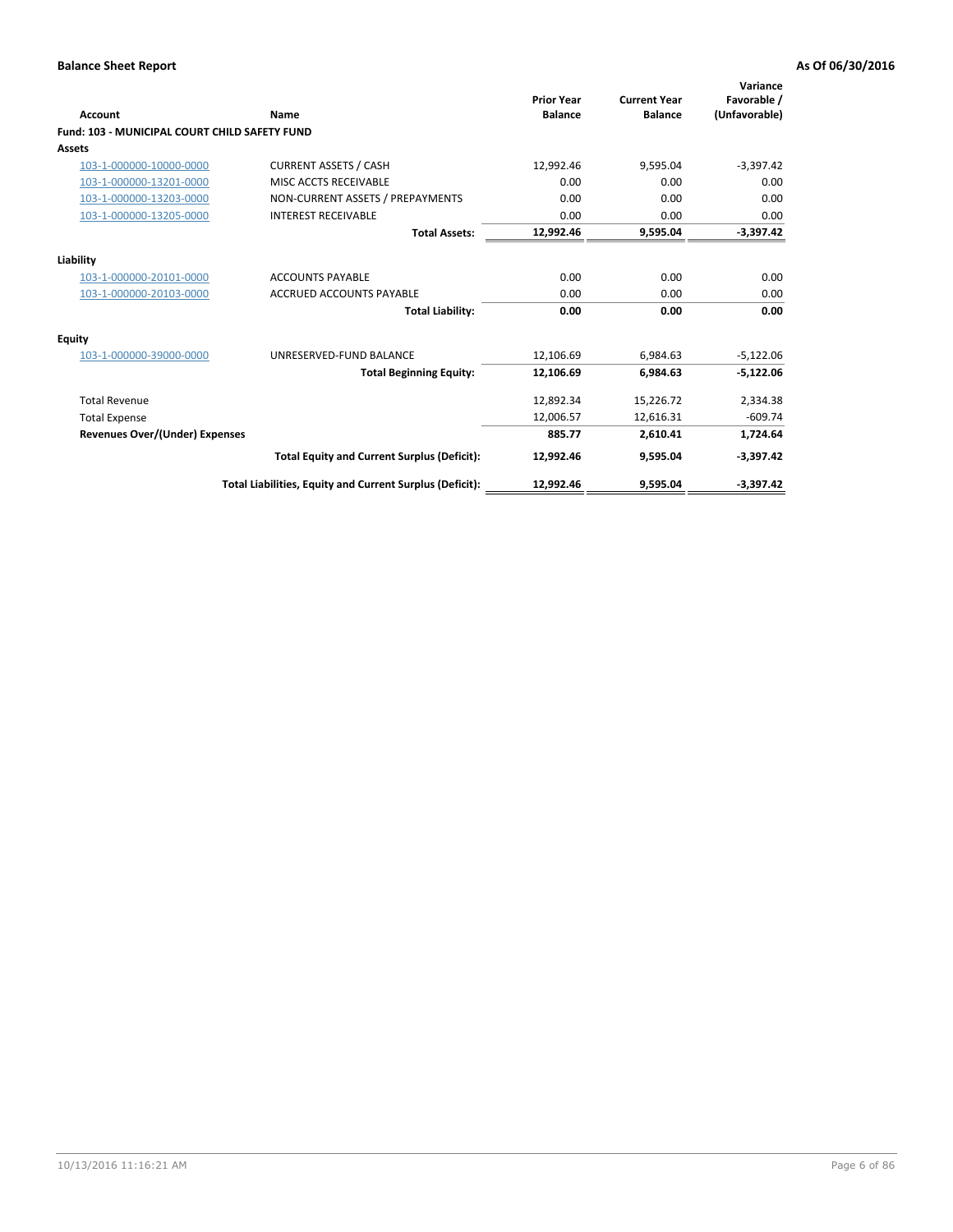| <b>Account</b>                                       | Name                                                     | <b>Prior Year</b><br><b>Balance</b> | <b>Current Year</b><br><b>Balance</b> | Variance<br>Favorable /<br>(Unfavorable) |
|------------------------------------------------------|----------------------------------------------------------|-------------------------------------|---------------------------------------|------------------------------------------|
| <b>Fund: 103 - MUNICIPAL COURT CHILD SAFETY FUND</b> |                                                          |                                     |                                       |                                          |
| <b>Assets</b>                                        |                                                          |                                     |                                       |                                          |
| 103-1-000000-10000-0000                              | <b>CURRENT ASSETS / CASH</b>                             | 12,992.46                           | 9,595.04                              | $-3,397.42$                              |
| 103-1-000000-13201-0000                              | MISC ACCTS RECEIVABLE                                    | 0.00                                | 0.00                                  | 0.00                                     |
| 103-1-000000-13203-0000                              | NON-CURRENT ASSETS / PREPAYMENTS                         | 0.00                                | 0.00                                  | 0.00                                     |
| 103-1-000000-13205-0000                              | <b>INTEREST RECEIVABLE</b>                               | 0.00                                | 0.00                                  | 0.00                                     |
|                                                      | <b>Total Assets:</b>                                     | 12,992.46                           | 9,595.04                              | $-3,397.42$                              |
| Liability                                            |                                                          |                                     |                                       |                                          |
| 103-1-000000-20101-0000                              | <b>ACCOUNTS PAYABLE</b>                                  | 0.00                                | 0.00                                  | 0.00                                     |
| 103-1-000000-20103-0000                              | <b>ACCRUED ACCOUNTS PAYABLE</b>                          | 0.00                                | 0.00                                  | 0.00                                     |
|                                                      | <b>Total Liability:</b>                                  | 0.00                                | 0.00                                  | 0.00                                     |
| Equity                                               |                                                          |                                     |                                       |                                          |
| 103-1-000000-39000-0000                              | UNRESERVED-FUND BALANCE                                  | 12,106.69                           | 6,984.63                              | $-5,122.06$                              |
|                                                      | <b>Total Beginning Equity:</b>                           | 12,106.69                           | 6.984.63                              | $-5,122.06$                              |
| <b>Total Revenue</b>                                 |                                                          | 12,892.34                           | 15,226.72                             | 2,334.38                                 |
| <b>Total Expense</b>                                 |                                                          | 12,006.57                           | 12,616.31                             | $-609.74$                                |
| <b>Revenues Over/(Under) Expenses</b>                |                                                          | 885.77                              | 2,610.41                              | 1,724.64                                 |
|                                                      | <b>Total Equity and Current Surplus (Deficit):</b>       | 12,992.46                           | 9,595.04                              | $-3,397.42$                              |
|                                                      | Total Liabilities, Equity and Current Surplus (Deficit): | 12,992.46                           | 9,595.04                              | $-3,397.42$                              |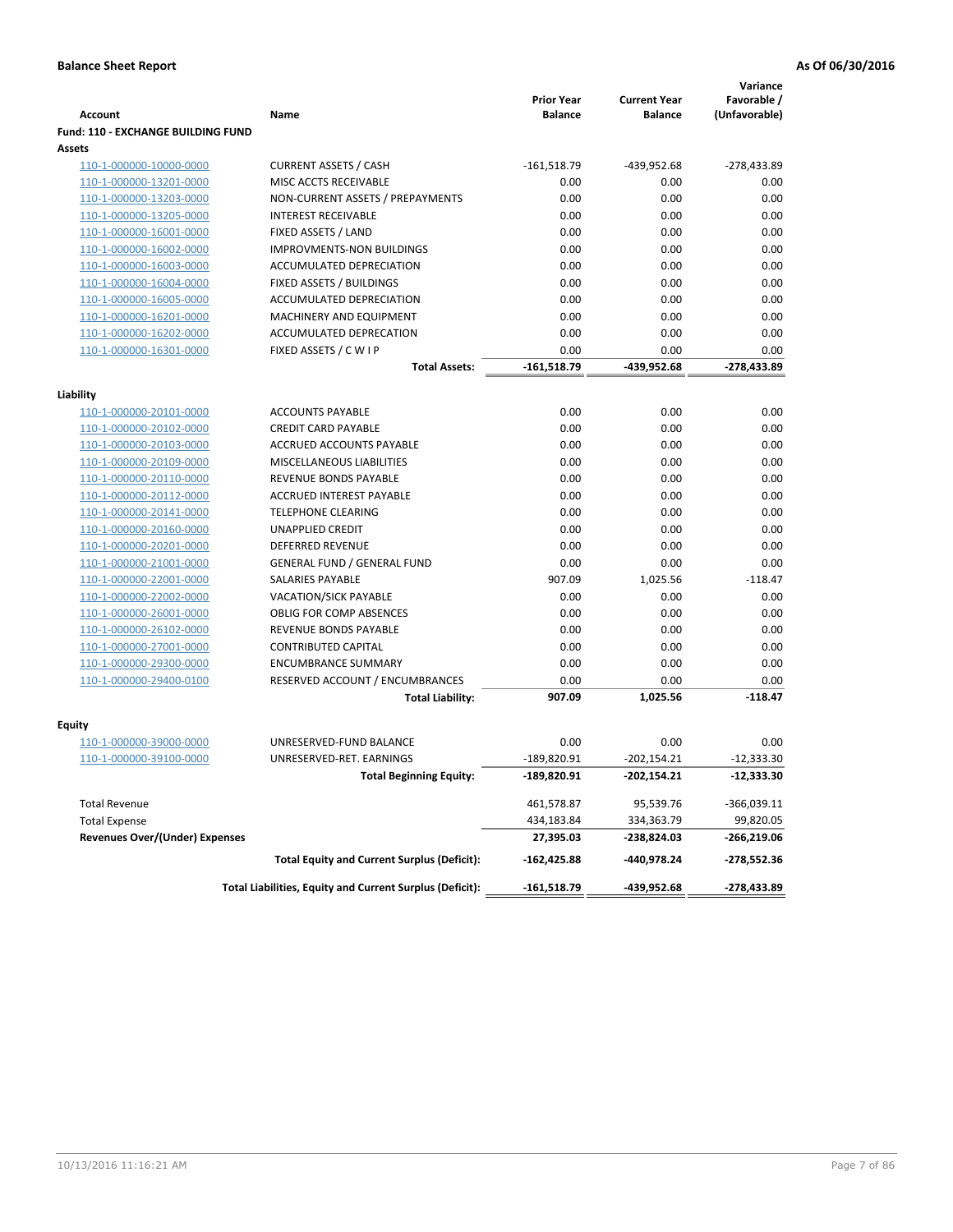|                                           |                                                                     | <b>Prior Year</b>     | <b>Current Year</b> | Variance<br>Favorable / |
|-------------------------------------------|---------------------------------------------------------------------|-----------------------|---------------------|-------------------------|
| <b>Account</b>                            | Name                                                                | <b>Balance</b>        | <b>Balance</b>      | (Unfavorable)           |
| <b>Fund: 110 - EXCHANGE BUILDING FUND</b> |                                                                     |                       |                     |                         |
| Assets                                    |                                                                     |                       |                     |                         |
| 110-1-000000-10000-0000                   | <b>CURRENT ASSETS / CASH</b>                                        | $-161,518.79$         | -439,952.68         | -278,433.89             |
| 110-1-000000-13201-0000                   | MISC ACCTS RECEIVABLE                                               | 0.00                  | 0.00                | 0.00                    |
| 110-1-000000-13203-0000                   | NON-CURRENT ASSETS / PREPAYMENTS                                    | 0.00                  | 0.00                | 0.00                    |
| 110-1-000000-13205-0000                   | <b>INTEREST RECEIVABLE</b>                                          | 0.00                  | 0.00                | 0.00                    |
| 110-1-000000-16001-0000                   | FIXED ASSETS / LAND                                                 | 0.00                  | 0.00                | 0.00                    |
| 110-1-000000-16002-0000                   | <b>IMPROVMENTS-NON BUILDINGS</b><br><b>ACCUMULATED DEPRECIATION</b> | 0.00                  | 0.00                | 0.00                    |
| 110-1-000000-16003-0000                   |                                                                     | 0.00                  | 0.00                | 0.00                    |
| 110-1-000000-16004-0000                   | FIXED ASSETS / BUILDINGS                                            | 0.00                  | 0.00                | 0.00                    |
| 110-1-000000-16005-0000                   | ACCUMULATED DEPRECIATION                                            | 0.00<br>0.00          | 0.00<br>0.00        | 0.00<br>0.00            |
| 110-1-000000-16201-0000                   | MACHINERY AND EQUIPMENT                                             |                       |                     |                         |
| 110-1-000000-16202-0000                   | ACCUMULATED DEPRECATION                                             | 0.00                  | 0.00                | 0.00                    |
| 110-1-000000-16301-0000                   | FIXED ASSETS / C W I P                                              | 0.00<br>$-161,518.79$ | 0.00                | 0.00<br>$-278,433.89$   |
|                                           | Total Assets:                                                       |                       | -439,952.68         |                         |
| Liability                                 |                                                                     |                       |                     |                         |
| 110-1-000000-20101-0000                   | <b>ACCOUNTS PAYABLE</b>                                             | 0.00                  | 0.00                | 0.00                    |
| 110-1-000000-20102-0000                   | <b>CREDIT CARD PAYABLE</b>                                          | 0.00                  | 0.00                | 0.00                    |
| 110-1-000000-20103-0000                   | ACCRUED ACCOUNTS PAYABLE                                            | 0.00                  | 0.00                | 0.00                    |
| 110-1-000000-20109-0000                   | MISCELLANEOUS LIABILITIES                                           | 0.00                  | 0.00                | 0.00                    |
| 110-1-000000-20110-0000                   | <b>REVENUE BONDS PAYABLE</b>                                        | 0.00                  | 0.00                | 0.00                    |
| 110-1-000000-20112-0000                   | ACCRUED INTEREST PAYABLE                                            | 0.00                  | 0.00                | 0.00                    |
| 110-1-000000-20141-0000                   | <b>TELEPHONE CLEARING</b>                                           | 0.00                  | 0.00                | 0.00                    |
| 110-1-000000-20160-0000                   | <b>UNAPPLIED CREDIT</b>                                             | 0.00                  | 0.00                | 0.00                    |
| 110-1-000000-20201-0000                   | <b>DEFERRED REVENUE</b>                                             | 0.00                  | 0.00                | 0.00                    |
| 110-1-000000-21001-0000                   | <b>GENERAL FUND / GENERAL FUND</b>                                  | 0.00                  | 0.00                | 0.00                    |
| 110-1-000000-22001-0000                   | <b>SALARIES PAYABLE</b>                                             | 907.09                | 1,025.56            | $-118.47$               |
| 110-1-000000-22002-0000                   | <b>VACATION/SICK PAYABLE</b>                                        | 0.00                  | 0.00                | 0.00                    |
| 110-1-000000-26001-0000                   | <b>OBLIG FOR COMP ABSENCES</b>                                      | 0.00                  | 0.00                | 0.00                    |
| 110-1-000000-26102-0000                   | REVENUE BONDS PAYABLE                                               | 0.00                  | 0.00                | 0.00                    |
| 110-1-000000-27001-0000                   | <b>CONTRIBUTED CAPITAL</b>                                          | 0.00                  | 0.00                | 0.00                    |
| 110-1-000000-29300-0000                   | <b>ENCUMBRANCE SUMMARY</b>                                          | 0.00                  | 0.00                | 0.00                    |
| 110-1-000000-29400-0100                   | RESERVED ACCOUNT / ENCUMBRANCES                                     | 0.00                  | 0.00                | 0.00                    |
|                                           | <b>Total Liability:</b>                                             | 907.09                | 1,025.56            | $-118.47$               |
|                                           |                                                                     |                       |                     |                         |
| Fquity                                    |                                                                     |                       |                     |                         |
| 110-1-000000-39000-0000                   | UNRESERVED-FUND BALANCE                                             | 0.00                  | 0.00                | 0.00                    |
| 110-1-000000-39100-0000                   | UNRESERVED-RET. EARNINGS                                            | $-189,820.91$         | $-202,154.21$       | $-12,333.30$            |
|                                           | <b>Total Beginning Equity:</b>                                      | -189,820.91           | -202,154.21         | -12,333.30              |
| <b>Total Revenue</b>                      |                                                                     | 461,578.87            | 95,539.76           | $-366,039.11$           |
| <b>Total Expense</b>                      |                                                                     | 434,183.84            | 334,363.79          | 99,820.05               |
| <b>Revenues Over/(Under) Expenses</b>     |                                                                     | 27,395.03             | -238,824.03         | -266,219.06             |
|                                           | <b>Total Equity and Current Surplus (Deficit):</b>                  | $-162,425.88$         | -440,978.24         | -278,552.36             |
|                                           | Total Liabilities, Equity and Current Surplus (Deficit):            | $-161,518.79$         | -439,952.68         | $-278,433.89$           |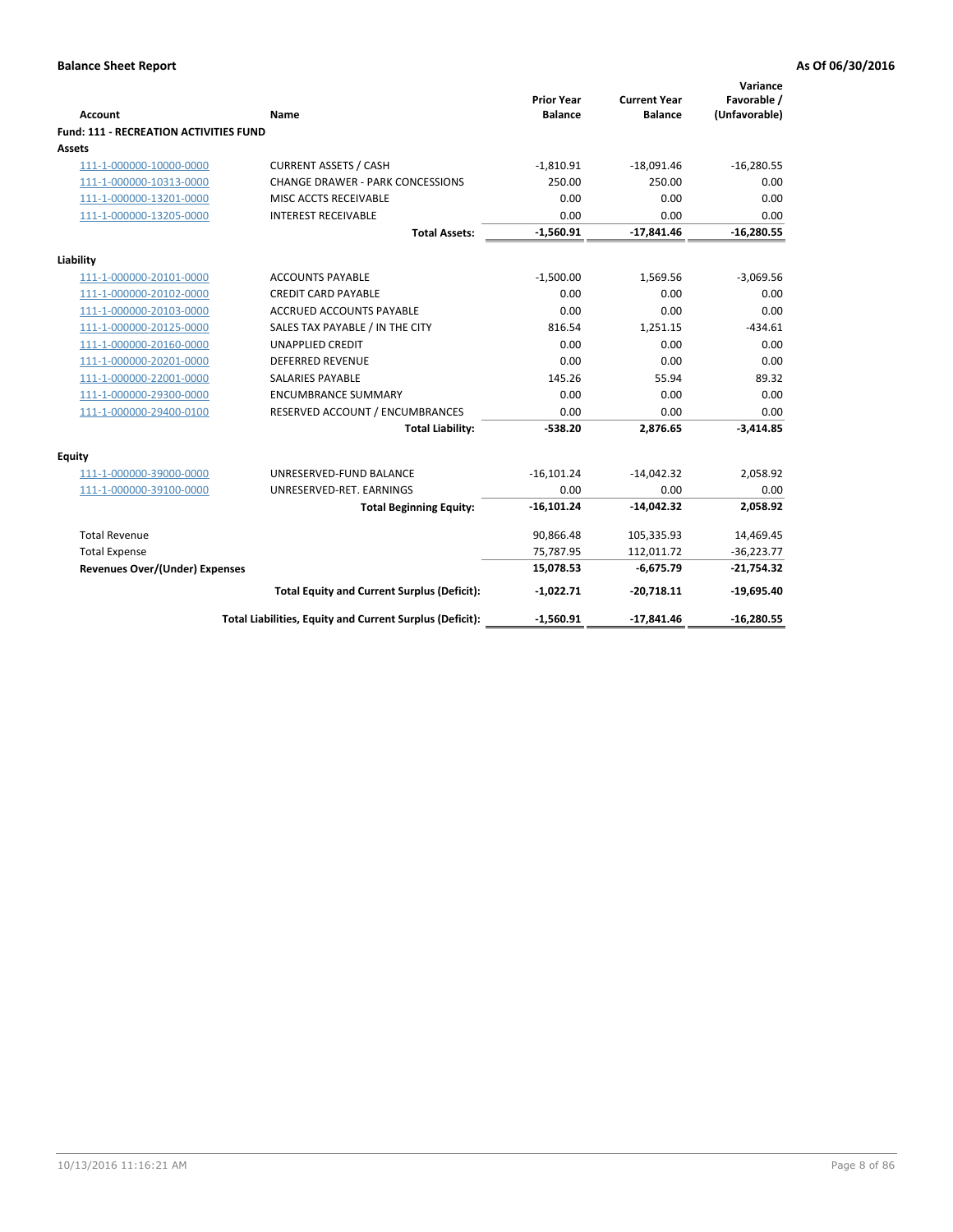| <b>Account</b>                                | Name                                                     | <b>Prior Year</b><br><b>Balance</b> | <b>Current Year</b><br><b>Balance</b> | Variance<br>Favorable /<br>(Unfavorable) |
|-----------------------------------------------|----------------------------------------------------------|-------------------------------------|---------------------------------------|------------------------------------------|
| <b>Fund: 111 - RECREATION ACTIVITIES FUND</b> |                                                          |                                     |                                       |                                          |
| <b>Assets</b>                                 |                                                          |                                     |                                       |                                          |
| 111-1-000000-10000-0000                       | <b>CURRENT ASSETS / CASH</b>                             | $-1,810.91$                         | $-18,091.46$                          | $-16,280.55$                             |
| 111-1-000000-10313-0000                       | <b>CHANGE DRAWER - PARK CONCESSIONS</b>                  | 250.00                              | 250.00                                | 0.00                                     |
| 111-1-000000-13201-0000                       | MISC ACCTS RECEIVABLE                                    | 0.00                                | 0.00                                  | 0.00                                     |
| 111-1-000000-13205-0000                       | <b>INTEREST RECEIVABLE</b>                               | 0.00                                | 0.00                                  | 0.00                                     |
|                                               | <b>Total Assets:</b>                                     | $-1,560.91$                         | $-17,841.46$                          | $-16,280.55$                             |
| Liability                                     |                                                          |                                     |                                       |                                          |
| 111-1-000000-20101-0000                       | <b>ACCOUNTS PAYABLE</b>                                  | $-1,500.00$                         | 1,569.56                              | $-3,069.56$                              |
| 111-1-000000-20102-0000                       | <b>CREDIT CARD PAYABLE</b>                               | 0.00                                | 0.00                                  | 0.00                                     |
| 111-1-000000-20103-0000                       | <b>ACCRUED ACCOUNTS PAYABLE</b>                          | 0.00                                | 0.00                                  | 0.00                                     |
| 111-1-000000-20125-0000                       | SALES TAX PAYABLE / IN THE CITY                          | 816.54                              | 1,251.15                              | $-434.61$                                |
| 111-1-000000-20160-0000                       | <b>UNAPPLIED CREDIT</b>                                  | 0.00                                | 0.00                                  | 0.00                                     |
| 111-1-000000-20201-0000                       | <b>DEFERRED REVENUE</b>                                  | 0.00                                | 0.00                                  | 0.00                                     |
| 111-1-000000-22001-0000                       | <b>SALARIES PAYABLE</b>                                  | 145.26                              | 55.94                                 | 89.32                                    |
| 111-1-000000-29300-0000                       | <b>ENCUMBRANCE SUMMARY</b>                               | 0.00                                | 0.00                                  | 0.00                                     |
| 111-1-000000-29400-0100                       | RESERVED ACCOUNT / ENCUMBRANCES                          | 0.00                                | 0.00                                  | 0.00                                     |
|                                               | <b>Total Liability:</b>                                  | $-538.20$                           | 2,876.65                              | $-3,414.85$                              |
| <b>Equity</b>                                 |                                                          |                                     |                                       |                                          |
| 111-1-000000-39000-0000                       | UNRESERVED-FUND BALANCE                                  | $-16,101.24$                        | $-14,042.32$                          | 2,058.92                                 |
| 111-1-000000-39100-0000                       | UNRESERVED-RET. EARNINGS                                 | 0.00                                | 0.00                                  | 0.00                                     |
|                                               | <b>Total Beginning Equity:</b>                           | $-16, 101.24$                       | $-14,042.32$                          | 2,058.92                                 |
| <b>Total Revenue</b>                          |                                                          | 90,866.48                           | 105,335.93                            | 14,469.45                                |
| <b>Total Expense</b>                          |                                                          | 75,787.95                           | 112,011.72                            | $-36,223.77$                             |
| <b>Revenues Over/(Under) Expenses</b>         |                                                          | 15,078.53                           | $-6,675.79$                           | $-21,754.32$                             |
|                                               | <b>Total Equity and Current Surplus (Deficit):</b>       | $-1,022.71$                         | $-20,718.11$                          | $-19,695.40$                             |
|                                               | Total Liabilities, Equity and Current Surplus (Deficit): | $-1,560.91$                         | $-17,841.46$                          | $-16,280.55$                             |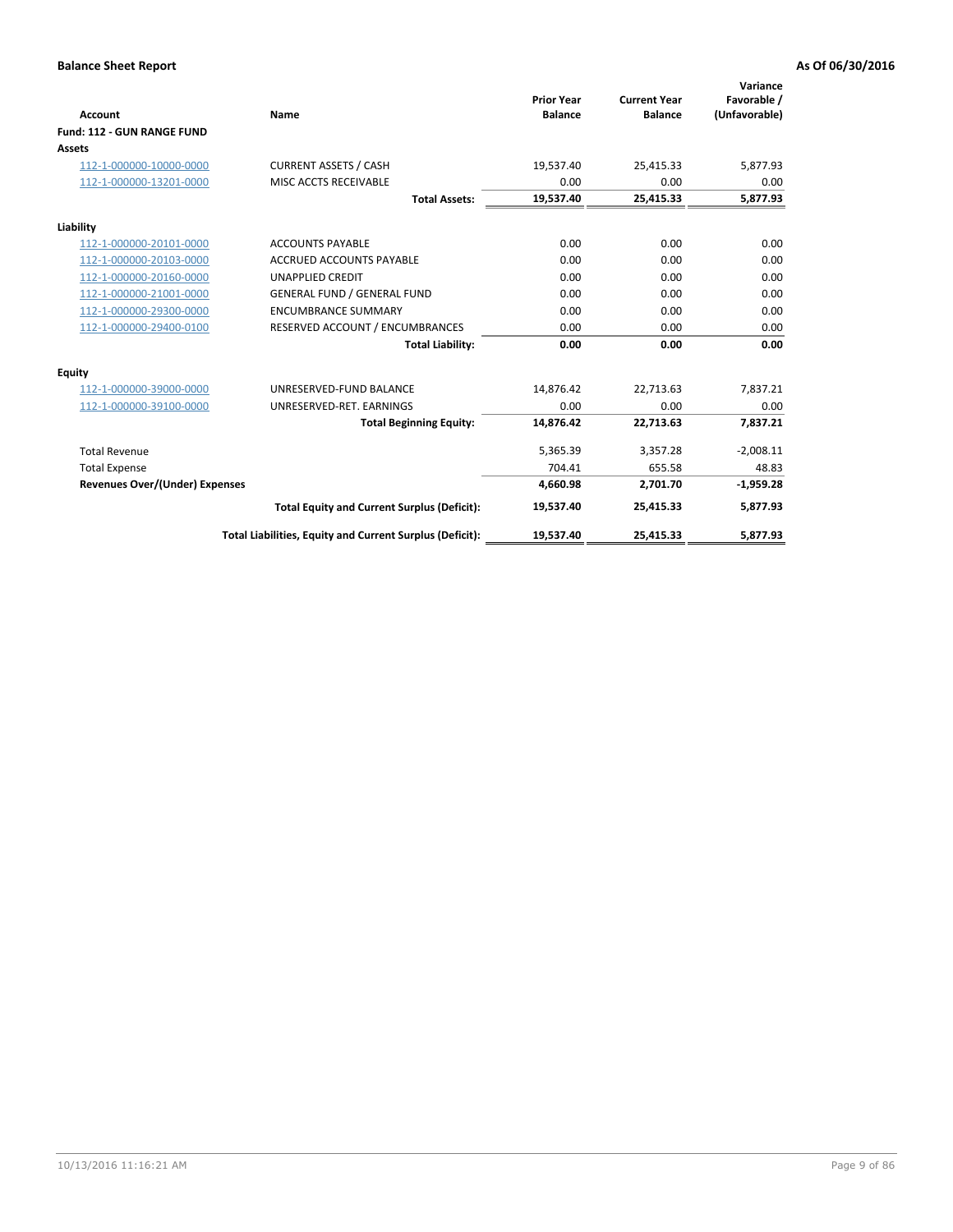|                                       |                                                          |                                     |                                       | Variance                     |
|---------------------------------------|----------------------------------------------------------|-------------------------------------|---------------------------------------|------------------------------|
| Account                               | Name                                                     | <b>Prior Year</b><br><b>Balance</b> | <b>Current Year</b><br><b>Balance</b> | Favorable /<br>(Unfavorable) |
| Fund: 112 - GUN RANGE FUND            |                                                          |                                     |                                       |                              |
| <b>Assets</b>                         |                                                          |                                     |                                       |                              |
| 112-1-000000-10000-0000               | <b>CURRENT ASSETS / CASH</b>                             | 19,537.40                           | 25,415.33                             | 5,877.93                     |
| 112-1-000000-13201-0000               | MISC ACCTS RECEIVABLE                                    | 0.00                                | 0.00                                  | 0.00                         |
|                                       | <b>Total Assets:</b>                                     | 19,537.40                           | 25,415.33                             | 5,877.93                     |
| Liability                             |                                                          |                                     |                                       |                              |
| 112-1-000000-20101-0000               | <b>ACCOUNTS PAYABLE</b>                                  | 0.00                                | 0.00                                  | 0.00                         |
| 112-1-000000-20103-0000               | <b>ACCRUED ACCOUNTS PAYABLE</b>                          | 0.00                                | 0.00                                  | 0.00                         |
| 112-1-000000-20160-0000               | <b>UNAPPLIED CREDIT</b>                                  | 0.00                                | 0.00                                  | 0.00                         |
| 112-1-000000-21001-0000               | <b>GENERAL FUND / GENERAL FUND</b>                       | 0.00                                | 0.00                                  | 0.00                         |
| 112-1-000000-29300-0000               | <b>ENCUMBRANCE SUMMARY</b>                               | 0.00                                | 0.00                                  | 0.00                         |
| 112-1-000000-29400-0100               | RESERVED ACCOUNT / ENCUMBRANCES                          | 0.00                                | 0.00                                  | 0.00                         |
|                                       | <b>Total Liability:</b>                                  | 0.00                                | 0.00                                  | 0.00                         |
| <b>Equity</b>                         |                                                          |                                     |                                       |                              |
| 112-1-000000-39000-0000               | UNRESERVED-FUND BALANCE                                  | 14,876.42                           | 22,713.63                             | 7,837.21                     |
| 112-1-000000-39100-0000               | UNRESERVED-RET. EARNINGS                                 | 0.00                                | 0.00                                  | 0.00                         |
|                                       | <b>Total Beginning Equity:</b>                           | 14.876.42                           | 22.713.63                             | 7,837.21                     |
| <b>Total Revenue</b>                  |                                                          | 5,365.39                            | 3,357.28                              | $-2,008.11$                  |
| <b>Total Expense</b>                  |                                                          | 704.41                              | 655.58                                | 48.83                        |
| <b>Revenues Over/(Under) Expenses</b> |                                                          | 4,660.98                            | 2,701.70                              | $-1,959.28$                  |
|                                       | <b>Total Equity and Current Surplus (Deficit):</b>       | 19,537.40                           | 25,415.33                             | 5,877.93                     |
|                                       | Total Liabilities, Equity and Current Surplus (Deficit): | 19,537.40                           | 25,415.33                             | 5,877.93                     |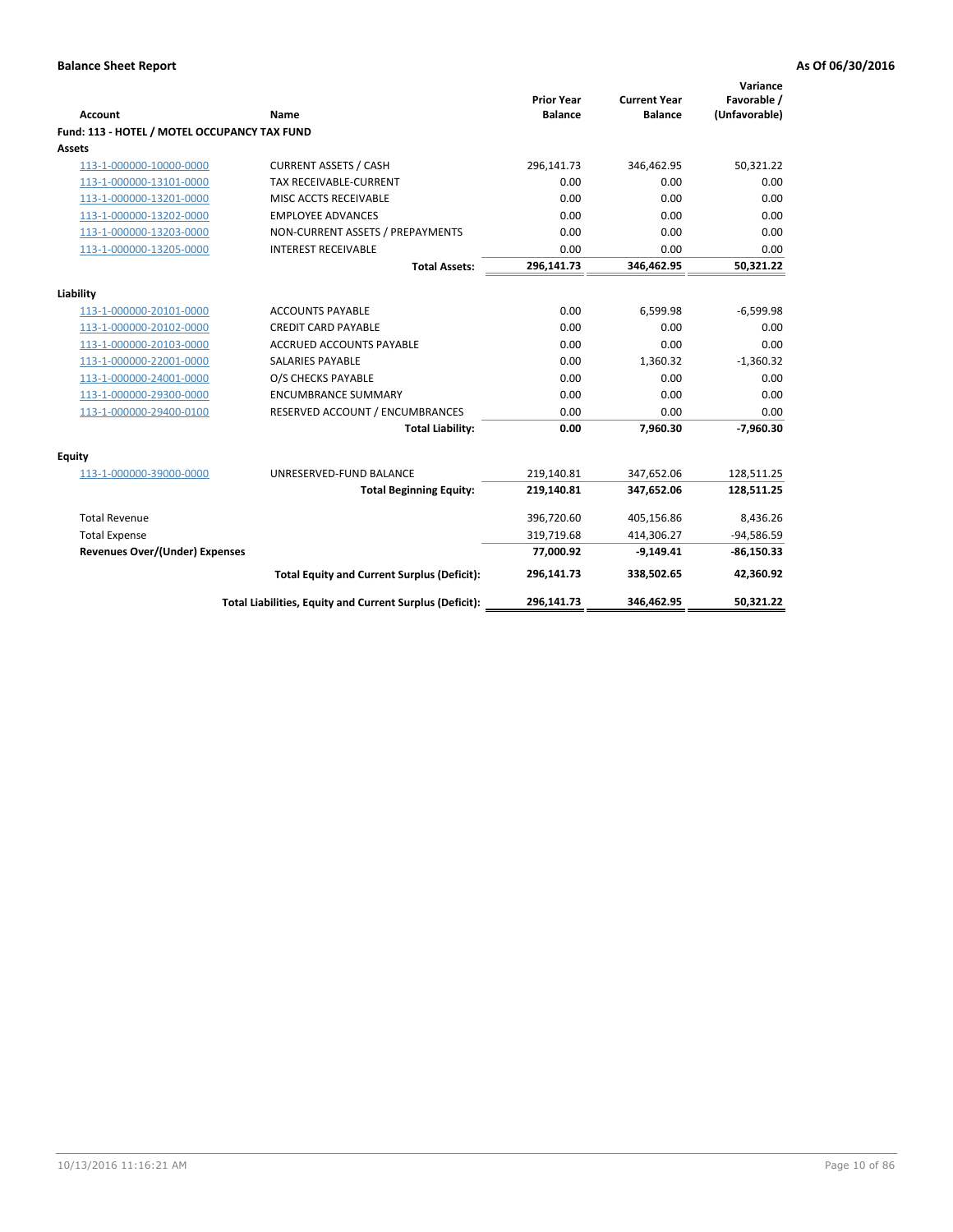| Account                                      | Name                                                     | <b>Prior Year</b><br><b>Balance</b> | <b>Current Year</b><br><b>Balance</b> | Variance<br>Favorable /<br>(Unfavorable) |
|----------------------------------------------|----------------------------------------------------------|-------------------------------------|---------------------------------------|------------------------------------------|
| Fund: 113 - HOTEL / MOTEL OCCUPANCY TAX FUND |                                                          |                                     |                                       |                                          |
| Assets                                       |                                                          |                                     |                                       |                                          |
| 113-1-000000-10000-0000                      | <b>CURRENT ASSETS / CASH</b>                             | 296,141.73                          | 346,462.95                            | 50,321.22                                |
| 113-1-000000-13101-0000                      | TAX RECEIVABLE-CURRENT                                   | 0.00                                | 0.00                                  | 0.00                                     |
| 113-1-000000-13201-0000                      | MISC ACCTS RECEIVABLE                                    | 0.00                                | 0.00                                  | 0.00                                     |
| 113-1-000000-13202-0000                      | <b>EMPLOYEE ADVANCES</b>                                 | 0.00                                | 0.00                                  | 0.00                                     |
| 113-1-000000-13203-0000                      | NON-CURRENT ASSETS / PREPAYMENTS                         | 0.00                                | 0.00                                  | 0.00                                     |
| 113-1-000000-13205-0000                      | <b>INTEREST RECEIVABLE</b>                               | 0.00                                | 0.00                                  | 0.00                                     |
|                                              | <b>Total Assets:</b>                                     | 296,141.73                          | 346,462.95                            | 50,321.22                                |
| Liability                                    |                                                          |                                     |                                       |                                          |
| 113-1-000000-20101-0000                      | <b>ACCOUNTS PAYABLE</b>                                  | 0.00                                | 6,599.98                              | $-6,599.98$                              |
| 113-1-000000-20102-0000                      | <b>CREDIT CARD PAYABLE</b>                               | 0.00                                | 0.00                                  | 0.00                                     |
| 113-1-000000-20103-0000                      | <b>ACCRUED ACCOUNTS PAYABLE</b>                          | 0.00                                | 0.00                                  | 0.00                                     |
| 113-1-000000-22001-0000                      | <b>SALARIES PAYABLE</b>                                  | 0.00                                | 1,360.32                              | $-1,360.32$                              |
| 113-1-000000-24001-0000                      | O/S CHECKS PAYABLE                                       | 0.00                                | 0.00                                  | 0.00                                     |
| 113-1-000000-29300-0000                      | <b>ENCUMBRANCE SUMMARY</b>                               | 0.00                                | 0.00                                  | 0.00                                     |
| 113-1-000000-29400-0100                      | RESERVED ACCOUNT / ENCUMBRANCES                          | 0.00                                | 0.00                                  | 0.00                                     |
|                                              | <b>Total Liability:</b>                                  | 0.00                                | 7,960.30                              | $-7,960.30$                              |
| Equity                                       |                                                          |                                     |                                       |                                          |
| 113-1-000000-39000-0000                      | UNRESERVED-FUND BALANCE                                  | 219,140.81                          | 347,652.06                            | 128,511.25                               |
|                                              | <b>Total Beginning Equity:</b>                           | 219,140.81                          | 347,652.06                            | 128,511.25                               |
| <b>Total Revenue</b>                         |                                                          | 396,720.60                          | 405,156.86                            | 8,436.26                                 |
| <b>Total Expense</b>                         |                                                          | 319,719.68                          | 414,306.27                            | $-94,586.59$                             |
| <b>Revenues Over/(Under) Expenses</b>        |                                                          | 77,000.92                           | $-9,149.41$                           | $-86,150.33$                             |
|                                              | <b>Total Equity and Current Surplus (Deficit):</b>       | 296,141.73                          | 338,502.65                            | 42,360.92                                |
|                                              | Total Liabilities, Equity and Current Surplus (Deficit): | 296,141.73                          | 346,462.95                            | 50.321.22                                |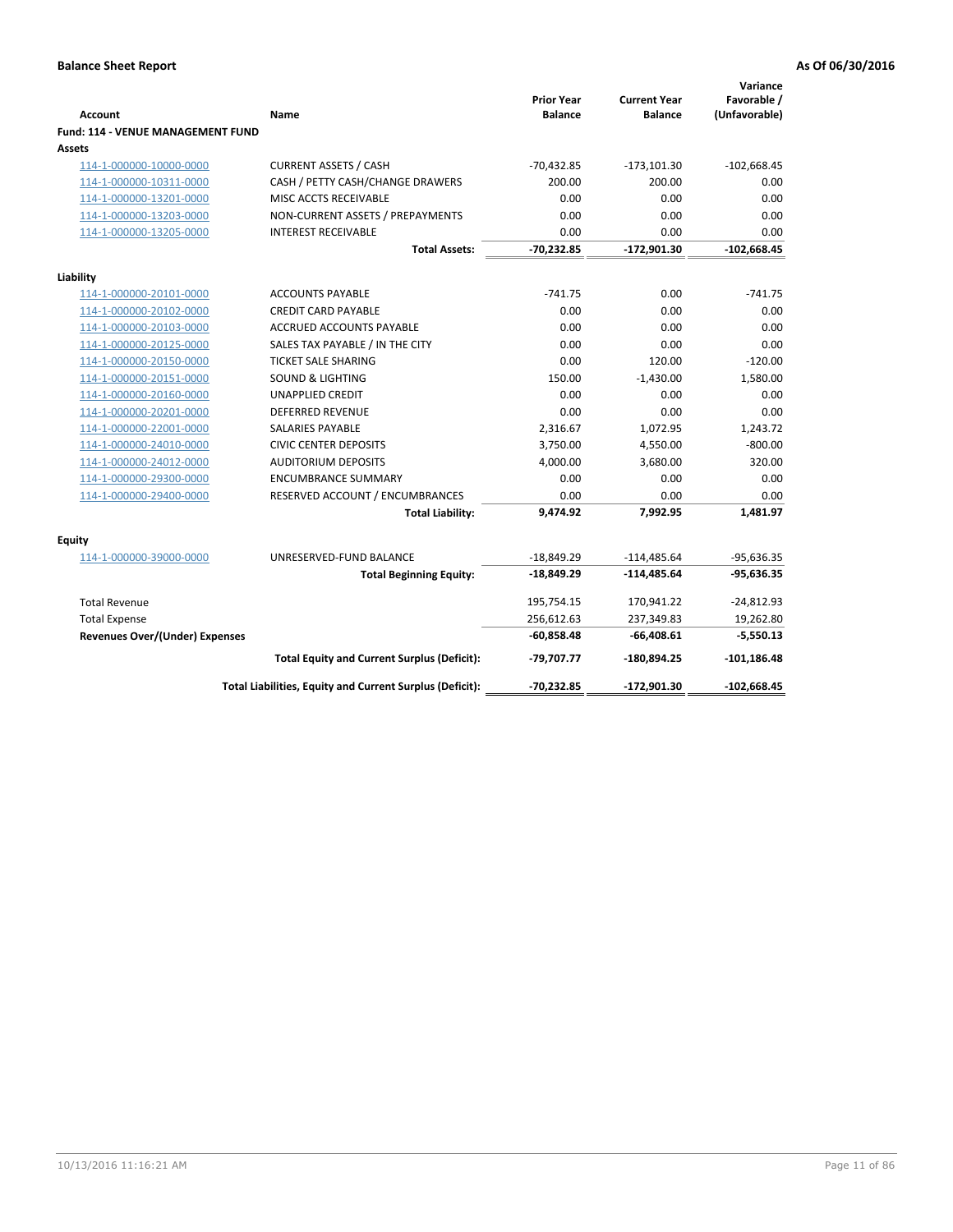| <b>Account</b>                              | Name                                                     | <b>Prior Year</b><br><b>Balance</b> | <b>Current Year</b><br><b>Balance</b> | Variance<br>Favorable /<br>(Unfavorable) |
|---------------------------------------------|----------------------------------------------------------|-------------------------------------|---------------------------------------|------------------------------------------|
| Fund: 114 - VENUE MANAGEMENT FUND<br>Assets |                                                          |                                     |                                       |                                          |
| 114-1-000000-10000-0000                     | <b>CURRENT ASSETS / CASH</b>                             | $-70,432.85$                        | $-173,101.30$                         | $-102,668.45$                            |
| 114-1-000000-10311-0000                     | CASH / PETTY CASH/CHANGE DRAWERS                         | 200.00                              | 200.00                                | 0.00                                     |
| 114-1-000000-13201-0000                     | MISC ACCTS RECEIVABLE                                    | 0.00                                | 0.00                                  | 0.00                                     |
| 114-1-000000-13203-0000                     | NON-CURRENT ASSETS / PREPAYMENTS                         | 0.00                                | 0.00                                  | 0.00                                     |
| 114-1-000000-13205-0000                     | <b>INTEREST RECEIVABLE</b>                               | 0.00                                | 0.00                                  | 0.00                                     |
|                                             | <b>Total Assets:</b>                                     | $-70,232.85$                        | $-172,901.30$                         | $-102,668.45$                            |
| Liability                                   |                                                          |                                     |                                       |                                          |
| 114-1-000000-20101-0000                     | <b>ACCOUNTS PAYABLE</b>                                  | $-741.75$                           | 0.00                                  | $-741.75$                                |
| 114-1-000000-20102-0000                     | <b>CREDIT CARD PAYABLE</b>                               | 0.00                                | 0.00                                  | 0.00                                     |
| 114-1-000000-20103-0000                     | ACCRUED ACCOUNTS PAYABLE                                 | 0.00                                | 0.00                                  | 0.00                                     |
| 114-1-000000-20125-0000                     | SALES TAX PAYABLE / IN THE CITY                          | 0.00                                | 0.00                                  | 0.00                                     |
| 114-1-000000-20150-0000                     | <b>TICKET SALE SHARING</b>                               | 0.00                                | 120.00                                | $-120.00$                                |
| 114-1-000000-20151-0000                     | <b>SOUND &amp; LIGHTING</b>                              | 150.00                              | $-1,430.00$                           | 1,580.00                                 |
| 114-1-000000-20160-0000                     | <b>UNAPPLIED CREDIT</b>                                  | 0.00                                | 0.00                                  | 0.00                                     |
| 114-1-000000-20201-0000                     | <b>DEFERRED REVENUE</b>                                  | 0.00                                | 0.00                                  | 0.00                                     |
| 114-1-000000-22001-0000                     | <b>SALARIES PAYABLE</b>                                  | 2,316.67                            | 1,072.95                              | 1,243.72                                 |
| 114-1-000000-24010-0000                     | <b>CIVIC CENTER DEPOSITS</b>                             | 3,750.00                            | 4,550.00                              | $-800.00$                                |
| 114-1-000000-24012-0000                     | <b>AUDITORIUM DEPOSITS</b>                               | 4,000.00                            | 3,680.00                              | 320.00                                   |
| 114-1-000000-29300-0000                     | <b>ENCUMBRANCE SUMMARY</b>                               | 0.00                                | 0.00                                  | 0.00                                     |
| 114-1-000000-29400-0000                     | RESERVED ACCOUNT / ENCUMBRANCES                          | 0.00                                | 0.00                                  | 0.00                                     |
|                                             | <b>Total Liability:</b>                                  | 9,474.92                            | 7,992.95                              | 1,481.97                                 |
| Equity                                      |                                                          |                                     |                                       |                                          |
| 114-1-000000-39000-0000                     | UNRESERVED-FUND BALANCE                                  | $-18,849.29$                        | $-114,485.64$                         | $-95,636.35$                             |
|                                             | <b>Total Beginning Equity:</b>                           | $-18,849.29$                        | $-114,485.64$                         | $-95,636.35$                             |
| <b>Total Revenue</b>                        |                                                          | 195,754.15                          | 170,941.22                            | $-24,812.93$                             |
| <b>Total Expense</b>                        |                                                          | 256,612.63                          | 237,349.83                            | 19,262.80                                |
| <b>Revenues Over/(Under) Expenses</b>       |                                                          | $-60,858.48$                        | $-66,408.61$                          | $-5,550.13$                              |
|                                             | <b>Total Equity and Current Surplus (Deficit):</b>       | -79,707.77                          | -180,894.25                           | $-101, 186.48$                           |
|                                             | Total Liabilities, Equity and Current Surplus (Deficit): | -70,232.85                          | -172,901.30                           | $-102,668.45$                            |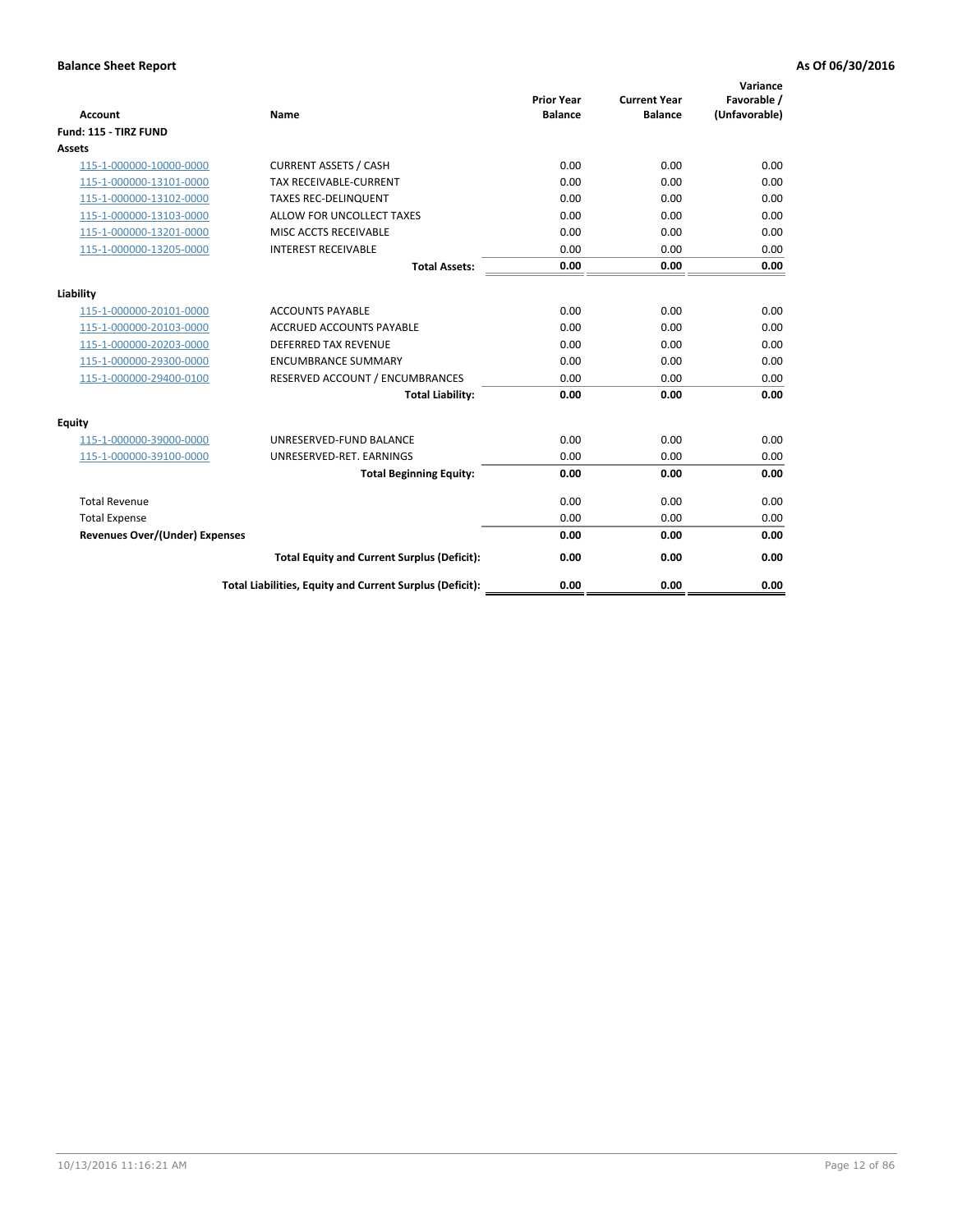| <b>Account</b>                        | Name                                                     | <b>Prior Year</b><br><b>Balance</b> | <b>Current Year</b><br><b>Balance</b> | Variance<br>Favorable /<br>(Unfavorable) |
|---------------------------------------|----------------------------------------------------------|-------------------------------------|---------------------------------------|------------------------------------------|
| Fund: 115 - TIRZ FUND                 |                                                          |                                     |                                       |                                          |
| Assets                                |                                                          |                                     |                                       |                                          |
| 115-1-000000-10000-0000               | <b>CURRENT ASSETS / CASH</b>                             | 0.00                                | 0.00                                  | 0.00                                     |
| 115-1-000000-13101-0000               | TAX RECEIVABLE-CURRENT                                   | 0.00                                | 0.00                                  | 0.00                                     |
| 115-1-000000-13102-0000               | <b>TAXES REC-DELINQUENT</b>                              | 0.00                                | 0.00                                  | 0.00                                     |
| 115-1-000000-13103-0000               | ALLOW FOR UNCOLLECT TAXES                                | 0.00                                | 0.00                                  | 0.00                                     |
| 115-1-000000-13201-0000               | MISC ACCTS RECEIVABLE                                    | 0.00                                | 0.00                                  | 0.00                                     |
| 115-1-000000-13205-0000               | <b>INTEREST RECEIVABLE</b>                               | 0.00                                | 0.00                                  | 0.00                                     |
|                                       | <b>Total Assets:</b>                                     | 0.00                                | 0.00                                  | 0.00                                     |
| Liability                             |                                                          |                                     |                                       |                                          |
| 115-1-000000-20101-0000               | <b>ACCOUNTS PAYABLE</b>                                  | 0.00                                | 0.00                                  | 0.00                                     |
| 115-1-000000-20103-0000               | <b>ACCRUED ACCOUNTS PAYABLE</b>                          | 0.00                                | 0.00                                  | 0.00                                     |
| 115-1-000000-20203-0000               | <b>DEFERRED TAX REVENUE</b>                              | 0.00                                | 0.00                                  | 0.00                                     |
| 115-1-000000-29300-0000               | <b>ENCUMBRANCE SUMMARY</b>                               | 0.00                                | 0.00                                  | 0.00                                     |
| 115-1-000000-29400-0100               | RESERVED ACCOUNT / ENCUMBRANCES                          | 0.00                                | 0.00                                  | 0.00                                     |
|                                       | <b>Total Liability:</b>                                  | 0.00                                | 0.00                                  | 0.00                                     |
| Equity                                |                                                          |                                     |                                       |                                          |
| 115-1-000000-39000-0000               | UNRESERVED-FUND BALANCE                                  | 0.00                                | 0.00                                  | 0.00                                     |
| 115-1-000000-39100-0000               | UNRESERVED-RET. EARNINGS                                 | 0.00                                | 0.00                                  | 0.00                                     |
|                                       | <b>Total Beginning Equity:</b>                           | 0.00                                | 0.00                                  | 0.00                                     |
| <b>Total Revenue</b>                  |                                                          | 0.00                                | 0.00                                  | 0.00                                     |
| <b>Total Expense</b>                  |                                                          | 0.00                                | 0.00                                  | 0.00                                     |
| <b>Revenues Over/(Under) Expenses</b> |                                                          | 0.00                                | 0.00                                  | 0.00                                     |
|                                       | <b>Total Equity and Current Surplus (Deficit):</b>       | 0.00                                | 0.00                                  | 0.00                                     |
|                                       | Total Liabilities, Equity and Current Surplus (Deficit): | 0.00                                | 0.00                                  | 0.00                                     |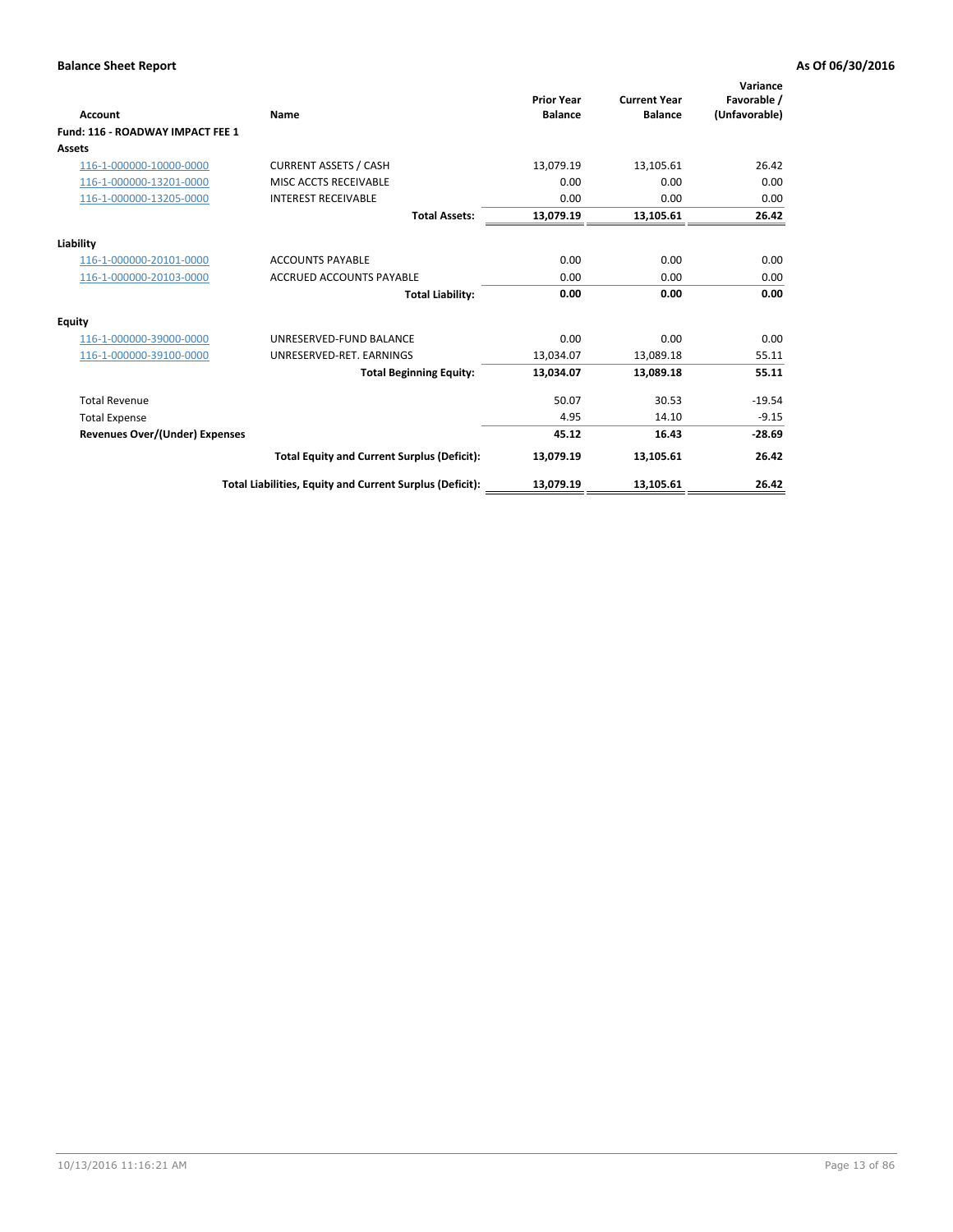| <b>Account</b>                        | <b>Name</b>                                              | <b>Prior Year</b><br><b>Balance</b> | <b>Current Year</b><br><b>Balance</b> | Variance<br>Favorable /<br>(Unfavorable) |
|---------------------------------------|----------------------------------------------------------|-------------------------------------|---------------------------------------|------------------------------------------|
| Fund: 116 - ROADWAY IMPACT FEE 1      |                                                          |                                     |                                       |                                          |
| Assets                                |                                                          |                                     |                                       |                                          |
| 116-1-000000-10000-0000               | <b>CURRENT ASSETS / CASH</b>                             | 13,079.19                           | 13,105.61                             | 26.42                                    |
| 116-1-000000-13201-0000               | MISC ACCTS RECEIVABLE                                    | 0.00                                | 0.00                                  | 0.00                                     |
| 116-1-000000-13205-0000               | <b>INTEREST RECEIVABLE</b>                               | 0.00                                | 0.00                                  | 0.00                                     |
|                                       | <b>Total Assets:</b>                                     | 13,079.19                           | 13,105.61                             | 26.42                                    |
| Liability                             |                                                          |                                     |                                       |                                          |
| 116-1-000000-20101-0000               | <b>ACCOUNTS PAYABLE</b>                                  | 0.00                                | 0.00                                  | 0.00                                     |
| 116-1-000000-20103-0000               | <b>ACCRUED ACCOUNTS PAYABLE</b>                          | 0.00                                | 0.00                                  | 0.00                                     |
|                                       | <b>Total Liability:</b>                                  | 0.00                                | 0.00                                  | 0.00                                     |
| Equity                                |                                                          |                                     |                                       |                                          |
| 116-1-000000-39000-0000               | UNRESERVED-FUND BALANCE                                  | 0.00                                | 0.00                                  | 0.00                                     |
| 116-1-000000-39100-0000               | UNRESERVED-RET. EARNINGS                                 | 13,034.07                           | 13,089.18                             | 55.11                                    |
|                                       | <b>Total Beginning Equity:</b>                           | 13,034.07                           | 13,089.18                             | 55.11                                    |
| <b>Total Revenue</b>                  |                                                          | 50.07                               | 30.53                                 | $-19.54$                                 |
| <b>Total Expense</b>                  |                                                          | 4.95                                | 14.10                                 | $-9.15$                                  |
| <b>Revenues Over/(Under) Expenses</b> |                                                          | 45.12                               | 16.43                                 | $-28.69$                                 |
|                                       | <b>Total Equity and Current Surplus (Deficit):</b>       | 13,079.19                           | 13,105.61                             | 26.42                                    |
|                                       | Total Liabilities, Equity and Current Surplus (Deficit): | 13,079.19                           | 13,105.61                             | 26.42                                    |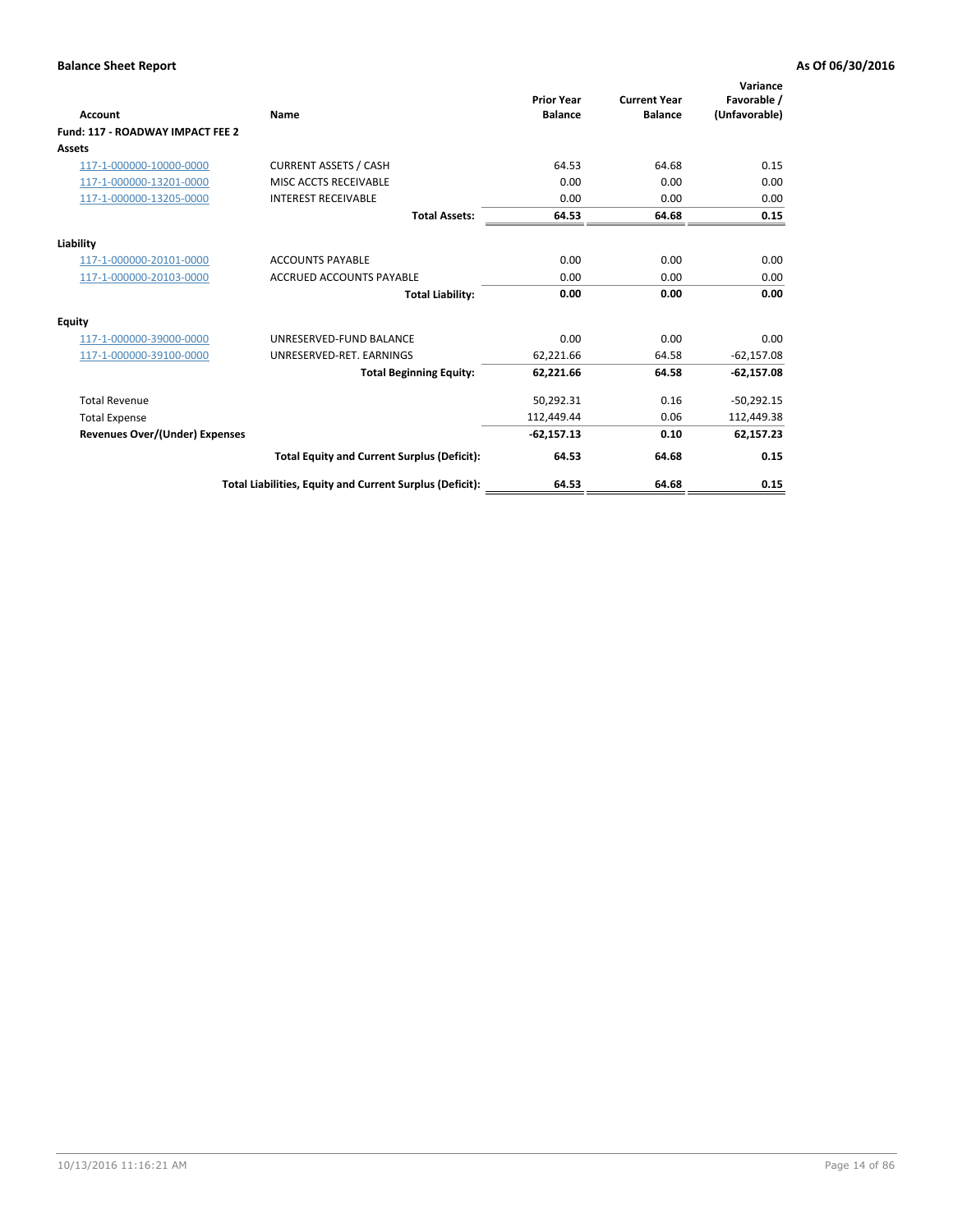| <b>Account</b>                        | Name                                                     | <b>Prior Year</b><br><b>Balance</b> | <b>Current Year</b><br><b>Balance</b> | Variance<br>Favorable /<br>(Unfavorable) |
|---------------------------------------|----------------------------------------------------------|-------------------------------------|---------------------------------------|------------------------------------------|
| Fund: 117 - ROADWAY IMPACT FEE 2      |                                                          |                                     |                                       |                                          |
| Assets                                |                                                          |                                     |                                       |                                          |
| 117-1-000000-10000-0000               | <b>CURRENT ASSETS / CASH</b>                             | 64.53                               | 64.68                                 | 0.15                                     |
| 117-1-000000-13201-0000               | MISC ACCTS RECEIVABLE                                    | 0.00                                | 0.00                                  | 0.00                                     |
| 117-1-000000-13205-0000               | <b>INTEREST RECEIVABLE</b>                               | 0.00                                | 0.00                                  | 0.00                                     |
|                                       | <b>Total Assets:</b>                                     | 64.53                               | 64.68                                 | 0.15                                     |
| Liability                             |                                                          |                                     |                                       |                                          |
| 117-1-000000-20101-0000               | <b>ACCOUNTS PAYABLE</b>                                  | 0.00                                | 0.00                                  | 0.00                                     |
| 117-1-000000-20103-0000               | <b>ACCRUED ACCOUNTS PAYABLE</b>                          | 0.00                                | 0.00                                  | 0.00                                     |
|                                       | <b>Total Liability:</b>                                  | 0.00                                | 0.00                                  | 0.00                                     |
| Equity                                |                                                          |                                     |                                       |                                          |
| 117-1-000000-39000-0000               | UNRESERVED-FUND BALANCE                                  | 0.00                                | 0.00                                  | 0.00                                     |
| 117-1-000000-39100-0000               | UNRESERVED-RET. EARNINGS                                 | 62,221.66                           | 64.58                                 | $-62,157.08$                             |
|                                       | <b>Total Beginning Equity:</b>                           | 62,221.66                           | 64.58                                 | $-62,157.08$                             |
| <b>Total Revenue</b>                  |                                                          | 50,292.31                           | 0.16                                  | $-50,292.15$                             |
| <b>Total Expense</b>                  |                                                          | 112,449.44                          | 0.06                                  | 112,449.38                               |
| <b>Revenues Over/(Under) Expenses</b> |                                                          | $-62,157.13$                        | 0.10                                  | 62,157.23                                |
|                                       | <b>Total Equity and Current Surplus (Deficit):</b>       | 64.53                               | 64.68                                 | 0.15                                     |
|                                       | Total Liabilities, Equity and Current Surplus (Deficit): | 64.53                               | 64.68                                 | 0.15                                     |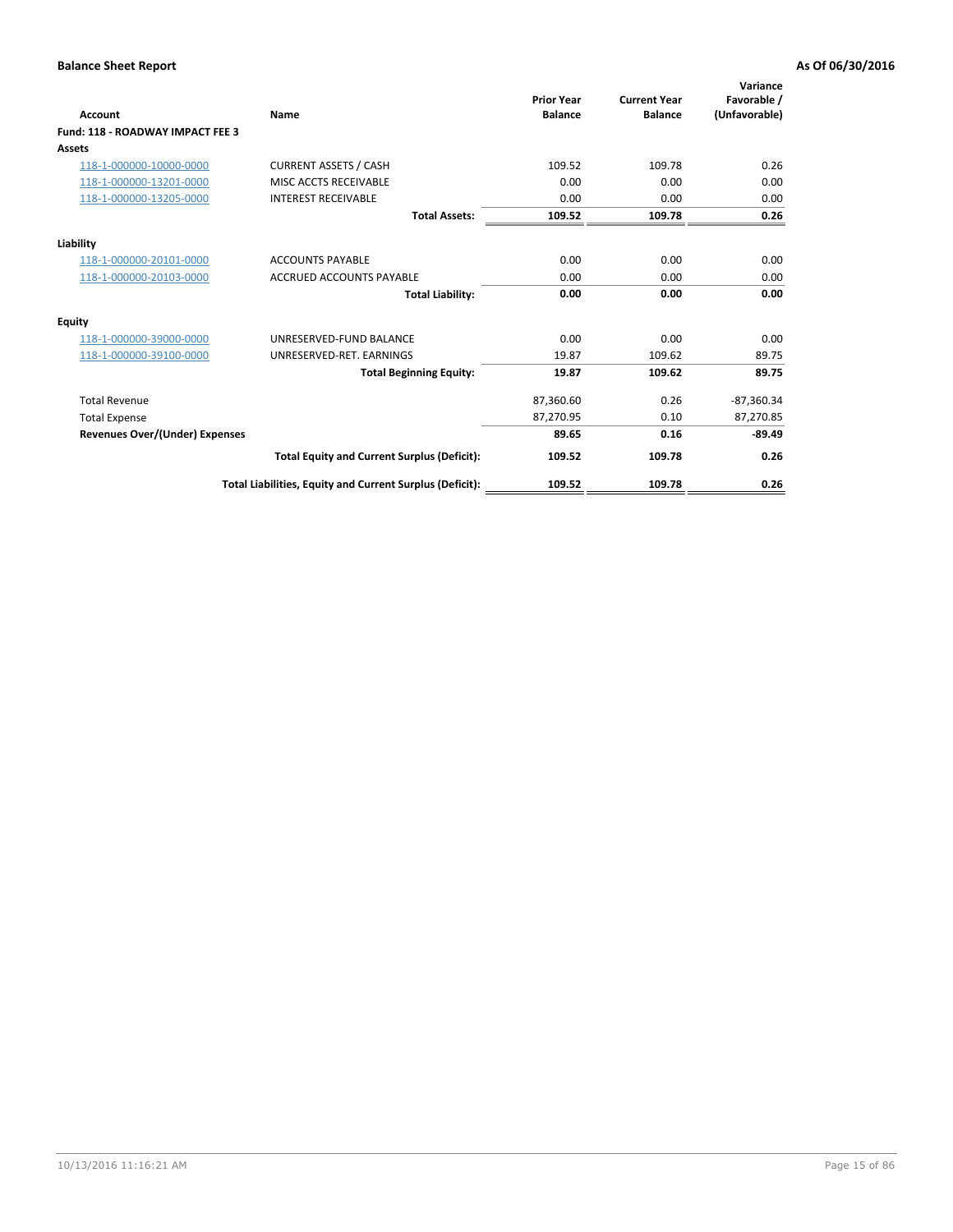| <b>Account</b>                        | Name                                                     | <b>Prior Year</b><br><b>Balance</b> | <b>Current Year</b><br><b>Balance</b> | Variance<br>Favorable /<br>(Unfavorable) |
|---------------------------------------|----------------------------------------------------------|-------------------------------------|---------------------------------------|------------------------------------------|
| Fund: 118 - ROADWAY IMPACT FEE 3      |                                                          |                                     |                                       |                                          |
| Assets                                |                                                          |                                     |                                       |                                          |
| 118-1-000000-10000-0000               | <b>CURRENT ASSETS / CASH</b>                             | 109.52                              | 109.78                                | 0.26                                     |
| 118-1-000000-13201-0000               | MISC ACCTS RECEIVABLE                                    | 0.00                                | 0.00                                  | 0.00                                     |
| 118-1-000000-13205-0000               | <b>INTEREST RECEIVABLE</b>                               | 0.00                                | 0.00                                  | 0.00                                     |
|                                       | <b>Total Assets:</b>                                     | 109.52                              | 109.78                                | 0.26                                     |
| Liability                             |                                                          |                                     |                                       |                                          |
| 118-1-000000-20101-0000               | <b>ACCOUNTS PAYABLE</b>                                  | 0.00                                | 0.00                                  | 0.00                                     |
| 118-1-000000-20103-0000               | <b>ACCRUED ACCOUNTS PAYABLE</b>                          | 0.00                                | 0.00                                  | 0.00                                     |
|                                       | <b>Total Liability:</b>                                  | 0.00                                | 0.00                                  | 0.00                                     |
| Equity                                |                                                          |                                     |                                       |                                          |
| 118-1-000000-39000-0000               | UNRESERVED-FUND BALANCE                                  | 0.00                                | 0.00                                  | 0.00                                     |
| 118-1-000000-39100-0000               | UNRESERVED-RET. EARNINGS                                 | 19.87                               | 109.62                                | 89.75                                    |
|                                       | <b>Total Beginning Equity:</b>                           | 19.87                               | 109.62                                | 89.75                                    |
| <b>Total Revenue</b>                  |                                                          | 87,360.60                           | 0.26                                  | $-87,360.34$                             |
| <b>Total Expense</b>                  |                                                          | 87,270.95                           | 0.10                                  | 87,270.85                                |
| <b>Revenues Over/(Under) Expenses</b> |                                                          | 89.65                               | 0.16                                  | $-89.49$                                 |
|                                       | <b>Total Equity and Current Surplus (Deficit):</b>       | 109.52                              | 109.78                                | 0.26                                     |
|                                       | Total Liabilities, Equity and Current Surplus (Deficit): | 109.52                              | 109.78                                | 0.26                                     |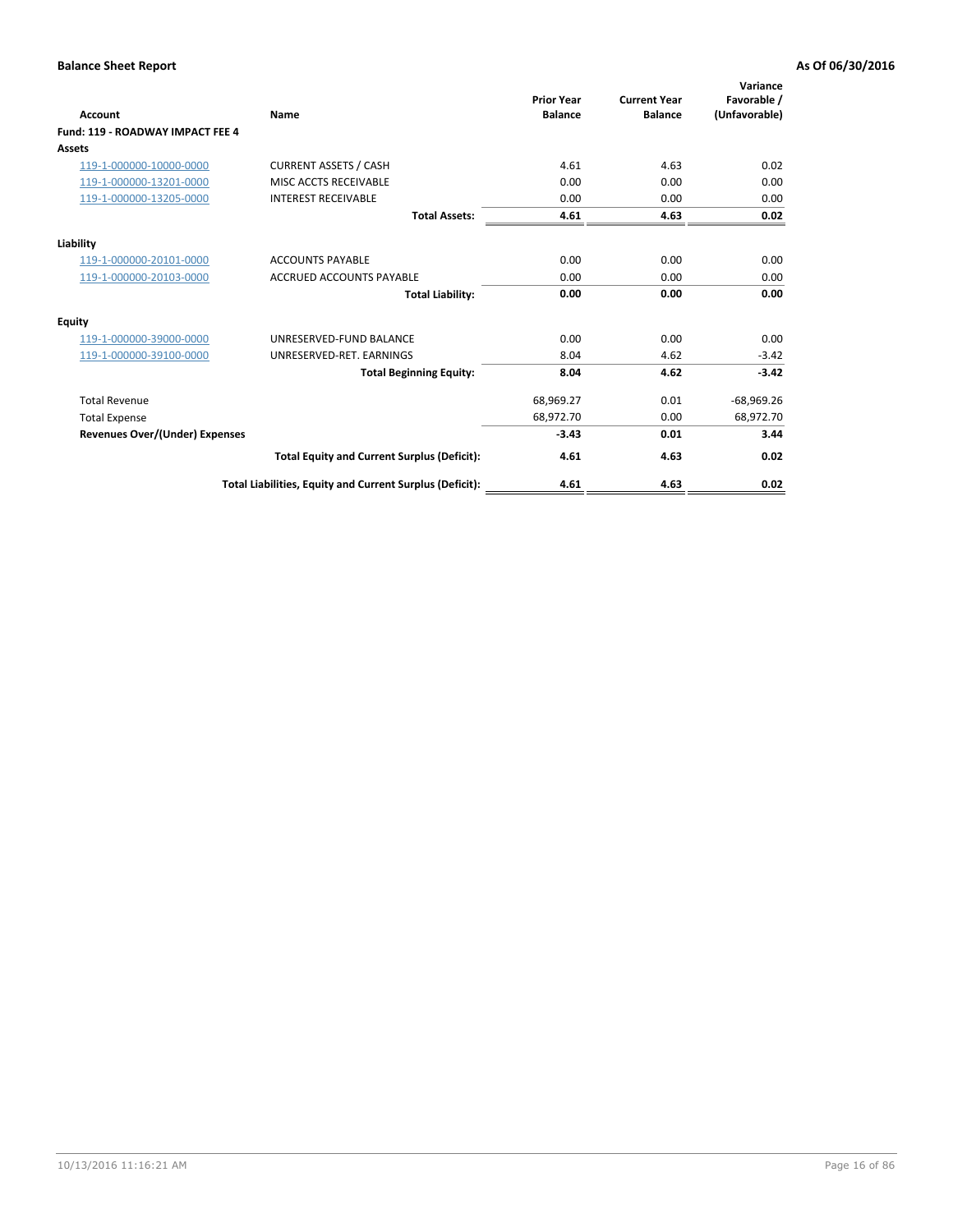| Account                                 | <b>Name</b>                                              | <b>Prior Year</b><br><b>Balance</b> | <b>Current Year</b><br><b>Balance</b> | Variance<br>Favorable /<br>(Unfavorable) |
|-----------------------------------------|----------------------------------------------------------|-------------------------------------|---------------------------------------|------------------------------------------|
| <b>Fund: 119 - ROADWAY IMPACT FEE 4</b> |                                                          |                                     |                                       |                                          |
| Assets                                  |                                                          |                                     |                                       |                                          |
| 119-1-000000-10000-0000                 | <b>CURRENT ASSETS / CASH</b>                             | 4.61                                | 4.63                                  | 0.02                                     |
| 119-1-000000-13201-0000                 | <b>MISC ACCTS RECEIVABLE</b>                             | 0.00                                | 0.00                                  | 0.00                                     |
| 119-1-000000-13205-0000                 | <b>INTEREST RECEIVABLE</b>                               | 0.00                                | 0.00                                  | 0.00                                     |
|                                         | <b>Total Assets:</b>                                     | 4.61                                | 4.63                                  | 0.02                                     |
| Liability                               |                                                          |                                     |                                       |                                          |
| 119-1-000000-20101-0000                 | <b>ACCOUNTS PAYABLE</b>                                  | 0.00                                | 0.00                                  | 0.00                                     |
| 119-1-000000-20103-0000                 | <b>ACCRUED ACCOUNTS PAYABLE</b>                          | 0.00                                | 0.00                                  | 0.00                                     |
|                                         | <b>Total Liability:</b>                                  | 0.00                                | 0.00                                  | 0.00                                     |
| Equity                                  |                                                          |                                     |                                       |                                          |
| 119-1-000000-39000-0000                 | UNRESERVED-FUND BALANCE                                  | 0.00                                | 0.00                                  | 0.00                                     |
| 119-1-000000-39100-0000                 | UNRESERVED-RET. EARNINGS                                 | 8.04                                | 4.62                                  | $-3.42$                                  |
|                                         | <b>Total Beginning Equity:</b>                           | 8.04                                | 4.62                                  | $-3.42$                                  |
| <b>Total Revenue</b>                    |                                                          | 68,969.27                           | 0.01                                  | $-68,969.26$                             |
| <b>Total Expense</b>                    |                                                          | 68,972.70                           | 0.00                                  | 68,972.70                                |
| <b>Revenues Over/(Under) Expenses</b>   |                                                          | $-3.43$                             | 0.01                                  | 3.44                                     |
|                                         | <b>Total Equity and Current Surplus (Deficit):</b>       | 4.61                                | 4.63                                  | 0.02                                     |
|                                         | Total Liabilities, Equity and Current Surplus (Deficit): | 4.61                                | 4.63                                  | 0.02                                     |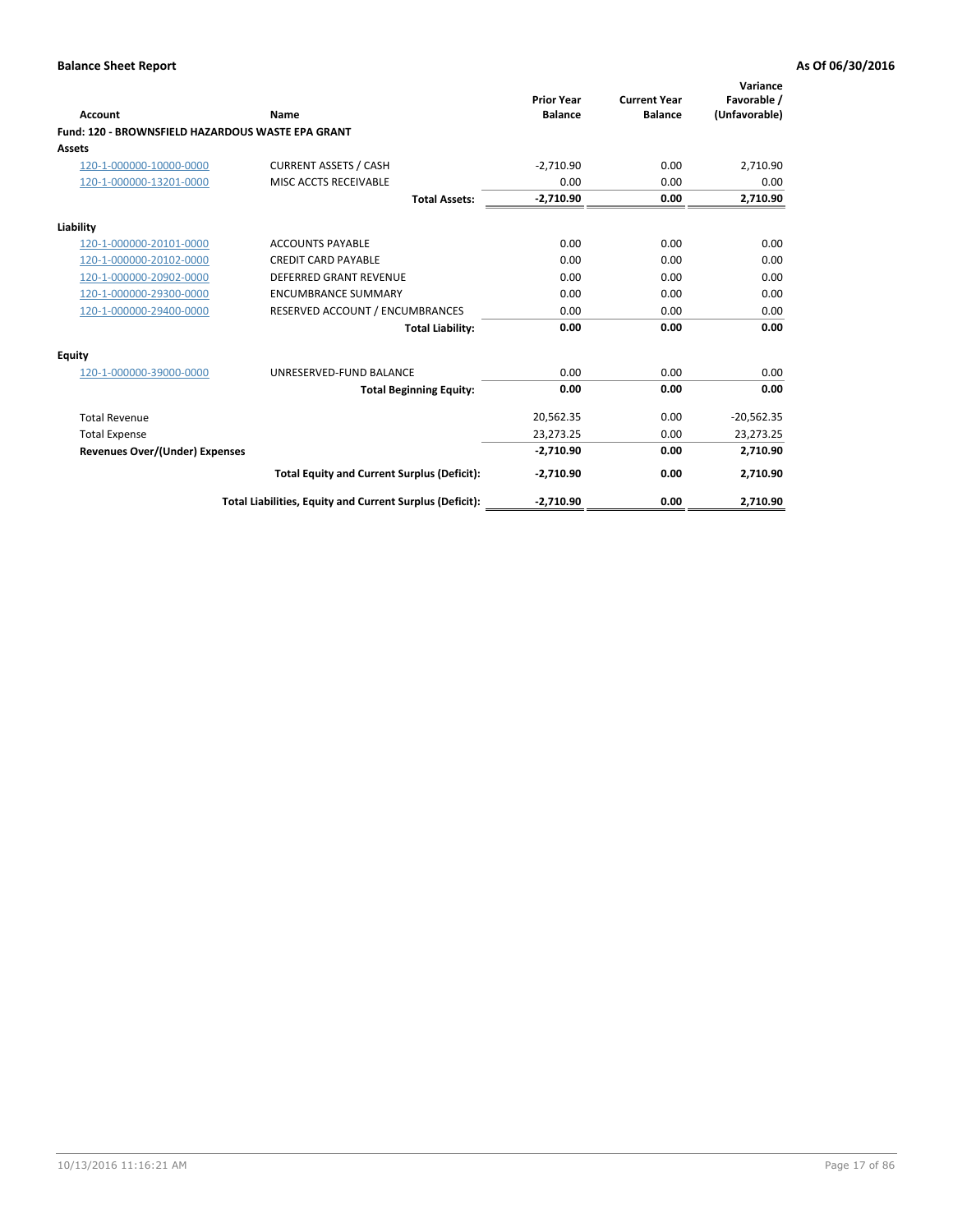| <b>Account</b>                                    | Name                                                     | <b>Prior Year</b><br><b>Balance</b> | <b>Current Year</b><br><b>Balance</b> | Variance<br>Favorable /<br>(Unfavorable) |
|---------------------------------------------------|----------------------------------------------------------|-------------------------------------|---------------------------------------|------------------------------------------|
| Fund: 120 - BROWNSFIELD HAZARDOUS WASTE EPA GRANT |                                                          |                                     |                                       |                                          |
| Assets                                            |                                                          |                                     |                                       |                                          |
| 120-1-000000-10000-0000                           | <b>CURRENT ASSETS / CASH</b>                             | $-2,710.90$                         | 0.00                                  | 2,710.90                                 |
| 120-1-000000-13201-0000                           | MISC ACCTS RECEIVABLE                                    | 0.00                                | 0.00                                  | 0.00                                     |
|                                                   | <b>Total Assets:</b>                                     | $-2,710.90$                         | 0.00                                  | 2,710.90                                 |
| Liability                                         |                                                          |                                     |                                       |                                          |
| 120-1-000000-20101-0000                           | <b>ACCOUNTS PAYABLE</b>                                  | 0.00                                | 0.00                                  | 0.00                                     |
| 120-1-000000-20102-0000                           | <b>CREDIT CARD PAYABLE</b>                               | 0.00                                | 0.00                                  | 0.00                                     |
| 120-1-000000-20902-0000                           | <b>DEFERRED GRANT REVENUE</b>                            | 0.00                                | 0.00                                  | 0.00                                     |
| 120-1-000000-29300-0000                           | <b>ENCUMBRANCE SUMMARY</b>                               | 0.00                                | 0.00                                  | 0.00                                     |
| 120-1-000000-29400-0000                           | RESERVED ACCOUNT / ENCUMBRANCES                          | 0.00                                | 0.00                                  | 0.00                                     |
|                                                   | <b>Total Liability:</b>                                  | 0.00                                | 0.00                                  | 0.00                                     |
| Equity                                            |                                                          |                                     |                                       |                                          |
| 120-1-000000-39000-0000                           | UNRESERVED-FUND BALANCE                                  | 0.00                                | 0.00                                  | 0.00                                     |
|                                                   | <b>Total Beginning Equity:</b>                           | 0.00                                | 0.00                                  | 0.00                                     |
| <b>Total Revenue</b>                              |                                                          | 20,562.35                           | 0.00                                  | $-20,562.35$                             |
| <b>Total Expense</b>                              |                                                          | 23,273.25                           | 0.00                                  | 23,273.25                                |
| <b>Revenues Over/(Under) Expenses</b>             |                                                          | $-2,710.90$                         | 0.00                                  | 2,710.90                                 |
|                                                   | <b>Total Equity and Current Surplus (Deficit):</b>       | $-2,710.90$                         | 0.00                                  | 2,710.90                                 |
|                                                   | Total Liabilities, Equity and Current Surplus (Deficit): | $-2,710.90$                         | 0.00                                  | 2,710.90                                 |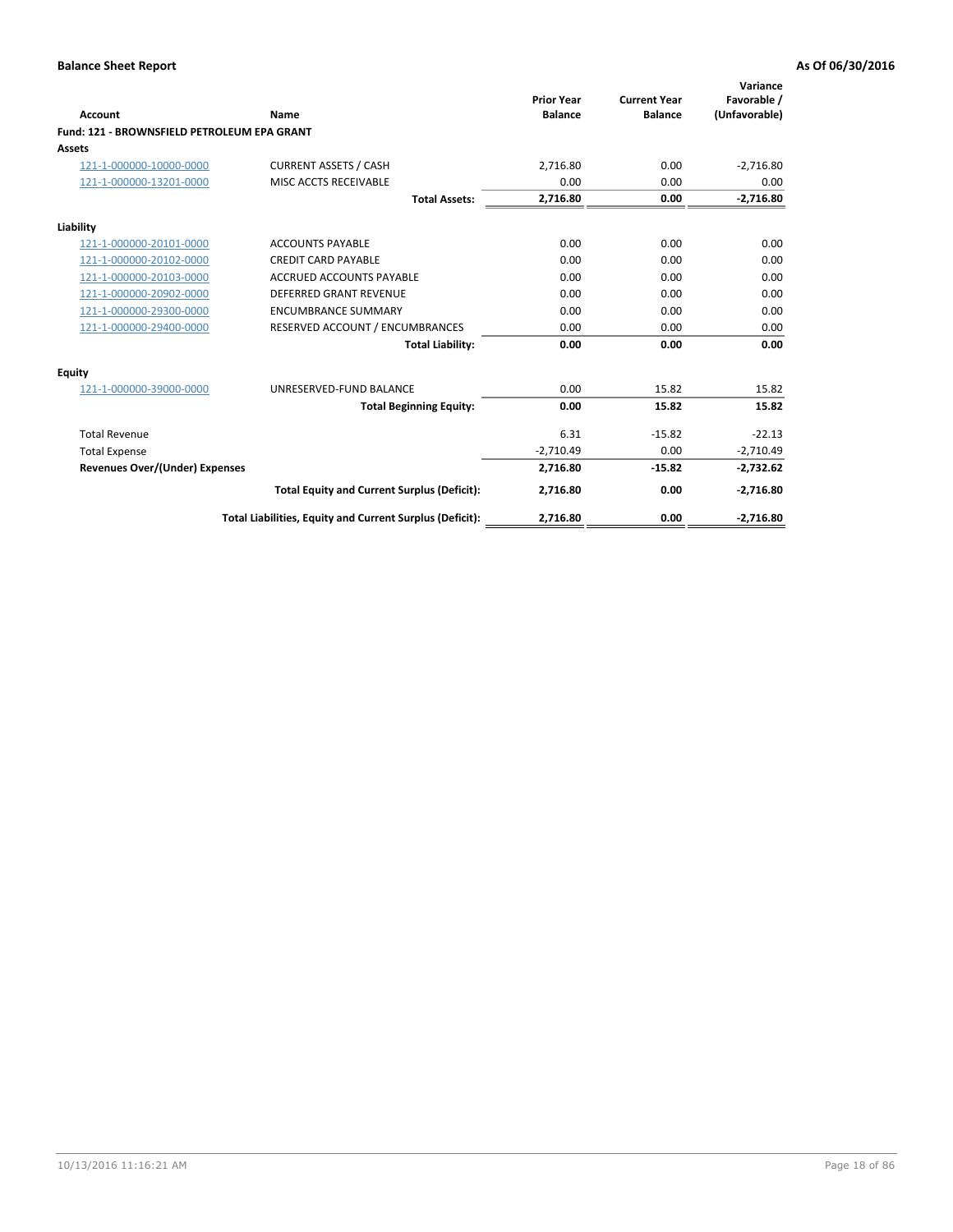| <b>Account</b>                              | Name                                                     | <b>Prior Year</b><br><b>Balance</b> | <b>Current Year</b><br><b>Balance</b> | Variance<br>Favorable /<br>(Unfavorable) |
|---------------------------------------------|----------------------------------------------------------|-------------------------------------|---------------------------------------|------------------------------------------|
| Fund: 121 - BROWNSFIELD PETROLEUM EPA GRANT |                                                          |                                     |                                       |                                          |
| Assets                                      |                                                          |                                     |                                       |                                          |
| 121-1-000000-10000-0000                     | <b>CURRENT ASSETS / CASH</b>                             | 2,716.80                            | 0.00                                  | $-2,716.80$                              |
| 121-1-000000-13201-0000                     | MISC ACCTS RECEIVABLE                                    | 0.00                                | 0.00                                  | 0.00                                     |
|                                             | <b>Total Assets:</b>                                     | 2,716.80                            | 0.00                                  | $-2,716.80$                              |
| Liability                                   |                                                          |                                     |                                       |                                          |
| 121-1-000000-20101-0000                     | <b>ACCOUNTS PAYABLE</b>                                  | 0.00                                | 0.00                                  | 0.00                                     |
| 121-1-000000-20102-0000                     | <b>CREDIT CARD PAYABLE</b>                               | 0.00                                | 0.00                                  | 0.00                                     |
| 121-1-000000-20103-0000                     | <b>ACCRUED ACCOUNTS PAYABLE</b>                          | 0.00                                | 0.00                                  | 0.00                                     |
| 121-1-000000-20902-0000                     | <b>DEFERRED GRANT REVENUE</b>                            | 0.00                                | 0.00                                  | 0.00                                     |
| 121-1-000000-29300-0000                     | <b>ENCUMBRANCE SUMMARY</b>                               | 0.00                                | 0.00                                  | 0.00                                     |
| 121-1-000000-29400-0000                     | RESERVED ACCOUNT / ENCUMBRANCES                          | 0.00                                | 0.00                                  | 0.00                                     |
|                                             | <b>Total Liability:</b>                                  | 0.00                                | 0.00                                  | 0.00                                     |
| Equity                                      |                                                          |                                     |                                       |                                          |
| 121-1-000000-39000-0000                     | UNRESERVED-FUND BALANCE                                  | 0.00                                | 15.82                                 | 15.82                                    |
|                                             | <b>Total Beginning Equity:</b>                           | 0.00                                | 15.82                                 | 15.82                                    |
| <b>Total Revenue</b>                        |                                                          | 6.31                                | $-15.82$                              | $-22.13$                                 |
| <b>Total Expense</b>                        |                                                          | $-2,710.49$                         | 0.00                                  | $-2,710.49$                              |
| <b>Revenues Over/(Under) Expenses</b>       |                                                          | 2,716.80                            | $-15.82$                              | $-2,732.62$                              |
|                                             | <b>Total Equity and Current Surplus (Deficit):</b>       | 2,716.80                            | 0.00                                  | $-2,716.80$                              |
|                                             | Total Liabilities, Equity and Current Surplus (Deficit): | 2,716.80                            | 0.00                                  | $-2,716.80$                              |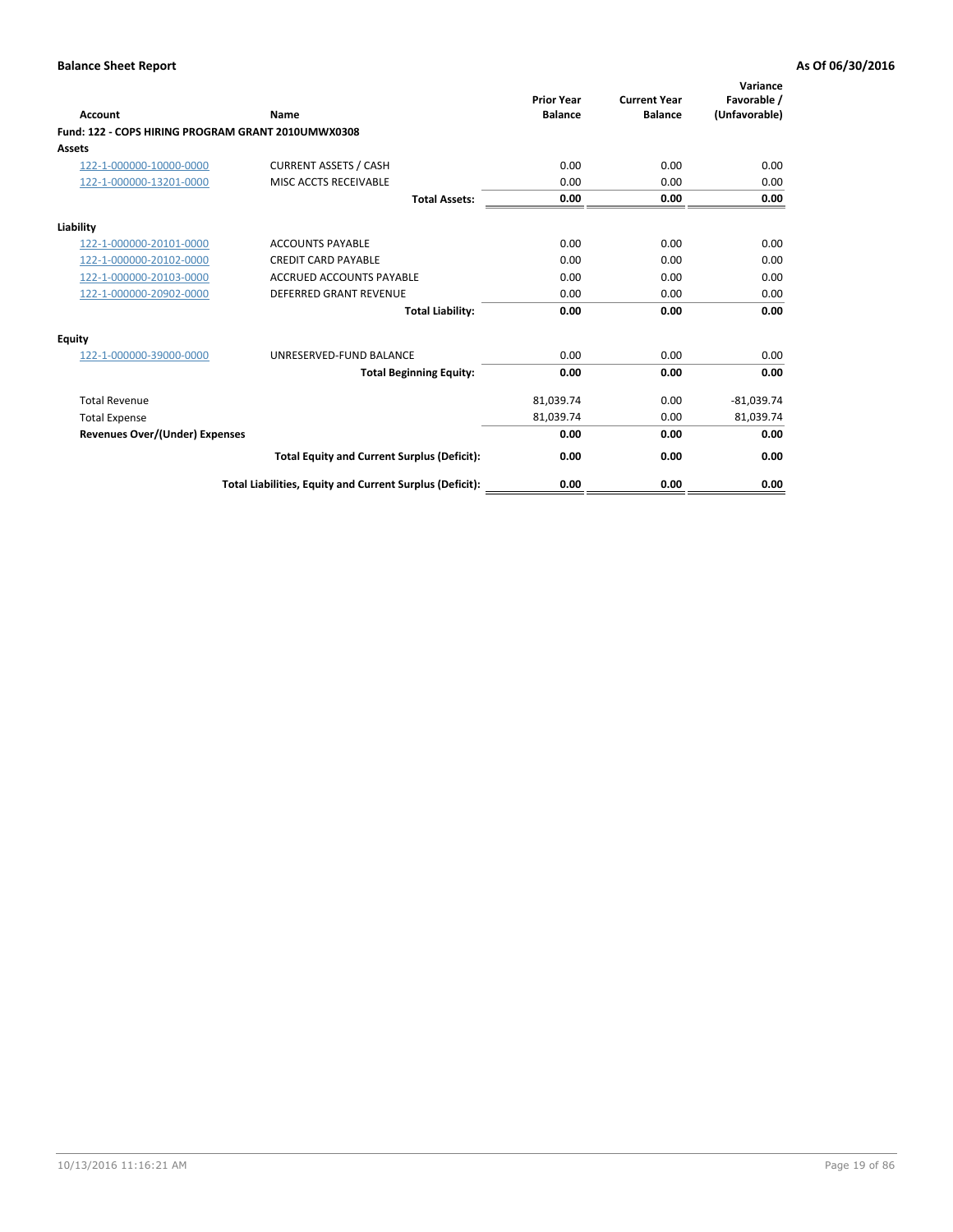| <b>Account</b>                                     | Name                                                     | <b>Prior Year</b><br><b>Balance</b> | <b>Current Year</b><br><b>Balance</b> | Variance<br>Favorable /<br>(Unfavorable) |
|----------------------------------------------------|----------------------------------------------------------|-------------------------------------|---------------------------------------|------------------------------------------|
| Fund: 122 - COPS HIRING PROGRAM GRANT 2010UMWX0308 |                                                          |                                     |                                       |                                          |
| Assets                                             |                                                          |                                     |                                       |                                          |
| 122-1-000000-10000-0000                            | <b>CURRENT ASSETS / CASH</b>                             | 0.00                                | 0.00                                  | 0.00                                     |
| 122-1-000000-13201-0000                            | MISC ACCTS RECEIVABLE                                    | 0.00                                | 0.00                                  | 0.00                                     |
|                                                    | <b>Total Assets:</b>                                     | 0.00                                | 0.00                                  | 0.00                                     |
| Liability                                          |                                                          |                                     |                                       |                                          |
| 122-1-000000-20101-0000                            | <b>ACCOUNTS PAYABLE</b>                                  | 0.00                                | 0.00                                  | 0.00                                     |
| 122-1-000000-20102-0000                            | <b>CREDIT CARD PAYABLE</b>                               | 0.00                                | 0.00                                  | 0.00                                     |
| 122-1-000000-20103-0000                            | <b>ACCRUED ACCOUNTS PAYABLE</b>                          | 0.00                                | 0.00                                  | 0.00                                     |
| 122-1-000000-20902-0000                            | <b>DEFERRED GRANT REVENUE</b>                            | 0.00                                | 0.00                                  | 0.00                                     |
|                                                    | <b>Total Liability:</b>                                  | 0.00                                | 0.00                                  | 0.00                                     |
| Equity                                             |                                                          |                                     |                                       |                                          |
| 122-1-000000-39000-0000                            | UNRESERVED-FUND BALANCE                                  | 0.00                                | 0.00                                  | 0.00                                     |
|                                                    | <b>Total Beginning Equity:</b>                           | 0.00                                | 0.00                                  | 0.00                                     |
| <b>Total Revenue</b>                               |                                                          | 81,039.74                           | 0.00                                  | $-81,039.74$                             |
| <b>Total Expense</b>                               |                                                          | 81,039.74                           | 0.00                                  | 81,039.74                                |
| <b>Revenues Over/(Under) Expenses</b>              |                                                          | 0.00                                | 0.00                                  | 0.00                                     |
|                                                    | <b>Total Equity and Current Surplus (Deficit):</b>       | 0.00                                | 0.00                                  | 0.00                                     |
|                                                    | Total Liabilities, Equity and Current Surplus (Deficit): | 0.00                                | 0.00                                  | 0.00                                     |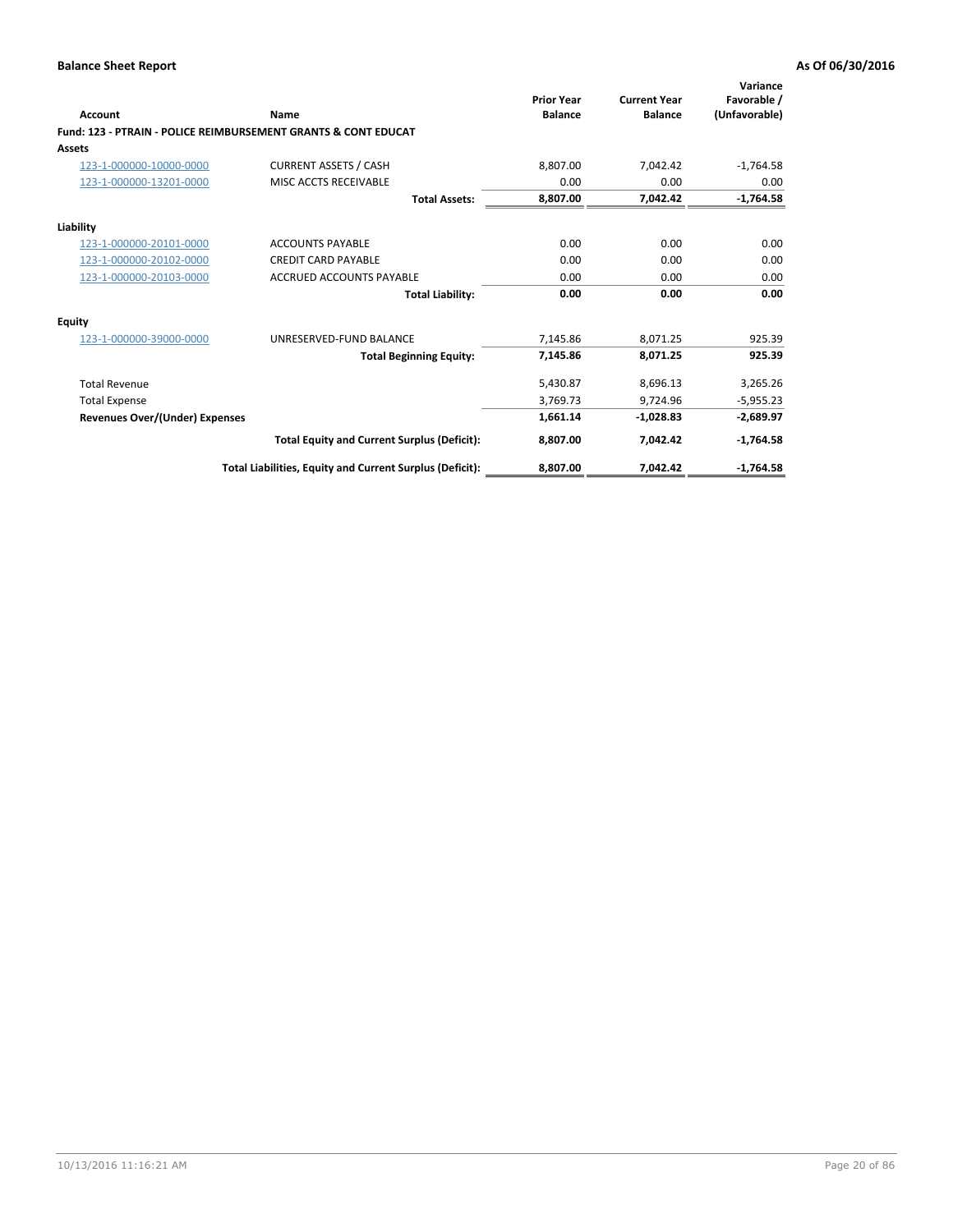| Account                               | Name                                                           | <b>Prior Year</b><br><b>Balance</b> | <b>Current Year</b><br><b>Balance</b> | Variance<br>Favorable /<br>(Unfavorable) |
|---------------------------------------|----------------------------------------------------------------|-------------------------------------|---------------------------------------|------------------------------------------|
|                                       | Fund: 123 - PTRAIN - POLICE REIMBURSEMENT GRANTS & CONT EDUCAT |                                     |                                       |                                          |
| Assets                                |                                                                |                                     |                                       |                                          |
| 123-1-000000-10000-0000               | <b>CURRENT ASSETS / CASH</b>                                   | 8,807.00                            | 7,042.42                              | $-1,764.58$                              |
| 123-1-000000-13201-0000               | MISC ACCTS RECEIVABLE                                          | 0.00                                | 0.00                                  | 0.00                                     |
|                                       | <b>Total Assets:</b>                                           | 8,807.00                            | 7,042.42                              | $-1,764.58$                              |
| Liability                             |                                                                |                                     |                                       |                                          |
| 123-1-000000-20101-0000               | <b>ACCOUNTS PAYABLE</b>                                        | 0.00                                | 0.00                                  | 0.00                                     |
| 123-1-000000-20102-0000               | <b>CREDIT CARD PAYABLE</b>                                     | 0.00                                | 0.00                                  | 0.00                                     |
| 123-1-000000-20103-0000               | <b>ACCRUED ACCOUNTS PAYABLE</b>                                | 0.00                                | 0.00                                  | 0.00                                     |
|                                       | <b>Total Liability:</b>                                        | 0.00                                | 0.00                                  | 0.00                                     |
| Equity                                |                                                                |                                     |                                       |                                          |
| 123-1-000000-39000-0000               | UNRESERVED-FUND BALANCE                                        | 7,145.86                            | 8,071.25                              | 925.39                                   |
|                                       | <b>Total Beginning Equity:</b>                                 | 7,145.86                            | 8,071.25                              | 925.39                                   |
| <b>Total Revenue</b>                  |                                                                | 5,430.87                            | 8,696.13                              | 3,265.26                                 |
| <b>Total Expense</b>                  |                                                                | 3,769.73                            | 9,724.96                              | $-5,955.23$                              |
| <b>Revenues Over/(Under) Expenses</b> |                                                                | 1,661.14                            | $-1,028.83$                           | $-2,689.97$                              |
|                                       | <b>Total Equity and Current Surplus (Deficit):</b>             | 8,807.00                            | 7,042.42                              | $-1,764.58$                              |
|                                       | Total Liabilities, Equity and Current Surplus (Deficit):       | 8,807.00                            | 7,042.42                              | $-1,764.58$                              |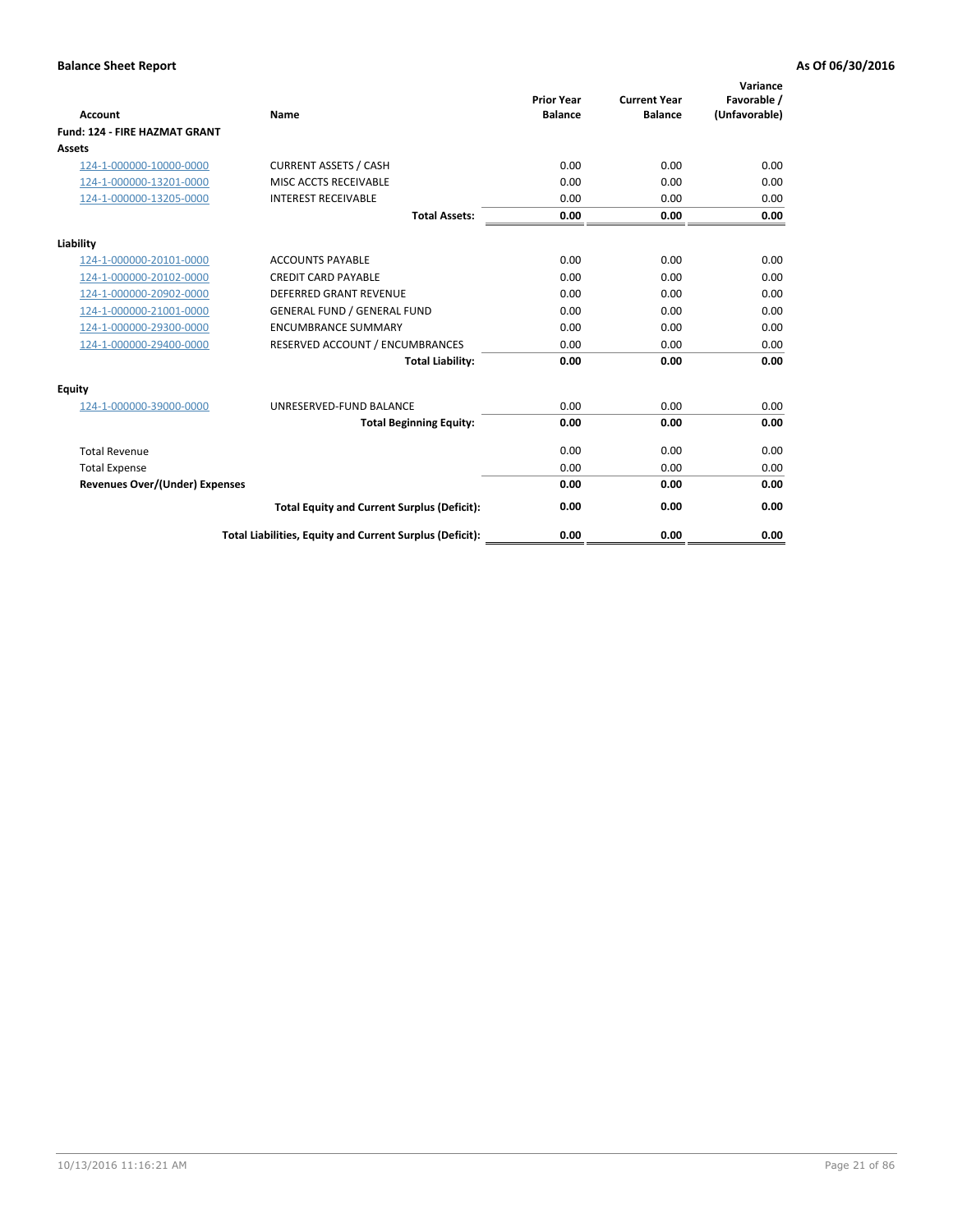| <b>Account</b>                        | <b>Name</b>                                              | <b>Prior Year</b><br><b>Balance</b> | <b>Current Year</b><br><b>Balance</b> | Variance<br>Favorable /<br>(Unfavorable) |
|---------------------------------------|----------------------------------------------------------|-------------------------------------|---------------------------------------|------------------------------------------|
| <b>Fund: 124 - FIRE HAZMAT GRANT</b>  |                                                          |                                     |                                       |                                          |
| Assets                                |                                                          |                                     |                                       |                                          |
| 124-1-000000-10000-0000               | <b>CURRENT ASSETS / CASH</b>                             | 0.00                                | 0.00                                  | 0.00                                     |
| 124-1-000000-13201-0000               | MISC ACCTS RECEIVABLE                                    | 0.00                                | 0.00                                  | 0.00                                     |
| 124-1-000000-13205-0000               | <b>INTEREST RECEIVABLE</b>                               | 0.00                                | 0.00                                  | 0.00                                     |
|                                       | <b>Total Assets:</b>                                     | 0.00                                | 0.00                                  | 0.00                                     |
| Liability                             |                                                          |                                     |                                       |                                          |
| 124-1-000000-20101-0000               | <b>ACCOUNTS PAYABLE</b>                                  | 0.00                                | 0.00                                  | 0.00                                     |
| 124-1-000000-20102-0000               | <b>CREDIT CARD PAYABLE</b>                               | 0.00                                | 0.00                                  | 0.00                                     |
| 124-1-000000-20902-0000               | <b>DEFERRED GRANT REVENUE</b>                            | 0.00                                | 0.00                                  | 0.00                                     |
| 124-1-000000-21001-0000               | <b>GENERAL FUND / GENERAL FUND</b>                       | 0.00                                | 0.00                                  | 0.00                                     |
| 124-1-000000-29300-0000               | <b>ENCUMBRANCE SUMMARY</b>                               | 0.00                                | 0.00                                  | 0.00                                     |
| 124-1-000000-29400-0000               | RESERVED ACCOUNT / ENCUMBRANCES                          | 0.00                                | 0.00                                  | 0.00                                     |
|                                       | <b>Total Liability:</b>                                  | 0.00                                | 0.00                                  | 0.00                                     |
| Equity                                |                                                          |                                     |                                       |                                          |
| 124-1-000000-39000-0000               | UNRESERVED-FUND BALANCE                                  | 0.00                                | 0.00                                  | 0.00                                     |
|                                       | <b>Total Beginning Equity:</b>                           | 0.00                                | 0.00                                  | 0.00                                     |
| <b>Total Revenue</b>                  |                                                          | 0.00                                | 0.00                                  | 0.00                                     |
| <b>Total Expense</b>                  |                                                          | 0.00                                | 0.00                                  | 0.00                                     |
| <b>Revenues Over/(Under) Expenses</b> |                                                          | 0.00                                | 0.00                                  | 0.00                                     |
|                                       | <b>Total Equity and Current Surplus (Deficit):</b>       | 0.00                                | 0.00                                  | 0.00                                     |
|                                       | Total Liabilities, Equity and Current Surplus (Deficit): | 0.00                                | 0.00                                  | 0.00                                     |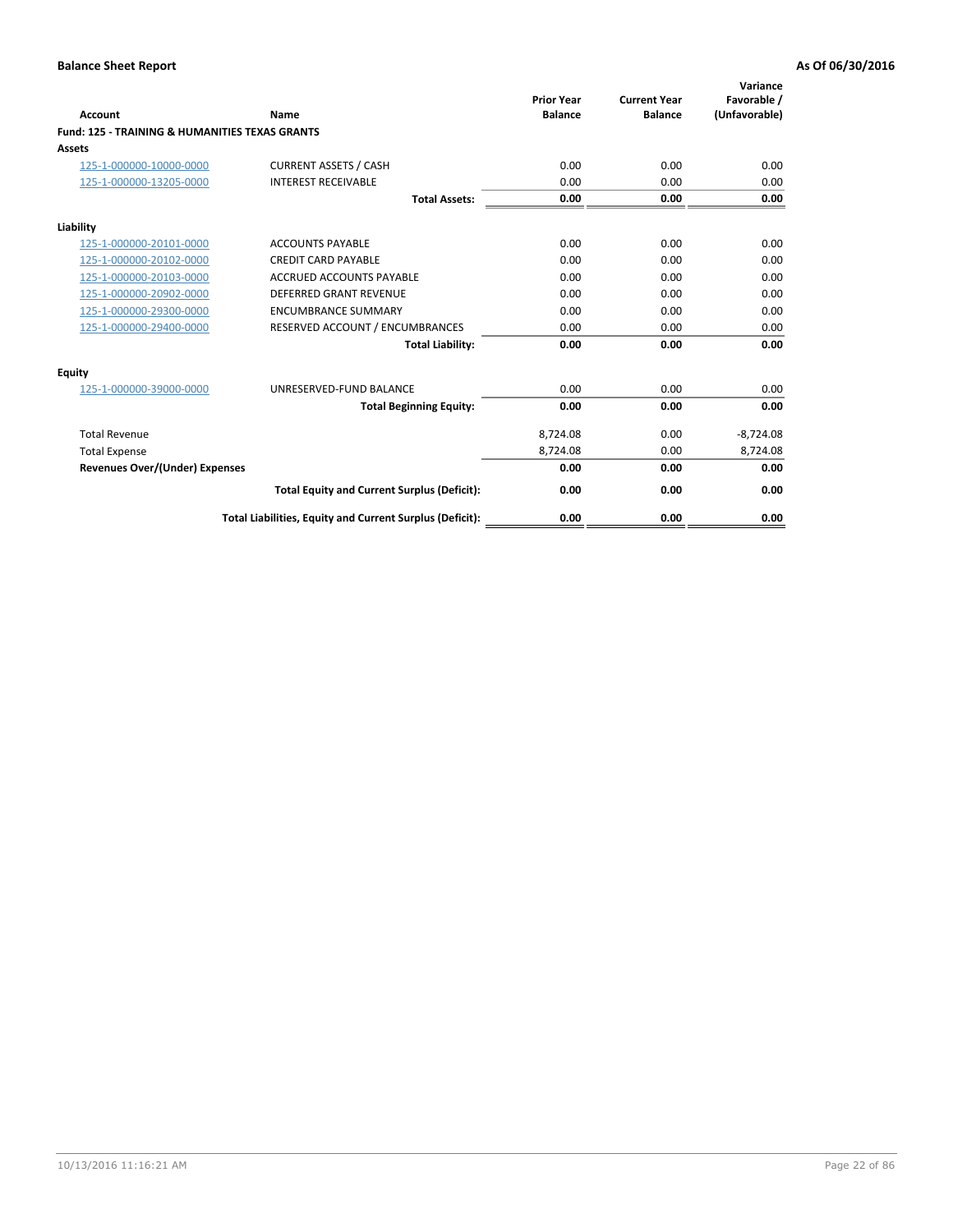| Account                                                   | Name                                                     | <b>Prior Year</b><br><b>Balance</b> | <b>Current Year</b><br><b>Balance</b> | Variance<br>Favorable /<br>(Unfavorable) |
|-----------------------------------------------------------|----------------------------------------------------------|-------------------------------------|---------------------------------------|------------------------------------------|
| <b>Fund: 125 - TRAINING &amp; HUMANITIES TEXAS GRANTS</b> |                                                          |                                     |                                       |                                          |
| <b>Assets</b>                                             |                                                          |                                     |                                       |                                          |
| 125-1-000000-10000-0000                                   | <b>CURRENT ASSETS / CASH</b>                             | 0.00                                | 0.00                                  | 0.00                                     |
| 125-1-000000-13205-0000                                   | <b>INTEREST RECEIVABLE</b>                               | 0.00                                | 0.00                                  | 0.00                                     |
|                                                           | <b>Total Assets:</b>                                     | 0.00                                | 0.00                                  | 0.00                                     |
| Liability                                                 |                                                          |                                     |                                       |                                          |
| 125-1-000000-20101-0000                                   | <b>ACCOUNTS PAYABLE</b>                                  | 0.00                                | 0.00                                  | 0.00                                     |
| 125-1-000000-20102-0000                                   | <b>CREDIT CARD PAYABLE</b>                               | 0.00                                | 0.00                                  | 0.00                                     |
| 125-1-000000-20103-0000                                   | <b>ACCRUED ACCOUNTS PAYABLE</b>                          | 0.00                                | 0.00                                  | 0.00                                     |
| 125-1-000000-20902-0000                                   | <b>DEFERRED GRANT REVENUE</b>                            | 0.00                                | 0.00                                  | 0.00                                     |
| 125-1-000000-29300-0000                                   | <b>ENCUMBRANCE SUMMARY</b>                               | 0.00                                | 0.00                                  | 0.00                                     |
| 125-1-000000-29400-0000                                   | RESERVED ACCOUNT / ENCUMBRANCES                          | 0.00                                | 0.00                                  | 0.00                                     |
|                                                           | <b>Total Liability:</b>                                  | 0.00                                | 0.00                                  | 0.00                                     |
| <b>Equity</b>                                             |                                                          |                                     |                                       |                                          |
| 125-1-000000-39000-0000                                   | UNRESERVED-FUND BALANCE                                  | 0.00                                | 0.00                                  | 0.00                                     |
|                                                           | <b>Total Beginning Equity:</b>                           | 0.00                                | 0.00                                  | 0.00                                     |
| <b>Total Revenue</b>                                      |                                                          | 8,724.08                            | 0.00                                  | $-8,724.08$                              |
| <b>Total Expense</b>                                      |                                                          | 8,724.08                            | 0.00                                  | 8,724.08                                 |
| <b>Revenues Over/(Under) Expenses</b>                     |                                                          | 0.00                                | 0.00                                  | 0.00                                     |
|                                                           | <b>Total Equity and Current Surplus (Deficit):</b>       | 0.00                                | 0.00                                  | 0.00                                     |
|                                                           | Total Liabilities, Equity and Current Surplus (Deficit): | 0.00                                | 0.00                                  | 0.00                                     |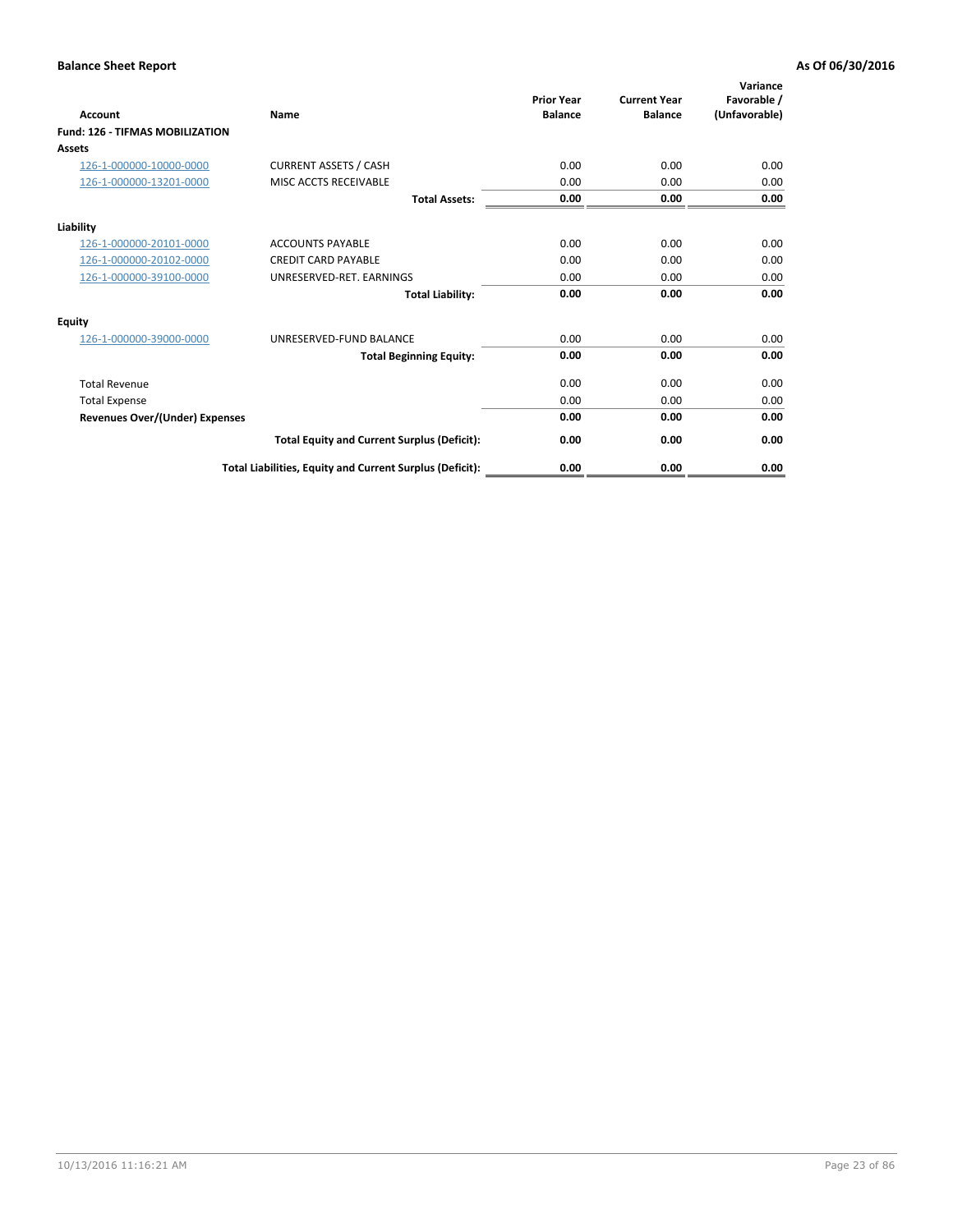| <b>Account</b>                         | Name                                                     | <b>Prior Year</b><br><b>Balance</b> | <b>Current Year</b><br><b>Balance</b> | Variance<br>Favorable /<br>(Unfavorable) |
|----------------------------------------|----------------------------------------------------------|-------------------------------------|---------------------------------------|------------------------------------------|
| <b>Fund: 126 - TIFMAS MOBILIZATION</b> |                                                          |                                     |                                       |                                          |
| Assets                                 |                                                          |                                     |                                       |                                          |
| 126-1-000000-10000-0000                | <b>CURRENT ASSETS / CASH</b>                             | 0.00                                | 0.00                                  | 0.00                                     |
| 126-1-000000-13201-0000                | MISC ACCTS RECEIVABLE                                    | 0.00                                | 0.00                                  | 0.00                                     |
|                                        | <b>Total Assets:</b>                                     | 0.00                                | 0.00                                  | 0.00                                     |
| Liability                              |                                                          |                                     |                                       |                                          |
| 126-1-000000-20101-0000                | <b>ACCOUNTS PAYABLE</b>                                  | 0.00                                | 0.00                                  | 0.00                                     |
| 126-1-000000-20102-0000                | <b>CREDIT CARD PAYABLE</b>                               | 0.00                                | 0.00                                  | 0.00                                     |
| 126-1-000000-39100-0000                | UNRESERVED-RET. EARNINGS                                 | 0.00                                | 0.00                                  | 0.00                                     |
|                                        | <b>Total Liability:</b>                                  | 0.00                                | 0.00                                  | 0.00                                     |
| Equity                                 |                                                          |                                     |                                       |                                          |
| 126-1-000000-39000-0000                | UNRESERVED-FUND BALANCE                                  | 0.00                                | 0.00                                  | 0.00                                     |
|                                        | <b>Total Beginning Equity:</b>                           | 0.00                                | 0.00                                  | 0.00                                     |
| <b>Total Revenue</b>                   |                                                          | 0.00                                | 0.00                                  | 0.00                                     |
| <b>Total Expense</b>                   |                                                          | 0.00                                | 0.00                                  | 0.00                                     |
| Revenues Over/(Under) Expenses         |                                                          | 0.00                                | 0.00                                  | 0.00                                     |
|                                        | <b>Total Equity and Current Surplus (Deficit):</b>       | 0.00                                | 0.00                                  | 0.00                                     |
|                                        | Total Liabilities, Equity and Current Surplus (Deficit): | 0.00                                | 0.00                                  | 0.00                                     |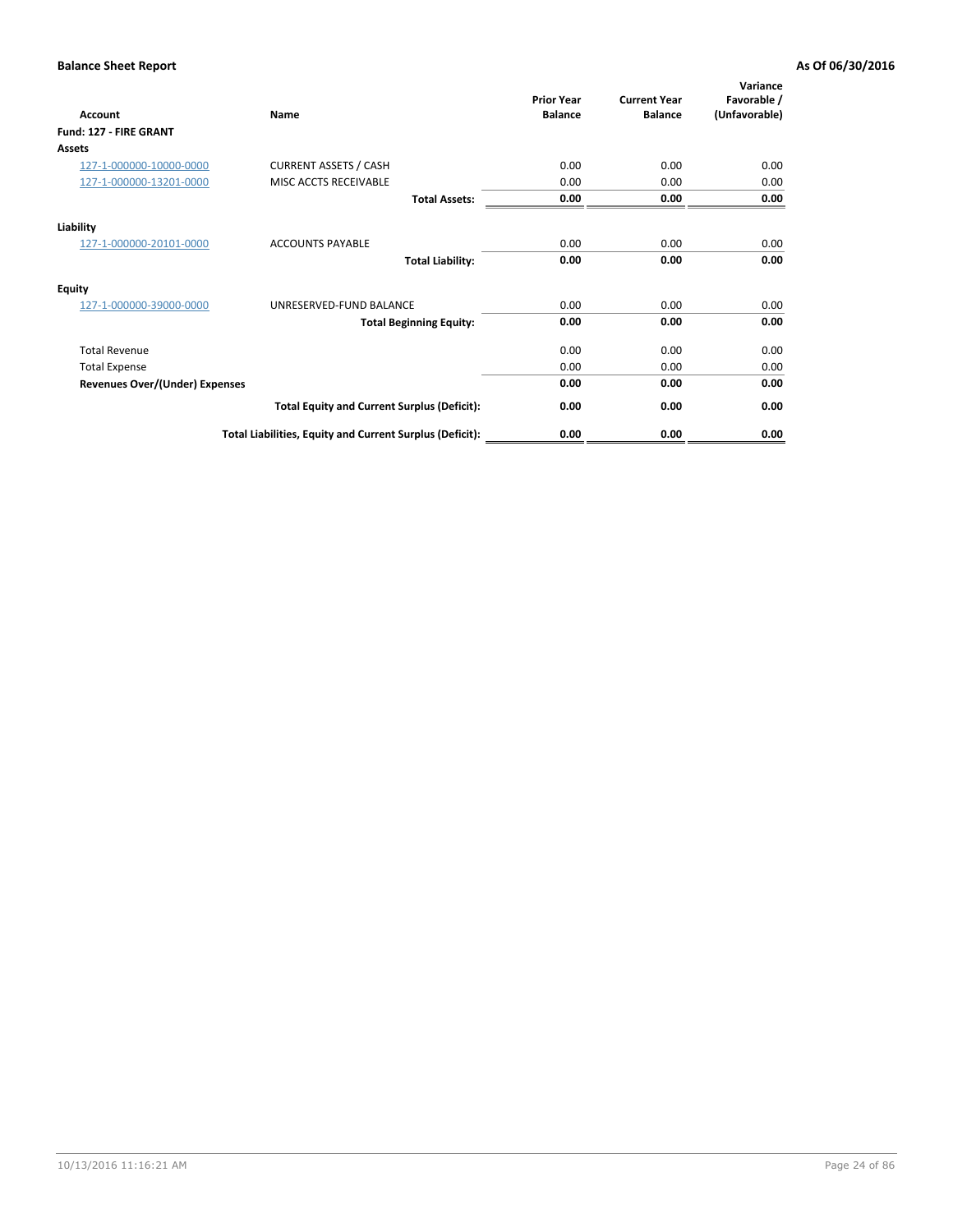| Account                               | Name                                                     | <b>Prior Year</b><br><b>Balance</b> | <b>Current Year</b><br><b>Balance</b> | Variance<br>Favorable /<br>(Unfavorable) |
|---------------------------------------|----------------------------------------------------------|-------------------------------------|---------------------------------------|------------------------------------------|
| Fund: 127 - FIRE GRANT                |                                                          |                                     |                                       |                                          |
| Assets                                |                                                          |                                     |                                       |                                          |
| 127-1-000000-10000-0000               | <b>CURRENT ASSETS / CASH</b>                             | 0.00                                | 0.00                                  | 0.00                                     |
| 127-1-000000-13201-0000               | MISC ACCTS RECEIVABLE                                    | 0.00                                | 0.00                                  | 0.00                                     |
|                                       | <b>Total Assets:</b>                                     | 0.00                                | 0.00                                  | 0.00                                     |
| Liability                             |                                                          |                                     |                                       |                                          |
| 127-1-000000-20101-0000               | <b>ACCOUNTS PAYABLE</b>                                  | 0.00                                | 0.00                                  | 0.00                                     |
|                                       | <b>Total Liability:</b>                                  | 0.00                                | 0.00                                  | 0.00                                     |
| <b>Equity</b>                         |                                                          |                                     |                                       |                                          |
| 127-1-000000-39000-0000               | UNRESERVED-FUND BALANCE                                  | 0.00                                | 0.00                                  | 0.00                                     |
|                                       | <b>Total Beginning Equity:</b>                           | 0.00                                | 0.00                                  | 0.00                                     |
| <b>Total Revenue</b>                  |                                                          | 0.00                                | 0.00                                  | 0.00                                     |
| <b>Total Expense</b>                  |                                                          | 0.00                                | 0.00                                  | 0.00                                     |
| <b>Revenues Over/(Under) Expenses</b> |                                                          | 0.00                                | 0.00                                  | 0.00                                     |
|                                       | <b>Total Equity and Current Surplus (Deficit):</b>       | 0.00                                | 0.00                                  | 0.00                                     |
|                                       | Total Liabilities, Equity and Current Surplus (Deficit): | 0.00                                | 0.00                                  | 0.00                                     |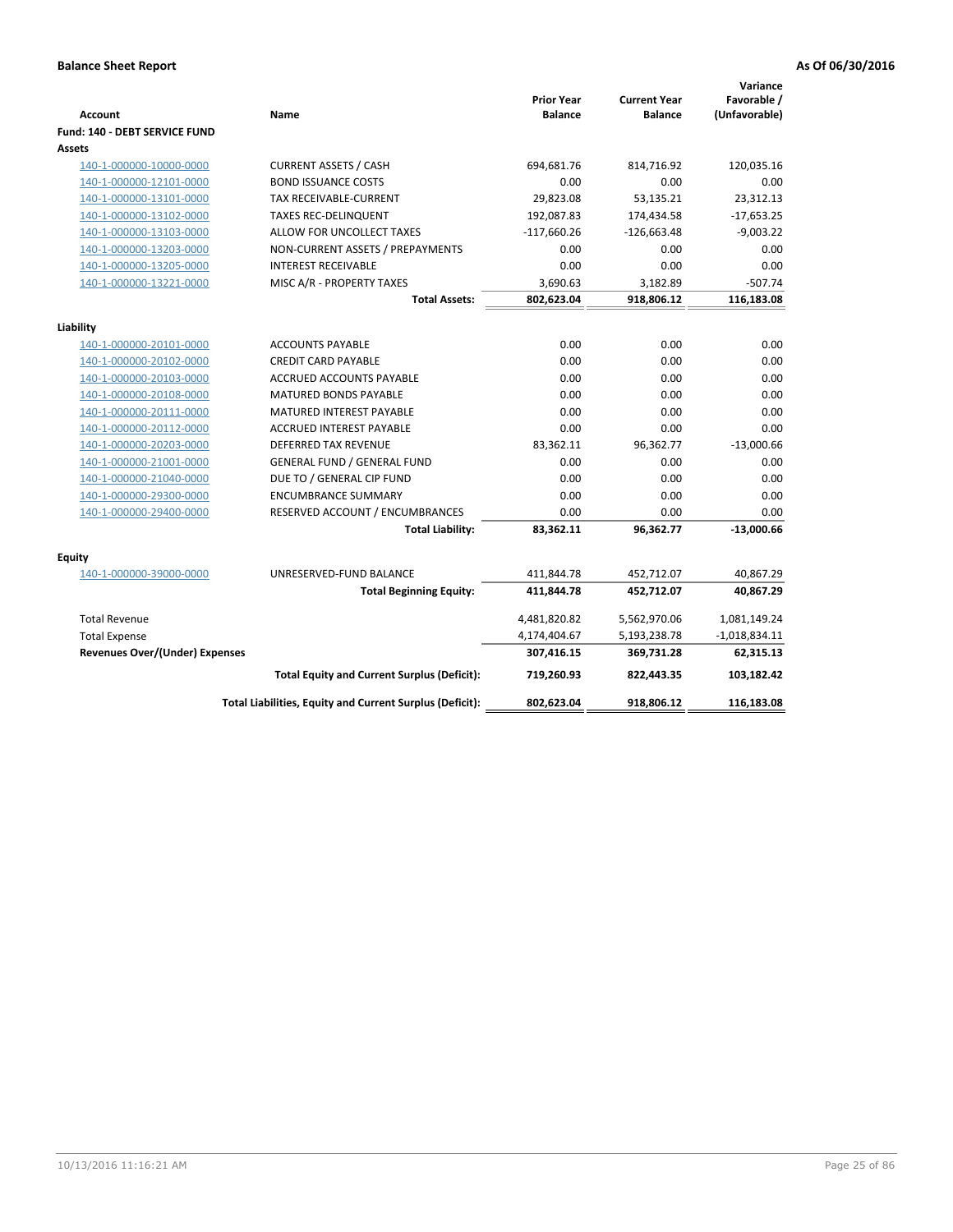| Account                        | Name                                                     | <b>Prior Year</b><br><b>Balance</b> | <b>Current Year</b><br><b>Balance</b> | Variance<br>Favorable /<br>(Unfavorable) |
|--------------------------------|----------------------------------------------------------|-------------------------------------|---------------------------------------|------------------------------------------|
| Fund: 140 - DEBT SERVICE FUND  |                                                          |                                     |                                       |                                          |
| <b>Assets</b>                  |                                                          |                                     |                                       |                                          |
| 140-1-000000-10000-0000        | <b>CURRENT ASSETS / CASH</b>                             | 694,681.76                          | 814,716.92                            | 120,035.16                               |
| 140-1-000000-12101-0000        | <b>BOND ISSUANCE COSTS</b>                               | 0.00                                | 0.00                                  | 0.00                                     |
| 140-1-000000-13101-0000        | TAX RECEIVABLE-CURRENT                                   | 29,823.08                           | 53,135.21                             | 23,312.13                                |
| 140-1-000000-13102-0000        | <b>TAXES REC-DELINQUENT</b>                              | 192,087.83                          | 174,434.58                            | $-17,653.25$                             |
| 140-1-000000-13103-0000        | ALLOW FOR UNCOLLECT TAXES                                | $-117,660.26$                       | $-126,663.48$                         | $-9,003.22$                              |
| 140-1-000000-13203-0000        | NON-CURRENT ASSETS / PREPAYMENTS                         | 0.00                                | 0.00                                  | 0.00                                     |
| 140-1-000000-13205-0000        | <b>INTEREST RECEIVABLE</b>                               | 0.00                                | 0.00                                  | 0.00                                     |
| 140-1-000000-13221-0000        | MISC A/R - PROPERTY TAXES                                | 3,690.63                            | 3,182.89                              | $-507.74$                                |
|                                | <b>Total Assets:</b>                                     | 802,623.04                          | 918,806.12                            | 116,183.08                               |
| Liability                      |                                                          |                                     |                                       |                                          |
| 140-1-000000-20101-0000        | <b>ACCOUNTS PAYABLE</b>                                  | 0.00                                | 0.00                                  | 0.00                                     |
| 140-1-000000-20102-0000        | <b>CREDIT CARD PAYABLE</b>                               | 0.00                                | 0.00                                  | 0.00                                     |
| 140-1-000000-20103-0000        | ACCRUED ACCOUNTS PAYABLE                                 | 0.00                                | 0.00                                  | 0.00                                     |
| 140-1-000000-20108-0000        | <b>MATURED BONDS PAYABLE</b>                             | 0.00                                | 0.00                                  | 0.00                                     |
| 140-1-000000-20111-0000        | MATURED INTEREST PAYABLE                                 | 0.00                                | 0.00                                  | 0.00                                     |
| 140-1-000000-20112-0000        | <b>ACCRUED INTEREST PAYABLE</b>                          | 0.00                                | 0.00                                  | 0.00                                     |
| 140-1-000000-20203-0000        | <b>DEFERRED TAX REVENUE</b>                              | 83,362.11                           | 96,362.77                             | $-13,000.66$                             |
| 140-1-000000-21001-0000        | <b>GENERAL FUND / GENERAL FUND</b>                       | 0.00                                | 0.00                                  | 0.00                                     |
| 140-1-000000-21040-0000        | DUE TO / GENERAL CIP FUND                                | 0.00                                | 0.00                                  | 0.00                                     |
| 140-1-000000-29300-0000        | <b>ENCUMBRANCE SUMMARY</b>                               | 0.00                                | 0.00                                  | 0.00                                     |
| 140-1-000000-29400-0000        | RESERVED ACCOUNT / ENCUMBRANCES                          | 0.00                                | 0.00                                  | 0.00                                     |
|                                | <b>Total Liability:</b>                                  | 83,362.11                           | 96,362.77                             | $-13,000.66$                             |
|                                |                                                          |                                     |                                       |                                          |
| <b>Equity</b>                  |                                                          |                                     |                                       |                                          |
| 140-1-000000-39000-0000        | UNRESERVED-FUND BALANCE                                  | 411,844.78                          | 452,712.07                            | 40,867.29                                |
|                                | <b>Total Beginning Equity:</b>                           | 411,844.78                          | 452,712.07                            | 40,867.29                                |
| <b>Total Revenue</b>           |                                                          | 4,481,820.82                        | 5,562,970.06                          | 1,081,149.24                             |
| <b>Total Expense</b>           |                                                          | 4,174,404.67                        | 5,193,238.78                          | $-1,018,834.11$                          |
| Revenues Over/(Under) Expenses |                                                          | 307,416.15                          | 369,731.28                            | 62,315.13                                |
|                                | <b>Total Equity and Current Surplus (Deficit):</b>       | 719.260.93                          | 822,443.35                            | 103,182.42                               |
|                                | Total Liabilities, Equity and Current Surplus (Deficit): | 802,623.04                          | 918,806.12                            | 116,183.08                               |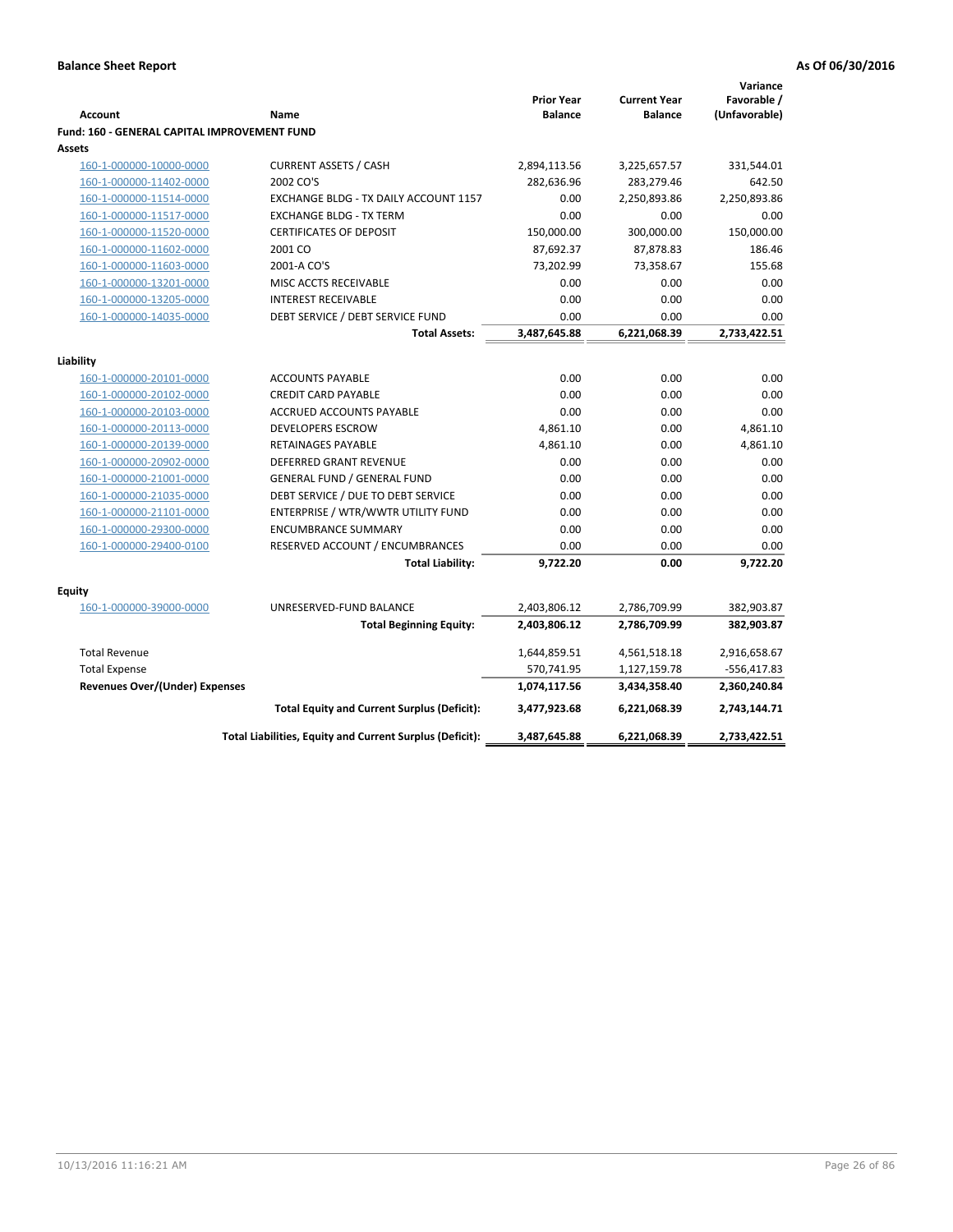| Favorable /<br><b>Prior Year</b><br><b>Current Year</b><br>(Unfavorable)<br><b>Balance</b><br><b>Balance</b><br><b>Account</b><br>Name<br><b>Fund: 160 - GENERAL CAPITAL IMPROVEMENT FUND</b><br>Assets<br><b>CURRENT ASSETS / CASH</b><br>160-1-000000-10000-0000<br>2,894,113.56<br>3,225,657.57<br>331,544.01<br>2002 CO'S<br>160-1-000000-11402-0000<br>282,636.96<br>283,279.46<br>642.50<br>2,250,893.86<br>160-1-000000-11514-0000<br>EXCHANGE BLDG - TX DAILY ACCOUNT 1157<br>0.00<br>2,250,893.86<br>160-1-000000-11517-0000<br><b>EXCHANGE BLDG - TX TERM</b><br>0.00<br>0.00<br>0.00<br><b>CERTIFICATES OF DEPOSIT</b><br>150,000.00<br>300,000.00<br>150,000.00<br>160-1-000000-11520-0000<br>2001 CO<br>87,692.37<br>87,878.83<br>186.46<br>160-1-000000-11602-0000<br>160-1-000000-11603-0000<br>73,358.67<br>2001-A CO'S<br>73,202.99<br>155.68<br>0.00<br>160-1-000000-13201-0000<br>MISC ACCTS RECEIVABLE<br>0.00<br>0.00<br>160-1-000000-13205-0000<br><b>INTEREST RECEIVABLE</b><br>0.00<br>0.00<br>0.00<br>0.00<br>160-1-000000-14035-0000<br>DEBT SERVICE / DEBT SERVICE FUND<br>0.00<br>0.00<br><b>Total Assets:</b><br>3,487,645.88<br>6,221,068.39<br>2,733,422.51<br>Liability<br>0.00<br>0.00<br>0.00<br>160-1-000000-20101-0000<br><b>ACCOUNTS PAYABLE</b><br>0.00<br>0.00<br><b>CREDIT CARD PAYABLE</b><br>0.00<br>160-1-000000-20102-0000<br><b>ACCRUED ACCOUNTS PAYABLE</b><br>0.00<br>0.00<br>160-1-000000-20103-0000<br>0.00<br><b>DEVELOPERS ESCROW</b><br>4,861.10<br>0.00<br>4,861.10<br>160-1-000000-20113-0000<br>160-1-000000-20139-0000<br>RETAINAGES PAYABLE<br>4,861.10<br>0.00<br>4,861.10<br><b>DEFERRED GRANT REVENUE</b><br>0.00<br>0.00<br>0.00<br>160-1-000000-20902-0000<br><b>GENERAL FUND / GENERAL FUND</b><br>0.00<br>0.00<br>160-1-000000-21001-0000<br>0.00<br>DEBT SERVICE / DUE TO DEBT SERVICE<br>0.00<br>0.00<br>160-1-000000-21035-0000<br>0.00<br>160-1-000000-21101-0000<br>ENTERPRISE / WTR/WWTR UTILITY FUND<br>0.00<br>0.00<br>0.00<br>160-1-000000-29300-0000<br><b>ENCUMBRANCE SUMMARY</b><br>0.00<br>0.00<br>0.00<br>160-1-000000-29400-0100<br>RESERVED ACCOUNT / ENCUMBRANCES<br>0.00<br>0.00<br>0.00<br>9,722.20<br>9,722.20<br><b>Total Liability:</b><br>0.00<br>Equity<br>160-1-000000-39000-0000<br>UNRESERVED-FUND BALANCE<br>2,403,806.12<br>382,903.87<br>2,786,709.99<br>2,403,806.12<br>2,786,709.99<br>382,903.87<br><b>Total Beginning Equity:</b><br><b>Total Revenue</b><br>1,644,859.51<br>4,561,518.18<br>2,916,658.67<br>570,741.95<br><b>Total Expense</b><br>1,127,159.78<br>-556,417.83<br>Revenues Over/(Under) Expenses<br>1,074,117.56<br>2,360,240.84<br>3,434,358.40<br><b>Total Equity and Current Surplus (Deficit):</b><br>3,477,923.68<br>6,221,068.39<br>2,743,144.71<br>6,221,068.39<br>2,733,422.51<br>Total Liabilities, Equity and Current Surplus (Deficit):<br>3,487,645.88 |  |  | Variance |
|--------------------------------------------------------------------------------------------------------------------------------------------------------------------------------------------------------------------------------------------------------------------------------------------------------------------------------------------------------------------------------------------------------------------------------------------------------------------------------------------------------------------------------------------------------------------------------------------------------------------------------------------------------------------------------------------------------------------------------------------------------------------------------------------------------------------------------------------------------------------------------------------------------------------------------------------------------------------------------------------------------------------------------------------------------------------------------------------------------------------------------------------------------------------------------------------------------------------------------------------------------------------------------------------------------------------------------------------------------------------------------------------------------------------------------------------------------------------------------------------------------------------------------------------------------------------------------------------------------------------------------------------------------------------------------------------------------------------------------------------------------------------------------------------------------------------------------------------------------------------------------------------------------------------------------------------------------------------------------------------------------------------------------------------------------------------------------------------------------------------------------------------------------------------------------------------------------------------------------------------------------------------------------------------------------------------------------------------------------------------------------------------------------------------------------------------------------------------------------------------------------------------------------------------------------------------------------------------------------------------------------------------------------------------------------------------------------------------------------------------------------------------------------------------------------------------------------------------------------------------------------------|--|--|----------|
|                                                                                                                                                                                                                                                                                                                                                                                                                                                                                                                                                                                                                                                                                                                                                                                                                                                                                                                                                                                                                                                                                                                                                                                                                                                                                                                                                                                                                                                                                                                                                                                                                                                                                                                                                                                                                                                                                                                                                                                                                                                                                                                                                                                                                                                                                                                                                                                                                                                                                                                                                                                                                                                                                                                                                                                                                                                                                      |  |  |          |
|                                                                                                                                                                                                                                                                                                                                                                                                                                                                                                                                                                                                                                                                                                                                                                                                                                                                                                                                                                                                                                                                                                                                                                                                                                                                                                                                                                                                                                                                                                                                                                                                                                                                                                                                                                                                                                                                                                                                                                                                                                                                                                                                                                                                                                                                                                                                                                                                                                                                                                                                                                                                                                                                                                                                                                                                                                                                                      |  |  |          |
|                                                                                                                                                                                                                                                                                                                                                                                                                                                                                                                                                                                                                                                                                                                                                                                                                                                                                                                                                                                                                                                                                                                                                                                                                                                                                                                                                                                                                                                                                                                                                                                                                                                                                                                                                                                                                                                                                                                                                                                                                                                                                                                                                                                                                                                                                                                                                                                                                                                                                                                                                                                                                                                                                                                                                                                                                                                                                      |  |  |          |
|                                                                                                                                                                                                                                                                                                                                                                                                                                                                                                                                                                                                                                                                                                                                                                                                                                                                                                                                                                                                                                                                                                                                                                                                                                                                                                                                                                                                                                                                                                                                                                                                                                                                                                                                                                                                                                                                                                                                                                                                                                                                                                                                                                                                                                                                                                                                                                                                                                                                                                                                                                                                                                                                                                                                                                                                                                                                                      |  |  |          |
|                                                                                                                                                                                                                                                                                                                                                                                                                                                                                                                                                                                                                                                                                                                                                                                                                                                                                                                                                                                                                                                                                                                                                                                                                                                                                                                                                                                                                                                                                                                                                                                                                                                                                                                                                                                                                                                                                                                                                                                                                                                                                                                                                                                                                                                                                                                                                                                                                                                                                                                                                                                                                                                                                                                                                                                                                                                                                      |  |  |          |
|                                                                                                                                                                                                                                                                                                                                                                                                                                                                                                                                                                                                                                                                                                                                                                                                                                                                                                                                                                                                                                                                                                                                                                                                                                                                                                                                                                                                                                                                                                                                                                                                                                                                                                                                                                                                                                                                                                                                                                                                                                                                                                                                                                                                                                                                                                                                                                                                                                                                                                                                                                                                                                                                                                                                                                                                                                                                                      |  |  |          |
|                                                                                                                                                                                                                                                                                                                                                                                                                                                                                                                                                                                                                                                                                                                                                                                                                                                                                                                                                                                                                                                                                                                                                                                                                                                                                                                                                                                                                                                                                                                                                                                                                                                                                                                                                                                                                                                                                                                                                                                                                                                                                                                                                                                                                                                                                                                                                                                                                                                                                                                                                                                                                                                                                                                                                                                                                                                                                      |  |  |          |
|                                                                                                                                                                                                                                                                                                                                                                                                                                                                                                                                                                                                                                                                                                                                                                                                                                                                                                                                                                                                                                                                                                                                                                                                                                                                                                                                                                                                                                                                                                                                                                                                                                                                                                                                                                                                                                                                                                                                                                                                                                                                                                                                                                                                                                                                                                                                                                                                                                                                                                                                                                                                                                                                                                                                                                                                                                                                                      |  |  |          |
|                                                                                                                                                                                                                                                                                                                                                                                                                                                                                                                                                                                                                                                                                                                                                                                                                                                                                                                                                                                                                                                                                                                                                                                                                                                                                                                                                                                                                                                                                                                                                                                                                                                                                                                                                                                                                                                                                                                                                                                                                                                                                                                                                                                                                                                                                                                                                                                                                                                                                                                                                                                                                                                                                                                                                                                                                                                                                      |  |  |          |
|                                                                                                                                                                                                                                                                                                                                                                                                                                                                                                                                                                                                                                                                                                                                                                                                                                                                                                                                                                                                                                                                                                                                                                                                                                                                                                                                                                                                                                                                                                                                                                                                                                                                                                                                                                                                                                                                                                                                                                                                                                                                                                                                                                                                                                                                                                                                                                                                                                                                                                                                                                                                                                                                                                                                                                                                                                                                                      |  |  |          |
|                                                                                                                                                                                                                                                                                                                                                                                                                                                                                                                                                                                                                                                                                                                                                                                                                                                                                                                                                                                                                                                                                                                                                                                                                                                                                                                                                                                                                                                                                                                                                                                                                                                                                                                                                                                                                                                                                                                                                                                                                                                                                                                                                                                                                                                                                                                                                                                                                                                                                                                                                                                                                                                                                                                                                                                                                                                                                      |  |  |          |
|                                                                                                                                                                                                                                                                                                                                                                                                                                                                                                                                                                                                                                                                                                                                                                                                                                                                                                                                                                                                                                                                                                                                                                                                                                                                                                                                                                                                                                                                                                                                                                                                                                                                                                                                                                                                                                                                                                                                                                                                                                                                                                                                                                                                                                                                                                                                                                                                                                                                                                                                                                                                                                                                                                                                                                                                                                                                                      |  |  |          |
|                                                                                                                                                                                                                                                                                                                                                                                                                                                                                                                                                                                                                                                                                                                                                                                                                                                                                                                                                                                                                                                                                                                                                                                                                                                                                                                                                                                                                                                                                                                                                                                                                                                                                                                                                                                                                                                                                                                                                                                                                                                                                                                                                                                                                                                                                                                                                                                                                                                                                                                                                                                                                                                                                                                                                                                                                                                                                      |  |  |          |
|                                                                                                                                                                                                                                                                                                                                                                                                                                                                                                                                                                                                                                                                                                                                                                                                                                                                                                                                                                                                                                                                                                                                                                                                                                                                                                                                                                                                                                                                                                                                                                                                                                                                                                                                                                                                                                                                                                                                                                                                                                                                                                                                                                                                                                                                                                                                                                                                                                                                                                                                                                                                                                                                                                                                                                                                                                                                                      |  |  |          |
|                                                                                                                                                                                                                                                                                                                                                                                                                                                                                                                                                                                                                                                                                                                                                                                                                                                                                                                                                                                                                                                                                                                                                                                                                                                                                                                                                                                                                                                                                                                                                                                                                                                                                                                                                                                                                                                                                                                                                                                                                                                                                                                                                                                                                                                                                                                                                                                                                                                                                                                                                                                                                                                                                                                                                                                                                                                                                      |  |  |          |
|                                                                                                                                                                                                                                                                                                                                                                                                                                                                                                                                                                                                                                                                                                                                                                                                                                                                                                                                                                                                                                                                                                                                                                                                                                                                                                                                                                                                                                                                                                                                                                                                                                                                                                                                                                                                                                                                                                                                                                                                                                                                                                                                                                                                                                                                                                                                                                                                                                                                                                                                                                                                                                                                                                                                                                                                                                                                                      |  |  |          |
|                                                                                                                                                                                                                                                                                                                                                                                                                                                                                                                                                                                                                                                                                                                                                                                                                                                                                                                                                                                                                                                                                                                                                                                                                                                                                                                                                                                                                                                                                                                                                                                                                                                                                                                                                                                                                                                                                                                                                                                                                                                                                                                                                                                                                                                                                                                                                                                                                                                                                                                                                                                                                                                                                                                                                                                                                                                                                      |  |  |          |
|                                                                                                                                                                                                                                                                                                                                                                                                                                                                                                                                                                                                                                                                                                                                                                                                                                                                                                                                                                                                                                                                                                                                                                                                                                                                                                                                                                                                                                                                                                                                                                                                                                                                                                                                                                                                                                                                                                                                                                                                                                                                                                                                                                                                                                                                                                                                                                                                                                                                                                                                                                                                                                                                                                                                                                                                                                                                                      |  |  |          |
|                                                                                                                                                                                                                                                                                                                                                                                                                                                                                                                                                                                                                                                                                                                                                                                                                                                                                                                                                                                                                                                                                                                                                                                                                                                                                                                                                                                                                                                                                                                                                                                                                                                                                                                                                                                                                                                                                                                                                                                                                                                                                                                                                                                                                                                                                                                                                                                                                                                                                                                                                                                                                                                                                                                                                                                                                                                                                      |  |  |          |
|                                                                                                                                                                                                                                                                                                                                                                                                                                                                                                                                                                                                                                                                                                                                                                                                                                                                                                                                                                                                                                                                                                                                                                                                                                                                                                                                                                                                                                                                                                                                                                                                                                                                                                                                                                                                                                                                                                                                                                                                                                                                                                                                                                                                                                                                                                                                                                                                                                                                                                                                                                                                                                                                                                                                                                                                                                                                                      |  |  |          |
|                                                                                                                                                                                                                                                                                                                                                                                                                                                                                                                                                                                                                                                                                                                                                                                                                                                                                                                                                                                                                                                                                                                                                                                                                                                                                                                                                                                                                                                                                                                                                                                                                                                                                                                                                                                                                                                                                                                                                                                                                                                                                                                                                                                                                                                                                                                                                                                                                                                                                                                                                                                                                                                                                                                                                                                                                                                                                      |  |  |          |
|                                                                                                                                                                                                                                                                                                                                                                                                                                                                                                                                                                                                                                                                                                                                                                                                                                                                                                                                                                                                                                                                                                                                                                                                                                                                                                                                                                                                                                                                                                                                                                                                                                                                                                                                                                                                                                                                                                                                                                                                                                                                                                                                                                                                                                                                                                                                                                                                                                                                                                                                                                                                                                                                                                                                                                                                                                                                                      |  |  |          |
|                                                                                                                                                                                                                                                                                                                                                                                                                                                                                                                                                                                                                                                                                                                                                                                                                                                                                                                                                                                                                                                                                                                                                                                                                                                                                                                                                                                                                                                                                                                                                                                                                                                                                                                                                                                                                                                                                                                                                                                                                                                                                                                                                                                                                                                                                                                                                                                                                                                                                                                                                                                                                                                                                                                                                                                                                                                                                      |  |  |          |
|                                                                                                                                                                                                                                                                                                                                                                                                                                                                                                                                                                                                                                                                                                                                                                                                                                                                                                                                                                                                                                                                                                                                                                                                                                                                                                                                                                                                                                                                                                                                                                                                                                                                                                                                                                                                                                                                                                                                                                                                                                                                                                                                                                                                                                                                                                                                                                                                                                                                                                                                                                                                                                                                                                                                                                                                                                                                                      |  |  |          |
|                                                                                                                                                                                                                                                                                                                                                                                                                                                                                                                                                                                                                                                                                                                                                                                                                                                                                                                                                                                                                                                                                                                                                                                                                                                                                                                                                                                                                                                                                                                                                                                                                                                                                                                                                                                                                                                                                                                                                                                                                                                                                                                                                                                                                                                                                                                                                                                                                                                                                                                                                                                                                                                                                                                                                                                                                                                                                      |  |  |          |
|                                                                                                                                                                                                                                                                                                                                                                                                                                                                                                                                                                                                                                                                                                                                                                                                                                                                                                                                                                                                                                                                                                                                                                                                                                                                                                                                                                                                                                                                                                                                                                                                                                                                                                                                                                                                                                                                                                                                                                                                                                                                                                                                                                                                                                                                                                                                                                                                                                                                                                                                                                                                                                                                                                                                                                                                                                                                                      |  |  |          |
|                                                                                                                                                                                                                                                                                                                                                                                                                                                                                                                                                                                                                                                                                                                                                                                                                                                                                                                                                                                                                                                                                                                                                                                                                                                                                                                                                                                                                                                                                                                                                                                                                                                                                                                                                                                                                                                                                                                                                                                                                                                                                                                                                                                                                                                                                                                                                                                                                                                                                                                                                                                                                                                                                                                                                                                                                                                                                      |  |  |          |
|                                                                                                                                                                                                                                                                                                                                                                                                                                                                                                                                                                                                                                                                                                                                                                                                                                                                                                                                                                                                                                                                                                                                                                                                                                                                                                                                                                                                                                                                                                                                                                                                                                                                                                                                                                                                                                                                                                                                                                                                                                                                                                                                                                                                                                                                                                                                                                                                                                                                                                                                                                                                                                                                                                                                                                                                                                                                                      |  |  |          |
|                                                                                                                                                                                                                                                                                                                                                                                                                                                                                                                                                                                                                                                                                                                                                                                                                                                                                                                                                                                                                                                                                                                                                                                                                                                                                                                                                                                                                                                                                                                                                                                                                                                                                                                                                                                                                                                                                                                                                                                                                                                                                                                                                                                                                                                                                                                                                                                                                                                                                                                                                                                                                                                                                                                                                                                                                                                                                      |  |  |          |
|                                                                                                                                                                                                                                                                                                                                                                                                                                                                                                                                                                                                                                                                                                                                                                                                                                                                                                                                                                                                                                                                                                                                                                                                                                                                                                                                                                                                                                                                                                                                                                                                                                                                                                                                                                                                                                                                                                                                                                                                                                                                                                                                                                                                                                                                                                                                                                                                                                                                                                                                                                                                                                                                                                                                                                                                                                                                                      |  |  |          |
|                                                                                                                                                                                                                                                                                                                                                                                                                                                                                                                                                                                                                                                                                                                                                                                                                                                                                                                                                                                                                                                                                                                                                                                                                                                                                                                                                                                                                                                                                                                                                                                                                                                                                                                                                                                                                                                                                                                                                                                                                                                                                                                                                                                                                                                                                                                                                                                                                                                                                                                                                                                                                                                                                                                                                                                                                                                                                      |  |  |          |
|                                                                                                                                                                                                                                                                                                                                                                                                                                                                                                                                                                                                                                                                                                                                                                                                                                                                                                                                                                                                                                                                                                                                                                                                                                                                                                                                                                                                                                                                                                                                                                                                                                                                                                                                                                                                                                                                                                                                                                                                                                                                                                                                                                                                                                                                                                                                                                                                                                                                                                                                                                                                                                                                                                                                                                                                                                                                                      |  |  |          |
|                                                                                                                                                                                                                                                                                                                                                                                                                                                                                                                                                                                                                                                                                                                                                                                                                                                                                                                                                                                                                                                                                                                                                                                                                                                                                                                                                                                                                                                                                                                                                                                                                                                                                                                                                                                                                                                                                                                                                                                                                                                                                                                                                                                                                                                                                                                                                                                                                                                                                                                                                                                                                                                                                                                                                                                                                                                                                      |  |  |          |
|                                                                                                                                                                                                                                                                                                                                                                                                                                                                                                                                                                                                                                                                                                                                                                                                                                                                                                                                                                                                                                                                                                                                                                                                                                                                                                                                                                                                                                                                                                                                                                                                                                                                                                                                                                                                                                                                                                                                                                                                                                                                                                                                                                                                                                                                                                                                                                                                                                                                                                                                                                                                                                                                                                                                                                                                                                                                                      |  |  |          |
|                                                                                                                                                                                                                                                                                                                                                                                                                                                                                                                                                                                                                                                                                                                                                                                                                                                                                                                                                                                                                                                                                                                                                                                                                                                                                                                                                                                                                                                                                                                                                                                                                                                                                                                                                                                                                                                                                                                                                                                                                                                                                                                                                                                                                                                                                                                                                                                                                                                                                                                                                                                                                                                                                                                                                                                                                                                                                      |  |  |          |
|                                                                                                                                                                                                                                                                                                                                                                                                                                                                                                                                                                                                                                                                                                                                                                                                                                                                                                                                                                                                                                                                                                                                                                                                                                                                                                                                                                                                                                                                                                                                                                                                                                                                                                                                                                                                                                                                                                                                                                                                                                                                                                                                                                                                                                                                                                                                                                                                                                                                                                                                                                                                                                                                                                                                                                                                                                                                                      |  |  |          |
|                                                                                                                                                                                                                                                                                                                                                                                                                                                                                                                                                                                                                                                                                                                                                                                                                                                                                                                                                                                                                                                                                                                                                                                                                                                                                                                                                                                                                                                                                                                                                                                                                                                                                                                                                                                                                                                                                                                                                                                                                                                                                                                                                                                                                                                                                                                                                                                                                                                                                                                                                                                                                                                                                                                                                                                                                                                                                      |  |  |          |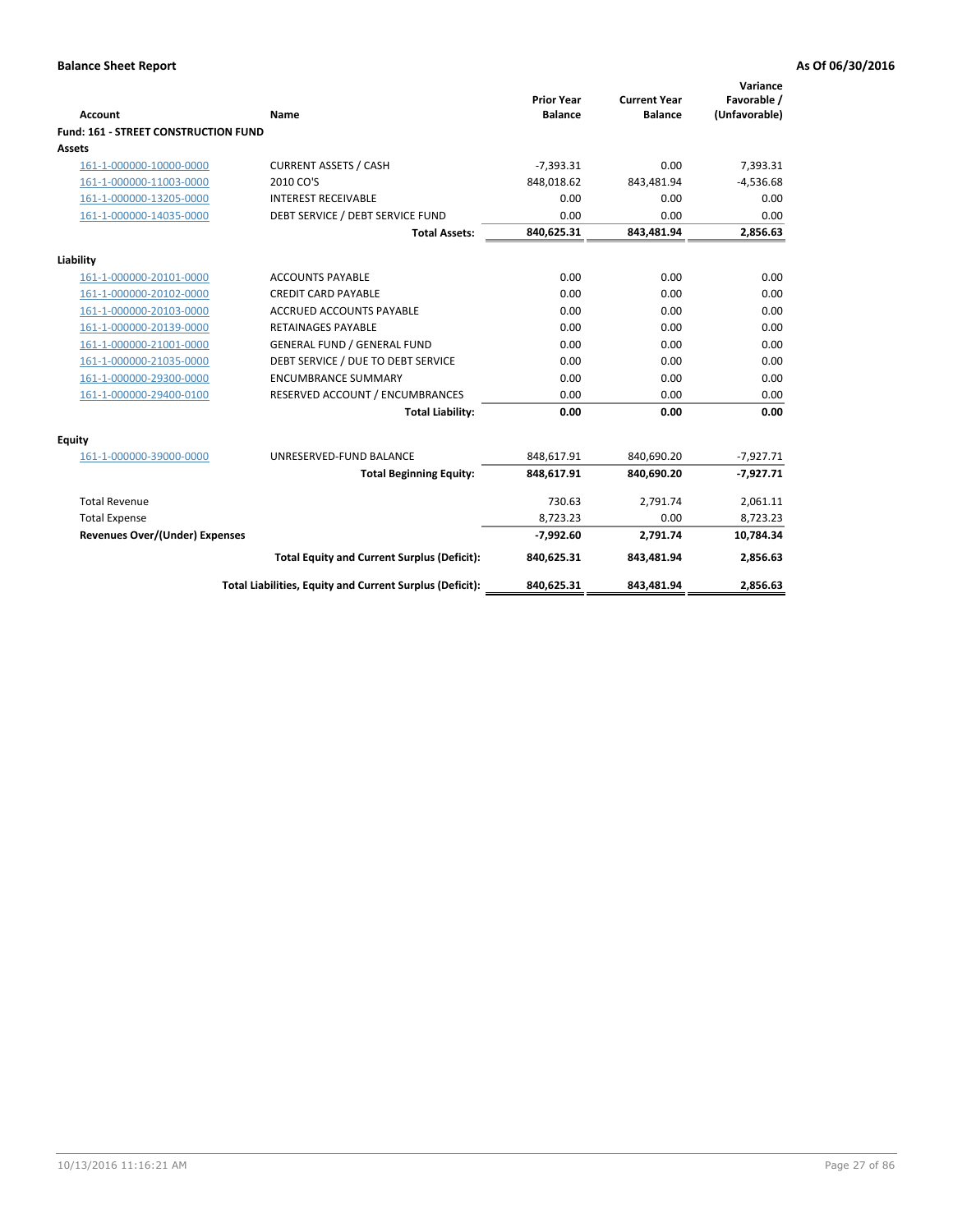| <b>Account</b>                        | <b>Name</b>                                              | <b>Prior Year</b><br><b>Balance</b> | <b>Current Year</b><br><b>Balance</b> | Variance<br>Favorable /<br>(Unfavorable) |
|---------------------------------------|----------------------------------------------------------|-------------------------------------|---------------------------------------|------------------------------------------|
| Fund: 161 - STREET CONSTRUCTION FUND  |                                                          |                                     |                                       |                                          |
| <b>Assets</b>                         |                                                          |                                     |                                       |                                          |
| 161-1-000000-10000-0000               | <b>CURRENT ASSETS / CASH</b>                             | $-7,393.31$                         | 0.00                                  | 7,393.31                                 |
| 161-1-000000-11003-0000               | 2010 CO'S                                                | 848,018.62                          | 843,481.94                            | $-4,536.68$                              |
| 161-1-000000-13205-0000               | <b>INTEREST RECEIVABLE</b>                               | 0.00                                | 0.00                                  | 0.00                                     |
| 161-1-000000-14035-0000               | DEBT SERVICE / DEBT SERVICE FUND                         | 0.00                                | 0.00                                  | 0.00                                     |
|                                       | <b>Total Assets:</b>                                     | 840,625.31                          | 843,481.94                            | 2,856.63                                 |
| Liability                             |                                                          |                                     |                                       |                                          |
| 161-1-000000-20101-0000               | <b>ACCOUNTS PAYABLE</b>                                  | 0.00                                | 0.00                                  | 0.00                                     |
| 161-1-000000-20102-0000               | <b>CREDIT CARD PAYABLE</b>                               | 0.00                                | 0.00                                  | 0.00                                     |
| 161-1-000000-20103-0000               | <b>ACCRUED ACCOUNTS PAYABLE</b>                          | 0.00                                | 0.00                                  | 0.00                                     |
| 161-1-000000-20139-0000               | <b>RETAINAGES PAYABLE</b>                                | 0.00                                | 0.00                                  | 0.00                                     |
| 161-1-000000-21001-0000               | <b>GENERAL FUND / GENERAL FUND</b>                       | 0.00                                | 0.00                                  | 0.00                                     |
| 161-1-000000-21035-0000               | DEBT SERVICE / DUE TO DEBT SERVICE                       | 0.00                                | 0.00                                  | 0.00                                     |
| 161-1-000000-29300-0000               | <b>ENCUMBRANCE SUMMARY</b>                               | 0.00                                | 0.00                                  | 0.00                                     |
| 161-1-000000-29400-0100               | RESERVED ACCOUNT / ENCUMBRANCES                          | 0.00                                | 0.00                                  | 0.00                                     |
|                                       | <b>Total Liability:</b>                                  | 0.00                                | 0.00                                  | 0.00                                     |
| <b>Equity</b>                         |                                                          |                                     |                                       |                                          |
| 161-1-000000-39000-0000               | UNRESERVED-FUND BALANCE                                  | 848,617.91                          | 840,690.20                            | $-7,927.71$                              |
|                                       | <b>Total Beginning Equity:</b>                           | 848,617.91                          | 840,690.20                            | $-7,927.71$                              |
| <b>Total Revenue</b>                  |                                                          | 730.63                              | 2,791.74                              | 2,061.11                                 |
| <b>Total Expense</b>                  |                                                          | 8,723.23                            | 0.00                                  | 8,723.23                                 |
| <b>Revenues Over/(Under) Expenses</b> |                                                          | $-7,992.60$                         | 2,791.74                              | 10,784.34                                |
|                                       | <b>Total Equity and Current Surplus (Deficit):</b>       | 840,625.31                          | 843,481.94                            | 2,856.63                                 |
|                                       | Total Liabilities, Equity and Current Surplus (Deficit): | 840,625.31                          | 843,481.94                            | 2,856.63                                 |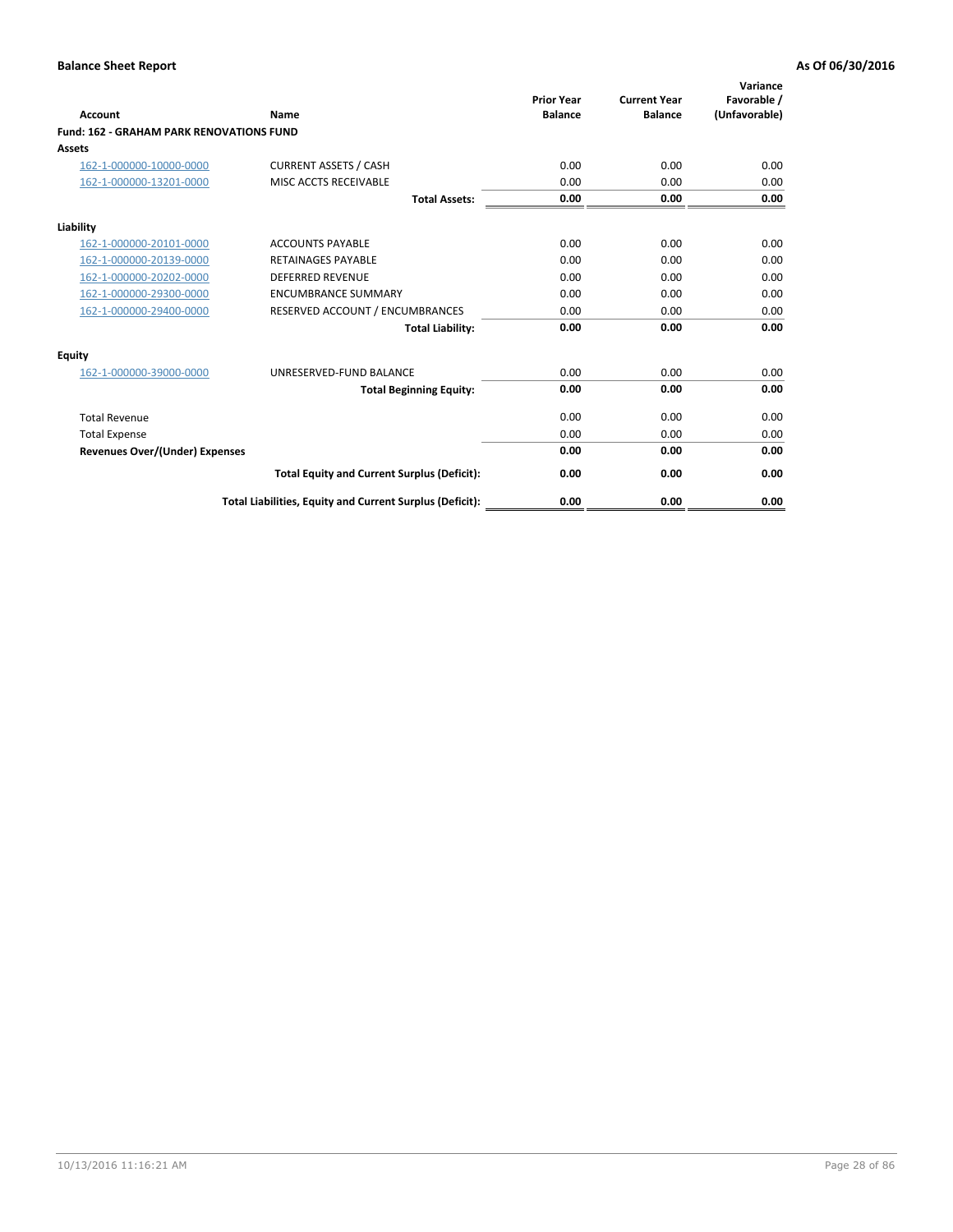| Account                                         | Name                                                     | <b>Prior Year</b><br><b>Balance</b> | <b>Current Year</b><br><b>Balance</b> | Variance<br>Favorable /<br>(Unfavorable) |
|-------------------------------------------------|----------------------------------------------------------|-------------------------------------|---------------------------------------|------------------------------------------|
| <b>Fund: 162 - GRAHAM PARK RENOVATIONS FUND</b> |                                                          |                                     |                                       |                                          |
| <b>Assets</b>                                   |                                                          |                                     |                                       |                                          |
| 162-1-000000-10000-0000                         | <b>CURRENT ASSETS / CASH</b>                             | 0.00                                | 0.00                                  | 0.00                                     |
| 162-1-000000-13201-0000                         | MISC ACCTS RECEIVABLE                                    | 0.00                                | 0.00                                  | 0.00                                     |
|                                                 | <b>Total Assets:</b>                                     | 0.00                                | 0.00                                  | 0.00                                     |
| Liability                                       |                                                          |                                     |                                       |                                          |
| 162-1-000000-20101-0000                         | <b>ACCOUNTS PAYABLE</b>                                  | 0.00                                | 0.00                                  | 0.00                                     |
| 162-1-000000-20139-0000                         | <b>RETAINAGES PAYABLE</b>                                | 0.00                                | 0.00                                  | 0.00                                     |
| 162-1-000000-20202-0000                         | <b>DEFERRED REVENUE</b>                                  | 0.00                                | 0.00                                  | 0.00                                     |
| 162-1-000000-29300-0000                         | <b>ENCUMBRANCE SUMMARY</b>                               | 0.00                                | 0.00                                  | 0.00                                     |
| 162-1-000000-29400-0000                         | RESERVED ACCOUNT / ENCUMBRANCES                          | 0.00                                | 0.00                                  | 0.00                                     |
|                                                 | <b>Total Liability:</b>                                  | 0.00                                | 0.00                                  | 0.00                                     |
| Equity                                          |                                                          |                                     |                                       |                                          |
| 162-1-000000-39000-0000                         | UNRESERVED-FUND BALANCE                                  | 0.00                                | 0.00                                  | 0.00                                     |
|                                                 | <b>Total Beginning Equity:</b>                           | 0.00                                | 0.00                                  | 0.00                                     |
| <b>Total Revenue</b>                            |                                                          | 0.00                                | 0.00                                  | 0.00                                     |
| <b>Total Expense</b>                            |                                                          | 0.00                                | 0.00                                  | 0.00                                     |
| <b>Revenues Over/(Under) Expenses</b>           |                                                          | 0.00                                | 0.00                                  | 0.00                                     |
|                                                 | <b>Total Equity and Current Surplus (Deficit):</b>       | 0.00                                | 0.00                                  | 0.00                                     |
|                                                 | Total Liabilities, Equity and Current Surplus (Deficit): | 0.00                                | 0.00                                  | 0.00                                     |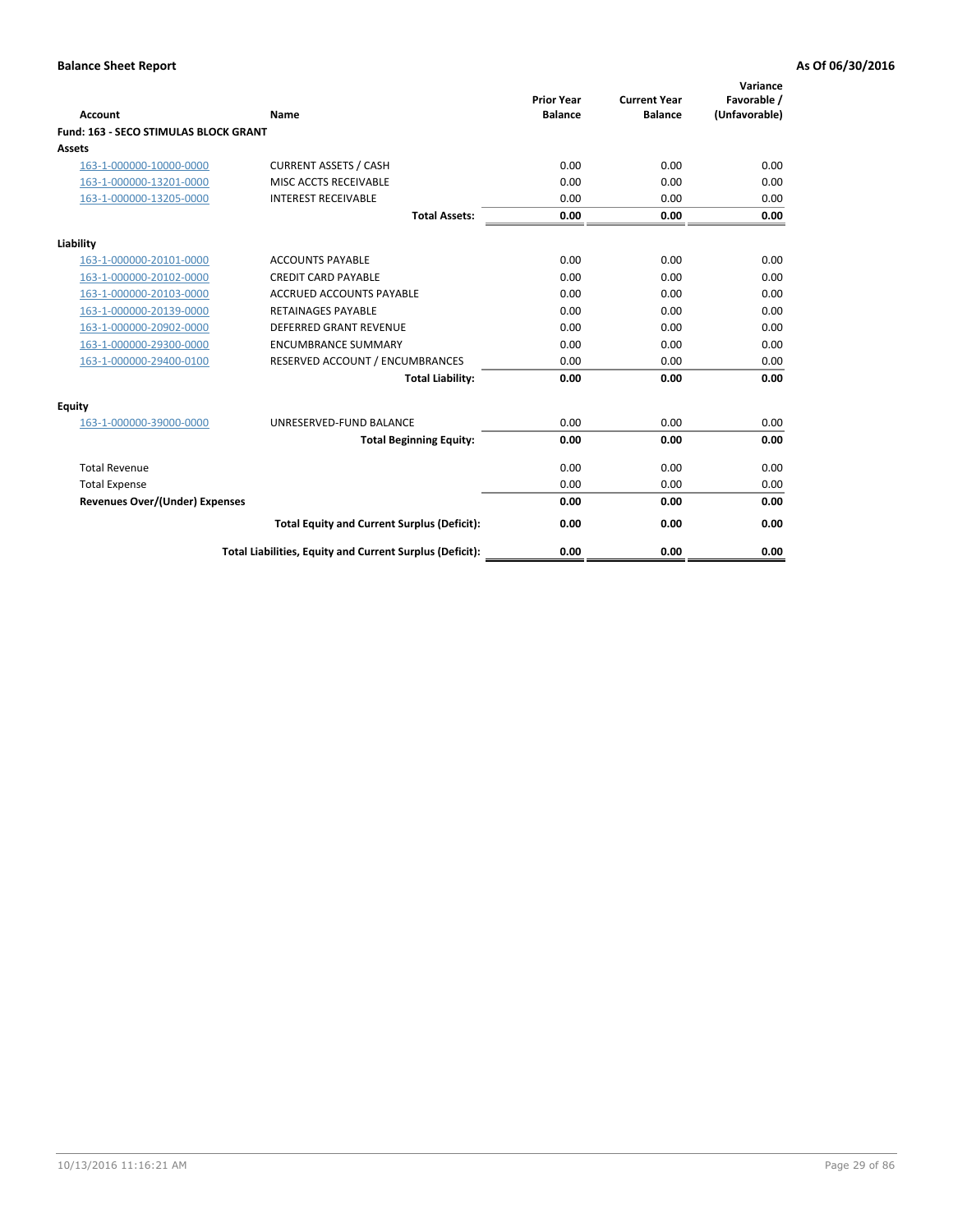| Account                                      | <b>Name</b>                                              | <b>Prior Year</b><br><b>Balance</b> | <b>Current Year</b><br><b>Balance</b> | Variance<br>Favorable /<br>(Unfavorable) |
|----------------------------------------------|----------------------------------------------------------|-------------------------------------|---------------------------------------|------------------------------------------|
| <b>Fund: 163 - SECO STIMULAS BLOCK GRANT</b> |                                                          |                                     |                                       |                                          |
| <b>Assets</b>                                |                                                          |                                     |                                       |                                          |
| 163-1-000000-10000-0000                      | <b>CURRENT ASSETS / CASH</b>                             | 0.00                                | 0.00                                  | 0.00                                     |
| 163-1-000000-13201-0000                      | MISC ACCTS RECEIVABLE                                    | 0.00                                | 0.00                                  | 0.00                                     |
| 163-1-000000-13205-0000                      | <b>INTEREST RECEIVABLE</b>                               | 0.00                                | 0.00                                  | 0.00                                     |
|                                              | <b>Total Assets:</b>                                     | 0.00                                | 0.00                                  | 0.00                                     |
| Liability                                    |                                                          |                                     |                                       |                                          |
| 163-1-000000-20101-0000                      | <b>ACCOUNTS PAYABLE</b>                                  | 0.00                                | 0.00                                  | 0.00                                     |
| 163-1-000000-20102-0000                      | <b>CREDIT CARD PAYABLE</b>                               | 0.00                                | 0.00                                  | 0.00                                     |
| 163-1-000000-20103-0000                      | <b>ACCRUED ACCOUNTS PAYABLE</b>                          | 0.00                                | 0.00                                  | 0.00                                     |
| 163-1-000000-20139-0000                      | <b>RETAINAGES PAYABLE</b>                                | 0.00                                | 0.00                                  | 0.00                                     |
| 163-1-000000-20902-0000                      | <b>DEFERRED GRANT REVENUE</b>                            | 0.00                                | 0.00                                  | 0.00                                     |
| 163-1-000000-29300-0000                      | <b>ENCUMBRANCE SUMMARY</b>                               | 0.00                                | 0.00                                  | 0.00                                     |
| 163-1-000000-29400-0100                      | RESERVED ACCOUNT / ENCUMBRANCES                          | 0.00                                | 0.00                                  | 0.00                                     |
|                                              | <b>Total Liability:</b>                                  | 0.00                                | 0.00                                  | 0.00                                     |
| <b>Equity</b>                                |                                                          |                                     |                                       |                                          |
| 163-1-000000-39000-0000                      | UNRESERVED-FUND BALANCE                                  | 0.00                                | 0.00                                  | 0.00                                     |
|                                              | <b>Total Beginning Equity:</b>                           | 0.00                                | 0.00                                  | 0.00                                     |
| <b>Total Revenue</b>                         |                                                          | 0.00                                | 0.00                                  | 0.00                                     |
| <b>Total Expense</b>                         |                                                          | 0.00                                | 0.00                                  | 0.00                                     |
| Revenues Over/(Under) Expenses               |                                                          | 0.00                                | 0.00                                  | 0.00                                     |
|                                              | <b>Total Equity and Current Surplus (Deficit):</b>       | 0.00                                | 0.00                                  | 0.00                                     |
|                                              | Total Liabilities, Equity and Current Surplus (Deficit): | 0.00                                | 0.00                                  | 0.00                                     |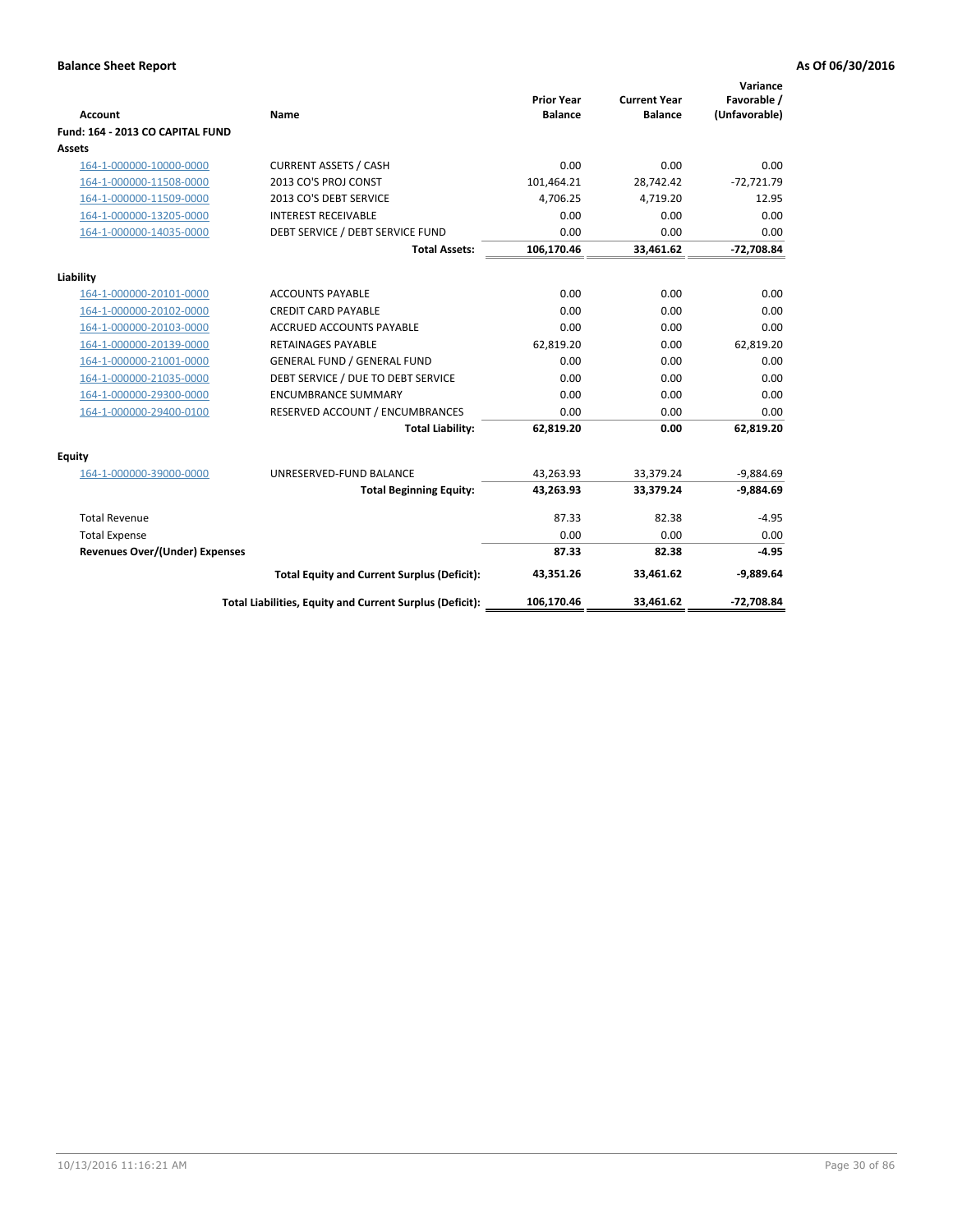| <b>Account</b>                        | Name                                                     | <b>Prior Year</b><br><b>Balance</b> | <b>Current Year</b><br><b>Balance</b> | Variance<br>Favorable /<br>(Unfavorable) |
|---------------------------------------|----------------------------------------------------------|-------------------------------------|---------------------------------------|------------------------------------------|
| Fund: 164 - 2013 CO CAPITAL FUND      |                                                          |                                     |                                       |                                          |
| Assets                                |                                                          |                                     |                                       |                                          |
| 164-1-000000-10000-0000               | <b>CURRENT ASSETS / CASH</b>                             | 0.00                                | 0.00                                  | 0.00                                     |
| 164-1-000000-11508-0000               | 2013 CO'S PROJ CONST                                     | 101,464.21                          | 28,742.42                             | $-72,721.79$                             |
| 164-1-000000-11509-0000               | 2013 CO'S DEBT SERVICE                                   | 4,706.25                            | 4,719.20                              | 12.95                                    |
| 164-1-000000-13205-0000               | <b>INTEREST RECEIVABLE</b>                               | 0.00                                | 0.00                                  | 0.00                                     |
| 164-1-000000-14035-0000               | DEBT SERVICE / DEBT SERVICE FUND                         | 0.00                                | 0.00                                  | 0.00                                     |
|                                       | <b>Total Assets:</b>                                     | 106,170.46                          | 33,461.62                             | -72,708.84                               |
| Liability                             |                                                          |                                     |                                       |                                          |
| 164-1-000000-20101-0000               | <b>ACCOUNTS PAYABLE</b>                                  | 0.00                                | 0.00                                  | 0.00                                     |
| 164-1-000000-20102-0000               | <b>CREDIT CARD PAYABLE</b>                               | 0.00                                | 0.00                                  | 0.00                                     |
| 164-1-000000-20103-0000               | <b>ACCRUED ACCOUNTS PAYABLE</b>                          | 0.00                                | 0.00                                  | 0.00                                     |
| 164-1-000000-20139-0000               | <b>RETAINAGES PAYABLE</b>                                | 62,819.20                           | 0.00                                  | 62,819.20                                |
| 164-1-000000-21001-0000               | <b>GENERAL FUND / GENERAL FUND</b>                       | 0.00                                | 0.00                                  | 0.00                                     |
| 164-1-000000-21035-0000               | DEBT SERVICE / DUE TO DEBT SERVICE                       | 0.00                                | 0.00                                  | 0.00                                     |
| 164-1-000000-29300-0000               | <b>ENCUMBRANCE SUMMARY</b>                               | 0.00                                | 0.00                                  | 0.00                                     |
| 164-1-000000-29400-0100               | RESERVED ACCOUNT / ENCUMBRANCES                          | 0.00                                | 0.00                                  | 0.00                                     |
|                                       | <b>Total Liability:</b>                                  | 62,819.20                           | 0.00                                  | 62,819.20                                |
| Equity                                |                                                          |                                     |                                       |                                          |
| 164-1-000000-39000-0000               | UNRESERVED-FUND BALANCE                                  | 43,263.93                           | 33,379.24                             | $-9,884.69$                              |
|                                       | <b>Total Beginning Equity:</b>                           | 43,263.93                           | 33,379.24                             | $-9,884.69$                              |
| <b>Total Revenue</b>                  |                                                          | 87.33                               | 82.38                                 | $-4.95$                                  |
| <b>Total Expense</b>                  |                                                          | 0.00                                | 0.00                                  | 0.00                                     |
| <b>Revenues Over/(Under) Expenses</b> |                                                          | 87.33                               | 82.38                                 | $-4.95$                                  |
|                                       | <b>Total Equity and Current Surplus (Deficit):</b>       | 43,351.26                           | 33,461.62                             | $-9,889.64$                              |
|                                       | Total Liabilities, Equity and Current Surplus (Deficit): | 106,170.46                          | 33,461.62                             | $-72,708.84$                             |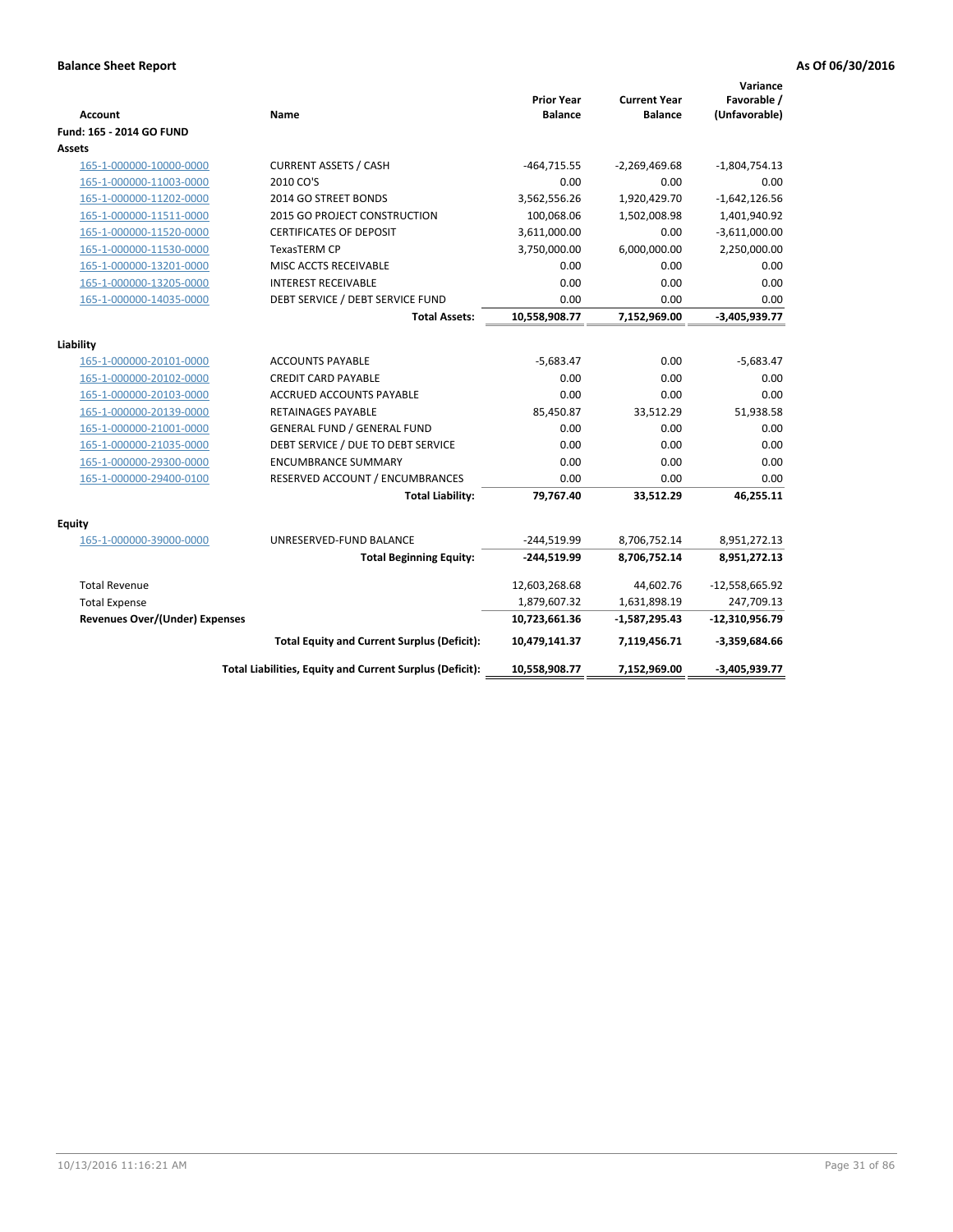| Account                               | Name                                                     | <b>Prior Year</b><br><b>Balance</b> | <b>Current Year</b><br><b>Balance</b> | Variance<br>Favorable /<br>(Unfavorable) |
|---------------------------------------|----------------------------------------------------------|-------------------------------------|---------------------------------------|------------------------------------------|
| Fund: 165 - 2014 GO FUND              |                                                          |                                     |                                       |                                          |
| Assets                                |                                                          |                                     |                                       |                                          |
| 165-1-000000-10000-0000               | <b>CURRENT ASSETS / CASH</b>                             | $-464,715.55$                       | $-2,269,469.68$                       | $-1,804,754.13$                          |
| 165-1-000000-11003-0000               | 2010 CO'S                                                | 0.00                                | 0.00                                  | 0.00                                     |
| 165-1-000000-11202-0000               | 2014 GO STREET BONDS                                     | 3,562,556.26                        | 1,920,429.70                          | $-1,642,126.56$                          |
| 165-1-000000-11511-0000               | 2015 GO PROJECT CONSTRUCTION                             | 100,068.06                          | 1,502,008.98                          | 1,401,940.92                             |
| 165-1-000000-11520-0000               | <b>CERTIFICATES OF DEPOSIT</b>                           | 3,611,000.00                        | 0.00                                  | $-3,611,000.00$                          |
| 165-1-000000-11530-0000               | TexasTERM CP                                             | 3,750,000.00                        | 6,000,000.00                          | 2,250,000.00                             |
| 165-1-000000-13201-0000               | MISC ACCTS RECEIVABLE                                    | 0.00                                | 0.00                                  | 0.00                                     |
| 165-1-000000-13205-0000               | <b>INTEREST RECEIVABLE</b>                               | 0.00                                | 0.00                                  | 0.00                                     |
| 165-1-000000-14035-0000               | DEBT SERVICE / DEBT SERVICE FUND                         | 0.00                                | 0.00                                  | 0.00                                     |
|                                       | <b>Total Assets:</b>                                     | 10,558,908.77                       | 7,152,969.00                          | $-3,405,939.77$                          |
| Liability                             |                                                          |                                     |                                       |                                          |
| 165-1-000000-20101-0000               | <b>ACCOUNTS PAYABLE</b>                                  | $-5,683.47$                         | 0.00                                  | $-5,683.47$                              |
| 165-1-000000-20102-0000               | <b>CREDIT CARD PAYABLE</b>                               | 0.00                                | 0.00                                  | 0.00                                     |
| 165-1-000000-20103-0000               | <b>ACCRUED ACCOUNTS PAYABLE</b>                          | 0.00                                | 0.00                                  | 0.00                                     |
| 165-1-000000-20139-0000               | <b>RETAINAGES PAYABLE</b>                                | 85,450.87                           | 33,512.29                             | 51,938.58                                |
| 165-1-000000-21001-0000               | <b>GENERAL FUND / GENERAL FUND</b>                       | 0.00                                | 0.00                                  | 0.00                                     |
| 165-1-000000-21035-0000               | DEBT SERVICE / DUE TO DEBT SERVICE                       | 0.00                                | 0.00                                  | 0.00                                     |
| 165-1-000000-29300-0000               | <b>ENCUMBRANCE SUMMARY</b>                               | 0.00                                | 0.00                                  | 0.00                                     |
| 165-1-000000-29400-0100               | RESERVED ACCOUNT / ENCUMBRANCES                          | 0.00                                | 0.00                                  | 0.00                                     |
|                                       | <b>Total Liability:</b>                                  | 79,767.40                           | 33,512.29                             | 46,255.11                                |
| <b>Equity</b>                         |                                                          |                                     |                                       |                                          |
| 165-1-000000-39000-0000               | UNRESERVED-FUND BALANCE                                  | $-244,519.99$                       | 8,706,752.14                          | 8,951,272.13                             |
|                                       | <b>Total Beginning Equity:</b>                           | $-244,519.99$                       | 8,706,752.14                          | 8,951,272.13                             |
| <b>Total Revenue</b>                  |                                                          | 12,603,268.68                       | 44,602.76                             | $-12,558,665.92$                         |
| <b>Total Expense</b>                  |                                                          | 1,879,607.32                        | 1,631,898.19                          | 247,709.13                               |
| <b>Revenues Over/(Under) Expenses</b> |                                                          | 10,723,661.36                       | $-1,587,295.43$                       | $-12,310,956.79$                         |
|                                       | <b>Total Equity and Current Surplus (Deficit):</b>       | 10,479,141.37                       | 7,119,456.71                          | $-3,359,684.66$                          |
|                                       | Total Liabilities, Equity and Current Surplus (Deficit): | 10,558,908.77                       | 7,152,969.00                          | $-3,405,939.77$                          |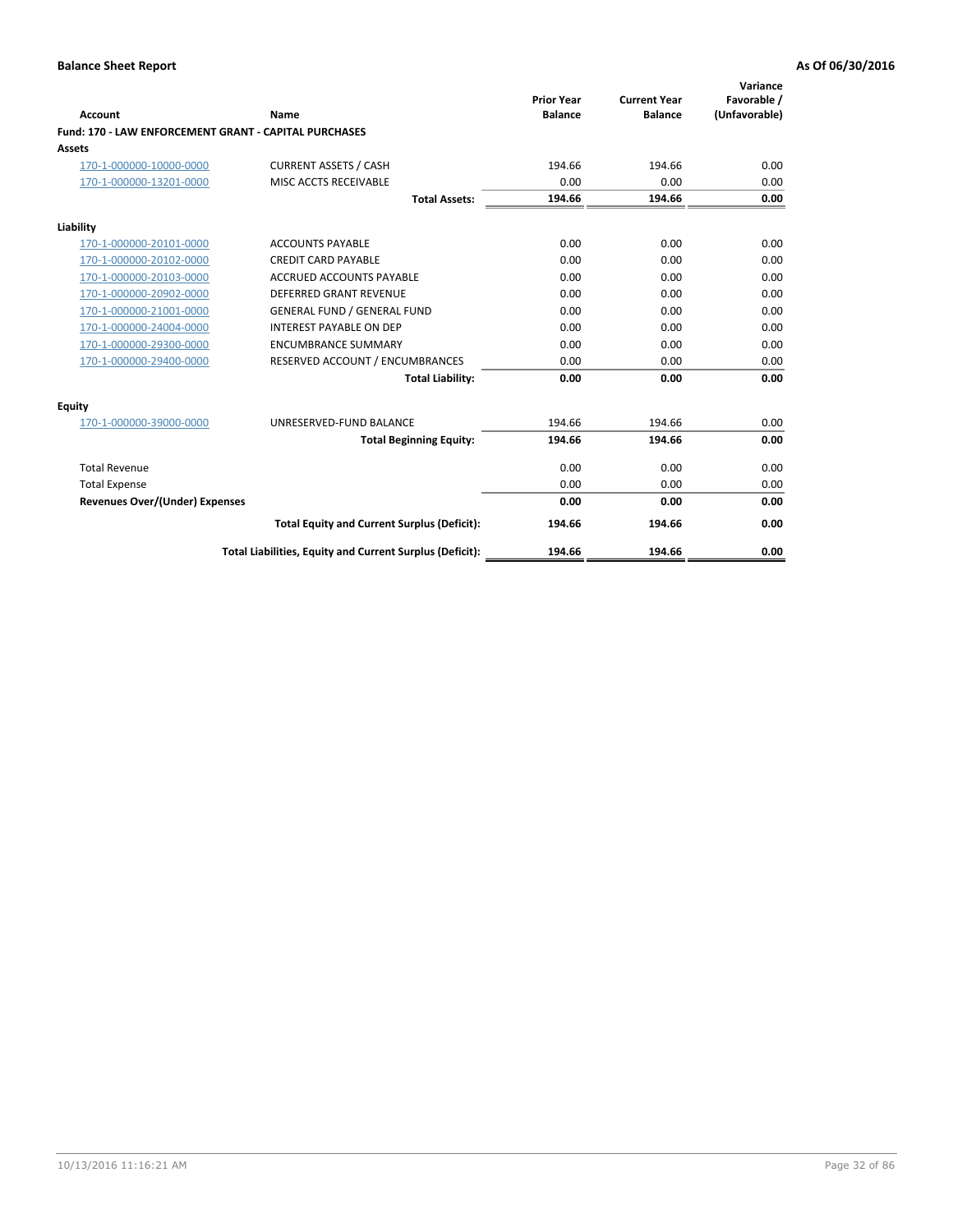|                                                              |                                                          |                                     |                                       | Variance                     |
|--------------------------------------------------------------|----------------------------------------------------------|-------------------------------------|---------------------------------------|------------------------------|
| Account                                                      | Name                                                     | <b>Prior Year</b><br><b>Balance</b> | <b>Current Year</b><br><b>Balance</b> | Favorable /<br>(Unfavorable) |
| <b>Fund: 170 - LAW ENFORCEMENT GRANT - CAPITAL PURCHASES</b> |                                                          |                                     |                                       |                              |
| <b>Assets</b>                                                |                                                          |                                     |                                       |                              |
| 170-1-000000-10000-0000                                      | <b>CURRENT ASSETS / CASH</b>                             | 194.66                              | 194.66                                | 0.00                         |
| 170-1-000000-13201-0000                                      | MISC ACCTS RECEIVABLE                                    | 0.00                                | 0.00                                  | 0.00                         |
|                                                              | <b>Total Assets:</b>                                     | 194.66                              | 194.66                                | 0.00                         |
| Liability                                                    |                                                          |                                     |                                       |                              |
| 170-1-000000-20101-0000                                      | <b>ACCOUNTS PAYABLE</b>                                  | 0.00                                | 0.00                                  | 0.00                         |
| 170-1-000000-20102-0000                                      | <b>CREDIT CARD PAYABLE</b>                               | 0.00                                | 0.00                                  | 0.00                         |
| 170-1-000000-20103-0000                                      | <b>ACCRUED ACCOUNTS PAYABLE</b>                          | 0.00                                | 0.00                                  | 0.00                         |
| 170-1-000000-20902-0000                                      | <b>DEFERRED GRANT REVENUE</b>                            | 0.00                                | 0.00                                  | 0.00                         |
| 170-1-000000-21001-0000                                      | <b>GENERAL FUND / GENERAL FUND</b>                       | 0.00                                | 0.00                                  | 0.00                         |
| 170-1-000000-24004-0000                                      | <b>INTEREST PAYABLE ON DEP</b>                           | 0.00                                | 0.00                                  | 0.00                         |
| 170-1-000000-29300-0000                                      | <b>ENCUMBRANCE SUMMARY</b>                               | 0.00                                | 0.00                                  | 0.00                         |
| 170-1-000000-29400-0000                                      | RESERVED ACCOUNT / ENCUMBRANCES                          | 0.00                                | 0.00                                  | 0.00                         |
|                                                              | <b>Total Liability:</b>                                  | 0.00                                | 0.00                                  | 0.00                         |
| <b>Equity</b>                                                |                                                          |                                     |                                       |                              |
| 170-1-000000-39000-0000                                      | UNRESERVED-FUND BALANCE                                  | 194.66                              | 194.66                                | 0.00                         |
|                                                              | <b>Total Beginning Equity:</b>                           | 194.66                              | 194.66                                | 0.00                         |
| <b>Total Revenue</b>                                         |                                                          | 0.00                                | 0.00                                  | 0.00                         |
| <b>Total Expense</b>                                         |                                                          | 0.00                                | 0.00                                  | 0.00                         |
| <b>Revenues Over/(Under) Expenses</b>                        |                                                          | 0.00                                | 0.00                                  | 0.00                         |
|                                                              | <b>Total Equity and Current Surplus (Deficit):</b>       | 194.66                              | 194.66                                | 0.00                         |
|                                                              | Total Liabilities, Equity and Current Surplus (Deficit): | 194.66                              | 194.66                                | 0.00                         |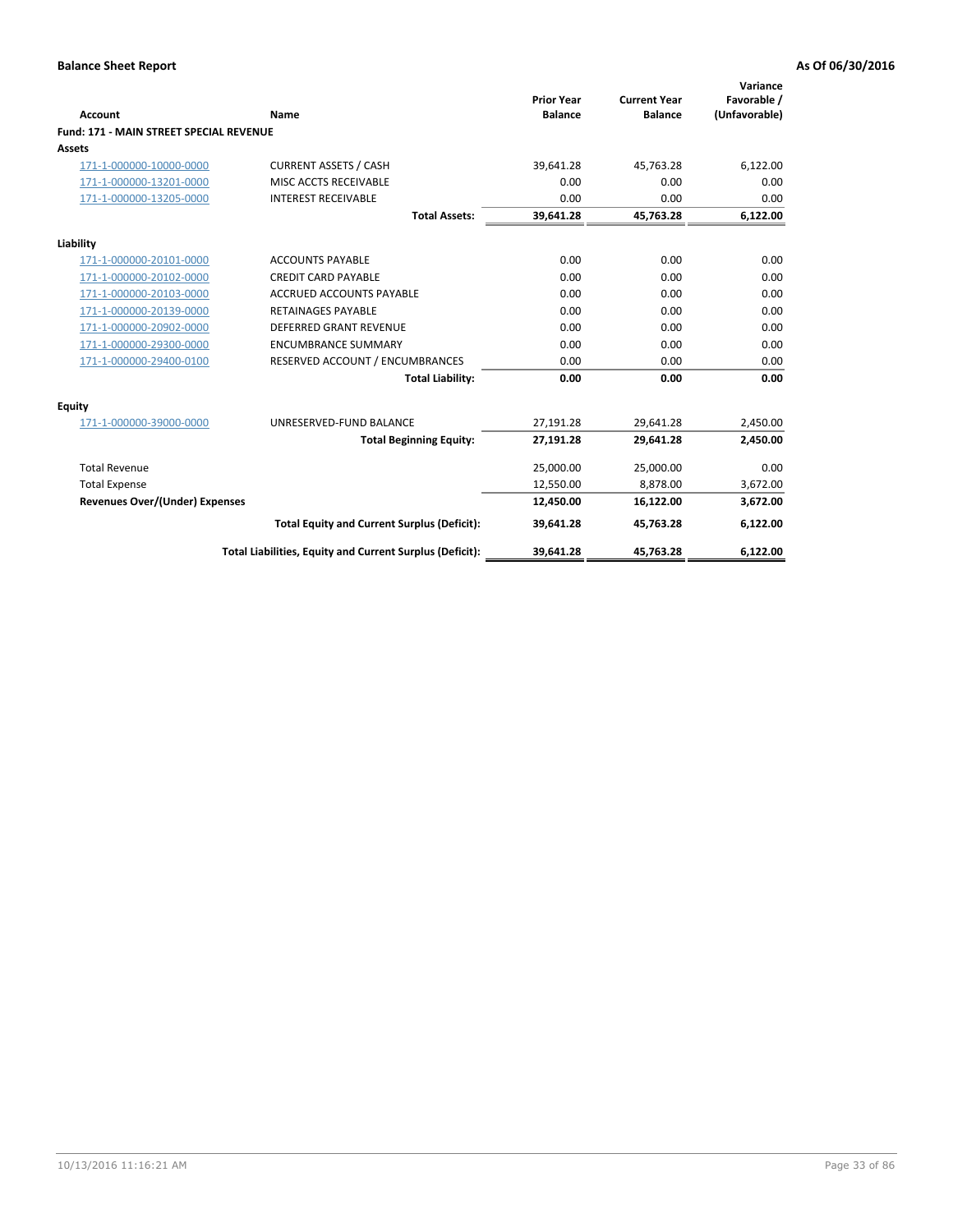|                                                |                                                          | <b>Prior Year</b> | <b>Current Year</b> | Variance<br>Favorable / |
|------------------------------------------------|----------------------------------------------------------|-------------------|---------------------|-------------------------|
| Account                                        | Name                                                     | <b>Balance</b>    | <b>Balance</b>      | (Unfavorable)           |
| <b>Fund: 171 - MAIN STREET SPECIAL REVENUE</b> |                                                          |                   |                     |                         |
| <b>Assets</b>                                  |                                                          |                   |                     |                         |
| 171-1-000000-10000-0000                        | <b>CURRENT ASSETS / CASH</b>                             | 39,641.28         | 45,763.28           | 6,122.00                |
| 171-1-000000-13201-0000                        | MISC ACCTS RECEIVABLE                                    | 0.00              | 0.00                | 0.00                    |
| 171-1-000000-13205-0000                        | <b>INTEREST RECEIVABLE</b>                               | 0.00              | 0.00                | 0.00                    |
|                                                | <b>Total Assets:</b>                                     | 39,641.28         | 45,763.28           | 6,122.00                |
| Liability                                      |                                                          |                   |                     |                         |
| 171-1-000000-20101-0000                        | <b>ACCOUNTS PAYABLE</b>                                  | 0.00              | 0.00                | 0.00                    |
| 171-1-000000-20102-0000                        | <b>CREDIT CARD PAYABLE</b>                               | 0.00              | 0.00                | 0.00                    |
| 171-1-000000-20103-0000                        | <b>ACCRUED ACCOUNTS PAYABLE</b>                          | 0.00              | 0.00                | 0.00                    |
| 171-1-000000-20139-0000                        | <b>RETAINAGES PAYABLE</b>                                | 0.00              | 0.00                | 0.00                    |
| 171-1-000000-20902-0000                        | <b>DEFERRED GRANT REVENUE</b>                            | 0.00              | 0.00                | 0.00                    |
| 171-1-000000-29300-0000                        | <b>ENCUMBRANCE SUMMARY</b>                               | 0.00              | 0.00                | 0.00                    |
| 171-1-000000-29400-0100                        | RESERVED ACCOUNT / ENCUMBRANCES                          | 0.00              | 0.00                | 0.00                    |
|                                                | <b>Total Liability:</b>                                  | 0.00              | 0.00                | 0.00                    |
| <b>Equity</b>                                  |                                                          |                   |                     |                         |
| 171-1-000000-39000-0000                        | UNRESERVED-FUND BALANCE                                  | 27,191.28         | 29,641.28           | 2,450.00                |
|                                                | <b>Total Beginning Equity:</b>                           | 27,191.28         | 29,641.28           | 2,450.00                |
| <b>Total Revenue</b>                           |                                                          | 25,000.00         | 25,000.00           | 0.00                    |
| <b>Total Expense</b>                           |                                                          | 12,550.00         | 8,878.00            | 3,672.00                |
| <b>Revenues Over/(Under) Expenses</b>          |                                                          | 12,450.00         | 16,122.00           | 3,672.00                |
|                                                | <b>Total Equity and Current Surplus (Deficit):</b>       | 39,641.28         | 45,763.28           | 6,122.00                |
|                                                | Total Liabilities, Equity and Current Surplus (Deficit): | 39,641.28         | 45,763.28           | 6,122.00                |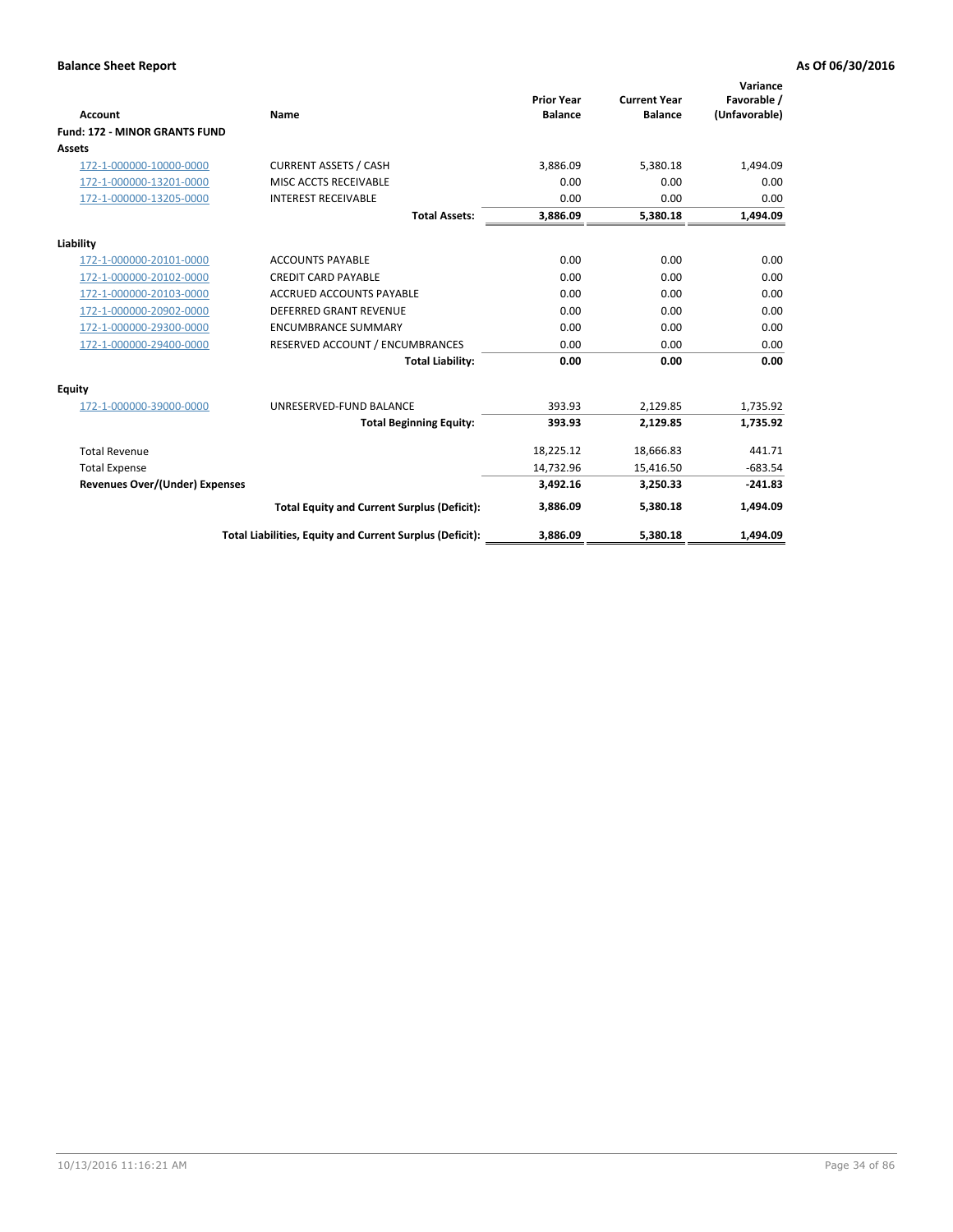| <b>Account</b>                        | Name                                                     | <b>Prior Year</b><br><b>Balance</b> | <b>Current Year</b><br><b>Balance</b> | Variance<br>Favorable /<br>(Unfavorable) |
|---------------------------------------|----------------------------------------------------------|-------------------------------------|---------------------------------------|------------------------------------------|
| <b>Fund: 172 - MINOR GRANTS FUND</b>  |                                                          |                                     |                                       |                                          |
| Assets                                |                                                          |                                     |                                       |                                          |
| 172-1-000000-10000-0000               | <b>CURRENT ASSETS / CASH</b>                             | 3,886.09                            | 5,380.18                              | 1,494.09                                 |
| 172-1-000000-13201-0000               | MISC ACCTS RECEIVABLE                                    | 0.00                                | 0.00                                  | 0.00                                     |
| 172-1-000000-13205-0000               | <b>INTEREST RECEIVABLE</b>                               | 0.00                                | 0.00                                  | 0.00                                     |
|                                       | <b>Total Assets:</b>                                     | 3,886.09                            | 5,380.18                              | 1,494.09                                 |
| Liability                             |                                                          |                                     |                                       |                                          |
| 172-1-000000-20101-0000               | <b>ACCOUNTS PAYABLE</b>                                  | 0.00                                | 0.00                                  | 0.00                                     |
| 172-1-000000-20102-0000               | <b>CREDIT CARD PAYABLE</b>                               | 0.00                                | 0.00                                  | 0.00                                     |
| 172-1-000000-20103-0000               | ACCRUED ACCOUNTS PAYABLE                                 | 0.00                                | 0.00                                  | 0.00                                     |
| 172-1-000000-20902-0000               | <b>DEFERRED GRANT REVENUE</b>                            | 0.00                                | 0.00                                  | 0.00                                     |
| 172-1-000000-29300-0000               | <b>ENCUMBRANCE SUMMARY</b>                               | 0.00                                | 0.00                                  | 0.00                                     |
| 172-1-000000-29400-0000               | RESERVED ACCOUNT / ENCUMBRANCES                          | 0.00                                | 0.00                                  | 0.00                                     |
|                                       | <b>Total Liability:</b>                                  | 0.00                                | 0.00                                  | 0.00                                     |
| Equity                                |                                                          |                                     |                                       |                                          |
| 172-1-000000-39000-0000               | UNRESERVED-FUND BALANCE                                  | 393.93                              | 2,129.85                              | 1,735.92                                 |
|                                       | <b>Total Beginning Equity:</b>                           | 393.93                              | 2,129.85                              | 1,735.92                                 |
| <b>Total Revenue</b>                  |                                                          | 18,225.12                           | 18,666.83                             | 441.71                                   |
| <b>Total Expense</b>                  |                                                          | 14,732.96                           | 15,416.50                             | $-683.54$                                |
| <b>Revenues Over/(Under) Expenses</b> |                                                          | 3,492.16                            | 3,250.33                              | $-241.83$                                |
|                                       | <b>Total Equity and Current Surplus (Deficit):</b>       | 3.886.09                            | 5.380.18                              | 1,494.09                                 |
|                                       | Total Liabilities, Equity and Current Surplus (Deficit): | 3,886.09                            | 5,380.18                              | 1,494.09                                 |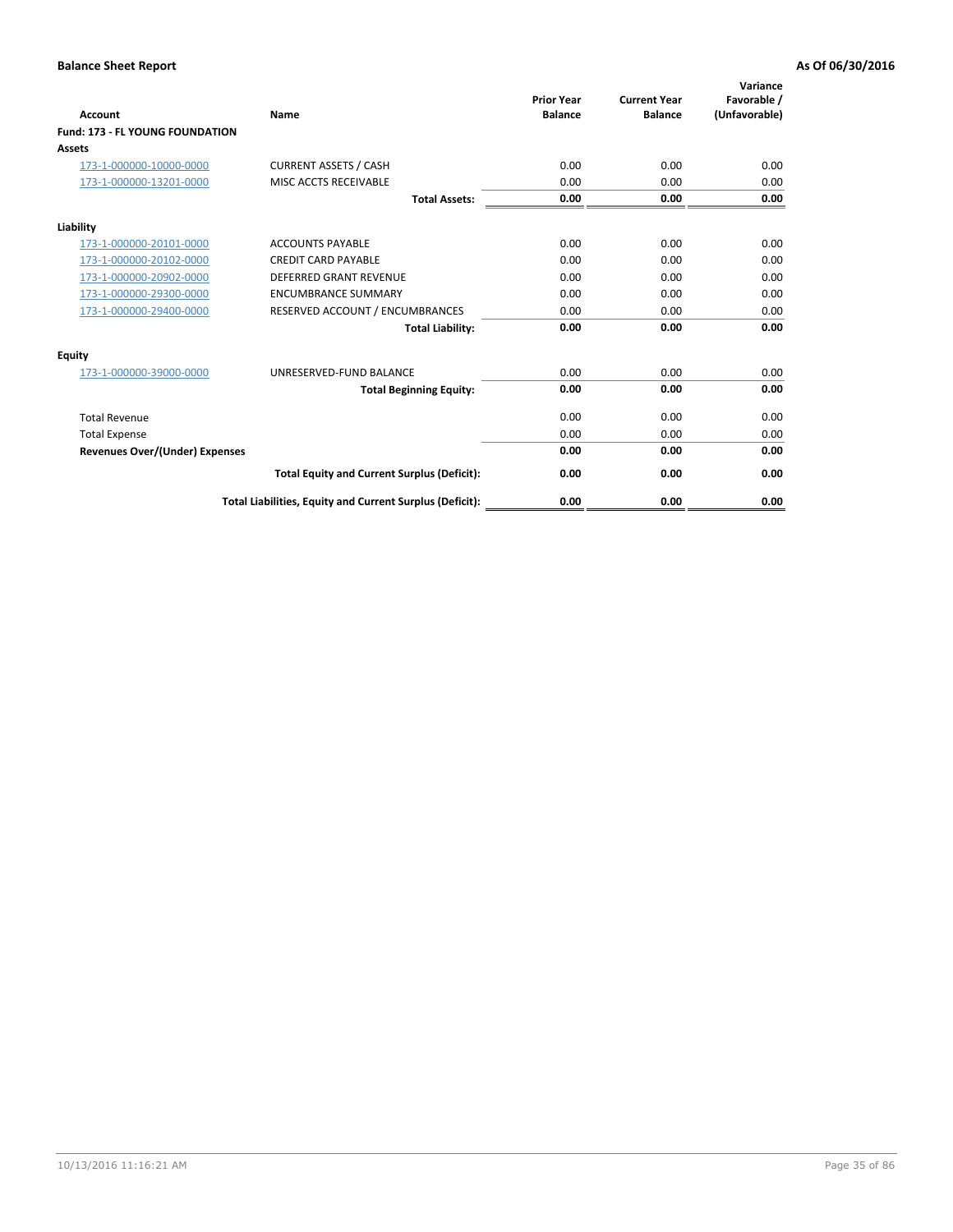| <b>Account</b>                         | Name                                                     | <b>Prior Year</b><br><b>Balance</b> | <b>Current Year</b><br><b>Balance</b> | Variance<br>Favorable /<br>(Unfavorable) |
|----------------------------------------|----------------------------------------------------------|-------------------------------------|---------------------------------------|------------------------------------------|
| <b>Fund: 173 - FL YOUNG FOUNDATION</b> |                                                          |                                     |                                       |                                          |
| Assets                                 |                                                          |                                     |                                       |                                          |
| 173-1-000000-10000-0000                | <b>CURRENT ASSETS / CASH</b>                             | 0.00                                | 0.00                                  | 0.00                                     |
| 173-1-000000-13201-0000                | MISC ACCTS RECEIVABLE                                    | 0.00                                | 0.00                                  | 0.00                                     |
|                                        | <b>Total Assets:</b>                                     | 0.00                                | 0.00                                  | 0.00                                     |
| Liability                              |                                                          |                                     |                                       |                                          |
| 173-1-000000-20101-0000                | <b>ACCOUNTS PAYABLE</b>                                  | 0.00                                | 0.00                                  | 0.00                                     |
| 173-1-000000-20102-0000                | <b>CREDIT CARD PAYABLE</b>                               | 0.00                                | 0.00                                  | 0.00                                     |
| 173-1-000000-20902-0000                | <b>DEFERRED GRANT REVENUE</b>                            | 0.00                                | 0.00                                  | 0.00                                     |
| 173-1-000000-29300-0000                | <b>ENCUMBRANCE SUMMARY</b>                               | 0.00                                | 0.00                                  | 0.00                                     |
| 173-1-000000-29400-0000                | RESERVED ACCOUNT / ENCUMBRANCES                          | 0.00                                | 0.00                                  | 0.00                                     |
|                                        | <b>Total Liability:</b>                                  | 0.00                                | 0.00                                  | 0.00                                     |
| Equity                                 |                                                          |                                     |                                       |                                          |
| 173-1-000000-39000-0000                | UNRESERVED-FUND BALANCE                                  | 0.00                                | 0.00                                  | 0.00                                     |
|                                        | <b>Total Beginning Equity:</b>                           | 0.00                                | 0.00                                  | 0.00                                     |
| <b>Total Revenue</b>                   |                                                          | 0.00                                | 0.00                                  | 0.00                                     |
| <b>Total Expense</b>                   |                                                          | 0.00                                | 0.00                                  | 0.00                                     |
| <b>Revenues Over/(Under) Expenses</b>  |                                                          | 0.00                                | 0.00                                  | 0.00                                     |
|                                        | <b>Total Equity and Current Surplus (Deficit):</b>       | 0.00                                | 0.00                                  | 0.00                                     |
|                                        | Total Liabilities, Equity and Current Surplus (Deficit): | 0.00                                | 0.00                                  | 0.00                                     |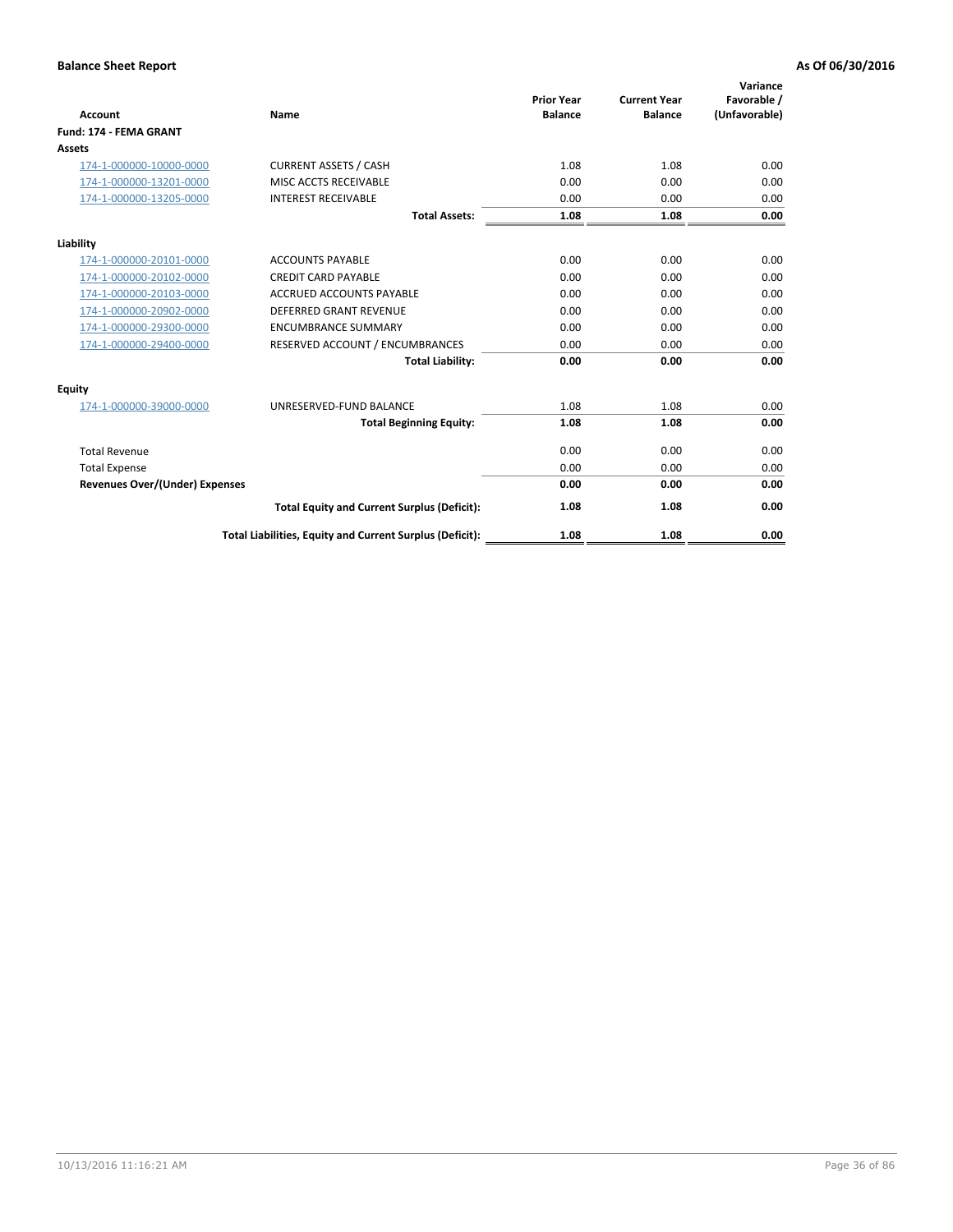| <b>Account</b>                        | Name                                                     | <b>Prior Year</b><br><b>Balance</b> | <b>Current Year</b><br><b>Balance</b> | Variance<br>Favorable /<br>(Unfavorable) |
|---------------------------------------|----------------------------------------------------------|-------------------------------------|---------------------------------------|------------------------------------------|
| <b>Fund: 174 - FEMA GRANT</b>         |                                                          |                                     |                                       |                                          |
| Assets                                |                                                          |                                     |                                       |                                          |
| 174-1-000000-10000-0000               | <b>CURRENT ASSETS / CASH</b>                             | 1.08                                | 1.08                                  | 0.00                                     |
| 174-1-000000-13201-0000               | MISC ACCTS RECEIVABLE                                    | 0.00                                | 0.00                                  | 0.00                                     |
| 174-1-000000-13205-0000               | <b>INTEREST RECEIVABLE</b>                               | 0.00                                | 0.00                                  | 0.00                                     |
|                                       | <b>Total Assets:</b>                                     | 1.08                                | 1.08                                  | 0.00                                     |
| Liability                             |                                                          |                                     |                                       |                                          |
| 174-1-000000-20101-0000               | <b>ACCOUNTS PAYABLE</b>                                  | 0.00                                | 0.00                                  | 0.00                                     |
| 174-1-000000-20102-0000               | <b>CREDIT CARD PAYABLE</b>                               | 0.00                                | 0.00                                  | 0.00                                     |
| 174-1-000000-20103-0000               | <b>ACCRUED ACCOUNTS PAYABLE</b>                          | 0.00                                | 0.00                                  | 0.00                                     |
| 174-1-000000-20902-0000               | <b>DEFERRED GRANT REVENUE</b>                            | 0.00                                | 0.00                                  | 0.00                                     |
| 174-1-000000-29300-0000               | <b>ENCUMBRANCE SUMMARY</b>                               | 0.00                                | 0.00                                  | 0.00                                     |
| 174-1-000000-29400-0000               | RESERVED ACCOUNT / ENCUMBRANCES                          | 0.00                                | 0.00                                  | 0.00                                     |
|                                       | <b>Total Liability:</b>                                  | 0.00                                | 0.00                                  | 0.00                                     |
| Equity                                |                                                          |                                     |                                       |                                          |
| 174-1-000000-39000-0000               | UNRESERVED-FUND BALANCE                                  | 1.08                                | 1.08                                  | 0.00                                     |
|                                       | <b>Total Beginning Equity:</b>                           | 1.08                                | 1.08                                  | 0.00                                     |
| <b>Total Revenue</b>                  |                                                          | 0.00                                | 0.00                                  | 0.00                                     |
| <b>Total Expense</b>                  |                                                          | 0.00                                | 0.00                                  | 0.00                                     |
| <b>Revenues Over/(Under) Expenses</b> |                                                          | 0.00                                | 0.00                                  | 0.00                                     |
|                                       | <b>Total Equity and Current Surplus (Deficit):</b>       | 1.08                                | 1.08                                  | 0.00                                     |
|                                       | Total Liabilities, Equity and Current Surplus (Deficit): | 1.08                                | 1.08                                  | 0.00                                     |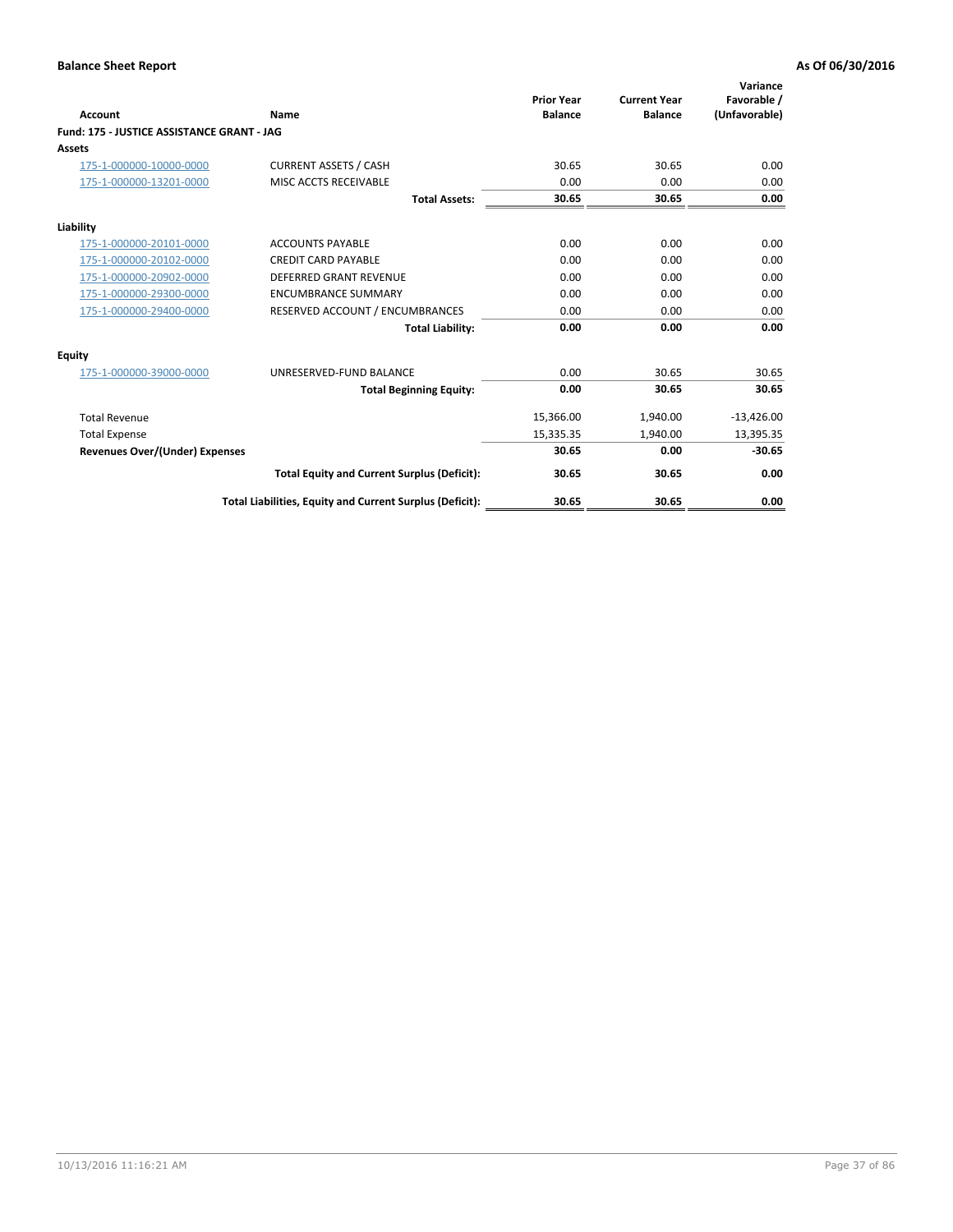| <b>Account</b>                             | Name                                                     | <b>Prior Year</b><br><b>Balance</b> | <b>Current Year</b><br><b>Balance</b> | Variance<br>Favorable /<br>(Unfavorable) |
|--------------------------------------------|----------------------------------------------------------|-------------------------------------|---------------------------------------|------------------------------------------|
| Fund: 175 - JUSTICE ASSISTANCE GRANT - JAG |                                                          |                                     |                                       |                                          |
| <b>Assets</b>                              |                                                          |                                     |                                       |                                          |
| 175-1-000000-10000-0000                    | <b>CURRENT ASSETS / CASH</b>                             | 30.65                               | 30.65                                 | 0.00                                     |
| 175-1-000000-13201-0000                    | <b>MISC ACCTS RECEIVABLE</b>                             | 0.00                                | 0.00                                  | 0.00                                     |
|                                            | <b>Total Assets:</b>                                     | 30.65                               | 30.65                                 | 0.00                                     |
| Liability                                  |                                                          |                                     |                                       |                                          |
| 175-1-000000-20101-0000                    | <b>ACCOUNTS PAYABLE</b>                                  | 0.00                                | 0.00                                  | 0.00                                     |
| 175-1-000000-20102-0000                    | <b>CREDIT CARD PAYABLE</b>                               | 0.00                                | 0.00                                  | 0.00                                     |
| 175-1-000000-20902-0000                    | DEFERRED GRANT REVENUE                                   | 0.00                                | 0.00                                  | 0.00                                     |
| 175-1-000000-29300-0000                    | <b>ENCUMBRANCE SUMMARY</b>                               | 0.00                                | 0.00                                  | 0.00                                     |
| 175-1-000000-29400-0000                    | RESERVED ACCOUNT / ENCUMBRANCES                          | 0.00                                | 0.00                                  | 0.00                                     |
|                                            | <b>Total Liability:</b>                                  | 0.00                                | 0.00                                  | 0.00                                     |
| <b>Equity</b>                              |                                                          |                                     |                                       |                                          |
| 175-1-000000-39000-0000                    | UNRESERVED-FUND BALANCE                                  | 0.00                                | 30.65                                 | 30.65                                    |
|                                            | <b>Total Beginning Equity:</b>                           | 0.00                                | 30.65                                 | 30.65                                    |
| <b>Total Revenue</b>                       |                                                          | 15,366.00                           | 1,940.00                              | $-13,426.00$                             |
| <b>Total Expense</b>                       |                                                          | 15,335.35                           | 1,940.00                              | 13,395.35                                |
| <b>Revenues Over/(Under) Expenses</b>      |                                                          | 30.65                               | 0.00                                  | $-30.65$                                 |
|                                            | <b>Total Equity and Current Surplus (Deficit):</b>       | 30.65                               | 30.65                                 | 0.00                                     |
|                                            | Total Liabilities, Equity and Current Surplus (Deficit): | 30.65                               | 30.65                                 | 0.00                                     |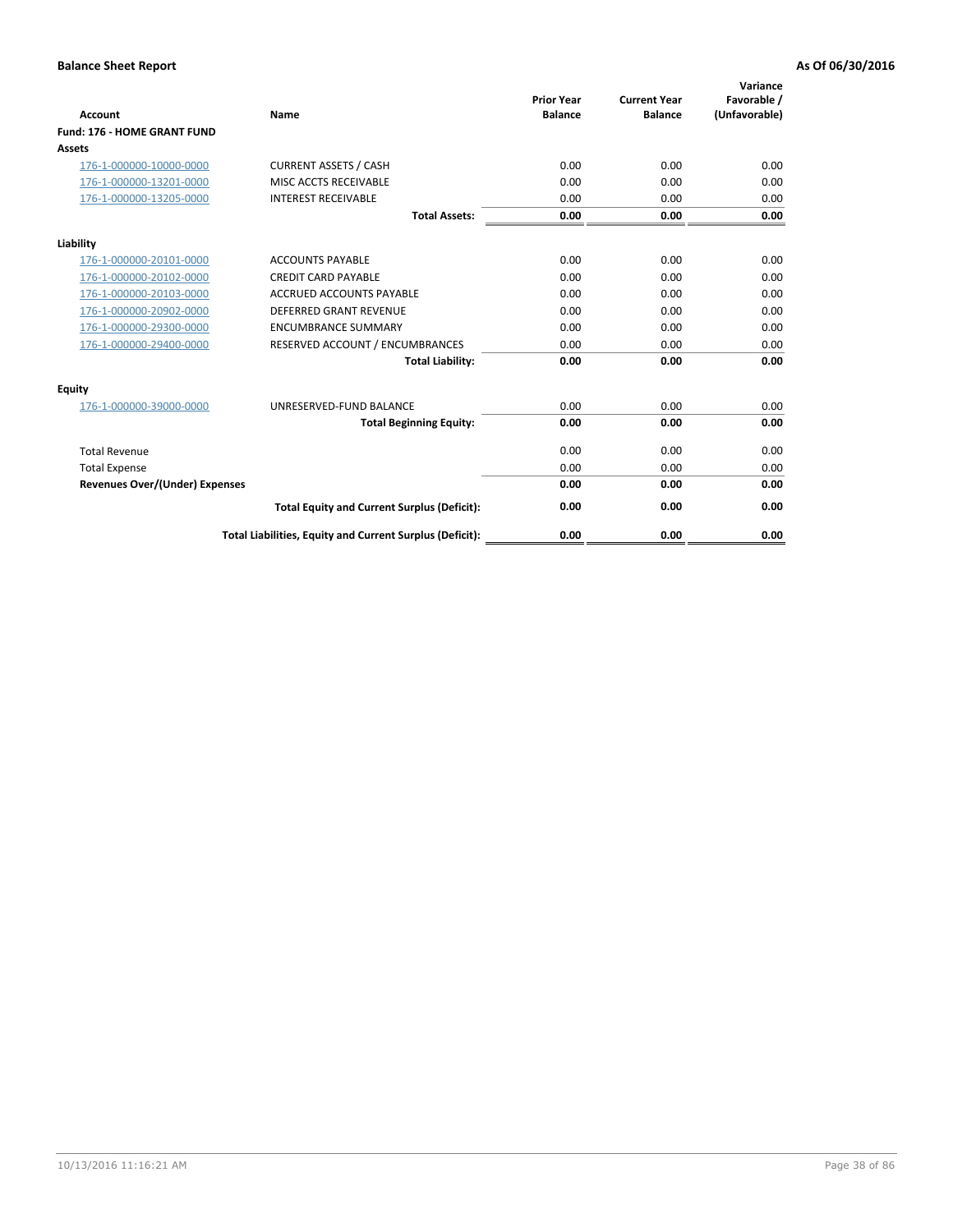| <b>Account</b>                        | <b>Name</b>                                              | <b>Prior Year</b><br><b>Balance</b> | <b>Current Year</b><br><b>Balance</b> | Variance<br>Favorable /<br>(Unfavorable) |
|---------------------------------------|----------------------------------------------------------|-------------------------------------|---------------------------------------|------------------------------------------|
| <b>Fund: 176 - HOME GRANT FUND</b>    |                                                          |                                     |                                       |                                          |
| Assets                                |                                                          |                                     |                                       |                                          |
| 176-1-000000-10000-0000               | <b>CURRENT ASSETS / CASH</b>                             | 0.00                                | 0.00                                  | 0.00                                     |
| 176-1-000000-13201-0000               | MISC ACCTS RECEIVABLE                                    | 0.00                                | 0.00                                  | 0.00                                     |
| 176-1-000000-13205-0000               | <b>INTEREST RECEIVABLE</b>                               | 0.00                                | 0.00                                  | 0.00                                     |
|                                       | <b>Total Assets:</b>                                     | 0.00                                | 0.00                                  | 0.00                                     |
| Liability                             |                                                          |                                     |                                       |                                          |
| 176-1-000000-20101-0000               | <b>ACCOUNTS PAYABLE</b>                                  | 0.00                                | 0.00                                  | 0.00                                     |
| 176-1-000000-20102-0000               | <b>CREDIT CARD PAYABLE</b>                               | 0.00                                | 0.00                                  | 0.00                                     |
| 176-1-000000-20103-0000               | <b>ACCRUED ACCOUNTS PAYABLE</b>                          | 0.00                                | 0.00                                  | 0.00                                     |
| 176-1-000000-20902-0000               | DEFERRED GRANT REVENUE                                   | 0.00                                | 0.00                                  | 0.00                                     |
| 176-1-000000-29300-0000               | <b>ENCUMBRANCE SUMMARY</b>                               | 0.00                                | 0.00                                  | 0.00                                     |
| 176-1-000000-29400-0000               | RESERVED ACCOUNT / ENCUMBRANCES                          | 0.00                                | 0.00                                  | 0.00                                     |
|                                       | <b>Total Liability:</b>                                  | 0.00                                | 0.00                                  | 0.00                                     |
| Equity                                |                                                          |                                     |                                       |                                          |
| 176-1-000000-39000-0000               | UNRESERVED-FUND BALANCE                                  | 0.00                                | 0.00                                  | 0.00                                     |
|                                       | <b>Total Beginning Equity:</b>                           | 0.00                                | 0.00                                  | 0.00                                     |
| <b>Total Revenue</b>                  |                                                          | 0.00                                | 0.00                                  | 0.00                                     |
| <b>Total Expense</b>                  |                                                          | 0.00                                | 0.00                                  | 0.00                                     |
| <b>Revenues Over/(Under) Expenses</b> |                                                          | 0.00                                | 0.00                                  | 0.00                                     |
|                                       | <b>Total Equity and Current Surplus (Deficit):</b>       | 0.00                                | 0.00                                  | 0.00                                     |
|                                       | Total Liabilities, Equity and Current Surplus (Deficit): | 0.00                                | 0.00                                  | 0.00                                     |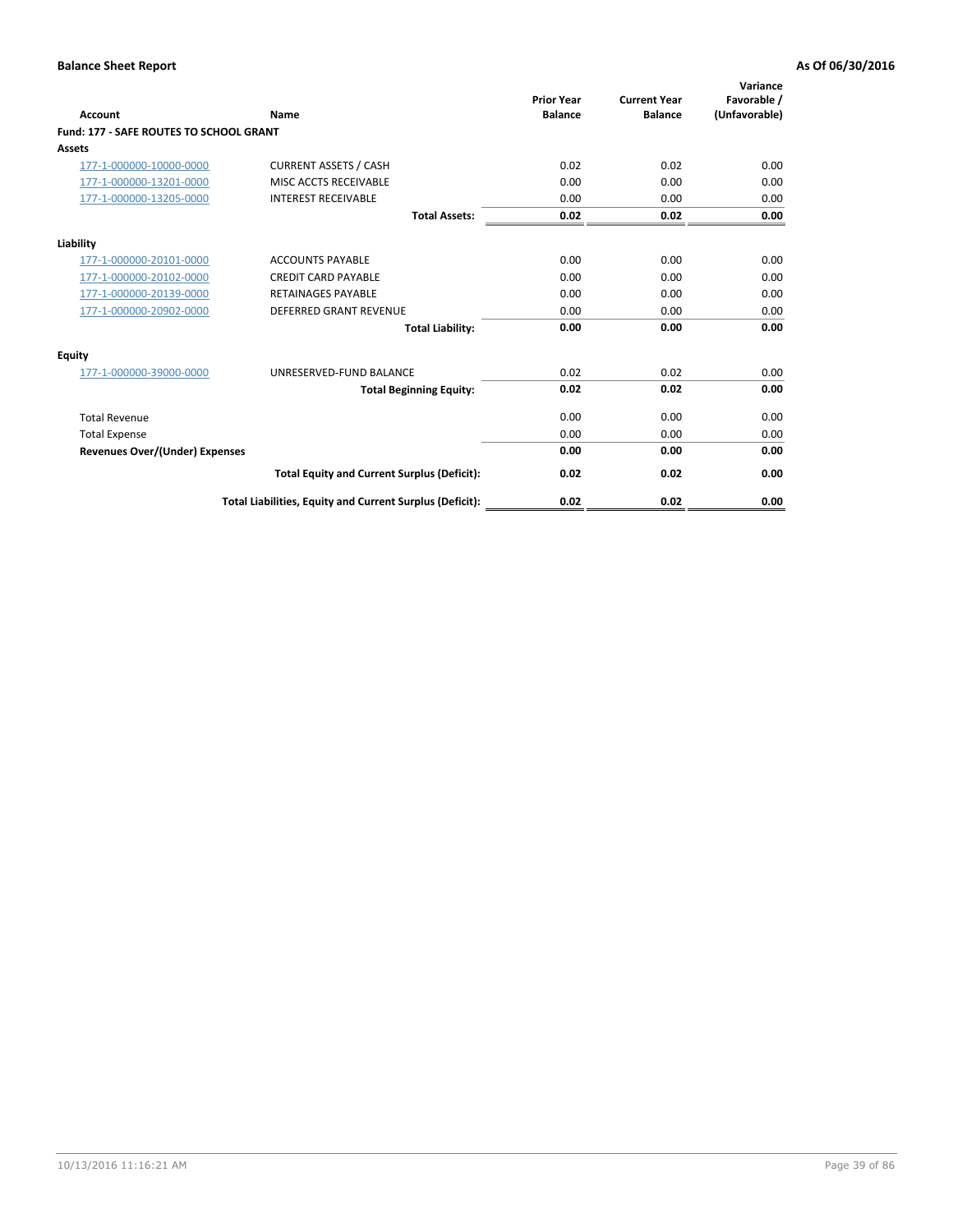| Account                                 | Name                                                     | <b>Prior Year</b><br><b>Balance</b> | <b>Current Year</b><br><b>Balance</b> | Variance<br>Favorable /<br>(Unfavorable) |
|-----------------------------------------|----------------------------------------------------------|-------------------------------------|---------------------------------------|------------------------------------------|
| Fund: 177 - SAFE ROUTES TO SCHOOL GRANT |                                                          |                                     |                                       |                                          |
| Assets                                  |                                                          |                                     |                                       |                                          |
| 177-1-000000-10000-0000                 | <b>CURRENT ASSETS / CASH</b>                             | 0.02                                | 0.02                                  | 0.00                                     |
| 177-1-000000-13201-0000                 | MISC ACCTS RECEIVABLE                                    | 0.00                                | 0.00                                  | 0.00                                     |
| 177-1-000000-13205-0000                 | <b>INTEREST RECEIVABLE</b>                               | 0.00                                | 0.00                                  | 0.00                                     |
|                                         | <b>Total Assets:</b>                                     | 0.02                                | 0.02                                  | 0.00                                     |
| Liability                               |                                                          |                                     |                                       |                                          |
| 177-1-000000-20101-0000                 | <b>ACCOUNTS PAYABLE</b>                                  | 0.00                                | 0.00                                  | 0.00                                     |
| 177-1-000000-20102-0000                 | <b>CREDIT CARD PAYABLE</b>                               | 0.00                                | 0.00                                  | 0.00                                     |
| 177-1-000000-20139-0000                 | <b>RETAINAGES PAYABLE</b>                                | 0.00                                | 0.00                                  | 0.00                                     |
| 177-1-000000-20902-0000                 | <b>DEFERRED GRANT REVENUE</b>                            | 0.00                                | 0.00                                  | 0.00                                     |
|                                         | <b>Total Liability:</b>                                  | 0.00                                | 0.00                                  | 0.00                                     |
| <b>Equity</b>                           |                                                          |                                     |                                       |                                          |
| 177-1-000000-39000-0000                 | UNRESERVED-FUND BALANCE                                  | 0.02                                | 0.02                                  | 0.00                                     |
|                                         | <b>Total Beginning Equity:</b>                           | 0.02                                | 0.02                                  | 0.00                                     |
| <b>Total Revenue</b>                    |                                                          | 0.00                                | 0.00                                  | 0.00                                     |
| <b>Total Expense</b>                    |                                                          | 0.00                                | 0.00                                  | 0.00                                     |
| Revenues Over/(Under) Expenses          |                                                          | 0.00                                | 0.00                                  | 0.00                                     |
|                                         | <b>Total Equity and Current Surplus (Deficit):</b>       | 0.02                                | 0.02                                  | 0.00                                     |
|                                         | Total Liabilities, Equity and Current Surplus (Deficit): | 0.02                                | 0.02                                  | 0.00                                     |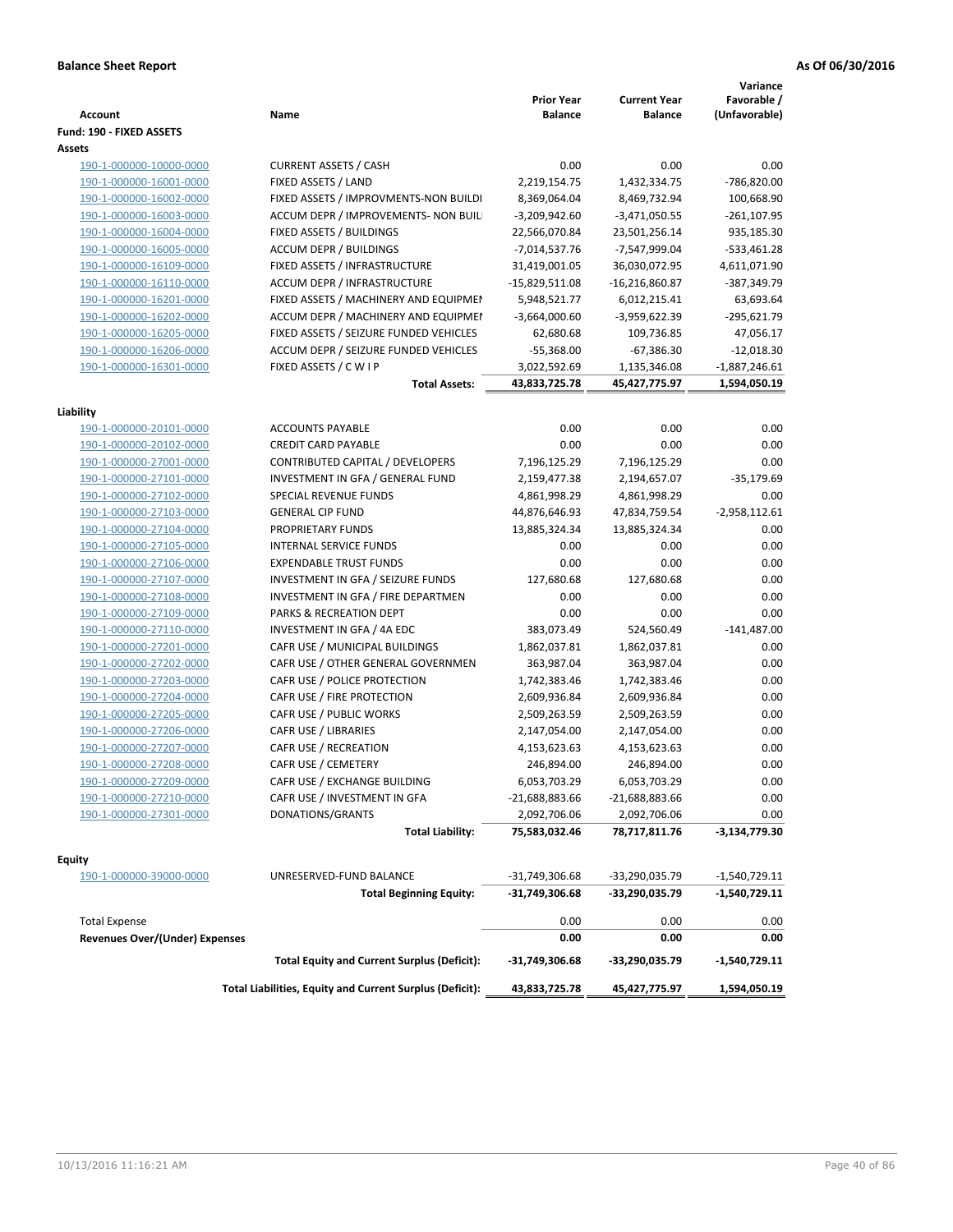| <b>Account</b>                                     | Name                                                            | <b>Prior Year</b><br><b>Balance</b> | <b>Current Year</b><br><b>Balance</b> | Variance<br>Favorable /<br>(Unfavorable) |
|----------------------------------------------------|-----------------------------------------------------------------|-------------------------------------|---------------------------------------|------------------------------------------|
| Fund: 190 - FIXED ASSETS                           |                                                                 |                                     |                                       |                                          |
| Assets<br>190-1-000000-10000-0000                  | <b>CURRENT ASSETS / CASH</b>                                    | 0.00                                | 0.00                                  | 0.00                                     |
| 190-1-000000-16001-0000                            | FIXED ASSETS / LAND                                             | 2,219,154.75                        | 1,432,334.75                          | -786,820.00                              |
|                                                    | FIXED ASSETS / IMPROVMENTS-NON BUILDI                           | 8,369,064.04                        |                                       | 100,668.90                               |
| 190-1-000000-16002-0000                            |                                                                 |                                     | 8,469,732.94                          |                                          |
| 190-1-000000-16003-0000<br>190-1-000000-16004-0000 | ACCUM DEPR / IMPROVEMENTS- NON BUIL<br>FIXED ASSETS / BUILDINGS | $-3,209,942.60$<br>22,566,070.84    | $-3,471,050.55$                       | $-261, 107.95$<br>935,185.30             |
| 190-1-000000-16005-0000                            | <b>ACCUM DEPR / BUILDINGS</b>                                   | $-7,014,537.76$                     | 23,501,256.14<br>-7,547,999.04        | $-533,461.28$                            |
| 190-1-000000-16109-0000                            | FIXED ASSETS / INFRASTRUCTURE                                   | 31,419,001.05                       | 36,030,072.95                         | 4,611,071.90                             |
| 190-1-000000-16110-0000                            | ACCUM DEPR / INFRASTRUCTURE                                     | $-15,829,511.08$                    | $-16,216,860.87$                      | -387,349.79                              |
| 190-1-000000-16201-0000                            | FIXED ASSETS / MACHINERY AND EQUIPMEN                           | 5,948,521.77                        | 6,012,215.41                          | 63,693.64                                |
| 190-1-000000-16202-0000                            | ACCUM DEPR / MACHINERY AND EQUIPMEI                             | $-3,664,000.60$                     | -3,959,622.39                         | -295,621.79                              |
| 190-1-000000-16205-0000                            | FIXED ASSETS / SEIZURE FUNDED VEHICLES                          | 62,680.68                           |                                       | 47,056.17                                |
| 190-1-000000-16206-0000                            | ACCUM DEPR / SEIZURE FUNDED VEHICLES                            | $-55,368.00$                        | 109,736.85<br>$-67,386.30$            | $-12,018.30$                             |
| 190-1-000000-16301-0000                            | FIXED ASSETS / C W I P                                          | 3,022,592.69                        | 1,135,346.08                          | $-1,887,246.61$                          |
|                                                    | <b>Total Assets:</b>                                            | 43,833,725.78                       | 45,427,775.97                         | 1,594,050.19                             |
|                                                    |                                                                 |                                     |                                       |                                          |
| Liability                                          |                                                                 |                                     |                                       |                                          |
| 190-1-000000-20101-0000                            | <b>ACCOUNTS PAYABLE</b>                                         | 0.00                                | 0.00                                  | 0.00                                     |
| 190-1-000000-20102-0000                            | <b>CREDIT CARD PAYABLE</b>                                      | 0.00                                | 0.00                                  | 0.00                                     |
| 190-1-000000-27001-0000                            | CONTRIBUTED CAPITAL / DEVELOPERS                                | 7,196,125.29                        | 7,196,125.29                          | 0.00                                     |
| 190-1-000000-27101-0000                            | INVESTMENT IN GFA / GENERAL FUND                                | 2,159,477.38                        | 2,194,657.07                          | $-35,179.69$                             |
| 190-1-000000-27102-0000                            | SPECIAL REVENUE FUNDS                                           | 4,861,998.29                        | 4,861,998.29                          | 0.00                                     |
| 190-1-000000-27103-0000                            | <b>GENERAL CIP FUND</b>                                         | 44,876,646.93                       | 47,834,759.54                         | $-2,958,112.61$                          |
| 190-1-000000-27104-0000                            | PROPRIETARY FUNDS                                               | 13,885,324.34                       | 13,885,324.34                         | 0.00                                     |
| 190-1-000000-27105-0000                            | <b>INTERNAL SERVICE FUNDS</b>                                   | 0.00                                | 0.00                                  | 0.00                                     |
| 190-1-000000-27106-0000                            | <b>EXPENDABLE TRUST FUNDS</b>                                   | 0.00                                | 0.00                                  | 0.00                                     |
| 190-1-000000-27107-0000                            | INVESTMENT IN GFA / SEIZURE FUNDS                               | 127,680.68                          | 127,680.68                            | 0.00                                     |
| 190-1-000000-27108-0000                            | INVESTMENT IN GFA / FIRE DEPARTMEN                              | 0.00                                | 0.00                                  | 0.00                                     |
| 190-1-000000-27109-0000                            | PARKS & RECREATION DEPT                                         | 0.00                                | 0.00                                  | 0.00                                     |
| 190-1-000000-27110-0000                            | INVESTMENT IN GFA / 4A EDC                                      | 383,073.49                          | 524,560.49                            | $-141,487.00$                            |
| 190-1-000000-27201-0000                            | CAFR USE / MUNICIPAL BUILDINGS                                  | 1,862,037.81                        | 1,862,037.81                          | 0.00                                     |
| 190-1-000000-27202-0000                            | CAFR USE / OTHER GENERAL GOVERNMEN                              | 363,987.04                          | 363,987.04                            | 0.00                                     |
| 190-1-000000-27203-0000                            | CAFR USE / POLICE PROTECTION                                    | 1,742,383.46                        | 1,742,383.46                          | 0.00                                     |
| 190-1-000000-27204-0000                            | CAFR USE / FIRE PROTECTION                                      | 2,609,936.84                        | 2,609,936.84                          | 0.00                                     |
| 190-1-000000-27205-0000                            | CAFR USE / PUBLIC WORKS                                         | 2,509,263.59                        | 2,509,263.59                          | 0.00                                     |
| 190-1-000000-27206-0000                            | CAFR USE / LIBRARIES                                            | 2,147,054.00                        | 2,147,054.00                          | 0.00                                     |
| 190-1-000000-27207-0000                            | CAFR USE / RECREATION                                           | 4,153,623.63                        | 4,153,623.63                          | 0.00                                     |
| 190-1-000000-27208-0000                            | CAFR USE / CEMETERY                                             | 246,894.00                          | 246,894.00                            | 0.00                                     |
| 190-1-000000-27209-0000                            | CAFR USE / EXCHANGE BUILDING                                    | 6,053,703.29                        | 6,053,703.29                          | 0.00                                     |
| 190-1-000000-27210-0000                            | CAFR USE / INVESTMENT IN GFA                                    | -21,688,883.66                      | -21,688,883.66                        | 0.00                                     |
| 190-1-000000-27301-0000                            | DONATIONS/GRANTS                                                | 2,092,706.06                        | 2,092,706.06                          | 0.00                                     |
|                                                    | <b>Total Liability:</b>                                         | 75,583,032.46                       | 78,717,811.76                         | -3,134,779.30                            |
| <b>Equity</b>                                      |                                                                 |                                     |                                       |                                          |
| 190-1-000000-39000-0000                            | UNRESERVED-FUND BALANCE                                         | -31,749,306.68                      | -33,290,035.79                        | -1,540,729.11                            |
|                                                    | <b>Total Beginning Equity:</b>                                  | -31,749,306.68                      | -33,290,035.79                        | -1,540,729.11                            |
|                                                    |                                                                 |                                     |                                       |                                          |
| <b>Total Expense</b>                               |                                                                 | 0.00                                | 0.00                                  | 0.00                                     |
| <b>Revenues Over/(Under) Expenses</b>              |                                                                 | 0.00                                | 0.00                                  | 0.00                                     |
|                                                    | <b>Total Equity and Current Surplus (Deficit):</b>              | -31,749,306.68                      | -33,290,035.79                        | -1,540,729.11                            |
|                                                    | Total Liabilities, Equity and Current Surplus (Deficit):        | 43,833,725.78                       | 45,427,775.97                         | 1,594,050.19                             |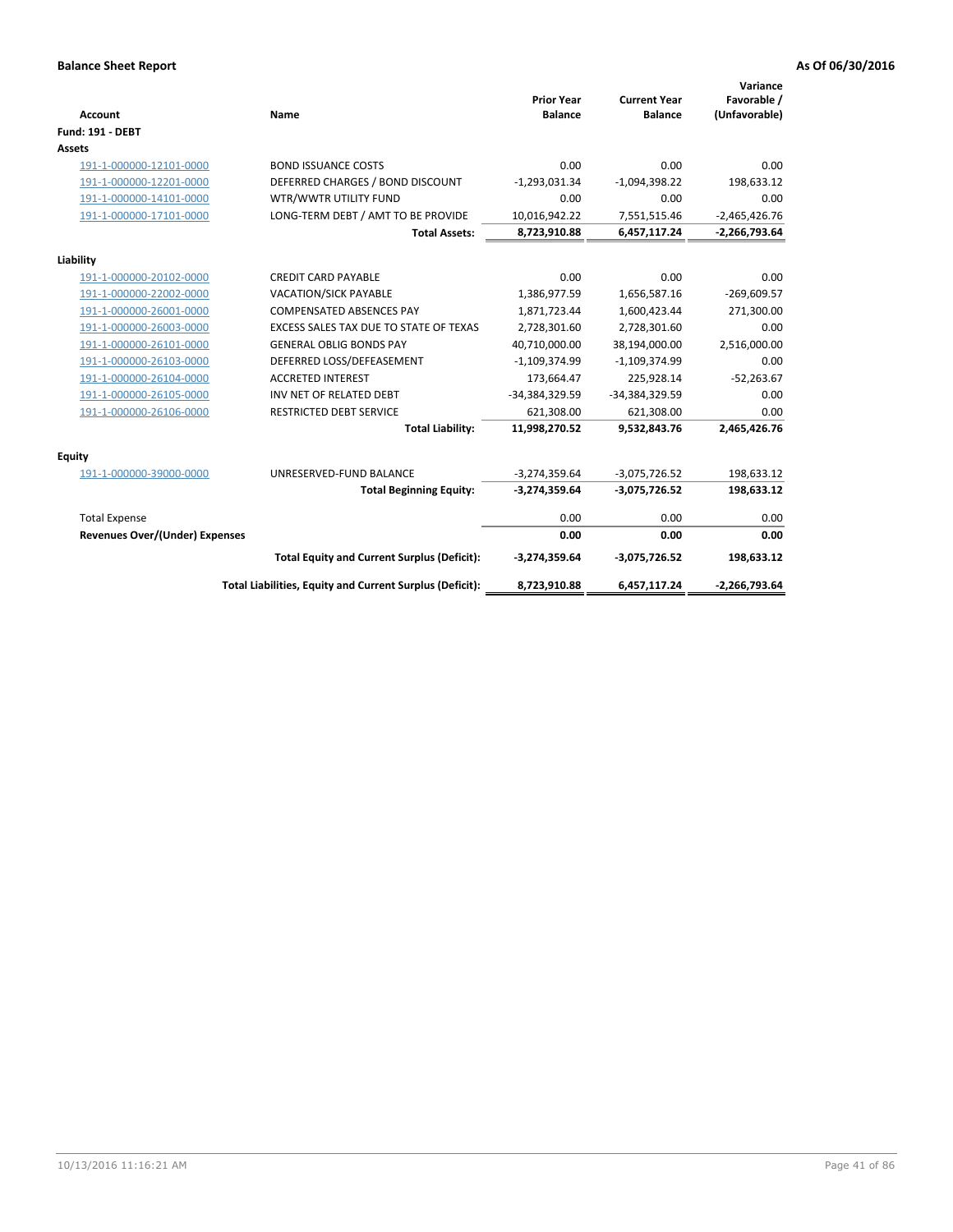| <b>Account</b>                 | Name                                                     | <b>Prior Year</b><br><b>Balance</b> | <b>Current Year</b><br><b>Balance</b> | Variance<br>Favorable /<br>(Unfavorable) |
|--------------------------------|----------------------------------------------------------|-------------------------------------|---------------------------------------|------------------------------------------|
| <b>Fund: 191 - DEBT</b>        |                                                          |                                     |                                       |                                          |
| <b>Assets</b>                  |                                                          |                                     |                                       |                                          |
| 191-1-000000-12101-0000        | <b>BOND ISSUANCE COSTS</b>                               | 0.00                                | 0.00                                  | 0.00                                     |
| 191-1-000000-12201-0000        | DEFERRED CHARGES / BOND DISCOUNT                         | $-1,293,031.34$                     | $-1,094,398.22$                       | 198,633.12                               |
| 191-1-000000-14101-0000        | WTR/WWTR UTILITY FUND                                    | 0.00                                | 0.00                                  | 0.00                                     |
| 191-1-000000-17101-0000        | LONG-TERM DEBT / AMT TO BE PROVIDE                       | 10,016,942.22                       | 7,551,515.46                          | $-2,465,426.76$                          |
|                                | <b>Total Assets:</b>                                     | 8,723,910.88                        | 6,457,117.24                          | $-2,266,793.64$                          |
| Liability                      |                                                          |                                     |                                       |                                          |
| 191-1-000000-20102-0000        | <b>CREDIT CARD PAYABLE</b>                               | 0.00                                | 0.00                                  | 0.00                                     |
| 191-1-000000-22002-0000        | <b>VACATION/SICK PAYABLE</b>                             | 1,386,977.59                        | 1,656,587.16                          | $-269,609.57$                            |
| 191-1-000000-26001-0000        | <b>COMPENSATED ABSENCES PAY</b>                          | 1,871,723.44                        | 1,600,423.44                          | 271,300.00                               |
| 191-1-000000-26003-0000        | EXCESS SALES TAX DUE TO STATE OF TEXAS                   | 2,728,301.60                        | 2,728,301.60                          | 0.00                                     |
| 191-1-000000-26101-0000        | <b>GENERAL OBLIG BONDS PAY</b>                           | 40,710,000.00                       | 38,194,000.00                         | 2,516,000.00                             |
| 191-1-000000-26103-0000        | DEFERRED LOSS/DEFEASEMENT                                | $-1,109,374.99$                     | $-1,109,374.99$                       | 0.00                                     |
| 191-1-000000-26104-0000        | <b>ACCRETED INTEREST</b>                                 | 173,664.47                          | 225,928.14                            | $-52,263.67$                             |
| 191-1-000000-26105-0000        | INV NET OF RELATED DEBT                                  | -34,384,329.59                      | -34,384,329.59                        | 0.00                                     |
| 191-1-000000-26106-0000        | RESTRICTED DEBT SERVICE                                  | 621,308.00                          | 621,308.00                            | 0.00                                     |
|                                | <b>Total Liability:</b>                                  | 11,998,270.52                       | 9,532,843.76                          | 2,465,426.76                             |
| Equity                         |                                                          |                                     |                                       |                                          |
| 191-1-000000-39000-0000        | UNRESERVED-FUND BALANCE                                  | $-3,274,359.64$                     | $-3,075,726.52$                       | 198,633.12                               |
|                                | <b>Total Beginning Equity:</b>                           | $-3,274,359.64$                     | $-3,075,726.52$                       | 198,633.12                               |
| <b>Total Expense</b>           |                                                          | 0.00                                | 0.00                                  | 0.00                                     |
| Revenues Over/(Under) Expenses |                                                          | 0.00                                | 0.00                                  | 0.00                                     |
|                                | <b>Total Equity and Current Surplus (Deficit):</b>       | $-3,274,359.64$                     | $-3,075,726.52$                       | 198,633.12                               |
|                                | Total Liabilities, Equity and Current Surplus (Deficit): | 8,723,910.88                        | 6,457,117.24                          | $-2,266,793.64$                          |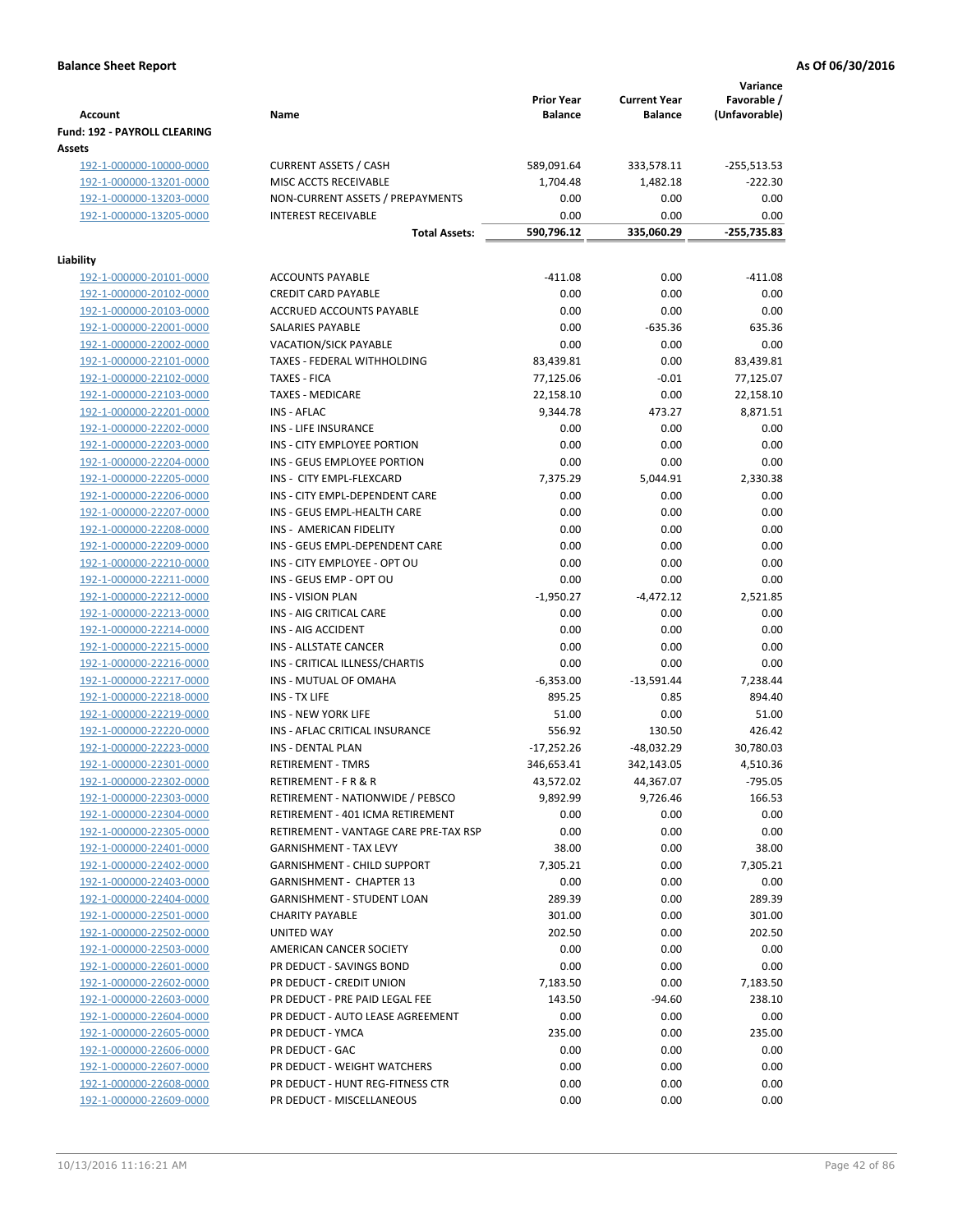| <b>Account</b>                                | Name                                  | <b>Prior Year</b><br><b>Balance</b> | <b>Current Year</b><br><b>Balance</b> | Variance<br>Favorable /<br>(Unfavorable) |
|-----------------------------------------------|---------------------------------------|-------------------------------------|---------------------------------------|------------------------------------------|
| <b>Fund: 192 - PAYROLL CLEARING</b><br>Assets |                                       |                                     |                                       |                                          |
| 192-1-000000-10000-0000                       | <b>CURRENT ASSETS / CASH</b>          | 589,091.64                          | 333,578.11                            | -255,513.53                              |
| 192-1-000000-13201-0000                       | MISC ACCTS RECEIVABLE                 | 1,704.48                            | 1,482.18                              | $-222.30$                                |
| 192-1-000000-13203-0000                       | NON-CURRENT ASSETS / PREPAYMENTS      | 0.00                                | 0.00                                  | 0.00                                     |
| 192-1-000000-13205-0000                       | <b>INTEREST RECEIVABLE</b>            | 0.00                                | 0.00                                  | 0.00                                     |
|                                               | <b>Total Assets:</b>                  | 590,796.12                          | 335,060.29                            | -255,735.83                              |
| Liability                                     |                                       |                                     |                                       |                                          |
| 192-1-000000-20101-0000                       | <b>ACCOUNTS PAYABLE</b>               | $-411.08$                           | 0.00                                  | $-411.08$                                |
| 192-1-000000-20102-0000                       | <b>CREDIT CARD PAYABLE</b>            | 0.00                                | 0.00                                  | 0.00                                     |
| 192-1-000000-20103-0000                       | ACCRUED ACCOUNTS PAYABLE              | 0.00                                | 0.00                                  | 0.00                                     |
| 192-1-000000-22001-0000                       | SALARIES PAYABLE                      | 0.00                                | $-635.36$                             | 635.36                                   |
| 192-1-000000-22002-0000                       | <b>VACATION/SICK PAYABLE</b>          | 0.00                                | 0.00                                  | 0.00                                     |
| 192-1-000000-22101-0000                       | TAXES - FEDERAL WITHHOLDING           | 83,439.81                           | 0.00                                  | 83,439.81                                |
| 192-1-000000-22102-0000                       | <b>TAXES - FICA</b>                   | 77,125.06                           | $-0.01$                               | 77,125.07                                |
| 192-1-000000-22103-0000                       | <b>TAXES - MEDICARE</b>               | 22,158.10                           | 0.00                                  | 22,158.10                                |
| 192-1-000000-22201-0000                       | <b>INS - AFLAC</b>                    | 9,344.78                            | 473.27                                | 8,871.51                                 |
| 192-1-000000-22202-0000                       | INS - LIFE INSURANCE                  | 0.00                                | 0.00                                  | 0.00                                     |
| 192-1-000000-22203-0000                       | INS - CITY EMPLOYEE PORTION           | 0.00                                | 0.00                                  | 0.00                                     |
| 192-1-000000-22204-0000                       | INS - GEUS EMPLOYEE PORTION           | 0.00                                | 0.00                                  | 0.00                                     |
| 192-1-000000-22205-0000                       | INS - CITY EMPL-FLEXCARD              | 7,375.29                            | 5,044.91                              | 2,330.38                                 |
| 192-1-000000-22206-0000                       | INS - CITY EMPL-DEPENDENT CARE        | 0.00                                | 0.00                                  | 0.00                                     |
| 192-1-000000-22207-0000                       | INS - GEUS EMPL-HEALTH CARE           | 0.00                                | 0.00                                  | 0.00                                     |
| 192-1-000000-22208-0000                       | INS - AMERICAN FIDELITY               | 0.00                                | 0.00                                  | 0.00                                     |
| 192-1-000000-22209-0000                       | INS - GEUS EMPL-DEPENDENT CARE        | 0.00                                | 0.00                                  | 0.00                                     |
| 192-1-000000-22210-0000                       | INS - CITY EMPLOYEE - OPT OU          | 0.00                                | 0.00                                  | 0.00                                     |
| 192-1-000000-22211-0000                       | INS - GEUS EMP - OPT OU               | 0.00                                | 0.00                                  | 0.00                                     |
| 192-1-000000-22212-0000                       | <b>INS - VISION PLAN</b>              | $-1,950.27$                         | $-4,472.12$                           | 2,521.85                                 |
| 192-1-000000-22213-0000                       | INS - AIG CRITICAL CARE               | 0.00                                | 0.00                                  | 0.00                                     |
| 192-1-000000-22214-0000                       | INS - AIG ACCIDENT                    | 0.00                                | 0.00                                  | 0.00                                     |
| 192-1-000000-22215-0000                       | INS - ALLSTATE CANCER                 | 0.00                                | 0.00                                  | 0.00                                     |
| 192-1-000000-22216-0000                       | INS - CRITICAL ILLNESS/CHARTIS        | 0.00                                | 0.00                                  | 0.00                                     |
| 192-1-000000-22217-0000                       | INS - MUTUAL OF OMAHA                 | $-6,353.00$                         | $-13,591.44$                          | 7,238.44                                 |
| 192-1-000000-22218-0000                       | INS - TX LIFE                         | 895.25                              | 0.85                                  | 894.40                                   |
| 192-1-000000-22219-0000                       | <b>INS - NEW YORK LIFE</b>            | 51.00                               | 0.00                                  | 51.00                                    |
| 192-1-000000-22220-0000                       | INS - AFLAC CRITICAL INSURANCE        | 556.92                              | 130.50                                | 426.42                                   |
| 192-1-000000-22223-0000                       | INS - DENTAL PLAN                     | $-17,252.26$                        | $-48,032.29$                          | 30,780.03                                |
| 192-1-000000-22301-0000                       | <b>RETIREMENT - TMRS</b>              | 346,653.41                          | 342,143.05                            | 4,510.36                                 |
| 192-1-000000-22302-0000                       | RETIREMENT - F R & R                  | 43,572.02                           | 44,367.07                             | $-795.05$                                |
| 192-1-000000-22303-0000                       | RETIREMENT - NATIONWIDE / PEBSCO      | 9,892.99                            | 9,726.46                              | 166.53                                   |
| 192-1-000000-22304-0000                       | RETIREMENT - 401 ICMA RETIREMENT      | 0.00                                | 0.00                                  | 0.00                                     |
| 192-1-000000-22305-0000                       | RETIREMENT - VANTAGE CARE PRE-TAX RSP | 0.00                                | 0.00                                  | 0.00                                     |
| 192-1-000000-22401-0000                       | <b>GARNISHMENT - TAX LEVY</b>         | 38.00                               | 0.00                                  | 38.00                                    |
| 192-1-000000-22402-0000                       | <b>GARNISHMENT - CHILD SUPPORT</b>    | 7,305.21                            | 0.00                                  | 7,305.21                                 |
| 192-1-000000-22403-0000                       | <b>GARNISHMENT - CHAPTER 13</b>       | 0.00                                | 0.00                                  | 0.00                                     |
| 192-1-000000-22404-0000                       | <b>GARNISHMENT - STUDENT LOAN</b>     | 289.39                              | 0.00                                  | 289.39                                   |
| 192-1-000000-22501-0000                       | <b>CHARITY PAYABLE</b>                | 301.00                              | 0.00                                  | 301.00                                   |
| 192-1-000000-22502-0000                       | UNITED WAY                            | 202.50                              | 0.00                                  | 202.50                                   |
| 192-1-000000-22503-0000                       | AMERICAN CANCER SOCIETY               | 0.00                                | 0.00                                  | 0.00                                     |
| 192-1-000000-22601-0000                       | PR DEDUCT - SAVINGS BOND              | 0.00                                | 0.00                                  | 0.00                                     |
| 192-1-000000-22602-0000                       | PR DEDUCT - CREDIT UNION              | 7,183.50                            | 0.00                                  | 7,183.50                                 |
| 192-1-000000-22603-0000                       | PR DEDUCT - PRE PAID LEGAL FEE        | 143.50                              | $-94.60$                              | 238.10                                   |
| 192-1-000000-22604-0000                       | PR DEDUCT - AUTO LEASE AGREEMENT      | 0.00                                | 0.00                                  | 0.00                                     |
| 192-1-000000-22605-0000                       | PR DEDUCT - YMCA                      | 235.00                              | 0.00                                  | 235.00                                   |
| 192-1-000000-22606-0000                       | PR DEDUCT - GAC                       | 0.00                                | 0.00                                  | 0.00                                     |
| 192-1-000000-22607-0000                       | PR DEDUCT - WEIGHT WATCHERS           | 0.00                                | 0.00                                  | 0.00                                     |
| 192-1-000000-22608-0000                       | PR DEDUCT - HUNT REG-FITNESS CTR      | 0.00                                | 0.00                                  | 0.00                                     |
| 192-1-000000-22609-0000                       | PR DEDUCT - MISCELLANEOUS             | 0.00                                | 0.00                                  | 0.00                                     |
|                                               |                                       |                                     |                                       |                                          |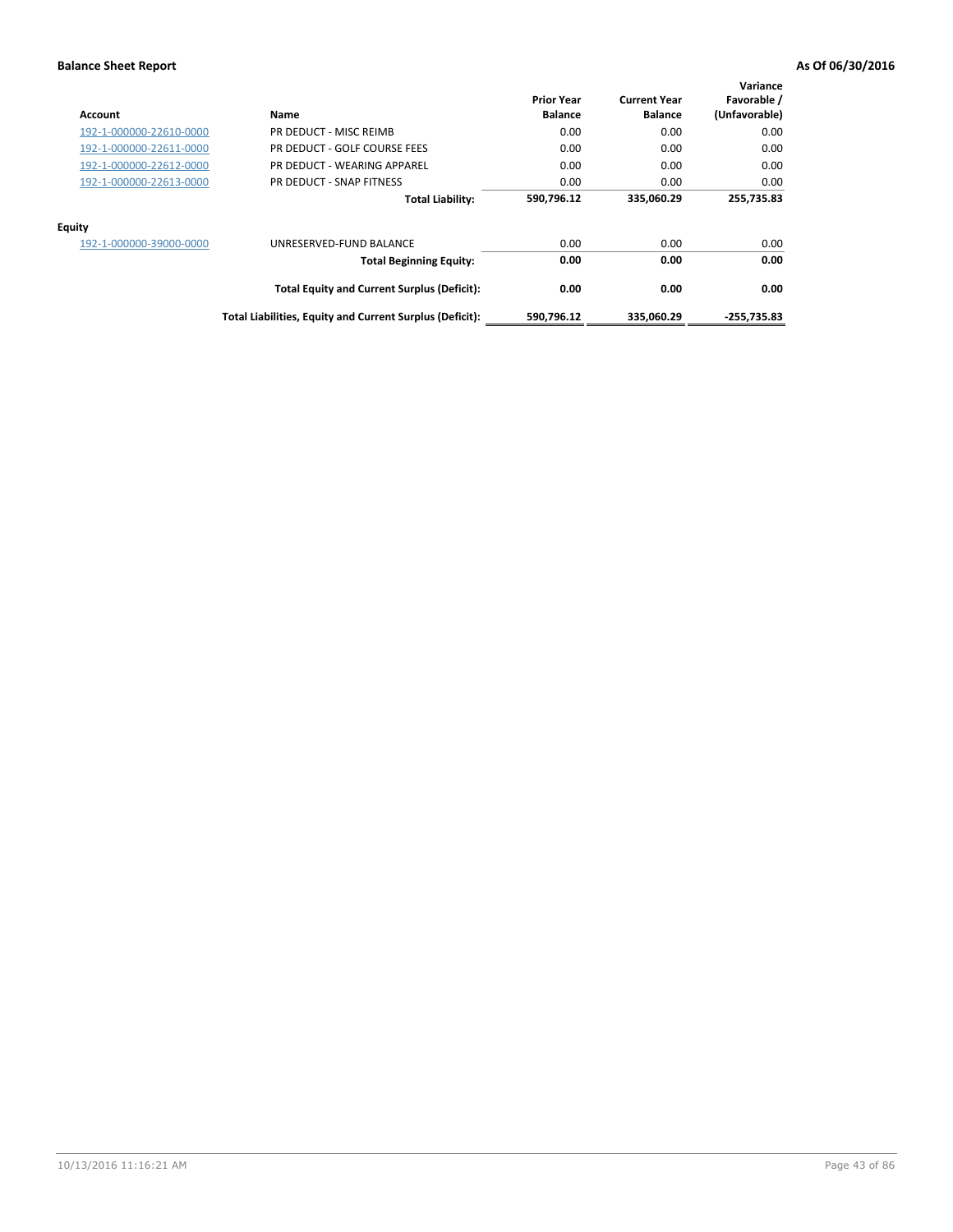| Account                 | Name                                                     | <b>Prior Year</b><br><b>Balance</b> | <b>Current Year</b><br><b>Balance</b> | Variance<br>Favorable /<br>(Unfavorable) |
|-------------------------|----------------------------------------------------------|-------------------------------------|---------------------------------------|------------------------------------------|
| 192-1-000000-22610-0000 | PR DEDUCT - MISC REIMB                                   | 0.00                                | 0.00                                  | 0.00                                     |
| 192-1-000000-22611-0000 | PR DEDUCT - GOLF COURSE FEES                             | 0.00                                | 0.00                                  | 0.00                                     |
| 192-1-000000-22612-0000 | PR DEDUCT - WEARING APPAREL                              | 0.00                                | 0.00                                  | 0.00                                     |
| 192-1-000000-22613-0000 | PR DEDUCT - SNAP FITNESS                                 | 0.00                                | 0.00                                  | 0.00                                     |
|                         | <b>Total Liability:</b>                                  | 590,796.12                          | 335,060.29                            | 255,735.83                               |
| <b>Equity</b>           |                                                          |                                     |                                       |                                          |
| 192-1-000000-39000-0000 | UNRESERVED-FUND BALANCE                                  | 0.00                                | 0.00                                  | 0.00                                     |
|                         | <b>Total Beginning Equity:</b>                           | 0.00                                | 0.00                                  | 0.00                                     |
|                         | <b>Total Equity and Current Surplus (Deficit):</b>       | 0.00                                | 0.00                                  | 0.00                                     |
|                         | Total Liabilities, Equity and Current Surplus (Deficit): | 590,796.12                          | 335,060.29                            | $-255.735.83$                            |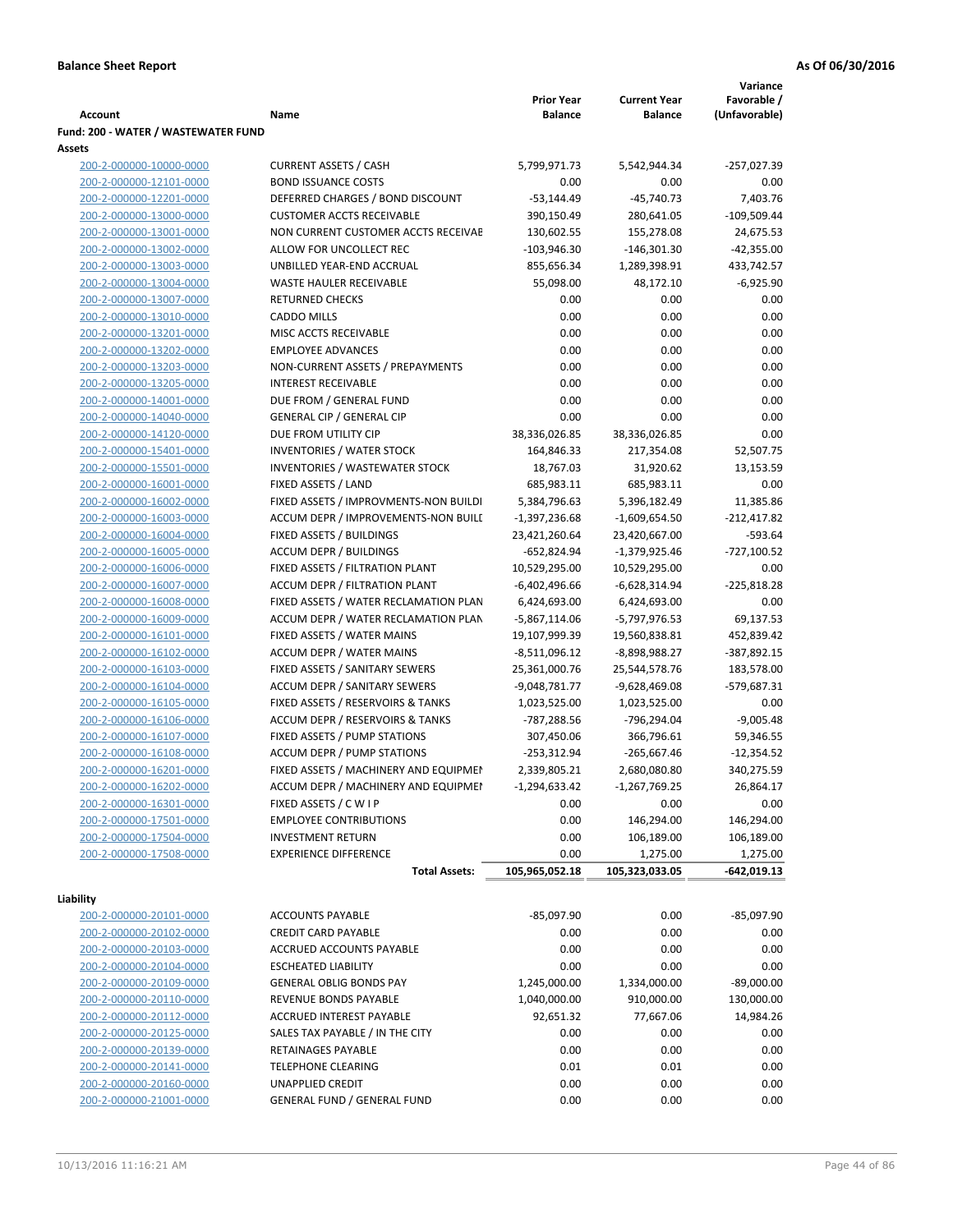|                                     |                                            |                   |                     | Variance      |
|-------------------------------------|--------------------------------------------|-------------------|---------------------|---------------|
|                                     |                                            | <b>Prior Year</b> | <b>Current Year</b> | Favorable /   |
| Account                             | Name                                       | <b>Balance</b>    | <b>Balance</b>      | (Unfavorable) |
| Fund: 200 - WATER / WASTEWATER FUND |                                            |                   |                     |               |
| Assets                              |                                            |                   |                     |               |
| 200-2-000000-10000-0000             | <b>CURRENT ASSETS / CASH</b>               | 5,799,971.73      | 5,542,944.34        | $-257,027.39$ |
| 200-2-000000-12101-0000             | <b>BOND ISSUANCE COSTS</b>                 | 0.00              | 0.00                | 0.00          |
| 200-2-000000-12201-0000             | DEFERRED CHARGES / BOND DISCOUNT           | $-53,144.49$      | $-45,740.73$        | 7,403.76      |
| 200-2-000000-13000-0000             | <b>CUSTOMER ACCTS RECEIVABLE</b>           | 390,150.49        | 280,641.05          | $-109,509.44$ |
| 200-2-000000-13001-0000             | NON CURRENT CUSTOMER ACCTS RECEIVAE        | 130,602.55        | 155,278.08          | 24,675.53     |
| 200-2-000000-13002-0000             | ALLOW FOR UNCOLLECT REC                    | $-103,946.30$     | $-146,301.30$       | $-42,355.00$  |
| 200-2-000000-13003-0000             | UNBILLED YEAR-END ACCRUAL                  | 855,656.34        | 1,289,398.91        | 433,742.57    |
| 200-2-000000-13004-0000             | <b>WASTE HAULER RECEIVABLE</b>             | 55,098.00         | 48,172.10           | $-6,925.90$   |
| 200-2-000000-13007-0000             | <b>RETURNED CHECKS</b>                     | 0.00              | 0.00                | 0.00          |
| 200-2-000000-13010-0000             | <b>CADDO MILLS</b>                         | 0.00              | 0.00                | 0.00          |
| 200-2-000000-13201-0000             | MISC ACCTS RECEIVABLE                      | 0.00              | 0.00                | 0.00          |
| 200-2-000000-13202-0000             | <b>EMPLOYEE ADVANCES</b>                   | 0.00              | 0.00                | 0.00          |
| 200-2-000000-13203-0000             | NON-CURRENT ASSETS / PREPAYMENTS           | 0.00              | 0.00                | 0.00          |
| 200-2-000000-13205-0000             | <b>INTEREST RECEIVABLE</b>                 | 0.00              | 0.00                | 0.00          |
| 200-2-000000-14001-0000             | DUE FROM / GENERAL FUND                    | 0.00              | 0.00                | 0.00          |
| 200-2-000000-14040-0000             | <b>GENERAL CIP / GENERAL CIP</b>           | 0.00              | 0.00                | 0.00          |
| 200-2-000000-14120-0000             | DUE FROM UTILITY CIP                       | 38,336,026.85     | 38,336,026.85       | 0.00          |
| 200-2-000000-15401-0000             | <b>INVENTORIES / WATER STOCK</b>           | 164,846.33        | 217,354.08          | 52,507.75     |
| 200-2-000000-15501-0000             | <b>INVENTORIES / WASTEWATER STOCK</b>      | 18,767.03         | 31,920.62           | 13,153.59     |
| 200-2-000000-16001-0000             | FIXED ASSETS / LAND                        | 685,983.11        | 685,983.11          | 0.00          |
| 200-2-000000-16002-0000             | FIXED ASSETS / IMPROVMENTS-NON BUILDI      | 5,384,796.63      | 5,396,182.49        | 11,385.86     |
| 200-2-000000-16003-0000             | ACCUM DEPR / IMPROVEMENTS-NON BUILI        | $-1,397,236.68$   |                     |               |
|                                     |                                            |                   | -1,609,654.50       | $-212,417.82$ |
| 200-2-000000-16004-0000             | FIXED ASSETS / BUILDINGS                   | 23,421,260.64     | 23,420,667.00       | $-593.64$     |
| 200-2-000000-16005-0000             | <b>ACCUM DEPR / BUILDINGS</b>              | $-652,824.94$     | $-1,379,925.46$     | $-727,100.52$ |
| 200-2-000000-16006-0000             | FIXED ASSETS / FILTRATION PLANT            | 10,529,295.00     | 10,529,295.00       | 0.00          |
| 200-2-000000-16007-0000             | ACCUM DEPR / FILTRATION PLANT              | $-6,402,496.66$   | $-6,628,314.94$     | $-225,818.28$ |
| 200-2-000000-16008-0000             | FIXED ASSETS / WATER RECLAMATION PLAN      | 6,424,693.00      | 6,424,693.00        | 0.00          |
| 200-2-000000-16009-0000             | ACCUM DEPR / WATER RECLAMATION PLAN        | $-5,867,114.06$   | -5,797,976.53       | 69,137.53     |
| 200-2-000000-16101-0000             | FIXED ASSETS / WATER MAINS                 | 19,107,999.39     | 19,560,838.81       | 452,839.42    |
| 200-2-000000-16102-0000             | <b>ACCUM DEPR / WATER MAINS</b>            | $-8,511,096.12$   | -8,898,988.27       | -387,892.15   |
| 200-2-000000-16103-0000             | FIXED ASSETS / SANITARY SEWERS             | 25,361,000.76     | 25,544,578.76       | 183,578.00    |
| 200-2-000000-16104-0000             | <b>ACCUM DEPR / SANITARY SEWERS</b>        | $-9,048,781.77$   | $-9,628,469.08$     | $-579,687.31$ |
| 200-2-000000-16105-0000             | FIXED ASSETS / RESERVOIRS & TANKS          | 1,023,525.00      | 1,023,525.00        | 0.00          |
| 200-2-000000-16106-0000             | <b>ACCUM DEPR / RESERVOIRS &amp; TANKS</b> | -787,288.56       | -796,294.04         | $-9,005.48$   |
| 200-2-000000-16107-0000             | FIXED ASSETS / PUMP STATIONS               | 307,450.06        | 366,796.61          | 59,346.55     |
| 200-2-000000-16108-0000             | <b>ACCUM DEPR / PUMP STATIONS</b>          | $-253,312.94$     | $-265,667.46$       | $-12,354.52$  |
| 200-2-000000-16201-0000             | FIXED ASSETS / MACHINERY AND EQUIPMEN      | 2,339,805.21      | 2,680,080.80        | 340,275.59    |
| 200-2-000000-16202-0000             | ACCUM DEPR / MACHINERY AND EQUIPMEI        | $-1,294,633.42$   | $-1,267,769.25$     | 26,864.17     |
| 200-2-000000-16301-0000             | FIXED ASSETS / C W I P                     | 0.00              | 0.00                | 0.00          |
| 200-2-000000-17501-0000             | <b>EMPLOYEE CONTRIBUTIONS</b>              | 0.00              | 146,294.00          | 146,294.00    |
| 200-2-000000-17504-0000             | <b>INVESTMENT RETURN</b>                   | 0.00              | 106,189.00          | 106,189.00    |
| 200-2-000000-17508-0000             | <b>EXPERIENCE DIFFERENCE</b>               | 0.00              | 1,275.00            | 1,275.00      |
|                                     | <b>Total Assets:</b>                       | 105,965,052.18    | 105,323,033.05      | -642,019.13   |
|                                     |                                            |                   |                     |               |
| Liability                           |                                            |                   |                     |               |
| 200-2-000000-20101-0000             | <b>ACCOUNTS PAYABLE</b>                    | $-85,097.90$      | 0.00                | $-85,097.90$  |
| 200-2-000000-20102-0000             | <b>CREDIT CARD PAYABLE</b>                 | 0.00              | 0.00                | 0.00          |
| 200-2-000000-20103-0000             | ACCRUED ACCOUNTS PAYABLE                   | 0.00              | 0.00                | 0.00          |
| 200-2-000000-20104-0000             | <b>ESCHEATED LIABILITY</b>                 | 0.00              | 0.00                | 0.00          |
| 200-2-000000-20109-0000             | <b>GENERAL OBLIG BONDS PAY</b>             | 1,245,000.00      | 1,334,000.00        | $-89,000.00$  |
| 200-2-000000-20110-0000             | REVENUE BONDS PAYABLE                      | 1,040,000.00      | 910,000.00          | 130,000.00    |
| 200-2-000000-20112-0000             | ACCRUED INTEREST PAYABLE                   | 92,651.32         | 77,667.06           | 14,984.26     |
| 200-2-000000-20125-0000             | SALES TAX PAYABLE / IN THE CITY            | 0.00              | 0.00                | 0.00          |
| 200-2-000000-20139-0000             | RETAINAGES PAYABLE                         | 0.00              | 0.00                | 0.00          |
| 200-2-000000-20141-0000             | <b>TELEPHONE CLEARING</b>                  | 0.01              | 0.01                | 0.00          |
| 200-2-000000-20160-0000             | <b>UNAPPLIED CREDIT</b>                    | 0.00              | 0.00                | 0.00          |
| 200-2-000000-21001-0000             | GENERAL FUND / GENERAL FUND                | 0.00              | 0.00                | 0.00          |
|                                     |                                            |                   |                     |               |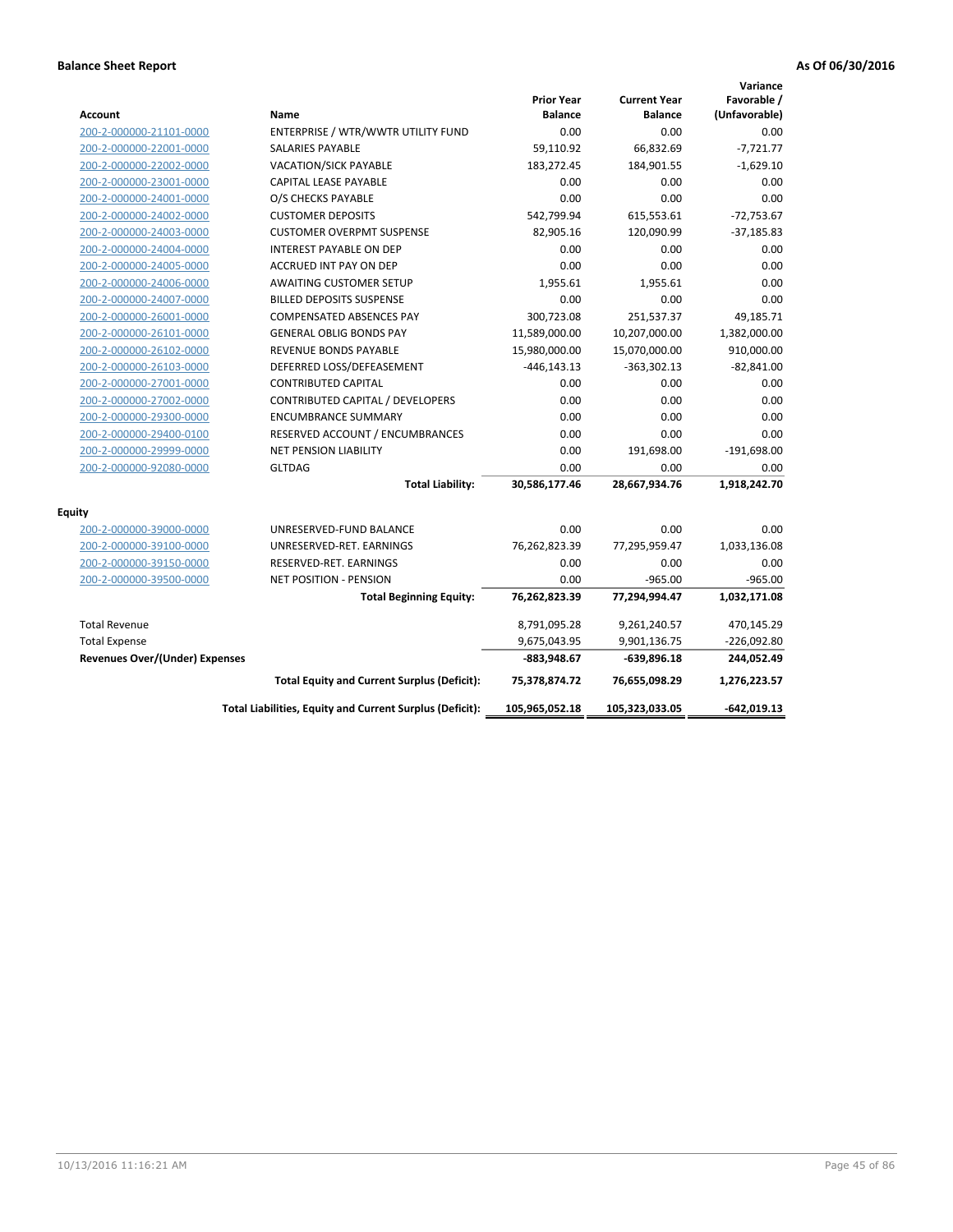| <b>Account</b>                        | Name                                                     | <b>Prior Year</b><br><b>Balance</b> | <b>Current Year</b><br><b>Balance</b> | Variance<br>Favorable /<br>(Unfavorable) |
|---------------------------------------|----------------------------------------------------------|-------------------------------------|---------------------------------------|------------------------------------------|
| 200-2-000000-21101-0000               | ENTERPRISE / WTR/WWTR UTILITY FUND                       | 0.00                                | 0.00                                  | 0.00                                     |
| 200-2-000000-22001-0000               | <b>SALARIES PAYABLE</b>                                  | 59,110.92                           | 66,832.69                             | $-7,721.77$                              |
| 200-2-000000-22002-0000               | <b>VACATION/SICK PAYABLE</b>                             | 183,272.45                          | 184,901.55                            | $-1,629.10$                              |
| 200-2-000000-23001-0000               | CAPITAL LEASE PAYABLE                                    | 0.00                                | 0.00                                  | 0.00                                     |
| 200-2-000000-24001-0000               | O/S CHECKS PAYABLE                                       | 0.00                                | 0.00                                  | 0.00                                     |
| 200-2-000000-24002-0000               | <b>CUSTOMER DEPOSITS</b>                                 | 542,799.94                          | 615,553.61                            | $-72,753.67$                             |
| 200-2-000000-24003-0000               | <b>CUSTOMER OVERPMT SUSPENSE</b>                         | 82,905.16                           | 120,090.99                            | $-37,185.83$                             |
| 200-2-000000-24004-0000               | <b>INTEREST PAYABLE ON DEP</b>                           | 0.00                                | 0.00                                  | 0.00                                     |
| 200-2-000000-24005-0000               | ACCRUED INT PAY ON DEP                                   | 0.00                                | 0.00                                  | 0.00                                     |
| 200-2-000000-24006-0000               | <b>AWAITING CUSTOMER SETUP</b>                           | 1,955.61                            | 1,955.61                              | 0.00                                     |
| 200-2-000000-24007-0000               | <b>BILLED DEPOSITS SUSPENSE</b>                          | 0.00                                | 0.00                                  | 0.00                                     |
| 200-2-000000-26001-0000               | <b>COMPENSATED ABSENCES PAY</b>                          | 300,723.08                          | 251,537.37                            | 49,185.71                                |
| 200-2-000000-26101-0000               | <b>GENERAL OBLIG BONDS PAY</b>                           | 11,589,000.00                       | 10,207,000.00                         | 1,382,000.00                             |
| 200-2-000000-26102-0000               | <b>REVENUE BONDS PAYABLE</b>                             | 15,980,000.00                       | 15,070,000.00                         | 910,000.00                               |
| 200-2-000000-26103-0000               | DEFERRED LOSS/DEFEASEMENT                                | $-446, 143.13$                      | $-363,302.13$                         | $-82,841.00$                             |
| 200-2-000000-27001-0000               | <b>CONTRIBUTED CAPITAL</b>                               | 0.00                                | 0.00                                  | 0.00                                     |
| 200-2-000000-27002-0000               | CONTRIBUTED CAPITAL / DEVELOPERS                         | 0.00                                | 0.00                                  | 0.00                                     |
| 200-2-000000-29300-0000               | <b>ENCUMBRANCE SUMMARY</b>                               | 0.00                                | 0.00                                  | 0.00                                     |
| 200-2-000000-29400-0100               | RESERVED ACCOUNT / ENCUMBRANCES                          | 0.00                                | 0.00                                  | 0.00                                     |
| 200-2-000000-29999-0000               | <b>NET PENSION LIABILITY</b>                             | 0.00                                | 191,698.00                            | $-191,698.00$                            |
| 200-2-000000-92080-0000               | <b>GLTDAG</b>                                            | 0.00                                | 0.00                                  | 0.00                                     |
|                                       | <b>Total Liability:</b>                                  | 30,586,177.46                       | 28,667,934.76                         | 1,918,242.70                             |
| <b>Equity</b>                         |                                                          |                                     |                                       |                                          |
| 200-2-000000-39000-0000               | UNRESERVED-FUND BALANCE                                  | 0.00                                | 0.00                                  | 0.00                                     |
| 200-2-000000-39100-0000               | UNRESERVED-RET. EARNINGS                                 | 76,262,823.39                       | 77,295,959.47                         | 1,033,136.08                             |
| 200-2-000000-39150-0000               | RESERVED-RET. EARNINGS                                   | 0.00                                | 0.00                                  | 0.00                                     |
| 200-2-000000-39500-0000               | <b>NET POSITION - PENSION</b>                            | 0.00                                | $-965.00$                             | $-965.00$                                |
|                                       | <b>Total Beginning Equity:</b>                           | 76,262,823.39                       | 77,294,994.47                         | 1,032,171.08                             |
| <b>Total Revenue</b>                  |                                                          | 8,791,095.28                        | 9,261,240.57                          | 470,145.29                               |
| <b>Total Expense</b>                  |                                                          | 9,675,043.95                        | 9,901,136.75                          | $-226,092.80$                            |
| <b>Revenues Over/(Under) Expenses</b> |                                                          | -883,948.67                         | $-639,896.18$                         | 244,052.49                               |
|                                       | <b>Total Equity and Current Surplus (Deficit):</b>       | 75,378,874.72                       | 76,655,098.29                         | 1,276,223.57                             |
|                                       | Total Liabilities, Equity and Current Surplus (Deficit): | 105,965,052.18                      | 105,323,033.05                        | $-642,019.13$                            |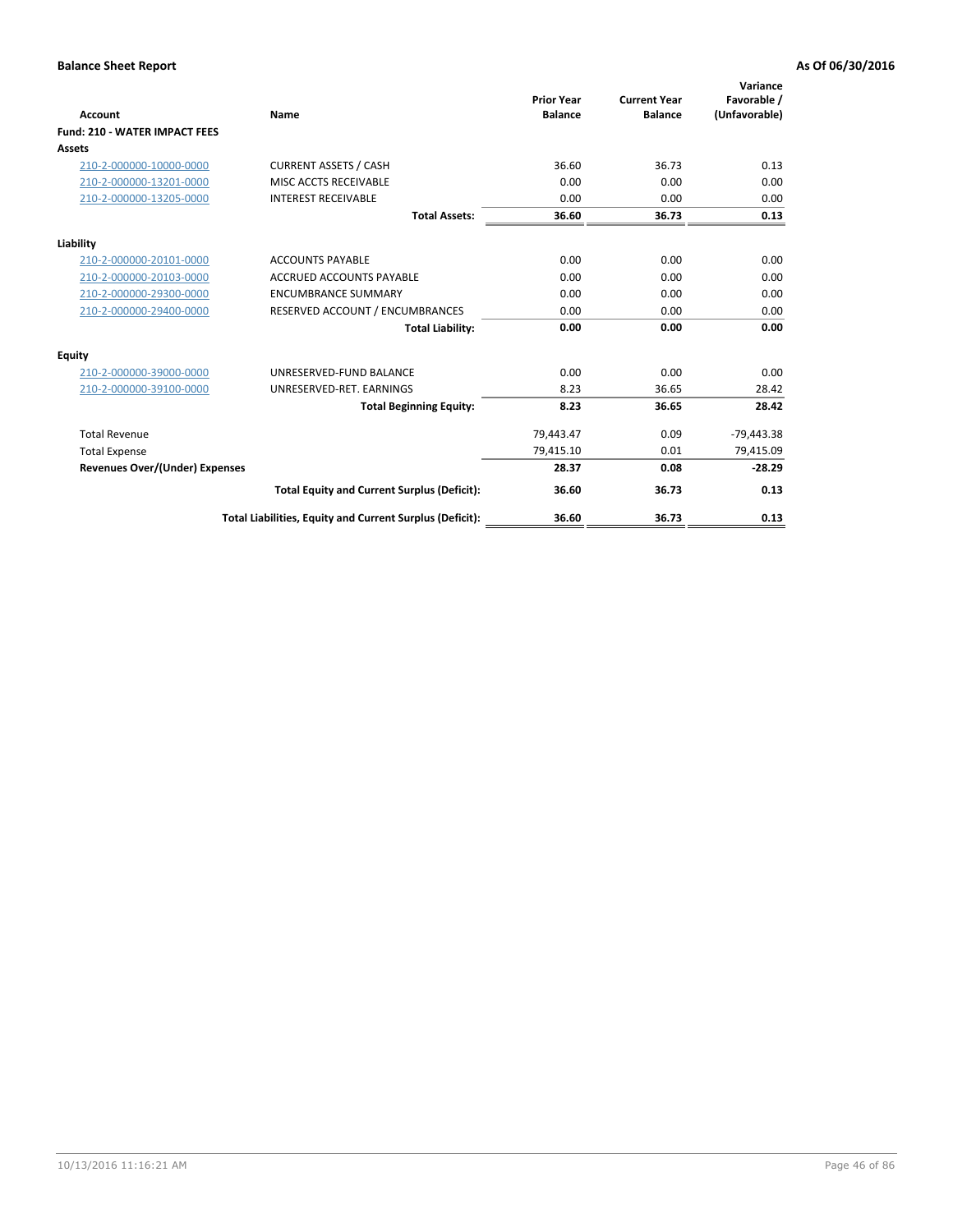| <b>Account</b>                        | Name                                                     | <b>Prior Year</b><br><b>Balance</b> | <b>Current Year</b><br><b>Balance</b> | Variance<br>Favorable /<br>(Unfavorable) |
|---------------------------------------|----------------------------------------------------------|-------------------------------------|---------------------------------------|------------------------------------------|
| <b>Fund: 210 - WATER IMPACT FEES</b>  |                                                          |                                     |                                       |                                          |
| <b>Assets</b>                         |                                                          |                                     |                                       |                                          |
| 210-2-000000-10000-0000               | <b>CURRENT ASSETS / CASH</b>                             | 36.60                               | 36.73                                 | 0.13                                     |
| 210-2-000000-13201-0000               | MISC ACCTS RECEIVABLE                                    | 0.00                                | 0.00                                  | 0.00                                     |
| 210-2-000000-13205-0000               | <b>INTEREST RECEIVABLE</b>                               | 0.00                                | 0.00                                  | 0.00                                     |
|                                       | <b>Total Assets:</b>                                     | 36.60                               | 36.73                                 | 0.13                                     |
| Liability                             |                                                          |                                     |                                       |                                          |
| 210-2-000000-20101-0000               | <b>ACCOUNTS PAYABLE</b>                                  | 0.00                                | 0.00                                  | 0.00                                     |
| 210-2-000000-20103-0000               | <b>ACCRUED ACCOUNTS PAYABLE</b>                          | 0.00                                | 0.00                                  | 0.00                                     |
| 210-2-000000-29300-0000               | <b>ENCUMBRANCE SUMMARY</b>                               | 0.00                                | 0.00                                  | 0.00                                     |
| 210-2-000000-29400-0000               | RESERVED ACCOUNT / ENCUMBRANCES                          | 0.00                                | 0.00                                  | 0.00                                     |
|                                       | <b>Total Liability:</b>                                  | 0.00                                | 0.00                                  | 0.00                                     |
| <b>Equity</b>                         |                                                          |                                     |                                       |                                          |
| 210-2-000000-39000-0000               | UNRESERVED-FUND BALANCE                                  | 0.00                                | 0.00                                  | 0.00                                     |
| 210-2-000000-39100-0000               | UNRESERVED-RET. EARNINGS                                 | 8.23                                | 36.65                                 | 28.42                                    |
|                                       | <b>Total Beginning Equity:</b>                           | 8.23                                | 36.65                                 | 28.42                                    |
| <b>Total Revenue</b>                  |                                                          | 79,443.47                           | 0.09                                  | $-79,443.38$                             |
| <b>Total Expense</b>                  |                                                          | 79,415.10                           | 0.01                                  | 79,415.09                                |
| <b>Revenues Over/(Under) Expenses</b> |                                                          | 28.37                               | 0.08                                  | $-28.29$                                 |
|                                       | <b>Total Equity and Current Surplus (Deficit):</b>       | 36.60                               | 36.73                                 | 0.13                                     |
|                                       | Total Liabilities, Equity and Current Surplus (Deficit): | 36.60                               | 36.73                                 | 0.13                                     |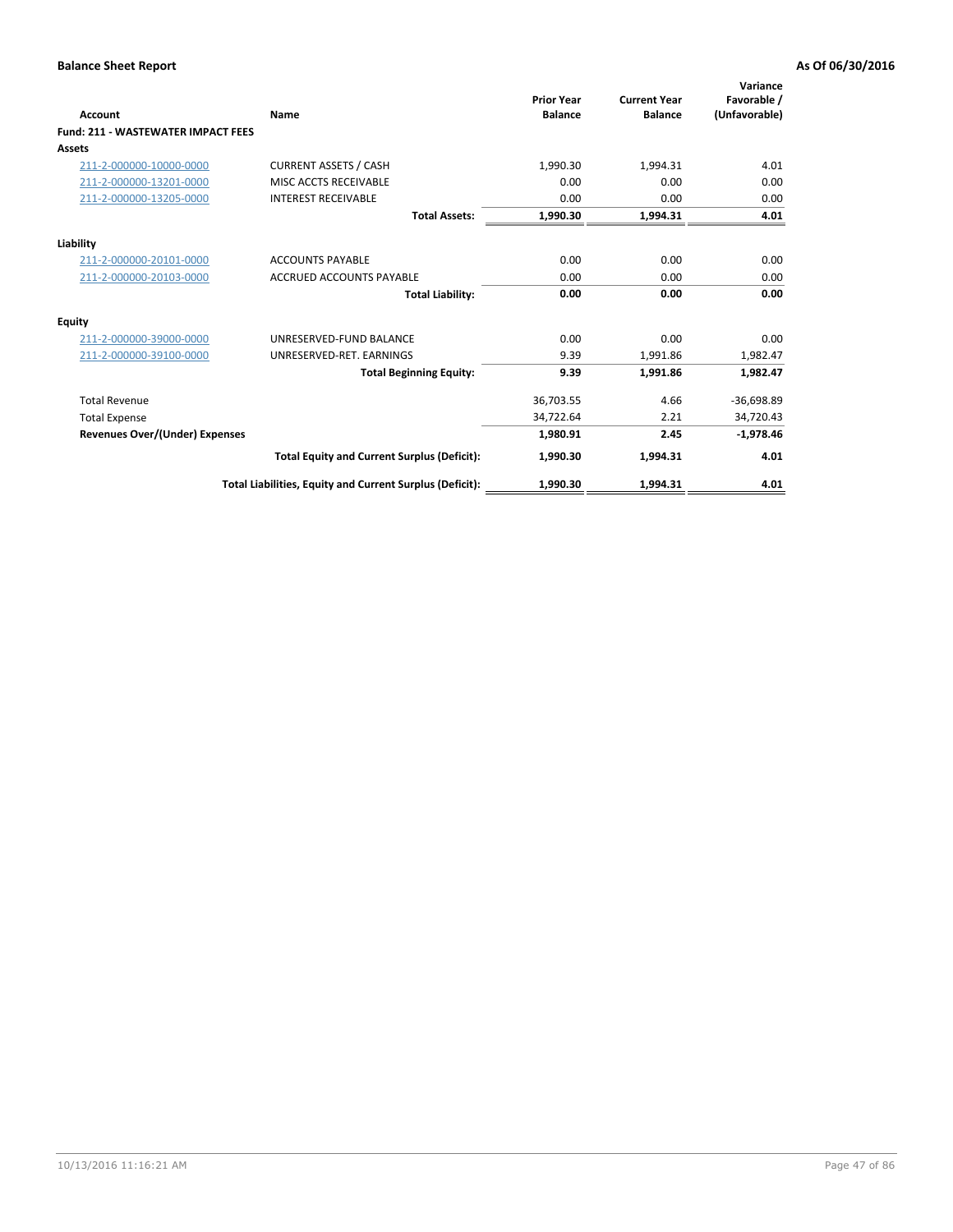| Account                                   | Name                                                     | <b>Prior Year</b><br><b>Balance</b> | <b>Current Year</b><br><b>Balance</b> | Variance<br>Favorable /<br>(Unfavorable) |
|-------------------------------------------|----------------------------------------------------------|-------------------------------------|---------------------------------------|------------------------------------------|
| <b>Fund: 211 - WASTEWATER IMPACT FEES</b> |                                                          |                                     |                                       |                                          |
| <b>Assets</b>                             |                                                          |                                     |                                       |                                          |
| 211-2-000000-10000-0000                   | <b>CURRENT ASSETS / CASH</b>                             | 1,990.30                            | 1,994.31                              | 4.01                                     |
| 211-2-000000-13201-0000                   | MISC ACCTS RECEIVABLE                                    | 0.00                                | 0.00                                  | 0.00                                     |
| 211-2-000000-13205-0000                   | <b>INTEREST RECEIVABLE</b>                               | 0.00                                | 0.00                                  | 0.00                                     |
|                                           | <b>Total Assets:</b>                                     | 1,990.30                            | 1,994.31                              | 4.01                                     |
| Liability                                 |                                                          |                                     |                                       |                                          |
| 211-2-000000-20101-0000                   | <b>ACCOUNTS PAYABLE</b>                                  | 0.00                                | 0.00                                  | 0.00                                     |
| 211-2-000000-20103-0000                   | <b>ACCRUED ACCOUNTS PAYABLE</b>                          | 0.00                                | 0.00                                  | 0.00                                     |
|                                           | <b>Total Liability:</b>                                  | 0.00                                | 0.00                                  | 0.00                                     |
| Equity                                    |                                                          |                                     |                                       |                                          |
| 211-2-000000-39000-0000                   | UNRESERVED-FUND BALANCE                                  | 0.00                                | 0.00                                  | 0.00                                     |
| 211-2-000000-39100-0000                   | UNRESERVED-RET. EARNINGS                                 | 9.39                                | 1,991.86                              | 1,982.47                                 |
|                                           | <b>Total Beginning Equity:</b>                           | 9.39                                | 1,991.86                              | 1,982.47                                 |
| <b>Total Revenue</b>                      |                                                          | 36,703.55                           | 4.66                                  | $-36,698.89$                             |
| <b>Total Expense</b>                      |                                                          | 34,722.64                           | 2.21                                  | 34,720.43                                |
| <b>Revenues Over/(Under) Expenses</b>     |                                                          | 1.980.91                            | 2.45                                  | $-1,978.46$                              |
|                                           | <b>Total Equity and Current Surplus (Deficit):</b>       | 1,990.30                            | 1,994.31                              | 4.01                                     |
|                                           | Total Liabilities, Equity and Current Surplus (Deficit): | 1,990.30                            | 1,994.31                              | 4.01                                     |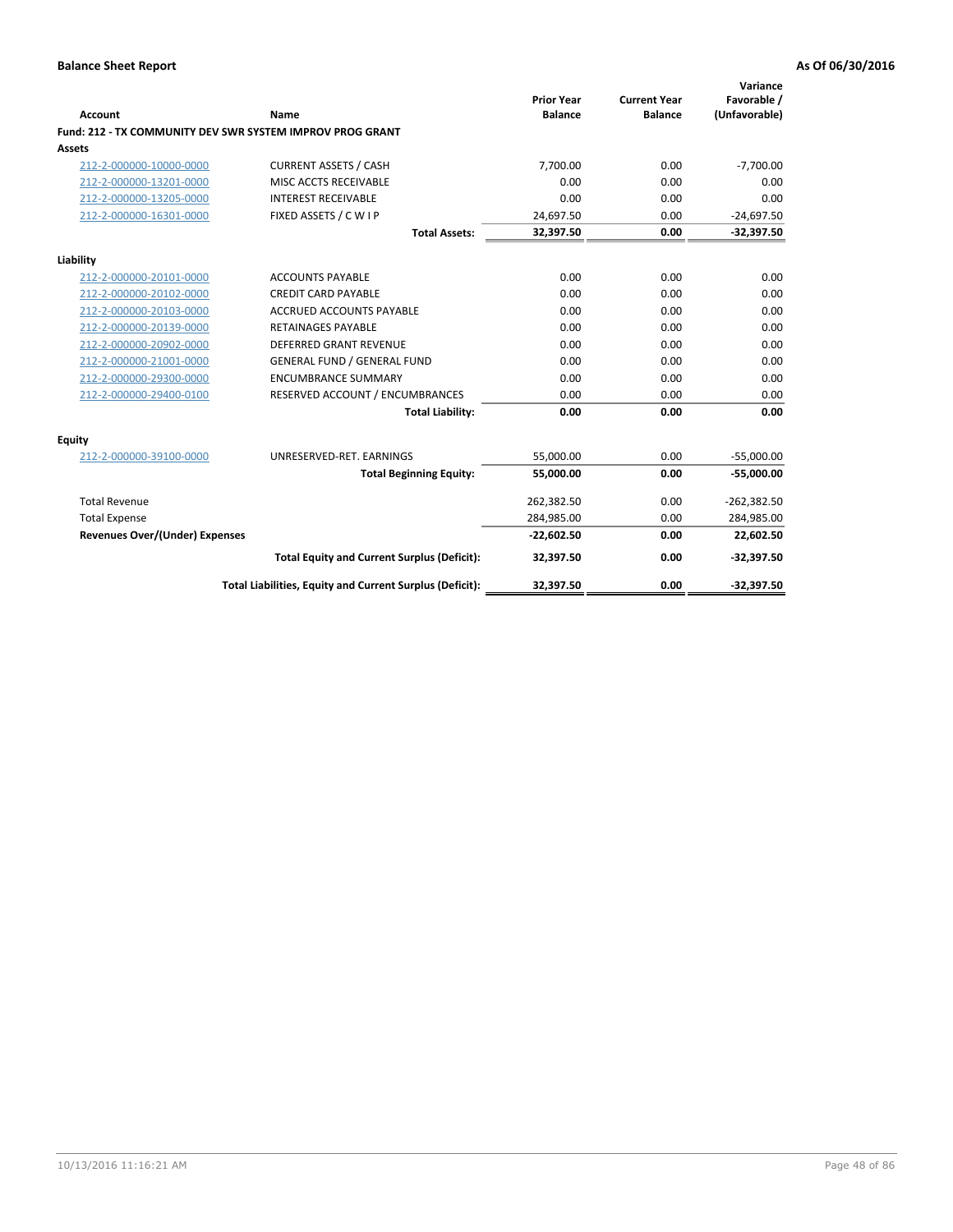| <b>Account</b>                        | Name                                                      | <b>Prior Year</b><br><b>Balance</b> | <b>Current Year</b><br><b>Balance</b> | Variance<br>Favorable /<br>(Unfavorable) |
|---------------------------------------|-----------------------------------------------------------|-------------------------------------|---------------------------------------|------------------------------------------|
|                                       | Fund: 212 - TX COMMUNITY DEV SWR SYSTEM IMPROV PROG GRANT |                                     |                                       |                                          |
| <b>Assets</b>                         |                                                           |                                     |                                       |                                          |
| 212-2-000000-10000-0000               | <b>CURRENT ASSETS / CASH</b>                              | 7,700.00                            | 0.00                                  | $-7,700.00$                              |
| 212-2-000000-13201-0000               | MISC ACCTS RECEIVABLE                                     | 0.00                                | 0.00                                  | 0.00                                     |
| 212-2-000000-13205-0000               | <b>INTEREST RECEIVABLE</b>                                | 0.00                                | 0.00                                  | 0.00                                     |
| 212-2-000000-16301-0000               | FIXED ASSETS / C W I P                                    | 24,697.50                           | 0.00                                  | $-24,697.50$                             |
|                                       | <b>Total Assets:</b>                                      | 32,397.50                           | 0.00                                  | $-32,397.50$                             |
| Liability                             |                                                           |                                     |                                       |                                          |
| 212-2-000000-20101-0000               | <b>ACCOUNTS PAYABLE</b>                                   | 0.00                                | 0.00                                  | 0.00                                     |
| 212-2-000000-20102-0000               | <b>CREDIT CARD PAYABLE</b>                                | 0.00                                | 0.00                                  | 0.00                                     |
| 212-2-000000-20103-0000               | <b>ACCRUED ACCOUNTS PAYABLE</b>                           | 0.00                                | 0.00                                  | 0.00                                     |
| 212-2-000000-20139-0000               | <b>RETAINAGES PAYABLE</b>                                 | 0.00                                | 0.00                                  | 0.00                                     |
| 212-2-000000-20902-0000               | <b>DEFERRED GRANT REVENUE</b>                             | 0.00                                | 0.00                                  | 0.00                                     |
| 212-2-000000-21001-0000               | <b>GENERAL FUND / GENERAL FUND</b>                        | 0.00                                | 0.00                                  | 0.00                                     |
| 212-2-000000-29300-0000               | <b>ENCUMBRANCE SUMMARY</b>                                | 0.00                                | 0.00                                  | 0.00                                     |
| 212-2-000000-29400-0100               | RESERVED ACCOUNT / ENCUMBRANCES                           | 0.00                                | 0.00                                  | 0.00                                     |
|                                       | <b>Total Liability:</b>                                   | 0.00                                | 0.00                                  | 0.00                                     |
| Equity                                |                                                           |                                     |                                       |                                          |
| 212-2-000000-39100-0000               | UNRESERVED-RET. EARNINGS                                  | 55,000.00                           | 0.00                                  | $-55,000.00$                             |
|                                       | <b>Total Beginning Equity:</b>                            | 55,000.00                           | 0.00                                  | $-55,000.00$                             |
| <b>Total Revenue</b>                  |                                                           | 262,382.50                          | 0.00                                  | $-262,382.50$                            |
| <b>Total Expense</b>                  |                                                           | 284,985.00                          | 0.00                                  | 284,985.00                               |
| <b>Revenues Over/(Under) Expenses</b> |                                                           | $-22,602.50$                        | 0.00                                  | 22,602.50                                |
|                                       | <b>Total Equity and Current Surplus (Deficit):</b>        | 32,397.50                           | 0.00                                  | $-32,397.50$                             |
|                                       | Total Liabilities, Equity and Current Surplus (Deficit):  | 32,397.50                           | 0.00                                  | $-32,397.50$                             |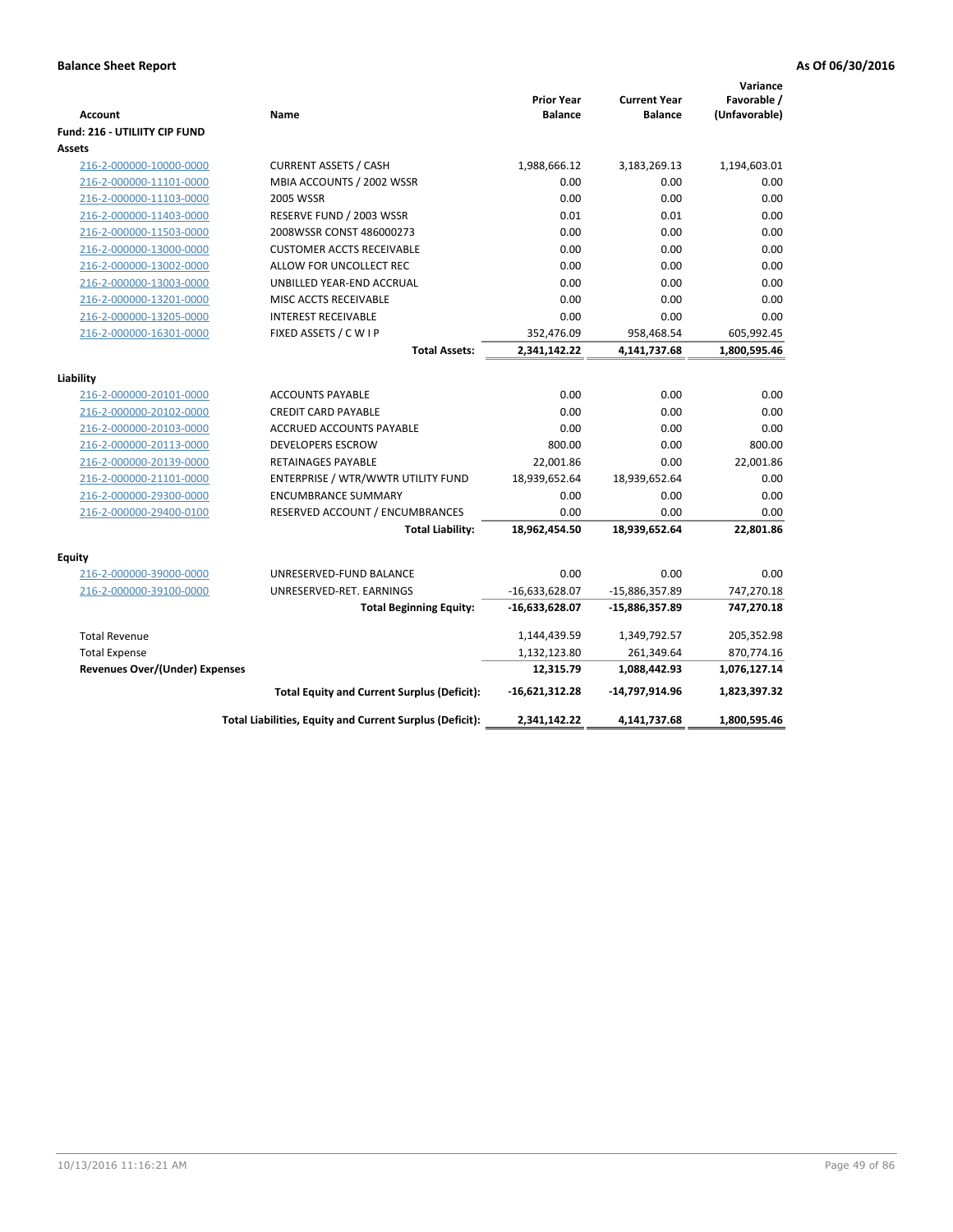| <b>Prior Year</b><br><b>Current Year</b><br><b>Account</b><br><b>Balance</b><br><b>Balance</b><br>Name<br><b>Fund: 216 - UTILIITY CIP FUND</b> | Favorable /<br>(Unfavorable)<br>1,194,603.01 |
|------------------------------------------------------------------------------------------------------------------------------------------------|----------------------------------------------|
|                                                                                                                                                |                                              |
|                                                                                                                                                |                                              |
|                                                                                                                                                |                                              |
| Assets                                                                                                                                         |                                              |
| <b>CURRENT ASSETS / CASH</b><br>1,988,666.12<br>216-2-000000-10000-0000<br>3,183,269.13                                                        |                                              |
| 216-2-000000-11101-0000<br>MBIA ACCOUNTS / 2002 WSSR<br>0.00<br>0.00                                                                           | 0.00                                         |
| 216-2-000000-11103-0000<br><b>2005 WSSR</b><br>0.00<br>0.00                                                                                    | 0.00                                         |
| 216-2-000000-11403-0000<br>RESERVE FUND / 2003 WSSR<br>0.01<br>0.01                                                                            | 0.00                                         |
| 2008WSSR CONST 486000273<br>0.00<br>0.00<br>216-2-000000-11503-0000                                                                            | 0.00                                         |
| 0.00<br>0.00<br>216-2-000000-13000-0000<br><b>CUSTOMER ACCTS RECEIVABLE</b>                                                                    | 0.00                                         |
| 216-2-000000-13002-0000<br>ALLOW FOR UNCOLLECT REC<br>0.00<br>0.00                                                                             | 0.00                                         |
| 0.00<br>0.00<br>216-2-000000-13003-0000<br>UNBILLED YEAR-END ACCRUAL                                                                           | 0.00                                         |
| 216-2-000000-13201-0000<br>MISC ACCTS RECEIVABLE<br>0.00<br>0.00                                                                               | 0.00                                         |
| 216-2-000000-13205-0000<br><b>INTEREST RECEIVABLE</b><br>0.00<br>0.00                                                                          | 0.00                                         |
| FIXED ASSETS / C W I P<br>352,476.09<br>216-2-000000-16301-0000<br>958,468.54                                                                  | 605,992.45                                   |
| 4,141,737.68<br><b>Total Assets:</b><br>2,341,142.22                                                                                           | 1,800,595.46                                 |
| Liability                                                                                                                                      |                                              |
| 0.00<br>0.00<br>216-2-000000-20101-0000<br><b>ACCOUNTS PAYABLE</b>                                                                             | 0.00                                         |
| 216-2-000000-20102-0000<br><b>CREDIT CARD PAYABLE</b><br>0.00<br>0.00                                                                          | 0.00                                         |
| 0.00<br>0.00<br>216-2-000000-20103-0000<br><b>ACCRUED ACCOUNTS PAYABLE</b>                                                                     | 0.00                                         |
| 800.00<br>216-2-000000-20113-0000<br><b>DEVELOPERS ESCROW</b><br>0.00                                                                          | 800.00                                       |
| 22,001.86<br>0.00<br>216-2-000000-20139-0000<br><b>RETAINAGES PAYABLE</b>                                                                      | 22,001.86                                    |
| 18,939,652.64<br>216-2-000000-21101-0000<br>ENTERPRISE / WTR/WWTR UTILITY FUND<br>18,939,652.64                                                | 0.00                                         |
| 216-2-000000-29300-0000<br>0.00<br>0.00<br><b>ENCUMBRANCE SUMMARY</b>                                                                          | 0.00                                         |
| 216-2-000000-29400-0100<br>RESERVED ACCOUNT / ENCUMBRANCES<br>0.00<br>0.00                                                                     | 0.00                                         |
| <b>Total Liability:</b><br>18,962,454.50<br>18,939,652.64                                                                                      | 22,801.86                                    |
|                                                                                                                                                |                                              |
| <b>Equity</b>                                                                                                                                  |                                              |
| 216-2-000000-39000-0000<br>UNRESERVED-FUND BALANCE<br>0.00<br>0.00                                                                             | 0.00                                         |
| 216-2-000000-39100-0000<br>UNRESERVED-RET. EARNINGS<br>$-16,633,628.07$<br>-15,886,357.89                                                      | 747,270.18                                   |
| <b>Total Beginning Equity:</b><br>-16,633,628.07<br>-15,886,357.89                                                                             | 747,270.18                                   |
| <b>Total Revenue</b><br>1,144,439.59<br>1,349,792.57                                                                                           | 205,352.98                                   |
| 1,132,123.80<br>261,349.64<br><b>Total Expense</b>                                                                                             | 870,774.16                                   |
| <b>Revenues Over/(Under) Expenses</b><br>12,315.79<br>1,088,442.93                                                                             | 1,076,127.14                                 |
| <b>Total Equity and Current Surplus (Deficit):</b><br>$-16,621,312.28$<br>-14,797,914.96                                                       | 1,823,397.32                                 |
| Total Liabilities, Equity and Current Surplus (Deficit):<br>2,341,142.22<br>4,141,737.68                                                       | 1,800,595.46                                 |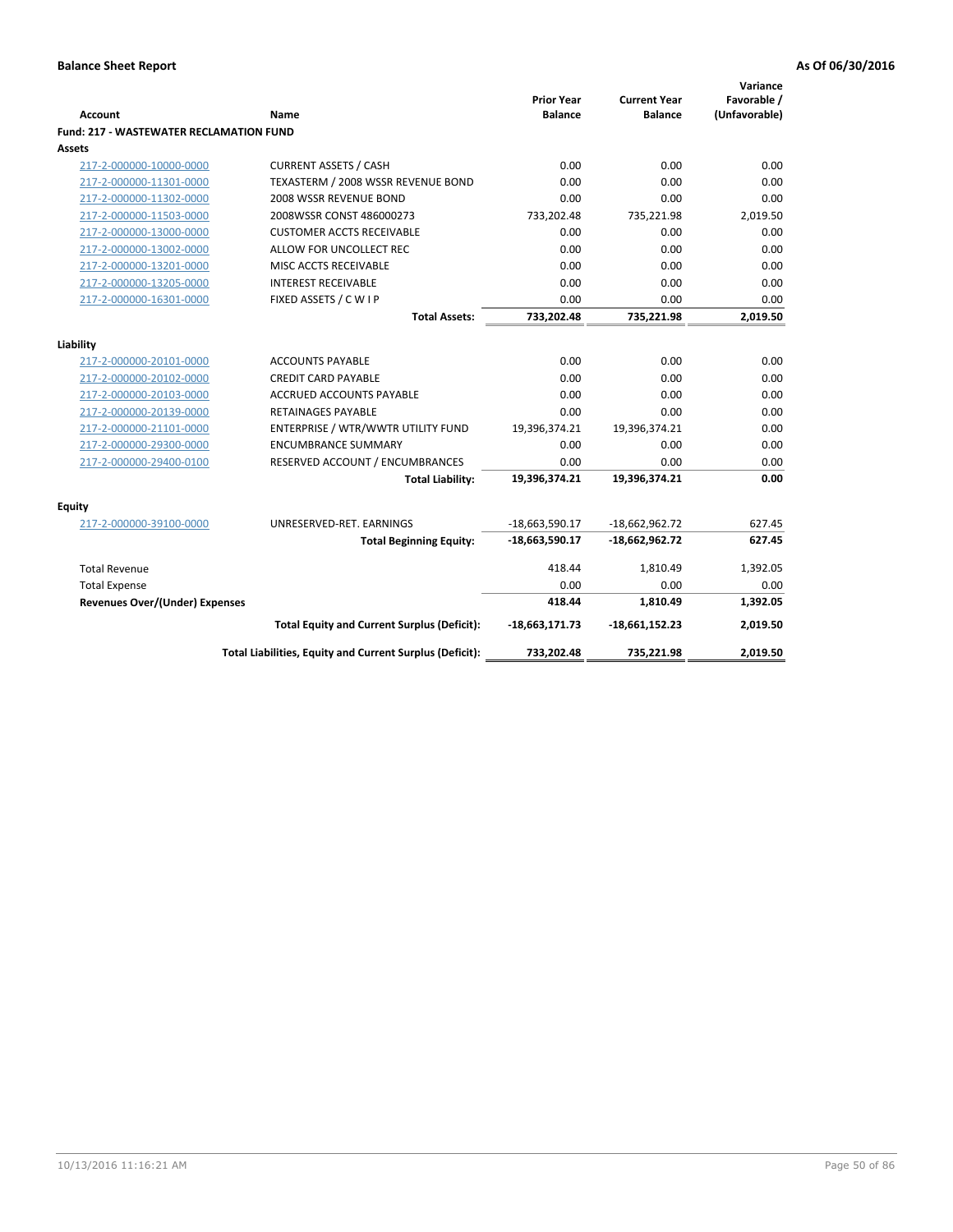|                                                |                                                          | <b>Prior Year</b> | <b>Current Year</b> | Variance<br>Favorable / |
|------------------------------------------------|----------------------------------------------------------|-------------------|---------------------|-------------------------|
| <b>Account</b>                                 | Name                                                     | <b>Balance</b>    | <b>Balance</b>      | (Unfavorable)           |
| <b>Fund: 217 - WASTEWATER RECLAMATION FUND</b> |                                                          |                   |                     |                         |
| <b>Assets</b>                                  |                                                          |                   |                     |                         |
| 217-2-000000-10000-0000                        | <b>CURRENT ASSETS / CASH</b>                             | 0.00              | 0.00                | 0.00                    |
| 217-2-000000-11301-0000                        | TEXASTERM / 2008 WSSR REVENUE BOND                       | 0.00              | 0.00                | 0.00                    |
| 217-2-000000-11302-0000                        | 2008 WSSR REVENUE BOND                                   | 0.00              | 0.00                | 0.00                    |
| 217-2-000000-11503-0000                        | 2008WSSR CONST 486000273                                 | 733,202.48        | 735,221.98          | 2,019.50                |
| 217-2-000000-13000-0000                        | <b>CUSTOMER ACCTS RECEIVABLE</b>                         | 0.00              | 0.00                | 0.00                    |
| 217-2-000000-13002-0000                        | ALLOW FOR UNCOLLECT REC                                  | 0.00              | 0.00                | 0.00                    |
| 217-2-000000-13201-0000                        | MISC ACCTS RECEIVABLE                                    | 0.00              | 0.00                | 0.00                    |
| 217-2-000000-13205-0000                        | <b>INTEREST RECEIVABLE</b>                               | 0.00              | 0.00                | 0.00                    |
| 217-2-000000-16301-0000                        | FIXED ASSETS / CWIP                                      | 0.00              | 0.00                | 0.00                    |
|                                                | <b>Total Assets:</b>                                     | 733,202.48        | 735,221.98          | 2,019.50                |
| Liability                                      |                                                          |                   |                     |                         |
| 217-2-000000-20101-0000                        | <b>ACCOUNTS PAYABLE</b>                                  | 0.00              | 0.00                | 0.00                    |
| 217-2-000000-20102-0000                        | <b>CREDIT CARD PAYABLE</b>                               | 0.00              | 0.00                | 0.00                    |
| 217-2-000000-20103-0000                        | <b>ACCRUED ACCOUNTS PAYABLE</b>                          | 0.00              | 0.00                | 0.00                    |
| 217-2-000000-20139-0000                        | <b>RETAINAGES PAYABLE</b>                                | 0.00              | 0.00                | 0.00                    |
| 217-2-000000-21101-0000                        | ENTERPRISE / WTR/WWTR UTILITY FUND                       | 19,396,374.21     | 19,396,374.21       | 0.00                    |
| 217-2-000000-29300-0000                        | <b>ENCUMBRANCE SUMMARY</b>                               | 0.00              | 0.00                | 0.00                    |
| 217-2-000000-29400-0100                        | RESERVED ACCOUNT / ENCUMBRANCES                          | 0.00              | 0.00                | 0.00                    |
|                                                | <b>Total Liability:</b>                                  | 19,396,374.21     | 19,396,374.21       | 0.00                    |
|                                                |                                                          |                   |                     |                         |
| <b>Equity</b>                                  |                                                          |                   |                     |                         |
| 217-2-000000-39100-0000                        | UNRESERVED-RET. EARNINGS                                 | $-18,663,590.17$  | $-18,662,962.72$    | 627.45                  |
|                                                | <b>Total Beginning Equity:</b>                           | $-18,663,590.17$  | $-18,662,962.72$    | 627.45                  |
| <b>Total Revenue</b>                           |                                                          | 418.44            | 1,810.49            | 1,392.05                |
| <b>Total Expense</b>                           |                                                          | 0.00              | 0.00                | 0.00                    |
| Revenues Over/(Under) Expenses                 |                                                          | 418.44            | 1,810.49            | 1,392.05                |
|                                                | <b>Total Equity and Current Surplus (Deficit):</b>       | $-18,663,171.73$  | -18,661,152.23      | 2,019.50                |
|                                                | Total Liabilities, Equity and Current Surplus (Deficit): | 733,202.48        | 735,221.98          | 2,019.50                |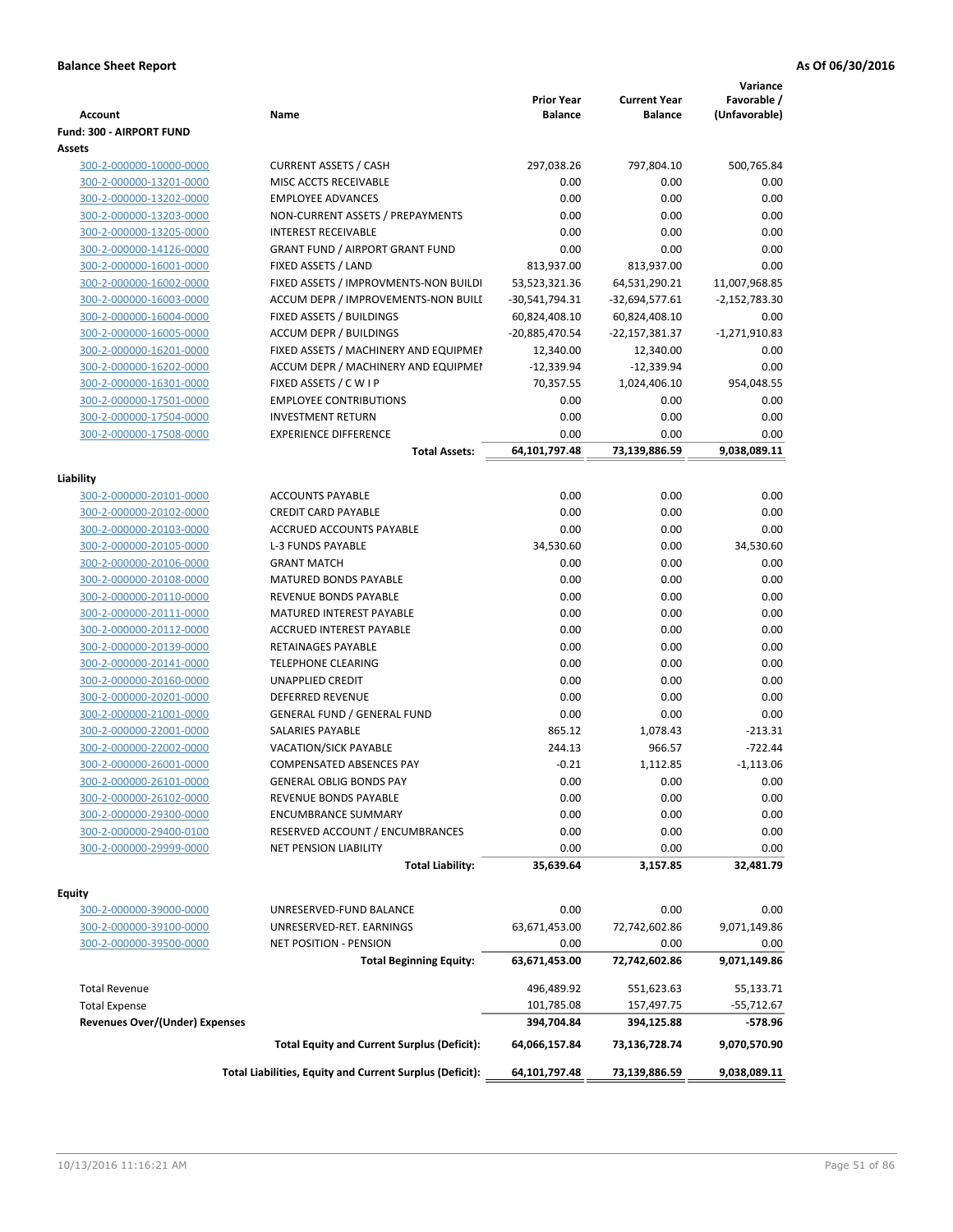| <b>Account</b>                                     | Name                                                     | <b>Prior Year</b><br><b>Balance</b> | <b>Current Year</b><br>Balance | Variance<br>Favorable /<br>(Unfavorable) |
|----------------------------------------------------|----------------------------------------------------------|-------------------------------------|--------------------------------|------------------------------------------|
| Fund: 300 - AIRPORT FUND                           |                                                          |                                     |                                |                                          |
| Assets                                             |                                                          |                                     |                                |                                          |
| 300-2-000000-10000-0000                            | <b>CURRENT ASSETS / CASH</b>                             | 297,038.26                          | 797,804.10                     | 500,765.84                               |
| 300-2-000000-13201-0000                            | MISC ACCTS RECEIVABLE                                    | 0.00                                | 0.00                           | 0.00                                     |
| 300-2-000000-13202-0000                            | <b>EMPLOYEE ADVANCES</b>                                 | 0.00                                | 0.00                           | 0.00                                     |
| 300-2-000000-13203-0000                            | NON-CURRENT ASSETS / PREPAYMENTS                         | 0.00                                | 0.00                           | 0.00                                     |
| 300-2-000000-13205-0000                            | <b>INTEREST RECEIVABLE</b>                               | 0.00                                | 0.00                           | 0.00                                     |
| 300-2-000000-14126-0000                            | <b>GRANT FUND / AIRPORT GRANT FUND</b>                   | 0.00                                | 0.00                           | 0.00                                     |
| 300-2-000000-16001-0000                            | FIXED ASSETS / LAND                                      | 813,937.00                          | 813,937.00                     | 0.00                                     |
| 300-2-000000-16002-0000                            | FIXED ASSETS / IMPROVMENTS-NON BUILDI                    | 53,523,321.36                       | 64,531,290.21                  | 11,007,968.85                            |
| 300-2-000000-16003-0000                            | ACCUM DEPR / IMPROVEMENTS-NON BUILI                      | -30,541,794.31                      | $-32,694,577.61$               | $-2,152,783.30$                          |
| 300-2-000000-16004-0000                            | FIXED ASSETS / BUILDINGS                                 | 60,824,408.10                       | 60,824,408.10                  | 0.00                                     |
| 300-2-000000-16005-0000                            | <b>ACCUM DEPR / BUILDINGS</b>                            | -20,885,470.54                      | -22,157,381.37                 | $-1,271,910.83$                          |
| 300-2-000000-16201-0000                            | FIXED ASSETS / MACHINERY AND EQUIPMEN                    | 12,340.00                           | 12,340.00                      | 0.00                                     |
| 300-2-000000-16202-0000                            | ACCUM DEPR / MACHINERY AND EQUIPMEI                      | $-12,339.94$                        | $-12,339.94$                   | 0.00                                     |
| 300-2-000000-16301-0000                            | FIXED ASSETS / C W I P                                   | 70,357.55                           | 1,024,406.10                   | 954,048.55                               |
| 300-2-000000-17501-0000                            | <b>EMPLOYEE CONTRIBUTIONS</b>                            | 0.00                                | 0.00                           | 0.00                                     |
| 300-2-000000-17504-0000                            | <b>INVESTMENT RETURN</b>                                 | 0.00                                | 0.00                           | 0.00                                     |
| 300-2-000000-17508-0000                            | <b>EXPERIENCE DIFFERENCE</b>                             | 0.00                                | 0.00                           | 0.00                                     |
|                                                    | <b>Total Assets:</b>                                     | 64,101,797.48                       | 73,139,886.59                  | 9,038,089.11                             |
|                                                    |                                                          |                                     |                                |                                          |
| Liability                                          |                                                          |                                     |                                |                                          |
| 300-2-000000-20101-0000                            | <b>ACCOUNTS PAYABLE</b>                                  | 0.00                                | 0.00                           | 0.00                                     |
| 300-2-000000-20102-0000                            | <b>CREDIT CARD PAYABLE</b>                               | 0.00                                | 0.00                           | 0.00                                     |
| 300-2-000000-20103-0000                            | ACCRUED ACCOUNTS PAYABLE                                 | 0.00                                | 0.00                           | 0.00                                     |
| 300-2-000000-20105-0000                            | <b>L-3 FUNDS PAYABLE</b>                                 | 34,530.60                           | 0.00                           | 34,530.60                                |
| 300-2-000000-20106-0000                            | <b>GRANT MATCH</b>                                       | 0.00                                | 0.00                           | 0.00                                     |
| 300-2-000000-20108-0000                            | <b>MATURED BONDS PAYABLE</b>                             | 0.00                                | 0.00                           | 0.00                                     |
| 300-2-000000-20110-0000                            | REVENUE BONDS PAYABLE                                    | 0.00                                | 0.00                           | 0.00                                     |
| 300-2-000000-20111-0000                            | MATURED INTEREST PAYABLE                                 | 0.00                                | 0.00                           | 0.00                                     |
| 300-2-000000-20112-0000                            | <b>ACCRUED INTEREST PAYABLE</b>                          | 0.00                                | 0.00                           | 0.00                                     |
| 300-2-000000-20139-0000                            | RETAINAGES PAYABLE                                       | 0.00                                | 0.00                           | 0.00                                     |
| 300-2-000000-20141-0000                            | <b>TELEPHONE CLEARING</b>                                | 0.00                                | 0.00                           | 0.00                                     |
| 300-2-000000-20160-0000                            | UNAPPLIED CREDIT                                         | 0.00                                | 0.00                           | 0.00                                     |
| 300-2-000000-20201-0000                            | <b>DEFERRED REVENUE</b>                                  | 0.00                                | 0.00                           | 0.00                                     |
| 300-2-000000-21001-0000                            | <b>GENERAL FUND / GENERAL FUND</b>                       | 0.00                                | 0.00                           | 0.00                                     |
| 300-2-000000-22001-0000                            | SALARIES PAYABLE                                         | 865.12                              | 1,078.43                       | $-213.31$                                |
| 300-2-000000-22002-0000                            | VACATION/SICK PAYABLE                                    | 244.13                              | 966.57                         | $-722.44$                                |
| 300-2-000000-26001-0000                            | COMPENSATED ABSENCES PAY                                 | $-0.21$                             | 1,112.85                       | $-1,113.06$                              |
| 300-2-000000-26101-0000                            | <b>GENERAL OBLIG BONDS PAY</b>                           | 0.00                                | 0.00                           | 0.00                                     |
| 300-2-000000-26102-0000                            | REVENUE BONDS PAYABLE                                    | 0.00                                | 0.00                           | 0.00                                     |
| 300-2-000000-29300-0000                            | <b>ENCUMBRANCE SUMMARY</b>                               | 0.00                                | 0.00                           | 0.00                                     |
| 300-2-000000-29400-0100                            | RESERVED ACCOUNT / ENCUMBRANCES                          | 0.00                                | 0.00                           | 0.00                                     |
| 300-2-000000-29999-0000                            | <b>NET PENSION LIABILITY</b>                             | 0.00                                | 0.00                           | 0.00                                     |
|                                                    | <b>Total Liability:</b>                                  | 35,639.64                           | 3,157.85                       | 32,481.79                                |
| Fquity                                             |                                                          |                                     |                                |                                          |
| 300-2-000000-39000-0000                            | UNRESERVED-FUND BALANCE                                  | 0.00                                | 0.00                           | 0.00                                     |
|                                                    | UNRESERVED-RET. EARNINGS                                 | 63,671,453.00                       | 72,742,602.86                  |                                          |
| 300-2-000000-39100-0000<br>300-2-000000-39500-0000 | <b>NET POSITION - PENSION</b>                            | 0.00                                | 0.00                           | 9,071,149.86<br>0.00                     |
|                                                    |                                                          |                                     |                                |                                          |
|                                                    | <b>Total Beginning Equity:</b>                           | 63,671,453.00                       | 72,742,602.86                  | 9,071,149.86                             |
| <b>Total Revenue</b>                               |                                                          | 496,489.92                          | 551,623.63                     | 55,133.71                                |
| <b>Total Expense</b>                               |                                                          | 101,785.08                          | 157,497.75                     | $-55,712.67$                             |
| <b>Revenues Over/(Under) Expenses</b>              |                                                          | 394,704.84                          | 394,125.88                     | -578.96                                  |
|                                                    |                                                          |                                     |                                |                                          |
|                                                    | <b>Total Equity and Current Surplus (Deficit):</b>       | 64,066,157.84<br>64,101,797.48      | 73,136,728.74<br>73,139,886.59 | 9,070,570.90<br>9,038,089.11             |
|                                                    | Total Liabilities, Equity and Current Surplus (Deficit): |                                     |                                |                                          |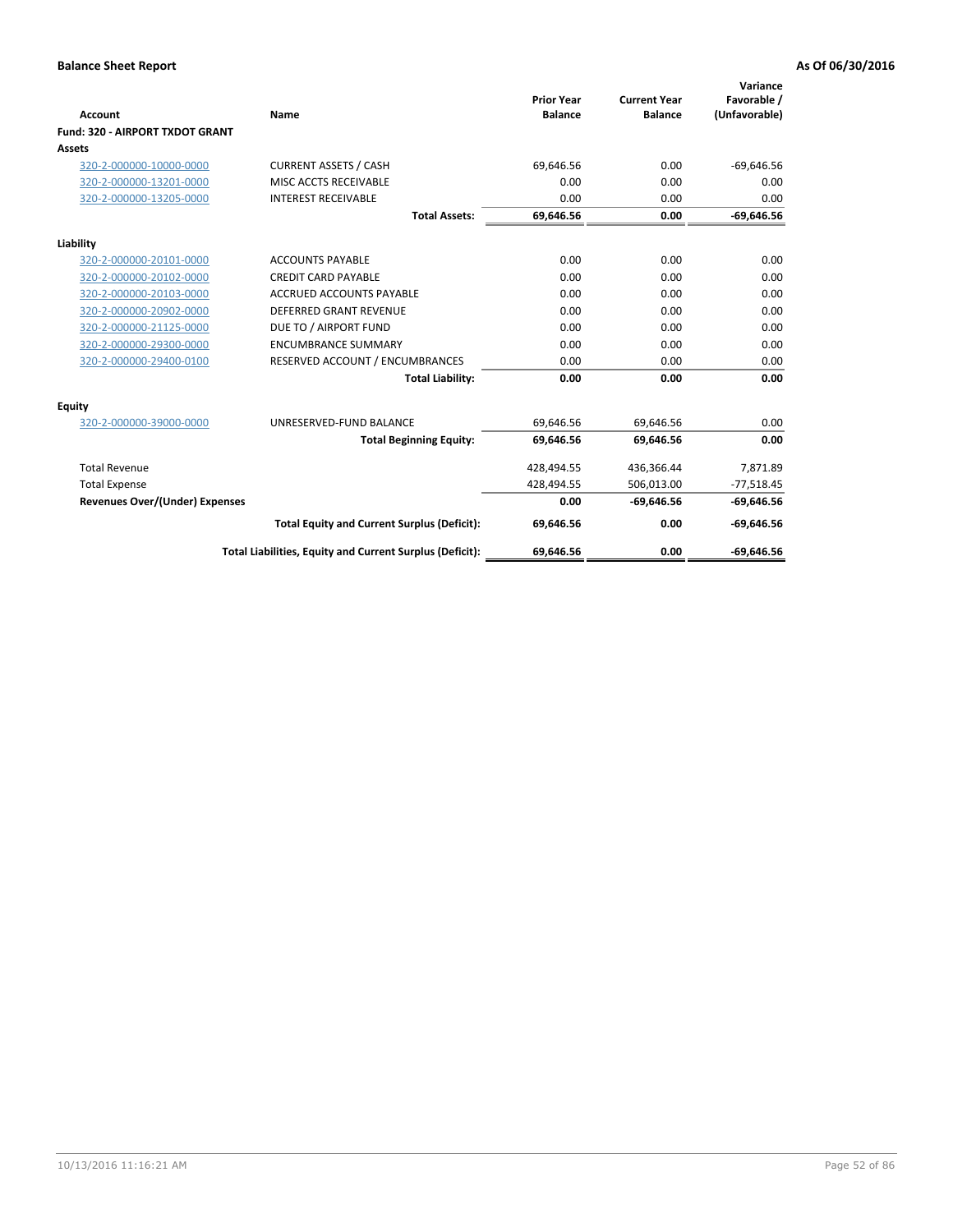| <b>Account</b>                         | Name                                                     | <b>Prior Year</b><br><b>Balance</b> | <b>Current Year</b><br><b>Balance</b> | Variance<br>Favorable /<br>(Unfavorable) |
|----------------------------------------|----------------------------------------------------------|-------------------------------------|---------------------------------------|------------------------------------------|
| <b>Fund: 320 - AIRPORT TXDOT GRANT</b> |                                                          |                                     |                                       |                                          |
| Assets                                 |                                                          |                                     |                                       |                                          |
| 320-2-000000-10000-0000                | <b>CURRENT ASSETS / CASH</b>                             | 69,646.56                           | 0.00                                  | $-69,646.56$                             |
| 320-2-000000-13201-0000                | MISC ACCTS RECEIVABLE                                    | 0.00                                | 0.00                                  | 0.00                                     |
| 320-2-000000-13205-0000                | <b>INTEREST RECEIVABLE</b>                               | 0.00                                | 0.00                                  | 0.00                                     |
|                                        | <b>Total Assets:</b>                                     | 69,646.56                           | 0.00                                  | $-69,646.56$                             |
| Liability                              |                                                          |                                     |                                       |                                          |
| 320-2-000000-20101-0000                | <b>ACCOUNTS PAYABLE</b>                                  | 0.00                                | 0.00                                  | 0.00                                     |
| 320-2-000000-20102-0000                | <b>CREDIT CARD PAYABLE</b>                               | 0.00                                | 0.00                                  | 0.00                                     |
| 320-2-000000-20103-0000                | <b>ACCRUED ACCOUNTS PAYABLE</b>                          | 0.00                                | 0.00                                  | 0.00                                     |
| 320-2-000000-20902-0000                | DEFERRED GRANT REVENUE                                   | 0.00                                | 0.00                                  | 0.00                                     |
| 320-2-000000-21125-0000                | DUE TO / AIRPORT FUND                                    | 0.00                                | 0.00                                  | 0.00                                     |
| 320-2-000000-29300-0000                | <b>ENCUMBRANCE SUMMARY</b>                               | 0.00                                | 0.00                                  | 0.00                                     |
| 320-2-000000-29400-0100                | RESERVED ACCOUNT / ENCUMBRANCES                          | 0.00                                | 0.00                                  | 0.00                                     |
|                                        | <b>Total Liability:</b>                                  | 0.00                                | 0.00                                  | 0.00                                     |
| <b>Equity</b>                          |                                                          |                                     |                                       |                                          |
| 320-2-000000-39000-0000                | UNRESERVED-FUND BALANCE                                  | 69,646.56                           | 69,646.56                             | 0.00                                     |
|                                        | <b>Total Beginning Equity:</b>                           | 69,646.56                           | 69.646.56                             | 0.00                                     |
| <b>Total Revenue</b>                   |                                                          | 428,494.55                          | 436,366.44                            | 7,871.89                                 |
| <b>Total Expense</b>                   |                                                          | 428,494.55                          | 506,013.00                            | $-77,518.45$                             |
| Revenues Over/(Under) Expenses         |                                                          | 0.00                                | $-69,646.56$                          | $-69,646.56$                             |
|                                        | <b>Total Equity and Current Surplus (Deficit):</b>       | 69,646.56                           | 0.00                                  | $-69,646.56$                             |
|                                        | Total Liabilities, Equity and Current Surplus (Deficit): | 69,646.56                           | 0.00                                  | $-69.646.56$                             |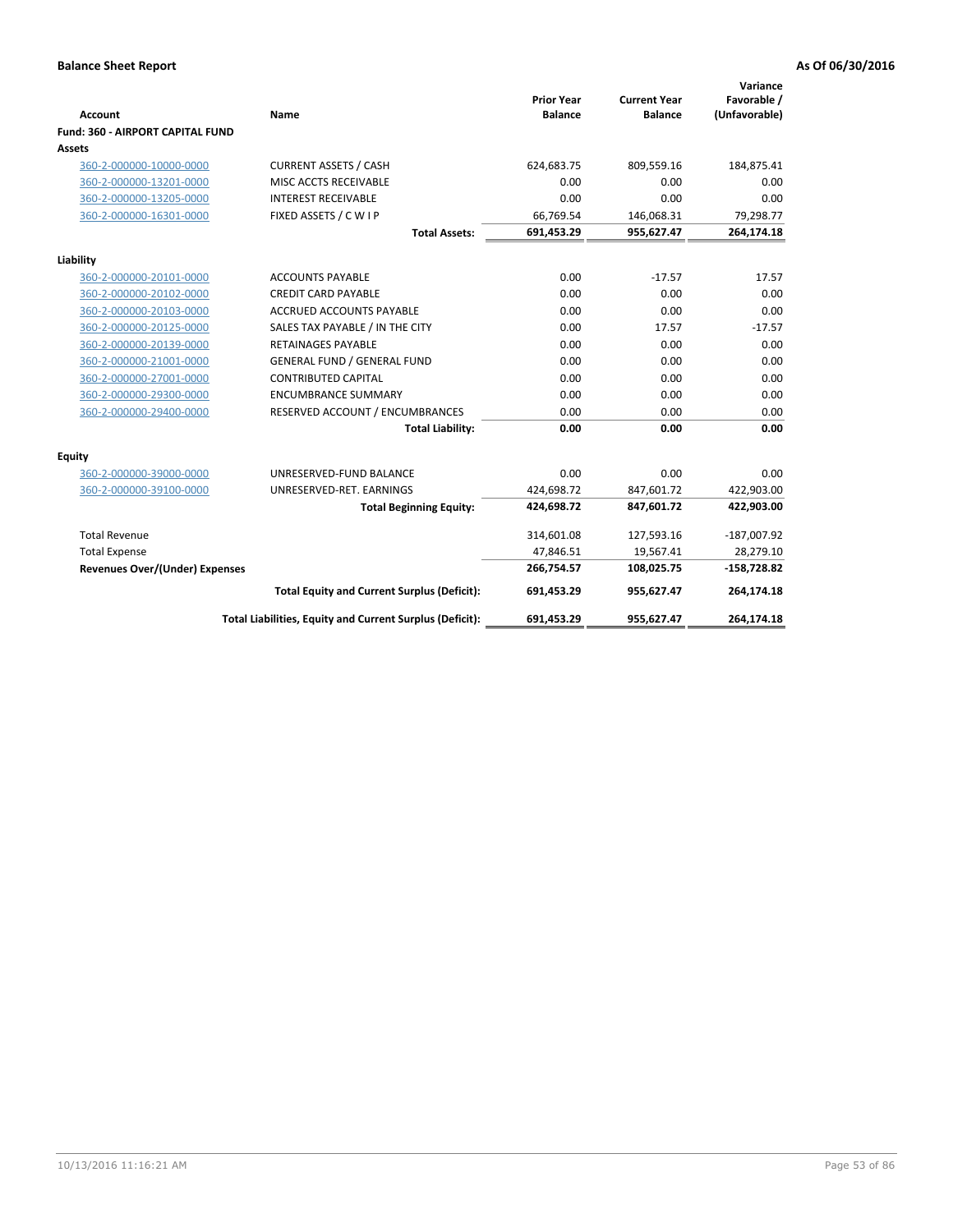| <b>Account</b>                          | Name                                                     | <b>Prior Year</b><br><b>Balance</b> | <b>Current Year</b><br><b>Balance</b> | Variance<br>Favorable /<br>(Unfavorable) |
|-----------------------------------------|----------------------------------------------------------|-------------------------------------|---------------------------------------|------------------------------------------|
| <b>Fund: 360 - AIRPORT CAPITAL FUND</b> |                                                          |                                     |                                       |                                          |
| Assets                                  |                                                          |                                     |                                       |                                          |
| 360-2-000000-10000-0000                 | <b>CURRENT ASSETS / CASH</b>                             | 624,683.75                          | 809,559.16                            | 184,875.41                               |
| 360-2-000000-13201-0000                 | MISC ACCTS RECEIVABLE                                    | 0.00                                | 0.00                                  | 0.00                                     |
| 360-2-000000-13205-0000                 | <b>INTEREST RECEIVABLE</b>                               | 0.00                                | 0.00                                  | 0.00                                     |
| 360-2-000000-16301-0000                 | FIXED ASSETS / C W I P                                   | 66,769.54                           | 146,068.31                            | 79,298.77                                |
|                                         | <b>Total Assets:</b>                                     | 691,453.29                          | 955,627.47                            | 264,174.18                               |
| Liability                               |                                                          |                                     |                                       |                                          |
| 360-2-000000-20101-0000                 | <b>ACCOUNTS PAYABLE</b>                                  | 0.00                                | $-17.57$                              | 17.57                                    |
| 360-2-000000-20102-0000                 | <b>CREDIT CARD PAYABLE</b>                               | 0.00                                | 0.00                                  | 0.00                                     |
| 360-2-000000-20103-0000                 | <b>ACCRUED ACCOUNTS PAYABLE</b>                          | 0.00                                | 0.00                                  | 0.00                                     |
| 360-2-000000-20125-0000                 | SALES TAX PAYABLE / IN THE CITY                          | 0.00                                | 17.57                                 | $-17.57$                                 |
| 360-2-000000-20139-0000                 | <b>RETAINAGES PAYABLE</b>                                | 0.00                                | 0.00                                  | 0.00                                     |
| 360-2-000000-21001-0000                 | <b>GENERAL FUND / GENERAL FUND</b>                       | 0.00                                | 0.00                                  | 0.00                                     |
| 360-2-000000-27001-0000                 | <b>CONTRIBUTED CAPITAL</b>                               | 0.00                                | 0.00                                  | 0.00                                     |
| 360-2-000000-29300-0000                 | <b>ENCUMBRANCE SUMMARY</b>                               | 0.00                                | 0.00                                  | 0.00                                     |
| 360-2-000000-29400-0000                 | RESERVED ACCOUNT / ENCUMBRANCES                          | 0.00                                | 0.00                                  | 0.00                                     |
|                                         | <b>Total Liability:</b>                                  | 0.00                                | 0.00                                  | 0.00                                     |
| Equity                                  |                                                          |                                     |                                       |                                          |
| 360-2-000000-39000-0000                 | UNRESERVED-FUND BALANCE                                  | 0.00                                | 0.00                                  | 0.00                                     |
| 360-2-000000-39100-0000                 | UNRESERVED-RET. EARNINGS                                 | 424,698.72                          | 847,601.72                            | 422,903.00                               |
|                                         | <b>Total Beginning Equity:</b>                           | 424,698.72                          | 847,601.72                            | 422,903.00                               |
| <b>Total Revenue</b>                    |                                                          | 314,601.08                          | 127,593.16                            | $-187,007.92$                            |
| <b>Total Expense</b>                    |                                                          | 47,846.51                           | 19,567.41                             | 28,279.10                                |
| <b>Revenues Over/(Under) Expenses</b>   |                                                          | 266,754.57                          | 108,025.75                            | $-158,728.82$                            |
|                                         | <b>Total Equity and Current Surplus (Deficit):</b>       | 691,453.29                          | 955.627.47                            | 264,174.18                               |
|                                         | Total Liabilities, Equity and Current Surplus (Deficit): | 691,453.29                          | 955,627.47                            | 264,174.18                               |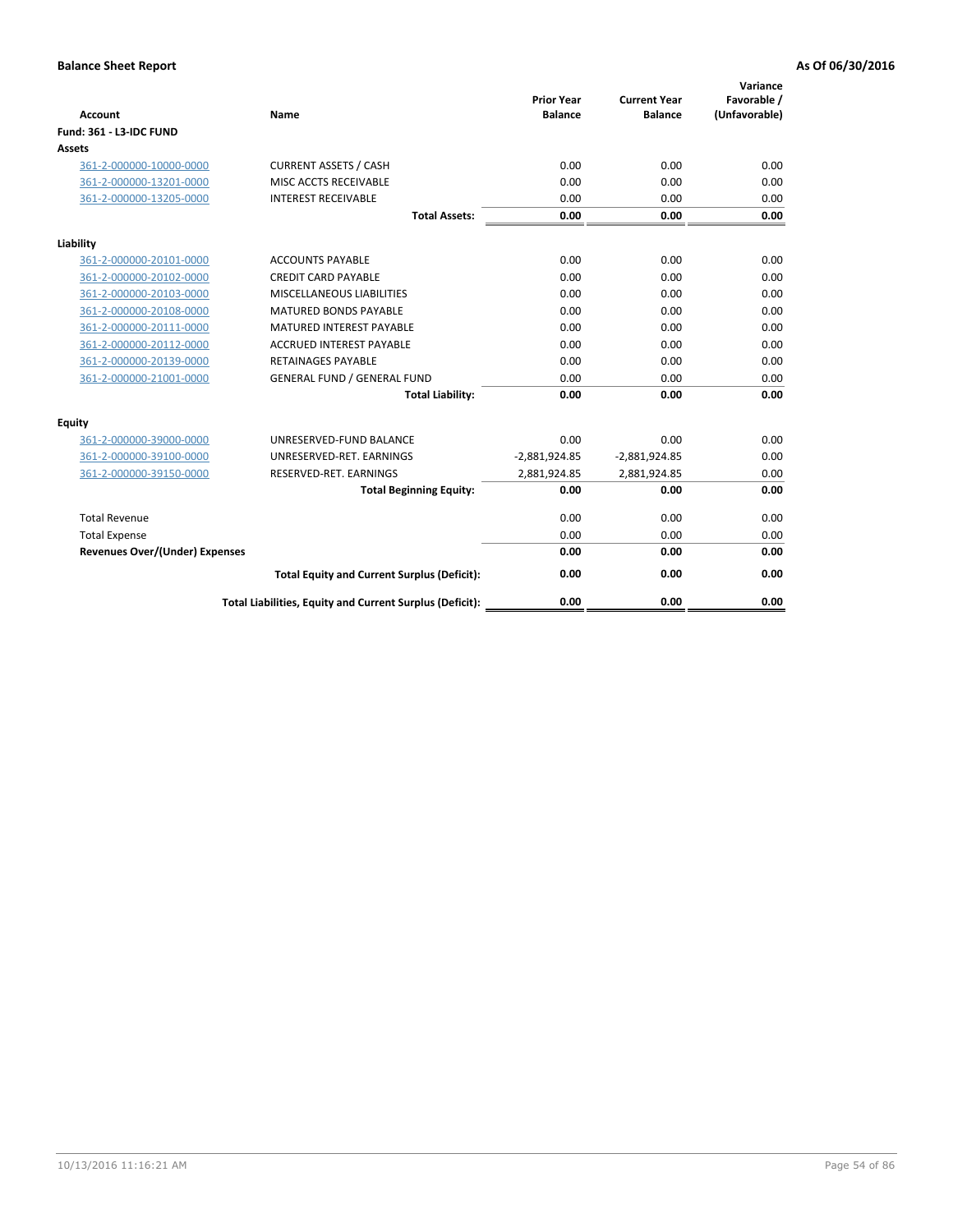| <b>Account</b>                        | <b>Name</b>                                              | <b>Prior Year</b><br><b>Balance</b> | <b>Current Year</b><br><b>Balance</b> | Variance<br>Favorable /<br>(Unfavorable) |
|---------------------------------------|----------------------------------------------------------|-------------------------------------|---------------------------------------|------------------------------------------|
| <b>Fund: 361 - L3-IDC FUND</b>        |                                                          |                                     |                                       |                                          |
| Assets                                |                                                          |                                     |                                       |                                          |
| 361-2-000000-10000-0000               | <b>CURRENT ASSETS / CASH</b>                             | 0.00                                | 0.00                                  | 0.00                                     |
| 361-2-000000-13201-0000               | MISC ACCTS RECEIVABLE                                    | 0.00                                | 0.00                                  | 0.00                                     |
| 361-2-000000-13205-0000               | <b>INTEREST RECEIVABLE</b>                               | 0.00                                | 0.00                                  | 0.00                                     |
|                                       | <b>Total Assets:</b>                                     | 0.00                                | 0.00                                  | 0.00                                     |
| Liability                             |                                                          |                                     |                                       |                                          |
| 361-2-000000-20101-0000               | <b>ACCOUNTS PAYABLE</b>                                  | 0.00                                | 0.00                                  | 0.00                                     |
| 361-2-000000-20102-0000               | <b>CREDIT CARD PAYABLE</b>                               | 0.00                                | 0.00                                  | 0.00                                     |
| 361-2-000000-20103-0000               | MISCELLANEOUS LIABILITIES                                | 0.00                                | 0.00                                  | 0.00                                     |
| 361-2-000000-20108-0000               | <b>MATURED BONDS PAYABLE</b>                             | 0.00                                | 0.00                                  | 0.00                                     |
| 361-2-000000-20111-0000               | <b>MATURED INTEREST PAYABLE</b>                          | 0.00                                | 0.00                                  | 0.00                                     |
| 361-2-000000-20112-0000               | <b>ACCRUED INTEREST PAYABLE</b>                          | 0.00                                | 0.00                                  | 0.00                                     |
| 361-2-000000-20139-0000               | <b>RETAINAGES PAYABLE</b>                                | 0.00                                | 0.00                                  | 0.00                                     |
| 361-2-000000-21001-0000               | <b>GENERAL FUND / GENERAL FUND</b>                       | 0.00                                | 0.00                                  | 0.00                                     |
|                                       | <b>Total Liability:</b>                                  | 0.00                                | 0.00                                  | 0.00                                     |
| Equity                                |                                                          |                                     |                                       |                                          |
| 361-2-000000-39000-0000               | UNRESERVED-FUND BALANCE                                  | 0.00                                | 0.00                                  | 0.00                                     |
| 361-2-000000-39100-0000               | UNRESERVED-RET. EARNINGS                                 | $-2,881,924.85$                     | $-2,881,924.85$                       | 0.00                                     |
| 361-2-000000-39150-0000               | RESERVED-RET. EARNINGS                                   | 2,881,924.85                        | 2,881,924.85                          | 0.00                                     |
|                                       | <b>Total Beginning Equity:</b>                           | 0.00                                | 0.00                                  | 0.00                                     |
| <b>Total Revenue</b>                  |                                                          | 0.00                                | 0.00                                  | 0.00                                     |
| <b>Total Expense</b>                  |                                                          | 0.00                                | 0.00                                  | 0.00                                     |
| <b>Revenues Over/(Under) Expenses</b> |                                                          | 0.00                                | 0.00                                  | 0.00                                     |
|                                       | <b>Total Equity and Current Surplus (Deficit):</b>       | 0.00                                | 0.00                                  | 0.00                                     |
|                                       | Total Liabilities, Equity and Current Surplus (Deficit): | 0.00                                | 0.00                                  | 0.00                                     |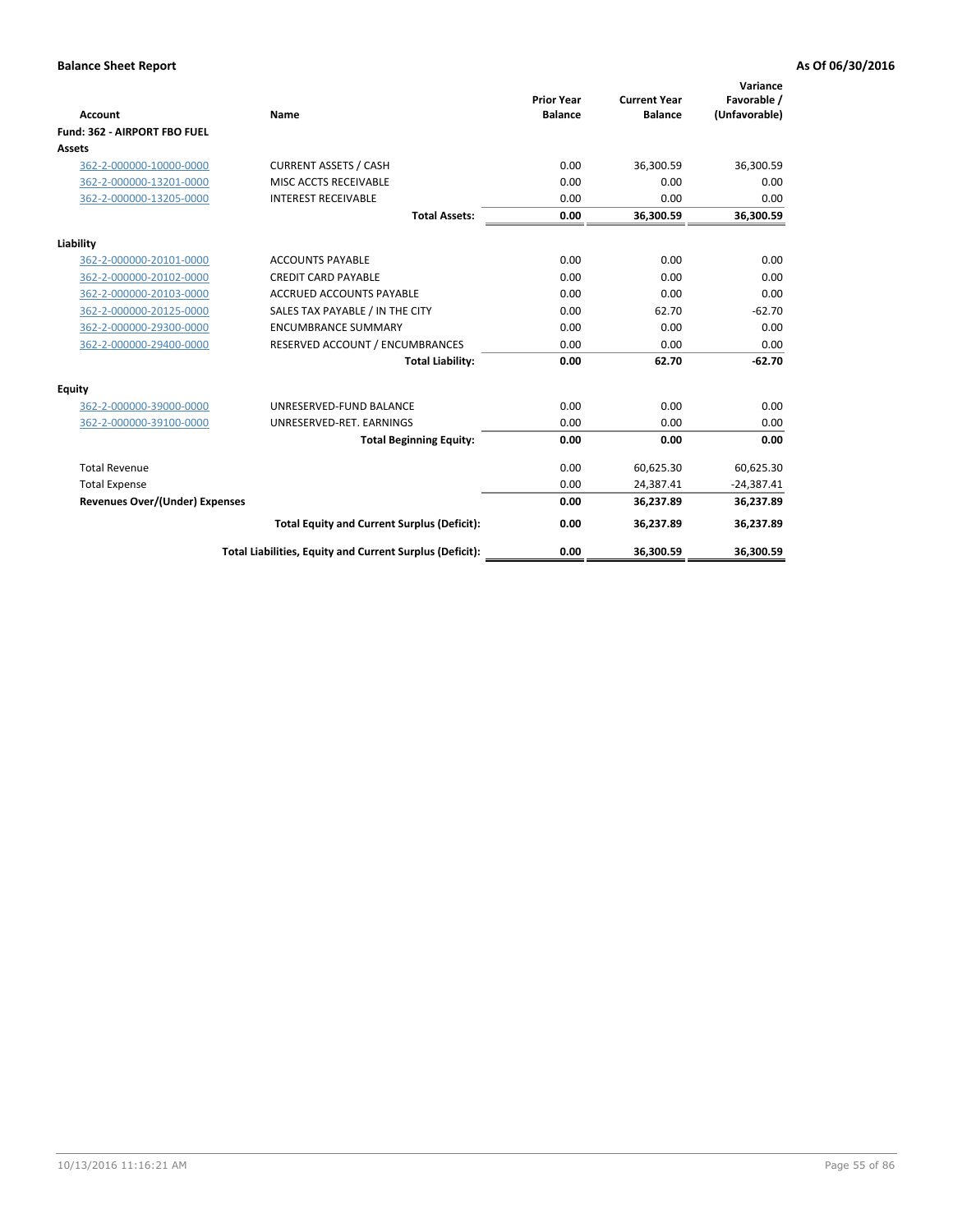|                                       |                                                          | <b>Prior Year</b> | <b>Current Year</b> | Variance<br>Favorable / |
|---------------------------------------|----------------------------------------------------------|-------------------|---------------------|-------------------------|
| Account                               | Name                                                     | <b>Balance</b>    | <b>Balance</b>      | (Unfavorable)           |
| Fund: 362 - AIRPORT FBO FUEL          |                                                          |                   |                     |                         |
| Assets                                |                                                          |                   |                     |                         |
| 362-2-000000-10000-0000               | <b>CURRENT ASSETS / CASH</b>                             | 0.00              | 36,300.59           | 36,300.59               |
| 362-2-000000-13201-0000               | MISC ACCTS RECEIVABLE                                    | 0.00              | 0.00                | 0.00                    |
| 362-2-000000-13205-0000               | <b>INTEREST RECEIVABLE</b>                               | 0.00              | 0.00                | 0.00                    |
|                                       | <b>Total Assets:</b>                                     | 0.00              | 36,300.59           | 36,300.59               |
| Liability                             |                                                          |                   |                     |                         |
| 362-2-000000-20101-0000               | <b>ACCOUNTS PAYABLE</b>                                  | 0.00              | 0.00                | 0.00                    |
| 362-2-000000-20102-0000               | <b>CREDIT CARD PAYABLE</b>                               | 0.00              | 0.00                | 0.00                    |
| 362-2-000000-20103-0000               | <b>ACCRUED ACCOUNTS PAYABLE</b>                          | 0.00              | 0.00                | 0.00                    |
| 362-2-000000-20125-0000               | SALES TAX PAYABLE / IN THE CITY                          | 0.00              | 62.70               | $-62.70$                |
| 362-2-000000-29300-0000               | <b>ENCUMBRANCE SUMMARY</b>                               | 0.00              | 0.00                | 0.00                    |
| 362-2-000000-29400-0000               | RESERVED ACCOUNT / ENCUMBRANCES                          | 0.00              | 0.00                | 0.00                    |
|                                       | <b>Total Liability:</b>                                  | 0.00              | 62.70               | $-62.70$                |
| <b>Equity</b>                         |                                                          |                   |                     |                         |
| 362-2-000000-39000-0000               | UNRESERVED-FUND BALANCE                                  | 0.00              | 0.00                | 0.00                    |
| 362-2-000000-39100-0000               | UNRESERVED-RET, EARNINGS                                 | 0.00              | 0.00                | 0.00                    |
|                                       | <b>Total Beginning Equity:</b>                           | 0.00              | 0.00                | 0.00                    |
| <b>Total Revenue</b>                  |                                                          | 0.00              | 60,625.30           | 60,625.30               |
| <b>Total Expense</b>                  |                                                          | 0.00              | 24,387.41           | $-24,387.41$            |
| <b>Revenues Over/(Under) Expenses</b> |                                                          | 0.00              | 36,237.89           | 36,237.89               |
|                                       | <b>Total Equity and Current Surplus (Deficit):</b>       | 0.00              | 36,237.89           | 36,237.89               |
|                                       | Total Liabilities, Equity and Current Surplus (Deficit): | 0.00              | 36,300.59           | 36,300.59               |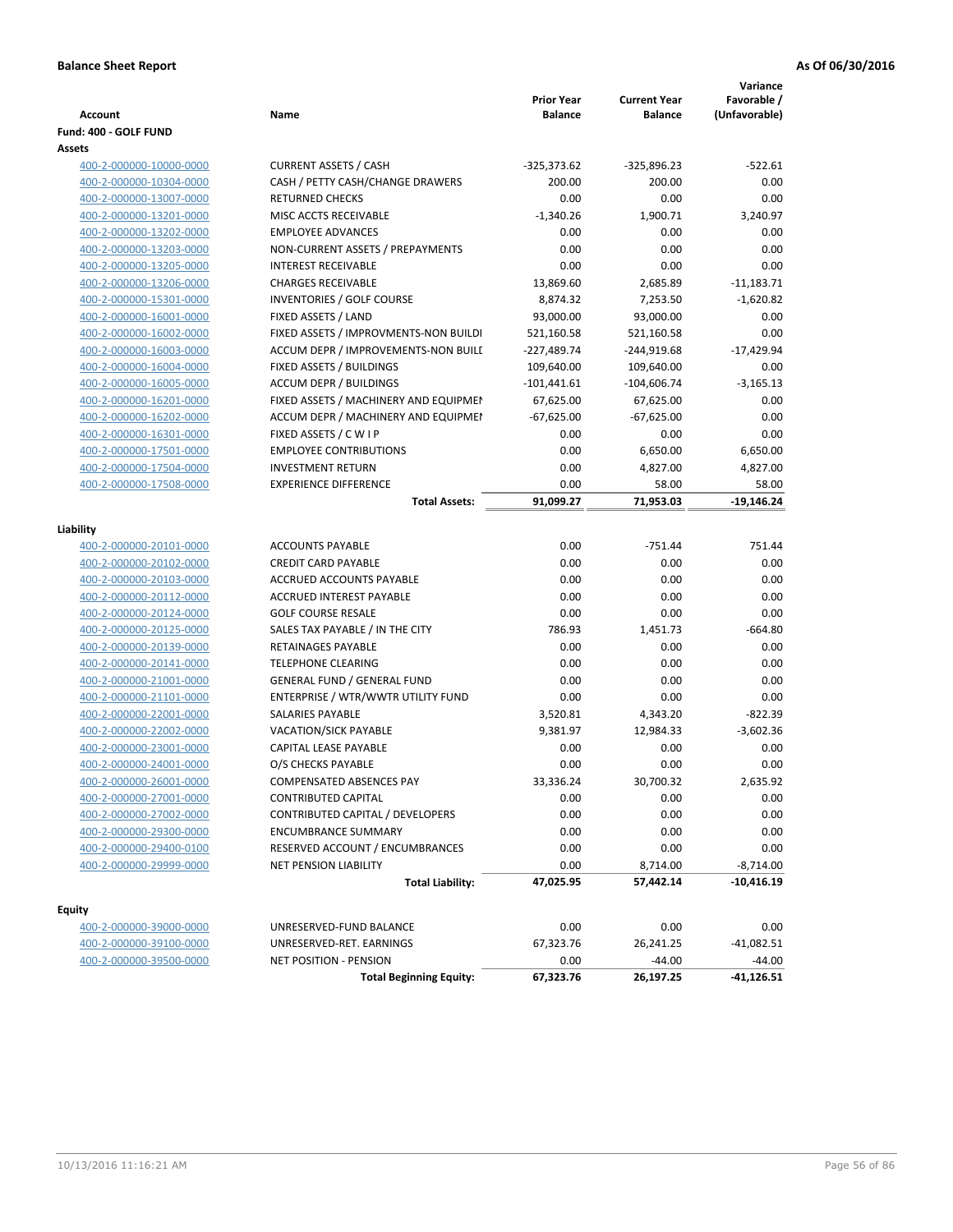| <b>Account</b>          | Name                                  | <b>Prior Year</b><br><b>Balance</b> | <b>Current Year</b><br><b>Balance</b> | Variance<br>Favorable /<br>(Unfavorable) |
|-------------------------|---------------------------------------|-------------------------------------|---------------------------------------|------------------------------------------|
| Fund: 400 - GOLF FUND   |                                       |                                     |                                       |                                          |
| Assets                  |                                       |                                     |                                       |                                          |
| 400-2-000000-10000-0000 | <b>CURRENT ASSETS / CASH</b>          | $-325,373.62$                       | $-325,896.23$                         | $-522.61$                                |
| 400-2-000000-10304-0000 | CASH / PETTY CASH/CHANGE DRAWERS      | 200.00                              | 200.00                                | 0.00                                     |
| 400-2-000000-13007-0000 | <b>RETURNED CHECKS</b>                | 0.00                                | 0.00                                  | 0.00                                     |
| 400-2-000000-13201-0000 | MISC ACCTS RECEIVABLE                 | $-1,340.26$                         | 1,900.71                              | 3,240.97                                 |
| 400-2-000000-13202-0000 | <b>EMPLOYEE ADVANCES</b>              | 0.00                                | 0.00                                  | 0.00                                     |
| 400-2-000000-13203-0000 | NON-CURRENT ASSETS / PREPAYMENTS      | 0.00                                | 0.00                                  | 0.00                                     |
| 400-2-000000-13205-0000 | <b>INTEREST RECEIVABLE</b>            | 0.00                                | 0.00                                  | 0.00                                     |
| 400-2-000000-13206-0000 | <b>CHARGES RECEIVABLE</b>             | 13,869.60                           | 2,685.89                              | $-11,183.71$                             |
| 400-2-000000-15301-0000 | <b>INVENTORIES / GOLF COURSE</b>      | 8,874.32                            | 7,253.50                              | $-1,620.82$                              |
| 400-2-000000-16001-0000 | FIXED ASSETS / LAND                   | 93,000.00                           | 93,000.00                             | 0.00                                     |
| 400-2-000000-16002-0000 | FIXED ASSETS / IMPROVMENTS-NON BUILDI | 521,160.58                          | 521,160.58                            | 0.00                                     |
| 400-2-000000-16003-0000 | ACCUM DEPR / IMPROVEMENTS-NON BUILL   | $-227,489.74$                       | $-244,919.68$                         | $-17,429.94$                             |
| 400-2-000000-16004-0000 | FIXED ASSETS / BUILDINGS              | 109,640.00                          | 109,640.00                            | 0.00                                     |
| 400-2-000000-16005-0000 | <b>ACCUM DEPR / BUILDINGS</b>         | $-101,441.61$                       | $-104,606.74$                         | $-3,165.13$                              |
| 400-2-000000-16201-0000 | FIXED ASSETS / MACHINERY AND EQUIPMEN | 67,625.00                           | 67,625.00                             | 0.00                                     |
| 400-2-000000-16202-0000 | ACCUM DEPR / MACHINERY AND EQUIPMEI   | $-67,625.00$                        | $-67,625.00$                          | 0.00                                     |
| 400-2-000000-16301-0000 | FIXED ASSETS / C W I P                | 0.00                                | 0.00                                  | 0.00                                     |
| 400-2-000000-17501-0000 | <b>EMPLOYEE CONTRIBUTIONS</b>         | 0.00                                | 6,650.00                              | 6,650.00                                 |
| 400-2-000000-17504-0000 | <b>INVESTMENT RETURN</b>              | 0.00                                | 4,827.00                              | 4,827.00                                 |
| 400-2-000000-17508-0000 | <b>EXPERIENCE DIFFERENCE</b>          | 0.00                                | 58.00                                 | 58.00                                    |
|                         | <b>Total Assets:</b>                  | 91,099.27                           | 71,953.03                             | $-19,146.24$                             |
|                         |                                       |                                     |                                       |                                          |
| Liability               |                                       |                                     |                                       |                                          |
| 400-2-000000-20101-0000 | <b>ACCOUNTS PAYABLE</b>               | 0.00                                | $-751.44$                             | 751.44                                   |
| 400-2-000000-20102-0000 | <b>CREDIT CARD PAYABLE</b>            | 0.00                                | 0.00                                  | 0.00                                     |
| 400-2-000000-20103-0000 | ACCRUED ACCOUNTS PAYABLE              | 0.00                                | 0.00                                  | 0.00                                     |
| 400-2-000000-20112-0000 | ACCRUED INTEREST PAYABLE              | 0.00                                | 0.00                                  | 0.00                                     |
| 400-2-000000-20124-0000 | <b>GOLF COURSE RESALE</b>             | 0.00                                | 0.00                                  | 0.00                                     |
| 400-2-000000-20125-0000 | SALES TAX PAYABLE / IN THE CITY       | 786.93                              | 1,451.73                              | $-664.80$                                |
| 400-2-000000-20139-0000 | RETAINAGES PAYABLE                    | 0.00                                | 0.00                                  | 0.00                                     |
| 400-2-000000-20141-0000 | <b>TELEPHONE CLEARING</b>             | 0.00                                | 0.00                                  | 0.00                                     |
| 400-2-000000-21001-0000 | <b>GENERAL FUND / GENERAL FUND</b>    | 0.00                                | 0.00                                  | 0.00                                     |
| 400-2-000000-21101-0000 | ENTERPRISE / WTR/WWTR UTILITY FUND    | 0.00                                | 0.00                                  | 0.00                                     |
| 400-2-000000-22001-0000 | <b>SALARIES PAYABLE</b>               | 3,520.81                            | 4,343.20                              | $-822.39$                                |
| 400-2-000000-22002-0000 | VACATION/SICK PAYABLE                 | 9,381.97                            | 12,984.33                             | $-3,602.36$                              |
| 400-2-000000-23001-0000 | CAPITAL LEASE PAYABLE                 | 0.00                                | 0.00                                  | 0.00                                     |
| 400-2-000000-24001-0000 | O/S CHECKS PAYABLE                    | 0.00                                | 0.00                                  | 0.00                                     |
| 400-2-000000-26001-0000 | COMPENSATED ABSENCES PAY              | 33,336.24                           | 30,700.32                             | 2,635.92                                 |
| 400-2-000000-27001-0000 | <b>CONTRIBUTED CAPITAL</b>            | 0.00                                | 0.00                                  | 0.00                                     |
| 400-2-000000-27002-0000 | CONTRIBUTED CAPITAL / DEVELOPERS      | 0.00                                | 0.00                                  | 0.00                                     |
| 400-2-000000-29300-0000 | ENCUMBRANCE SUMMARY                   | 0.00                                | 0.00                                  | 0.00                                     |
| 400-2-000000-29400-0100 | RESERVED ACCOUNT / ENCUMBRANCES       | 0.00                                | 0.00                                  | 0.00                                     |
| 400-2-000000-29999-0000 | <b>NET PENSION LIABILITY</b>          | 0.00                                | 8,714.00                              | $-8,714.00$                              |
|                         | <b>Total Liability:</b>               | 47,025.95                           | 57,442.14                             | $-10,416.19$                             |
| Equity                  |                                       |                                     |                                       |                                          |
| 400-2-000000-39000-0000 | UNRESERVED-FUND BALANCE               | 0.00                                | 0.00                                  | 0.00                                     |
| 400-2-000000-39100-0000 | UNRESERVED-RET. EARNINGS              | 67,323.76                           | 26,241.25                             | $-41,082.51$                             |
| 400-2-000000-39500-0000 | NET POSITION - PENSION                | 0.00                                | $-44.00$                              | $-44.00$                                 |
|                         | <b>Total Beginning Equity:</b>        | 67,323.76                           | 26,197.25                             | $-41,126.51$                             |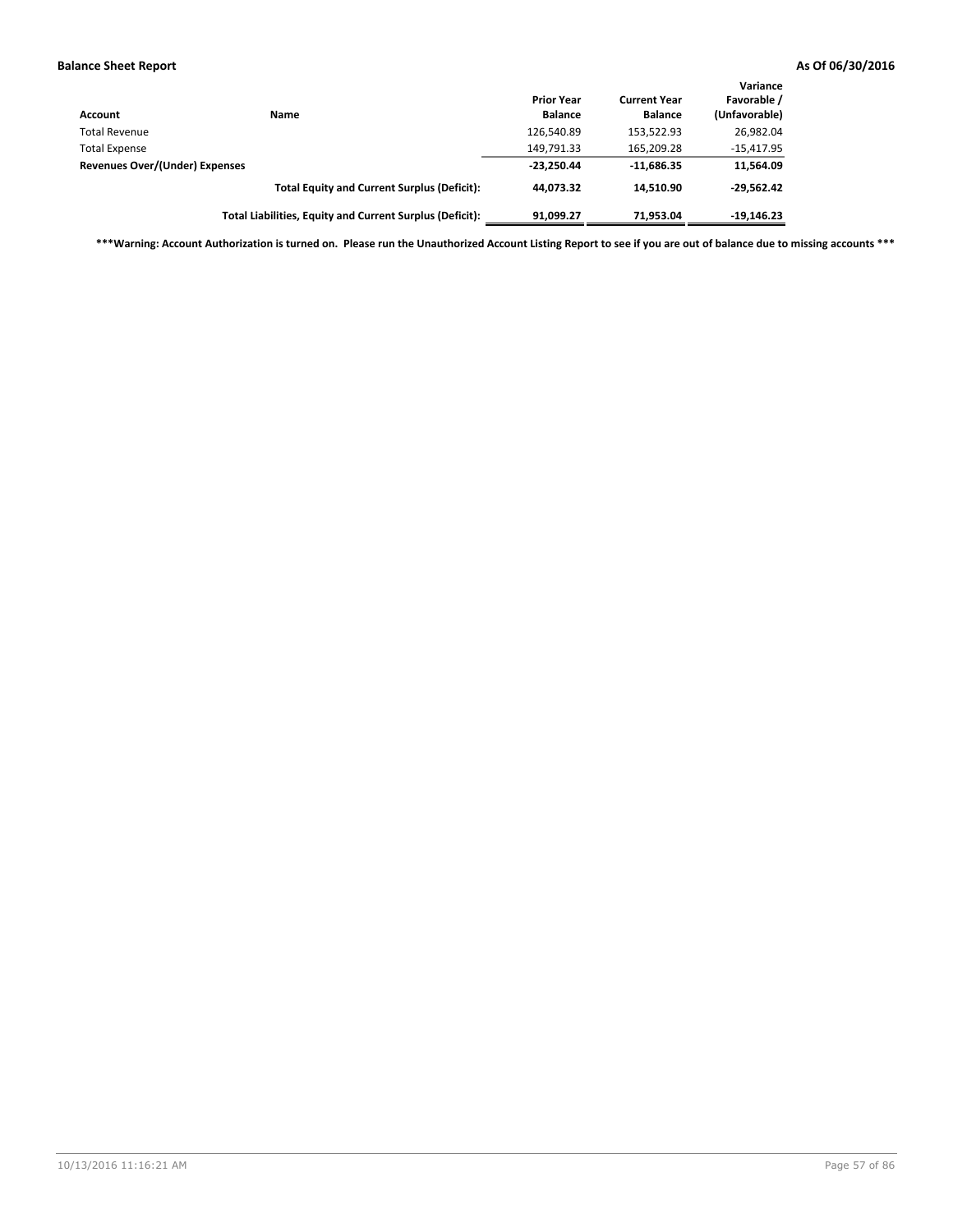| Account                        | <b>Name</b>                                              | <b>Prior Year</b><br><b>Balance</b> | <b>Current Year</b><br><b>Balance</b> | Variance<br>Favorable /<br>(Unfavorable) |
|--------------------------------|----------------------------------------------------------|-------------------------------------|---------------------------------------|------------------------------------------|
| <b>Total Revenue</b>           |                                                          | 126,540.89                          | 153,522.93                            | 26,982.04                                |
| <b>Total Expense</b>           |                                                          | 149,791.33                          | 165,209.28                            | $-15,417.95$                             |
| Revenues Over/(Under) Expenses |                                                          | $-23,250.44$                        | $-11.686.35$                          | 11,564.09                                |
|                                | <b>Total Equity and Current Surplus (Deficit):</b>       | 44.073.32                           | 14.510.90                             | $-29.562.42$                             |
|                                | Total Liabilities, Equity and Current Surplus (Deficit): | 91.099.27                           | 71.953.04                             | $-19,146.23$                             |

**\*\*\*Warning: Account Authorization is turned on. Please run the Unauthorized Account Listing Report to see if you are out of balance due to missing accounts \*\*\***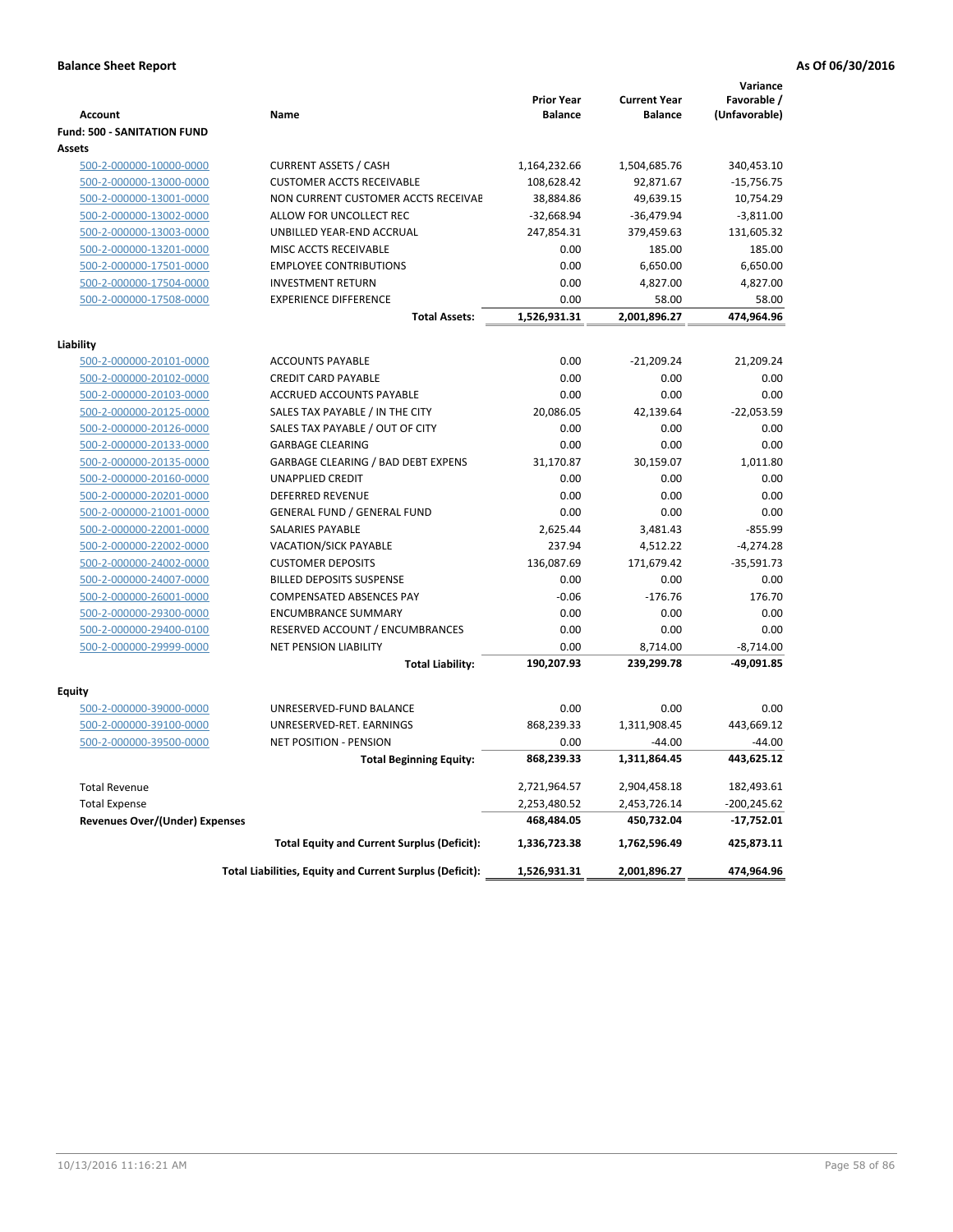|                                    |                                                          | <b>Prior Year</b> | <b>Current Year</b>        | Variance<br>Favorable /   |
|------------------------------------|----------------------------------------------------------|-------------------|----------------------------|---------------------------|
| <b>Account</b>                     | Name                                                     | <b>Balance</b>    | <b>Balance</b>             | (Unfavorable)             |
| <b>Fund: 500 - SANITATION FUND</b> |                                                          |                   |                            |                           |
| Assets                             |                                                          |                   |                            |                           |
| 500-2-000000-10000-0000            | <b>CURRENT ASSETS / CASH</b>                             | 1,164,232.66      | 1,504,685.76               | 340,453.10                |
| 500-2-000000-13000-0000            | <b>CUSTOMER ACCTS RECEIVABLE</b>                         | 108,628.42        | 92,871.67                  | $-15,756.75$              |
| 500-2-000000-13001-0000            | NON CURRENT CUSTOMER ACCTS RECEIVAE                      | 38,884.86         | 49,639.15                  | 10,754.29                 |
| 500-2-000000-13002-0000            | ALLOW FOR UNCOLLECT REC                                  | $-32,668.94$      | $-36,479.94$               | $-3,811.00$               |
| 500-2-000000-13003-0000            | UNBILLED YEAR-END ACCRUAL                                | 247,854.31        | 379,459.63                 | 131,605.32                |
| 500-2-000000-13201-0000            | MISC ACCTS RECEIVABLE                                    | 0.00              | 185.00                     | 185.00                    |
| 500-2-000000-17501-0000            | <b>EMPLOYEE CONTRIBUTIONS</b>                            | 0.00              | 6,650.00                   | 6,650.00                  |
| 500-2-000000-17504-0000            | <b>INVESTMENT RETURN</b>                                 | 0.00              | 4,827.00                   | 4,827.00                  |
| 500-2-000000-17508-0000            | <b>EXPERIENCE DIFFERENCE</b>                             | 0.00              | 58.00                      | 58.00                     |
|                                    | <b>Total Assets:</b>                                     | 1,526,931.31      | 2,001,896.27               | 474,964.96                |
| Liability                          |                                                          |                   |                            |                           |
| 500-2-000000-20101-0000            | <b>ACCOUNTS PAYABLE</b>                                  | 0.00              | $-21,209.24$               | 21,209.24                 |
| 500-2-000000-20102-0000            | <b>CREDIT CARD PAYABLE</b>                               | 0.00              | 0.00                       | 0.00                      |
| 500-2-000000-20103-0000            | ACCRUED ACCOUNTS PAYABLE                                 | 0.00              | 0.00                       | 0.00                      |
| 500-2-000000-20125-0000            | SALES TAX PAYABLE / IN THE CITY                          | 20,086.05         | 42,139.64                  | $-22,053.59$              |
| 500-2-000000-20126-0000            | SALES TAX PAYABLE / OUT OF CITY                          | 0.00              | 0.00                       | 0.00                      |
| 500-2-000000-20133-0000            | <b>GARBAGE CLEARING</b>                                  | 0.00              | 0.00                       | 0.00                      |
| 500-2-000000-20135-0000            | <b>GARBAGE CLEARING / BAD DEBT EXPENS</b>                | 31,170.87         | 30,159.07                  | 1,011.80                  |
| 500-2-000000-20160-0000            | <b>UNAPPLIED CREDIT</b>                                  | 0.00              | 0.00                       | 0.00                      |
| 500-2-000000-20201-0000            | <b>DEFERRED REVENUE</b>                                  | 0.00              | 0.00                       | 0.00                      |
| 500-2-000000-21001-0000            | <b>GENERAL FUND / GENERAL FUND</b>                       | 0.00              | 0.00                       | 0.00                      |
| 500-2-000000-22001-0000            | <b>SALARIES PAYABLE</b>                                  | 2,625.44          | 3,481.43                   | $-855.99$                 |
| 500-2-000000-22002-0000            | <b>VACATION/SICK PAYABLE</b>                             | 237.94            | 4,512.22                   | $-4,274.28$               |
| 500-2-000000-24002-0000            | <b>CUSTOMER DEPOSITS</b>                                 | 136,087.69        | 171,679.42                 | $-35,591.73$              |
| 500-2-000000-24007-0000            | <b>BILLED DEPOSITS SUSPENSE</b>                          | 0.00              | 0.00                       | 0.00                      |
| 500-2-000000-26001-0000            | <b>COMPENSATED ABSENCES PAY</b>                          | $-0.06$           | $-176.76$                  | 176.70                    |
| 500-2-000000-29300-0000            | <b>ENCUMBRANCE SUMMARY</b>                               | 0.00              | 0.00                       | 0.00                      |
|                                    | RESERVED ACCOUNT / ENCUMBRANCES                          | 0.00              | 0.00                       | 0.00                      |
| 500-2-000000-29400-0100            | <b>NET PENSION LIABILITY</b>                             | 0.00              |                            |                           |
| 500-2-000000-29999-0000            | <b>Total Liability:</b>                                  | 190,207.93        | 8,714.00<br>239,299.78     | $-8,714.00$<br>-49,091.85 |
|                                    |                                                          |                   |                            |                           |
| Equity                             |                                                          |                   |                            |                           |
| 500-2-000000-39000-0000            | UNRESERVED-FUND BALANCE                                  | 0.00              | 0.00                       | 0.00                      |
| 500-2-000000-39100-0000            | UNRESERVED-RET. EARNINGS                                 | 868,239.33        | 1,311,908.45               | 443,669.12                |
| 500-2-000000-39500-0000            | <b>NET POSITION - PENSION</b>                            | 0.00              | $-44.00$                   | $-44.00$                  |
|                                    | <b>Total Beginning Equity:</b>                           | 868,239.33        | 1,311,864.45               | 443,625.12                |
| <b>Total Revenue</b>               |                                                          | 2,721,964.57      | 2,904,458.18               | 182,493.61                |
| <b>Total Expense</b>               |                                                          | 2,253,480.52      |                            | $-200,245.62$             |
| Revenues Over/(Under) Expenses     |                                                          | 468,484.05        | 2,453,726.14<br>450,732.04 | $-17,752.01$              |
|                                    | <b>Total Equity and Current Surplus (Deficit):</b>       | 1,336,723.38      | 1,762,596.49               | 425,873.11                |
|                                    | Total Liabilities, Equity and Current Surplus (Deficit): | 1,526,931.31      | 2,001,896.27               | 474,964.96                |
|                                    |                                                          |                   |                            |                           |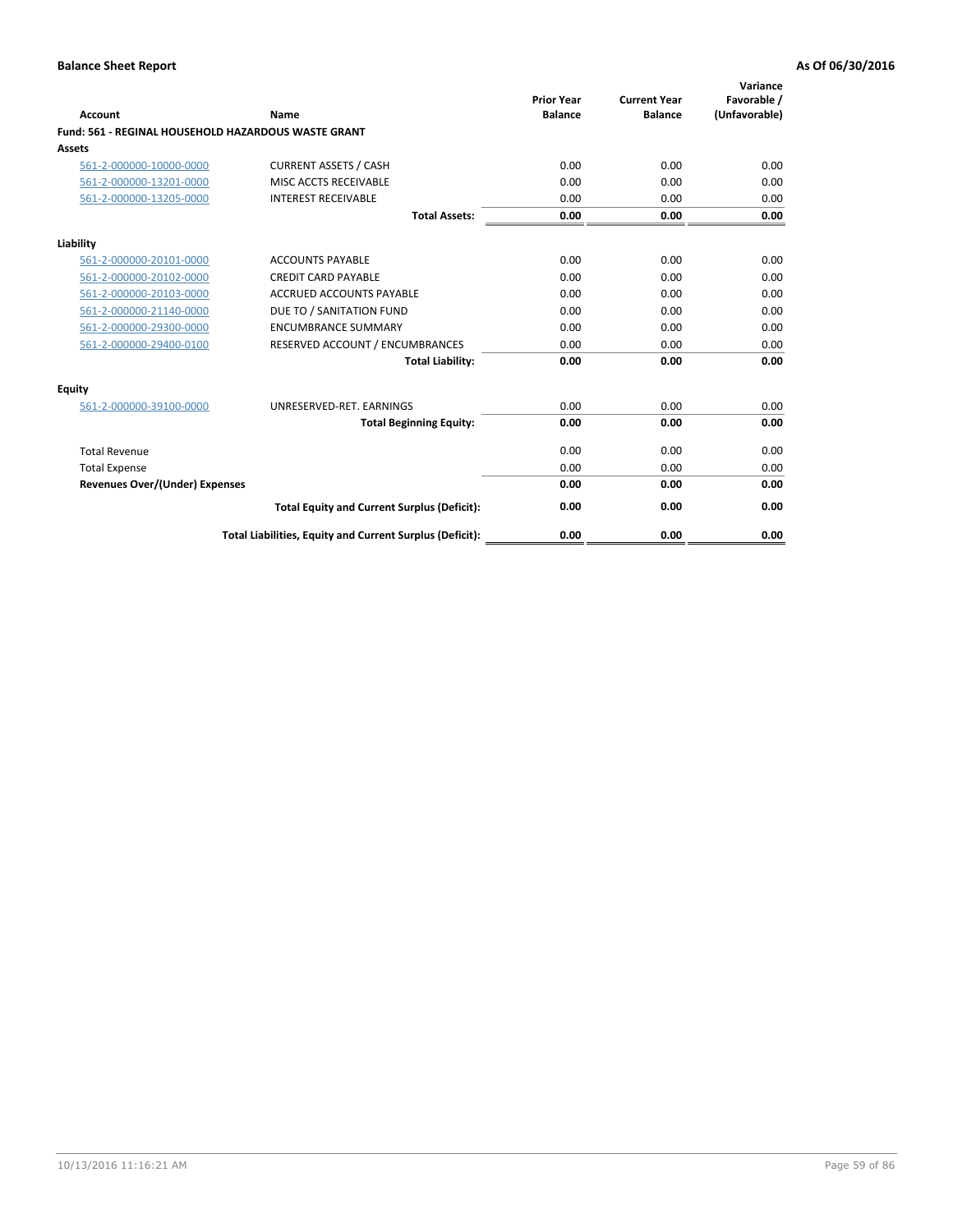| <b>Account</b>                                             | Name                                                     | <b>Prior Year</b><br><b>Balance</b> | <b>Current Year</b><br><b>Balance</b> | Variance<br>Favorable /<br>(Unfavorable) |
|------------------------------------------------------------|----------------------------------------------------------|-------------------------------------|---------------------------------------|------------------------------------------|
| <b>Fund: 561 - REGINAL HOUSEHOLD HAZARDOUS WASTE GRANT</b> |                                                          |                                     |                                       |                                          |
| Assets                                                     |                                                          |                                     |                                       |                                          |
| 561-2-000000-10000-0000                                    | <b>CURRENT ASSETS / CASH</b>                             | 0.00                                | 0.00                                  | 0.00                                     |
| 561-2-000000-13201-0000                                    | MISC ACCTS RECEIVABLE                                    | 0.00                                | 0.00                                  | 0.00                                     |
| 561-2-000000-13205-0000                                    | <b>INTEREST RECEIVABLE</b>                               | 0.00                                | 0.00                                  | 0.00                                     |
|                                                            | <b>Total Assets:</b>                                     | 0.00                                | 0.00                                  | 0.00                                     |
| Liability                                                  |                                                          |                                     |                                       |                                          |
| 561-2-000000-20101-0000                                    | <b>ACCOUNTS PAYABLE</b>                                  | 0.00                                | 0.00                                  | 0.00                                     |
| 561-2-000000-20102-0000                                    | <b>CREDIT CARD PAYABLE</b>                               | 0.00                                | 0.00                                  | 0.00                                     |
| 561-2-000000-20103-0000                                    | <b>ACCRUED ACCOUNTS PAYABLE</b>                          | 0.00                                | 0.00                                  | 0.00                                     |
| 561-2-000000-21140-0000                                    | DUE TO / SANITATION FUND                                 | 0.00                                | 0.00                                  | 0.00                                     |
| 561-2-000000-29300-0000                                    | <b>ENCUMBRANCE SUMMARY</b>                               | 0.00                                | 0.00                                  | 0.00                                     |
| 561-2-000000-29400-0100                                    | RESERVED ACCOUNT / ENCUMBRANCES                          | 0.00                                | 0.00                                  | 0.00                                     |
|                                                            | <b>Total Liability:</b>                                  | 0.00                                | 0.00                                  | 0.00                                     |
| <b>Equity</b>                                              |                                                          |                                     |                                       |                                          |
| 561-2-000000-39100-0000                                    | UNRESERVED-RET. EARNINGS                                 | 0.00                                | 0.00                                  | 0.00                                     |
|                                                            | <b>Total Beginning Equity:</b>                           | 0.00                                | 0.00                                  | 0.00                                     |
| <b>Total Revenue</b>                                       |                                                          | 0.00                                | 0.00                                  | 0.00                                     |
| <b>Total Expense</b>                                       |                                                          | 0.00                                | 0.00                                  | 0.00                                     |
| <b>Revenues Over/(Under) Expenses</b>                      |                                                          | 0.00                                | 0.00                                  | 0.00                                     |
|                                                            | <b>Total Equity and Current Surplus (Deficit):</b>       | 0.00                                | 0.00                                  | 0.00                                     |
|                                                            | Total Liabilities, Equity and Current Surplus (Deficit): | 0.00                                | 0.00                                  | 0.00                                     |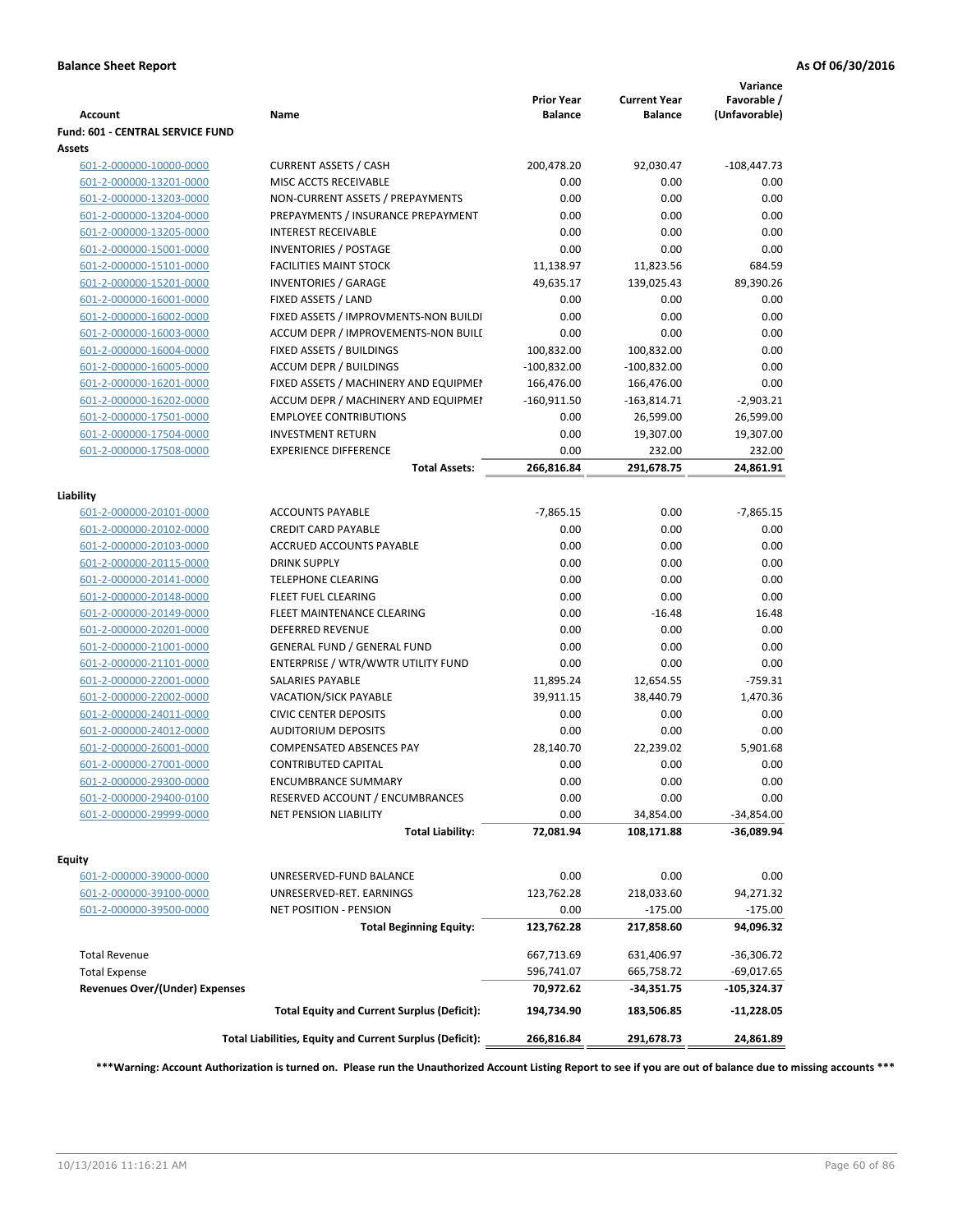| <b>Account</b>                   | Name                                                     | <b>Prior Year</b><br><b>Balance</b> | <b>Current Year</b><br><b>Balance</b> | Variance<br>Favorable /<br>(Unfavorable) |
|----------------------------------|----------------------------------------------------------|-------------------------------------|---------------------------------------|------------------------------------------|
| Fund: 601 - CENTRAL SERVICE FUND |                                                          |                                     |                                       |                                          |
| Assets                           |                                                          |                                     |                                       |                                          |
| 601-2-000000-10000-0000          | <b>CURRENT ASSETS / CASH</b>                             | 200,478.20                          | 92,030.47                             | $-108,447.73$                            |
| 601-2-000000-13201-0000          | MISC ACCTS RECEIVABLE                                    | 0.00                                | 0.00                                  | 0.00                                     |
| 601-2-000000-13203-0000          | NON-CURRENT ASSETS / PREPAYMENTS                         | 0.00                                | 0.00                                  | 0.00                                     |
| 601-2-000000-13204-0000          | PREPAYMENTS / INSURANCE PREPAYMENT                       | 0.00                                | 0.00                                  | 0.00                                     |
| 601-2-000000-13205-0000          | <b>INTEREST RECEIVABLE</b>                               | 0.00                                | 0.00                                  | 0.00                                     |
| 601-2-000000-15001-0000          | <b>INVENTORIES / POSTAGE</b>                             | 0.00                                | 0.00                                  | 0.00                                     |
| 601-2-000000-15101-0000          | <b>FACILITIES MAINT STOCK</b>                            | 11,138.97                           | 11,823.56                             | 684.59                                   |
| 601-2-000000-15201-0000          | <b>INVENTORIES / GARAGE</b>                              | 49,635.17                           | 139,025.43                            | 89,390.26                                |
| 601-2-000000-16001-0000          | FIXED ASSETS / LAND                                      | 0.00                                | 0.00                                  | 0.00                                     |
| 601-2-000000-16002-0000          | FIXED ASSETS / IMPROVMENTS-NON BUILDI                    | 0.00                                | 0.00                                  | 0.00                                     |
| 601-2-000000-16003-0000          | ACCUM DEPR / IMPROVEMENTS-NON BUILI                      | 0.00                                | 0.00                                  | 0.00                                     |
| 601-2-000000-16004-0000          | FIXED ASSETS / BUILDINGS                                 | 100,832.00                          | 100,832.00                            | 0.00                                     |
| 601-2-000000-16005-0000          | <b>ACCUM DEPR / BUILDINGS</b>                            | $-100,832.00$                       | $-100,832.00$                         | 0.00                                     |
| 601-2-000000-16201-0000          | FIXED ASSETS / MACHINERY AND EQUIPMEN                    | 166,476.00                          | 166,476.00                            | 0.00                                     |
| 601-2-000000-16202-0000          | ACCUM DEPR / MACHINERY AND EQUIPMEI                      | $-160,911.50$                       | $-163,814.71$                         | $-2,903.21$                              |
| 601-2-000000-17501-0000          | <b>EMPLOYEE CONTRIBUTIONS</b>                            | 0.00                                | 26,599.00                             | 26,599.00                                |
| 601-2-000000-17504-0000          | <b>INVESTMENT RETURN</b>                                 | 0.00                                | 19,307.00                             | 19,307.00                                |
| 601-2-000000-17508-0000          | <b>EXPERIENCE DIFFERENCE</b>                             | 0.00                                | 232.00                                | 232.00                                   |
|                                  | <b>Total Assets:</b>                                     | 266,816.84                          | 291,678.75                            | 24,861.91                                |
| Liability                        |                                                          |                                     |                                       |                                          |
| 601-2-000000-20101-0000          | <b>ACCOUNTS PAYABLE</b>                                  | $-7,865.15$                         | 0.00                                  | $-7,865.15$                              |
| 601-2-000000-20102-0000          | <b>CREDIT CARD PAYABLE</b>                               | 0.00                                | 0.00                                  | 0.00                                     |
| 601-2-000000-20103-0000          | ACCRUED ACCOUNTS PAYABLE                                 | 0.00                                | 0.00                                  | 0.00                                     |
| 601-2-000000-20115-0000          | <b>DRINK SUPPLY</b>                                      | 0.00                                | 0.00                                  | 0.00                                     |
| 601-2-000000-20141-0000          | <b>TELEPHONE CLEARING</b>                                | 0.00                                | 0.00                                  | 0.00                                     |
| 601-2-000000-20148-0000          | <b>FLEET FUEL CLEARING</b>                               | 0.00                                | 0.00                                  | 0.00                                     |
| 601-2-000000-20149-0000          | FLEET MAINTENANCE CLEARING                               | 0.00                                | $-16.48$                              | 16.48                                    |
| 601-2-000000-20201-0000          | <b>DEFERRED REVENUE</b>                                  | 0.00                                | 0.00                                  | 0.00                                     |
| 601-2-000000-21001-0000          | <b>GENERAL FUND / GENERAL FUND</b>                       | 0.00                                | 0.00                                  | 0.00                                     |
| 601-2-000000-21101-0000          | ENTERPRISE / WTR/WWTR UTILITY FUND                       | 0.00                                | 0.00                                  | 0.00                                     |
| 601-2-000000-22001-0000          | <b>SALARIES PAYABLE</b>                                  | 11,895.24                           | 12,654.55                             | $-759.31$                                |
| 601-2-000000-22002-0000          | <b>VACATION/SICK PAYABLE</b>                             | 39,911.15                           | 38,440.79                             | 1,470.36                                 |
| 601-2-000000-24011-0000          | <b>CIVIC CENTER DEPOSITS</b>                             | 0.00                                | 0.00                                  | 0.00                                     |
| 601-2-000000-24012-0000          | <b>AUDITORIUM DEPOSITS</b>                               | 0.00                                | 0.00                                  | 0.00                                     |
| 601-2-000000-26001-0000          | <b>COMPENSATED ABSENCES PAY</b>                          | 28,140.70                           | 22,239.02                             | 5,901.68                                 |
| 601-2-000000-27001-0000          | <b>CONTRIBUTED CAPITAL</b>                               | 0.00                                | 0.00                                  | 0.00                                     |
| 601-2-000000-29300-0000          | <b>ENCUMBRANCE SUMMARY</b>                               | 0.00                                | 0.00                                  | 0.00                                     |
| 601-2-000000-29400-0100          | RESERVED ACCOUNT / ENCUMBRANCES                          | 0.00                                | 0.00                                  | 0.00                                     |
| 601-2-000000-29999-0000          | NET PENSION LIABILITY                                    | 0.00                                | 34,854.00                             | $-34,854.00$                             |
|                                  | <b>Total Liability:</b>                                  | 72,081.94                           | 108,171.88                            | -36,089.94                               |
| <b>Equity</b>                    |                                                          |                                     |                                       |                                          |
| 601-2-000000-39000-0000          | UNRESERVED-FUND BALANCE                                  | 0.00                                | 0.00                                  | 0.00                                     |
| 601-2-000000-39100-0000          | UNRESERVED-RET. EARNINGS                                 | 123,762.28                          | 218,033.60                            | 94,271.32                                |
| 601-2-000000-39500-0000          | NET POSITION - PENSION                                   | 0.00                                | $-175.00$                             | $-175.00$                                |
|                                  | <b>Total Beginning Equity:</b>                           | 123,762.28                          | 217,858.60                            | 94,096.32                                |
| <b>Total Revenue</b>             |                                                          | 667,713.69                          | 631,406.97                            | $-36,306.72$                             |
| <b>Total Expense</b>             |                                                          | 596,741.07                          | 665,758.72                            | $-69,017.65$                             |
| Revenues Over/(Under) Expenses   |                                                          | 70,972.62                           | -34,351.75                            | -105,324.37                              |
|                                  | <b>Total Equity and Current Surplus (Deficit):</b>       | 194,734.90                          | 183,506.85                            | $-11,228.05$                             |
|                                  | Total Liabilities, Equity and Current Surplus (Deficit): | 266,816.84                          | 291,678.73                            | 24,861.89                                |

**\*\*\*Warning: Account Authorization is turned on. Please run the Unauthorized Account Listing Report to see if you are out of balance due to missing accounts \*\*\***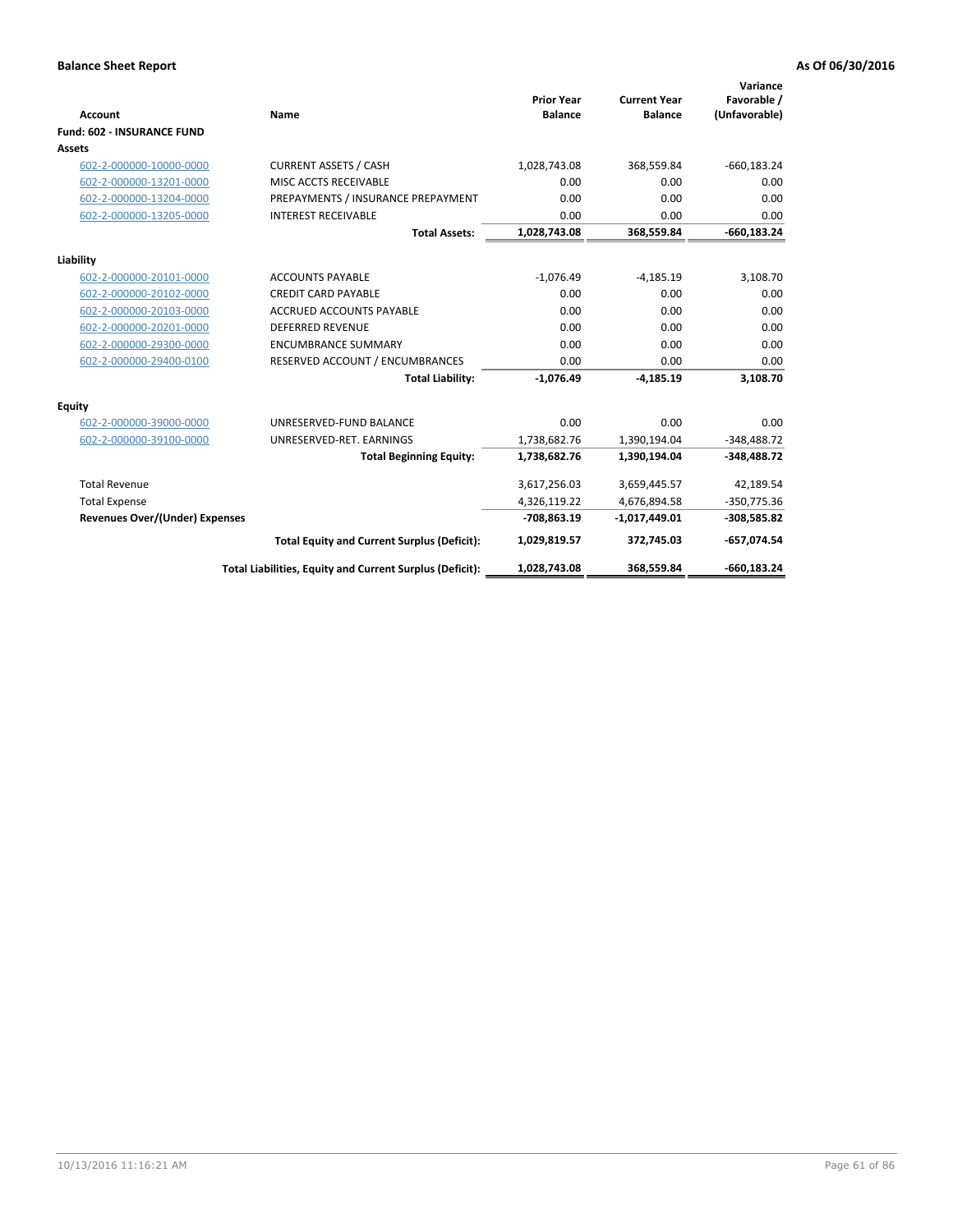|                                       |                                                          |                                     |                                       | Variance                     |
|---------------------------------------|----------------------------------------------------------|-------------------------------------|---------------------------------------|------------------------------|
| <b>Account</b>                        | <b>Name</b>                                              | <b>Prior Year</b><br><b>Balance</b> | <b>Current Year</b><br><b>Balance</b> | Favorable /<br>(Unfavorable) |
| <b>Fund: 602 - INSURANCE FUND</b>     |                                                          |                                     |                                       |                              |
| <b>Assets</b>                         |                                                          |                                     |                                       |                              |
| 602-2-000000-10000-0000               | <b>CURRENT ASSETS / CASH</b>                             | 1,028,743.08                        | 368,559.84                            | $-660, 183.24$               |
| 602-2-000000-13201-0000               | MISC ACCTS RECEIVABLE                                    | 0.00                                | 0.00                                  | 0.00                         |
| 602-2-000000-13204-0000               | PREPAYMENTS / INSURANCE PREPAYMENT                       | 0.00                                | 0.00                                  | 0.00                         |
| 602-2-000000-13205-0000               | <b>INTEREST RECEIVABLE</b>                               | 0.00                                | 0.00                                  | 0.00                         |
|                                       | <b>Total Assets:</b>                                     | 1,028,743.08                        | 368,559.84                            | $-660, 183.24$               |
| Liability                             |                                                          |                                     |                                       |                              |
| 602-2-000000-20101-0000               | <b>ACCOUNTS PAYABLE</b>                                  | $-1,076.49$                         | $-4,185.19$                           | 3,108.70                     |
| 602-2-000000-20102-0000               | <b>CREDIT CARD PAYABLE</b>                               | 0.00                                | 0.00                                  | 0.00                         |
| 602-2-000000-20103-0000               | <b>ACCRUED ACCOUNTS PAYABLE</b>                          | 0.00                                | 0.00                                  | 0.00                         |
| 602-2-000000-20201-0000               | <b>DEFERRED REVENUE</b>                                  | 0.00                                | 0.00                                  | 0.00                         |
| 602-2-000000-29300-0000               | <b>ENCUMBRANCE SUMMARY</b>                               | 0.00                                | 0.00                                  | 0.00                         |
| 602-2-000000-29400-0100               | RESERVED ACCOUNT / ENCUMBRANCES                          | 0.00                                | 0.00                                  | 0.00                         |
|                                       | <b>Total Liability:</b>                                  | $-1,076.49$                         | $-4,185.19$                           | 3,108.70                     |
| <b>Equity</b>                         |                                                          |                                     |                                       |                              |
| 602-2-000000-39000-0000               | UNRESERVED-FUND BALANCE                                  | 0.00                                | 0.00                                  | 0.00                         |
| 602-2-000000-39100-0000               | UNRESERVED-RET. EARNINGS                                 | 1,738,682.76                        | 1,390,194.04                          | $-348,488.72$                |
|                                       | <b>Total Beginning Equity:</b>                           | 1,738,682.76                        | 1,390,194.04                          | $-348,488.72$                |
| <b>Total Revenue</b>                  |                                                          | 3,617,256.03                        | 3,659,445.57                          | 42,189.54                    |
| <b>Total Expense</b>                  |                                                          | 4,326,119.22                        | 4,676,894.58                          | $-350,775.36$                |
| <b>Revenues Over/(Under) Expenses</b> |                                                          | -708,863.19                         | $-1,017,449.01$                       | $-308,585.82$                |
|                                       | <b>Total Equity and Current Surplus (Deficit):</b>       | 1,029,819.57                        | 372,745.03                            | -657,074.54                  |
|                                       | Total Liabilities, Equity and Current Surplus (Deficit): | 1,028,743.08                        | 368,559.84                            | $-660.183.24$                |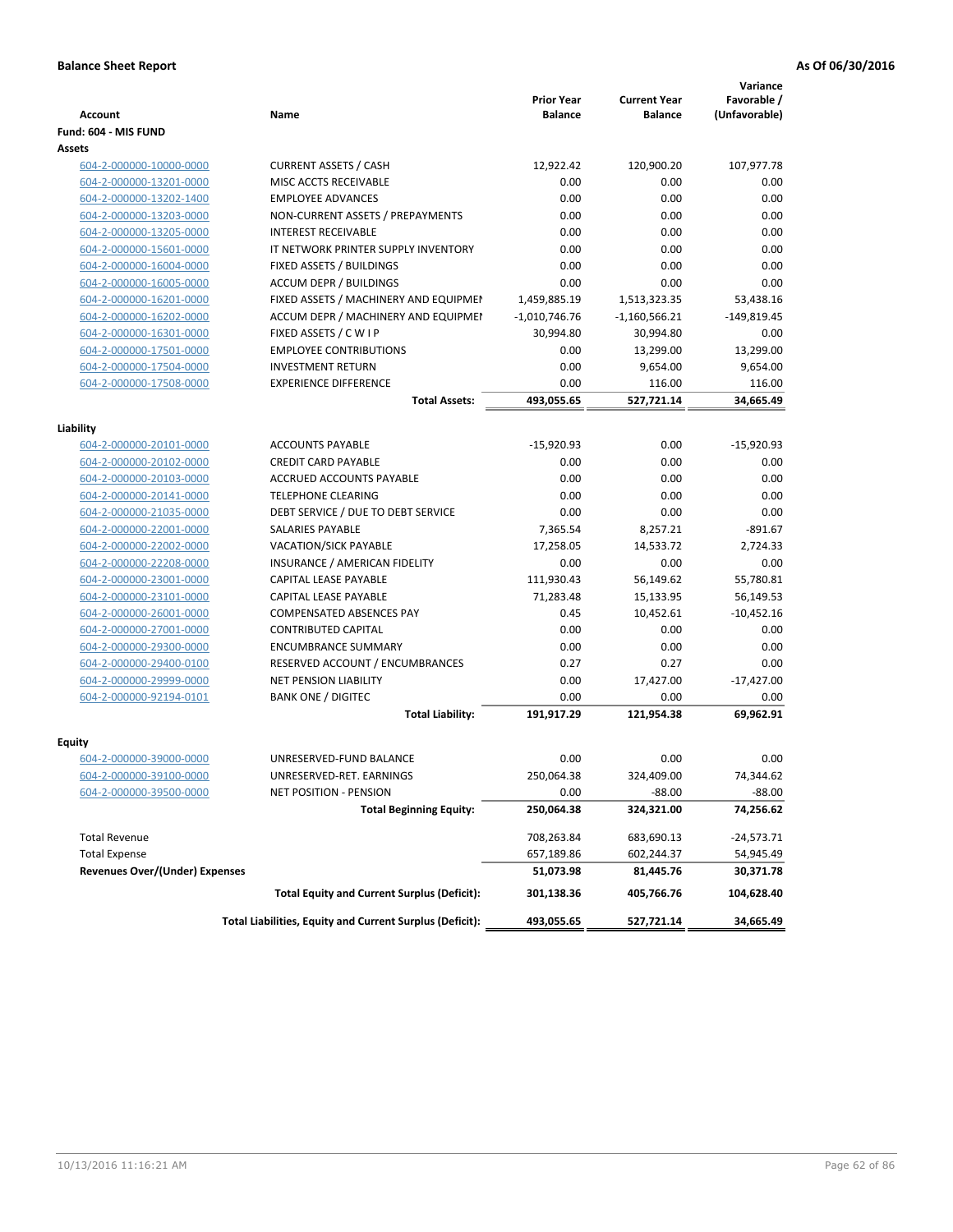|                                       |                                                          | <b>Prior Year</b> | <b>Current Year</b> | Variance<br>Favorable / |
|---------------------------------------|----------------------------------------------------------|-------------------|---------------------|-------------------------|
| <b>Account</b>                        | Name                                                     | <b>Balance</b>    | <b>Balance</b>      | (Unfavorable)           |
| Fund: 604 - MIS FUND                  |                                                          |                   |                     |                         |
| Assets                                |                                                          |                   |                     |                         |
| 604-2-000000-10000-0000               | <b>CURRENT ASSETS / CASH</b>                             | 12,922.42         | 120,900.20          | 107,977.78              |
| 604-2-000000-13201-0000               | MISC ACCTS RECEIVABLE                                    | 0.00              | 0.00                | 0.00                    |
| 604-2-000000-13202-1400               | <b>EMPLOYEE ADVANCES</b>                                 | 0.00              | 0.00                | 0.00                    |
| 604-2-000000-13203-0000               | NON-CURRENT ASSETS / PREPAYMENTS                         | 0.00              | 0.00                | 0.00                    |
| 604-2-000000-13205-0000               | <b>INTEREST RECEIVABLE</b>                               | 0.00              | 0.00                | 0.00                    |
| 604-2-000000-15601-0000               | IT NETWORK PRINTER SUPPLY INVENTORY                      | 0.00              | 0.00                | 0.00                    |
| 604-2-000000-16004-0000               | FIXED ASSETS / BUILDINGS                                 | 0.00              | 0.00                | 0.00                    |
| 604-2-000000-16005-0000               | <b>ACCUM DEPR / BUILDINGS</b>                            | 0.00              | 0.00                | 0.00                    |
| 604-2-000000-16201-0000               | FIXED ASSETS / MACHINERY AND EQUIPMEN                    | 1,459,885.19      | 1,513,323.35        | 53,438.16               |
| 604-2-000000-16202-0000               | ACCUM DEPR / MACHINERY AND EQUIPMEI                      | $-1,010,746.76$   | $-1,160,566.21$     | $-149,819.45$           |
| 604-2-000000-16301-0000               | FIXED ASSETS / C W I P                                   | 30,994.80         | 30,994.80           | 0.00                    |
| 604-2-000000-17501-0000               | <b>EMPLOYEE CONTRIBUTIONS</b>                            | 0.00              | 13,299.00           | 13,299.00               |
| 604-2-000000-17504-0000               | <b>INVESTMENT RETURN</b>                                 | 0.00              | 9,654.00            | 9,654.00                |
| 604-2-000000-17508-0000               | <b>EXPERIENCE DIFFERENCE</b>                             | 0.00              | 116.00              | 116.00                  |
|                                       | <b>Total Assets:</b>                                     | 493,055.65        | 527,721.14          | 34,665.49               |
|                                       |                                                          |                   |                     |                         |
| Liability                             |                                                          |                   |                     |                         |
| 604-2-000000-20101-0000               | <b>ACCOUNTS PAYABLE</b>                                  | $-15,920.93$      | 0.00                | $-15,920.93$            |
| 604-2-000000-20102-0000               | <b>CREDIT CARD PAYABLE</b>                               | 0.00              | 0.00                | 0.00                    |
| 604-2-000000-20103-0000               | ACCRUED ACCOUNTS PAYABLE                                 | 0.00              | 0.00                | 0.00                    |
| 604-2-000000-20141-0000               | <b>TELEPHONE CLEARING</b>                                | 0.00              | 0.00                | 0.00                    |
| 604-2-000000-21035-0000               | DEBT SERVICE / DUE TO DEBT SERVICE                       | 0.00              | 0.00                | 0.00                    |
| 604-2-000000-22001-0000               | SALARIES PAYABLE                                         | 7,365.54          | 8,257.21            | $-891.67$               |
| 604-2-000000-22002-0000               | <b>VACATION/SICK PAYABLE</b>                             | 17,258.05         | 14,533.72           | 2,724.33                |
| 604-2-000000-22208-0000               | INSURANCE / AMERICAN FIDELITY                            | 0.00              | 0.00                | 0.00                    |
| 604-2-000000-23001-0000               | CAPITAL LEASE PAYABLE                                    | 111,930.43        | 56,149.62           | 55,780.81               |
| 604-2-000000-23101-0000               | CAPITAL LEASE PAYABLE                                    | 71,283.48         | 15,133.95           | 56,149.53               |
| 604-2-000000-26001-0000               | COMPENSATED ABSENCES PAY                                 | 0.45              | 10,452.61           | $-10,452.16$            |
| 604-2-000000-27001-0000               | <b>CONTRIBUTED CAPITAL</b>                               | 0.00              | 0.00                | 0.00                    |
| 604-2-000000-29300-0000               | <b>ENCUMBRANCE SUMMARY</b>                               | 0.00              | 0.00                | 0.00                    |
| 604-2-000000-29400-0100               | RESERVED ACCOUNT / ENCUMBRANCES                          | 0.27              | 0.27                | 0.00                    |
| 604-2-000000-29999-0000               | <b>NET PENSION LIABILITY</b>                             | 0.00              | 17,427.00           | $-17,427.00$            |
| 604-2-000000-92194-0101               | <b>BANK ONE / DIGITEC</b>                                | 0.00              | 0.00                | 0.00                    |
|                                       | <b>Total Liability:</b>                                  | 191,917.29        | 121,954.38          | 69,962.91               |
|                                       |                                                          |                   |                     |                         |
| Equity                                |                                                          |                   |                     |                         |
| 604-2-000000-39000-0000               | UNRESERVED-FUND BALANCE                                  | 0.00              | 0.00                | 0.00                    |
| 604-2-000000-39100-0000               | UNRESERVED-RET. EARNINGS                                 | 250,064.38        | 324,409.00          | 74,344.62               |
| 604-2-000000-39500-0000               | NET POSITION - PENSION                                   | 0.00              | $-88.00$            | $-88.00$                |
|                                       | <b>Total Beginning Equity:</b>                           | 250,064.38        | 324,321.00          | 74,256.62               |
| <b>Total Revenue</b>                  |                                                          | 708,263.84        | 683,690.13          | -24,573.71              |
| <b>Total Expense</b>                  |                                                          | 657,189.86        | 602,244.37          | 54,945.49               |
| <b>Revenues Over/(Under) Expenses</b> |                                                          | 51,073.98         | 81,445.76           | 30,371.78               |
|                                       | <b>Total Equity and Current Surplus (Deficit):</b>       | 301,138.36        | 405,766.76          | 104,628.40              |
|                                       | Total Liabilities, Equity and Current Surplus (Deficit): | 493,055.65        | 527,721.14          | 34,665.49               |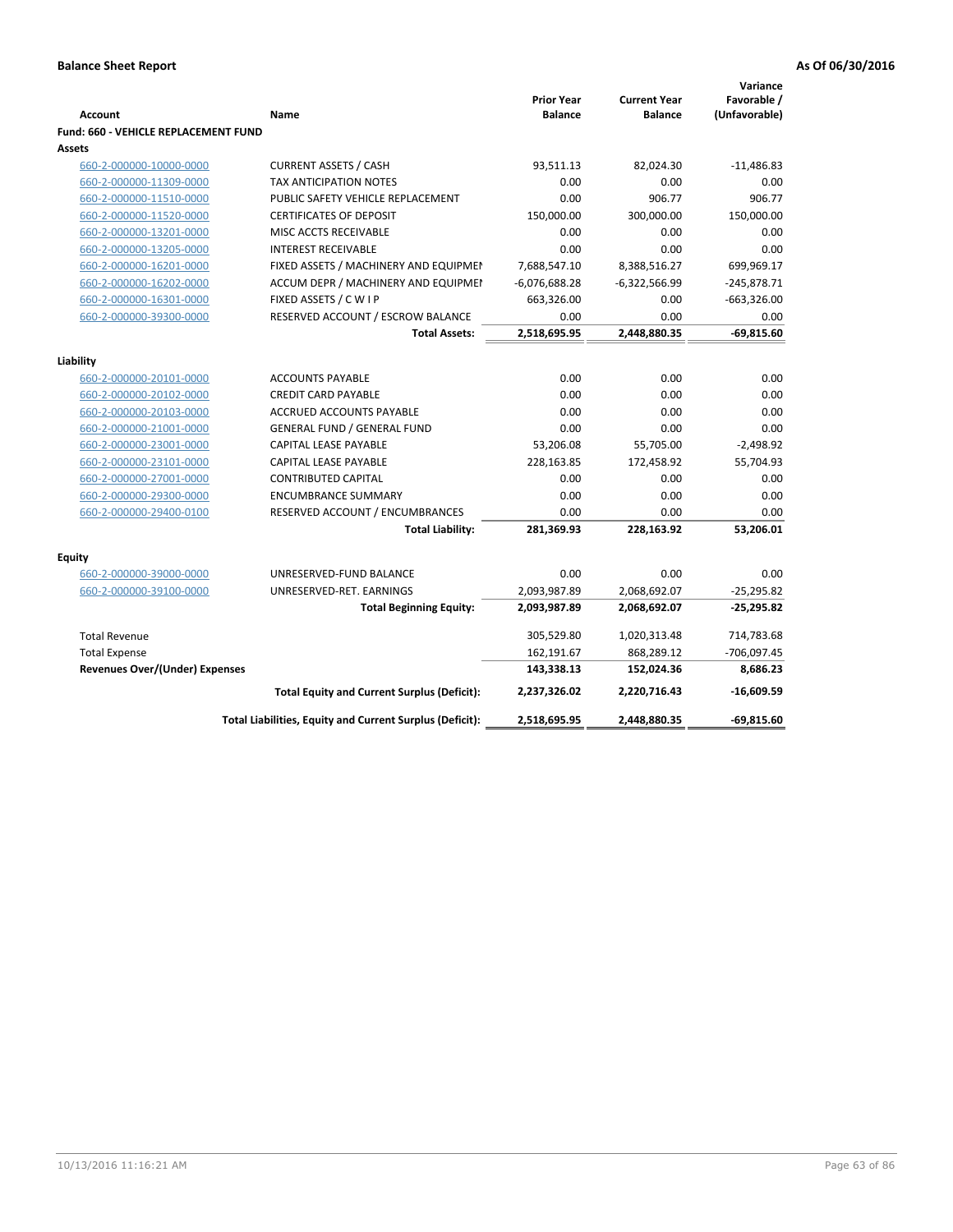| <b>Account</b>                              | Name                                                     | <b>Prior Year</b><br><b>Balance</b> | <b>Current Year</b><br><b>Balance</b> | Variance<br>Favorable /<br>(Unfavorable) |
|---------------------------------------------|----------------------------------------------------------|-------------------------------------|---------------------------------------|------------------------------------------|
| <b>Fund: 660 - VEHICLE REPLACEMENT FUND</b> |                                                          |                                     |                                       |                                          |
| Assets                                      |                                                          |                                     |                                       |                                          |
| 660-2-000000-10000-0000                     | <b>CURRENT ASSETS / CASH</b>                             | 93,511.13                           | 82,024.30                             | $-11,486.83$                             |
| 660-2-000000-11309-0000                     | TAX ANTICIPATION NOTES                                   | 0.00                                | 0.00                                  | 0.00                                     |
| 660-2-000000-11510-0000                     | PUBLIC SAFETY VEHICLE REPLACEMENT                        | 0.00                                | 906.77                                | 906.77                                   |
| 660-2-000000-11520-0000                     | <b>CERTIFICATES OF DEPOSIT</b>                           | 150,000.00                          | 300,000.00                            | 150,000.00                               |
| 660-2-000000-13201-0000                     | MISC ACCTS RECEIVABLE                                    | 0.00                                | 0.00                                  | 0.00                                     |
| 660-2-000000-13205-0000                     | <b>INTEREST RECEIVABLE</b>                               | 0.00                                | 0.00                                  | 0.00                                     |
| 660-2-000000-16201-0000                     | FIXED ASSETS / MACHINERY AND EQUIPMEN                    | 7,688,547.10                        | 8,388,516.27                          | 699,969.17                               |
| 660-2-000000-16202-0000                     | ACCUM DEPR / MACHINERY AND EQUIPMEI                      | $-6,076,688.28$                     | $-6,322,566.99$                       | $-245,878.71$                            |
| 660-2-000000-16301-0000                     | FIXED ASSETS / C W I P                                   | 663,326.00                          | 0.00                                  | $-663,326.00$                            |
| 660-2-000000-39300-0000                     | RESERVED ACCOUNT / ESCROW BALANCE                        | 0.00                                | 0.00                                  | 0.00                                     |
|                                             | <b>Total Assets:</b>                                     | 2,518,695.95                        | 2,448,880.35                          | $-69,815.60$                             |
| Liability                                   |                                                          |                                     |                                       |                                          |
| 660-2-000000-20101-0000                     | <b>ACCOUNTS PAYABLE</b>                                  | 0.00                                | 0.00                                  | 0.00                                     |
| 660-2-000000-20102-0000                     | <b>CREDIT CARD PAYABLE</b>                               | 0.00                                | 0.00                                  | 0.00                                     |
| 660-2-000000-20103-0000                     | <b>ACCRUED ACCOUNTS PAYABLE</b>                          | 0.00                                | 0.00                                  | 0.00                                     |
| 660-2-000000-21001-0000                     | <b>GENERAL FUND / GENERAL FUND</b>                       | 0.00                                | 0.00                                  | 0.00                                     |
| 660-2-000000-23001-0000                     | CAPITAL LEASE PAYABLE                                    | 53,206.08                           | 55,705.00                             | $-2,498.92$                              |
| 660-2-000000-23101-0000                     | <b>CAPITAL LEASE PAYABLE</b>                             | 228,163.85                          | 172,458.92                            | 55,704.93                                |
| 660-2-000000-27001-0000                     | <b>CONTRIBUTED CAPITAL</b>                               | 0.00                                | 0.00                                  | 0.00                                     |
| 660-2-000000-29300-0000                     | <b>ENCUMBRANCE SUMMARY</b>                               | 0.00                                | 0.00                                  | 0.00                                     |
| 660-2-000000-29400-0100                     | RESERVED ACCOUNT / ENCUMBRANCES                          | 0.00                                | 0.00                                  | 0.00                                     |
|                                             | <b>Total Liability:</b>                                  | 281,369.93                          | 228,163.92                            | 53,206.01                                |
| <b>Equity</b>                               |                                                          |                                     |                                       |                                          |
| 660-2-000000-39000-0000                     | UNRESERVED-FUND BALANCE                                  | 0.00                                | 0.00                                  | 0.00                                     |
| 660-2-000000-39100-0000                     | UNRESERVED-RET. EARNINGS                                 | 2,093,987.89                        | 2,068,692.07                          | $-25,295.82$                             |
|                                             | <b>Total Beginning Equity:</b>                           | 2,093,987.89                        | 2,068,692.07                          | $-25,295.82$                             |
| <b>Total Revenue</b>                        |                                                          | 305,529.80                          | 1,020,313.48                          | 714,783.68                               |
| <b>Total Expense</b>                        |                                                          | 162,191.67                          | 868,289.12                            | -706,097.45                              |
| <b>Revenues Over/(Under) Expenses</b>       |                                                          | 143,338.13                          | 152,024.36                            | 8,686.23                                 |
|                                             | <b>Total Equity and Current Surplus (Deficit):</b>       | 2,237,326.02                        | 2,220,716.43                          | $-16,609.59$                             |
|                                             | Total Liabilities, Equity and Current Surplus (Deficit): | 2,518,695.95                        | 2.448.880.35                          | $-69,815.60$                             |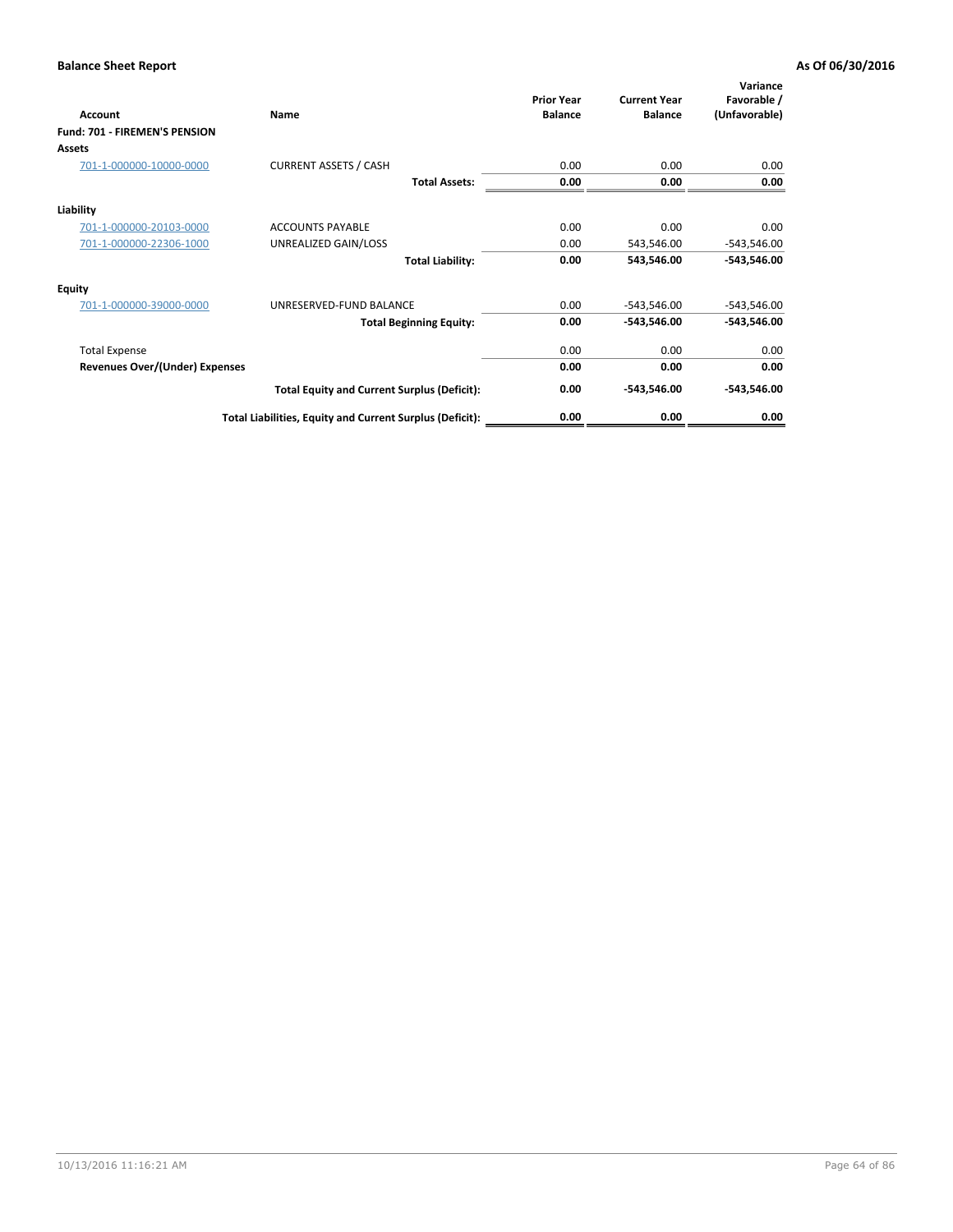| Account                               | Name                                                     | <b>Prior Year</b><br><b>Balance</b> | <b>Current Year</b><br><b>Balance</b> | Variance<br>Favorable /<br>(Unfavorable) |
|---------------------------------------|----------------------------------------------------------|-------------------------------------|---------------------------------------|------------------------------------------|
| Fund: 701 - FIREMEN'S PENSION         |                                                          |                                     |                                       |                                          |
| <b>Assets</b>                         |                                                          |                                     |                                       |                                          |
| 701-1-000000-10000-0000               | <b>CURRENT ASSETS / CASH</b>                             | 0.00                                | 0.00                                  | 0.00                                     |
|                                       | <b>Total Assets:</b>                                     | 0.00                                | 0.00                                  | 0.00                                     |
| Liability                             |                                                          |                                     |                                       |                                          |
| 701-1-000000-20103-0000               | <b>ACCOUNTS PAYABLE</b>                                  | 0.00                                | 0.00                                  | 0.00                                     |
| 701-1-000000-22306-1000               | UNREALIZED GAIN/LOSS                                     | 0.00                                | 543,546.00                            | $-543,546.00$                            |
|                                       | <b>Total Liability:</b>                                  | 0.00                                | 543,546.00                            | $-543,546.00$                            |
| <b>Equity</b>                         |                                                          |                                     |                                       |                                          |
| 701-1-000000-39000-0000               | UNRESERVED-FUND BALANCE                                  | 0.00                                | $-543,546.00$                         | $-543,546.00$                            |
|                                       | <b>Total Beginning Equity:</b>                           | 0.00                                | -543,546.00                           | -543,546.00                              |
| <b>Total Expense</b>                  |                                                          | 0.00                                | 0.00                                  | 0.00                                     |
| <b>Revenues Over/(Under) Expenses</b> |                                                          | 0.00                                | 0.00                                  | 0.00                                     |
|                                       | <b>Total Equity and Current Surplus (Deficit):</b>       | 0.00                                | -543,546.00                           | $-543,546.00$                            |
|                                       | Total Liabilities, Equity and Current Surplus (Deficit): | 0.00                                | 0.00                                  | 0.00                                     |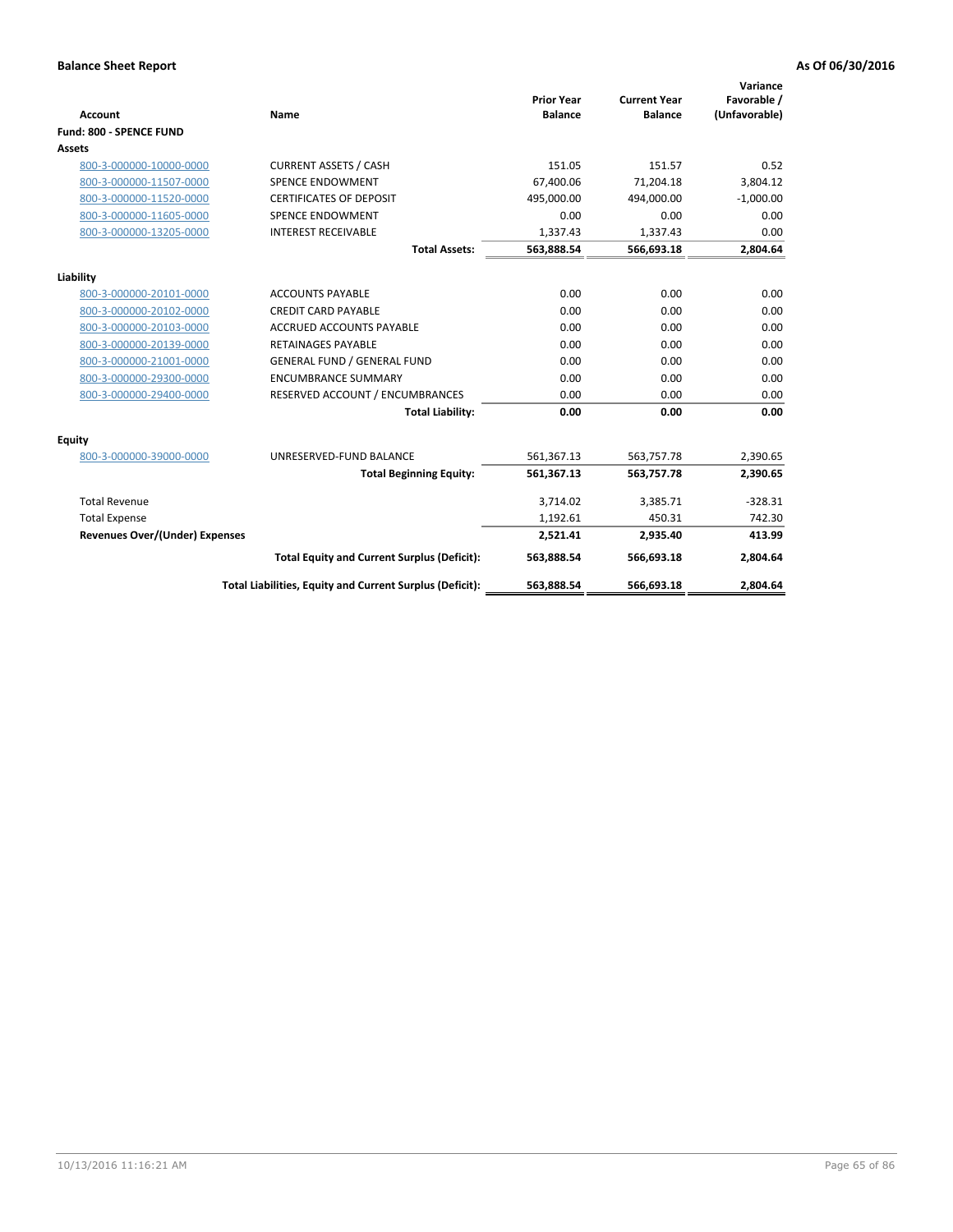|                                       |                                                          |                                     |                                       | Variance                     |
|---------------------------------------|----------------------------------------------------------|-------------------------------------|---------------------------------------|------------------------------|
| <b>Account</b>                        | <b>Name</b>                                              | <b>Prior Year</b><br><b>Balance</b> | <b>Current Year</b><br><b>Balance</b> | Favorable /<br>(Unfavorable) |
| Fund: 800 - SPENCE FUND               |                                                          |                                     |                                       |                              |
| Assets                                |                                                          |                                     |                                       |                              |
| 800-3-000000-10000-0000               | <b>CURRENT ASSETS / CASH</b>                             | 151.05                              | 151.57                                | 0.52                         |
| 800-3-000000-11507-0000               | <b>SPENCE ENDOWMENT</b>                                  | 67,400.06                           | 71,204.18                             | 3,804.12                     |
| 800-3-000000-11520-0000               | <b>CERTIFICATES OF DEPOSIT</b>                           | 495,000.00                          | 494,000.00                            | $-1,000.00$                  |
| 800-3-000000-11605-0000               | <b>SPENCE ENDOWMENT</b>                                  | 0.00                                | 0.00                                  | 0.00                         |
| 800-3-000000-13205-0000               | <b>INTEREST RECEIVABLE</b>                               | 1,337.43                            | 1,337.43                              | 0.00                         |
|                                       | <b>Total Assets:</b>                                     | 563,888.54                          | 566,693.18                            | 2,804.64                     |
| Liability                             |                                                          |                                     |                                       |                              |
| 800-3-000000-20101-0000               | <b>ACCOUNTS PAYABLE</b>                                  | 0.00                                | 0.00                                  | 0.00                         |
| 800-3-000000-20102-0000               | <b>CREDIT CARD PAYABLE</b>                               | 0.00                                | 0.00                                  | 0.00                         |
| 800-3-000000-20103-0000               | <b>ACCRUED ACCOUNTS PAYABLE</b>                          | 0.00                                | 0.00                                  | 0.00                         |
| 800-3-000000-20139-0000               | <b>RETAINAGES PAYABLE</b>                                | 0.00                                | 0.00                                  | 0.00                         |
| 800-3-000000-21001-0000               | <b>GENERAL FUND / GENERAL FUND</b>                       | 0.00                                | 0.00                                  | 0.00                         |
| 800-3-000000-29300-0000               | <b>ENCUMBRANCE SUMMARY</b>                               | 0.00                                | 0.00                                  | 0.00                         |
| 800-3-000000-29400-0000               | RESERVED ACCOUNT / ENCUMBRANCES                          | 0.00                                | 0.00                                  | 0.00                         |
|                                       | <b>Total Liability:</b>                                  | 0.00                                | 0.00                                  | 0.00                         |
| Equity                                |                                                          |                                     |                                       |                              |
| 800-3-000000-39000-0000               | UNRESERVED-FUND BALANCE                                  | 561,367.13                          | 563,757.78                            | 2,390.65                     |
|                                       | <b>Total Beginning Equity:</b>                           | 561,367.13                          | 563,757.78                            | 2,390.65                     |
| <b>Total Revenue</b>                  |                                                          | 3,714.02                            | 3,385.71                              | $-328.31$                    |
| <b>Total Expense</b>                  |                                                          | 1,192.61                            | 450.31                                | 742.30                       |
| <b>Revenues Over/(Under) Expenses</b> |                                                          | 2,521.41                            | 2,935.40                              | 413.99                       |
|                                       | <b>Total Equity and Current Surplus (Deficit):</b>       | 563,888.54                          | 566,693.18                            | 2,804.64                     |
|                                       | Total Liabilities, Equity and Current Surplus (Deficit): | 563,888.54                          | 566,693.18                            | 2,804.64                     |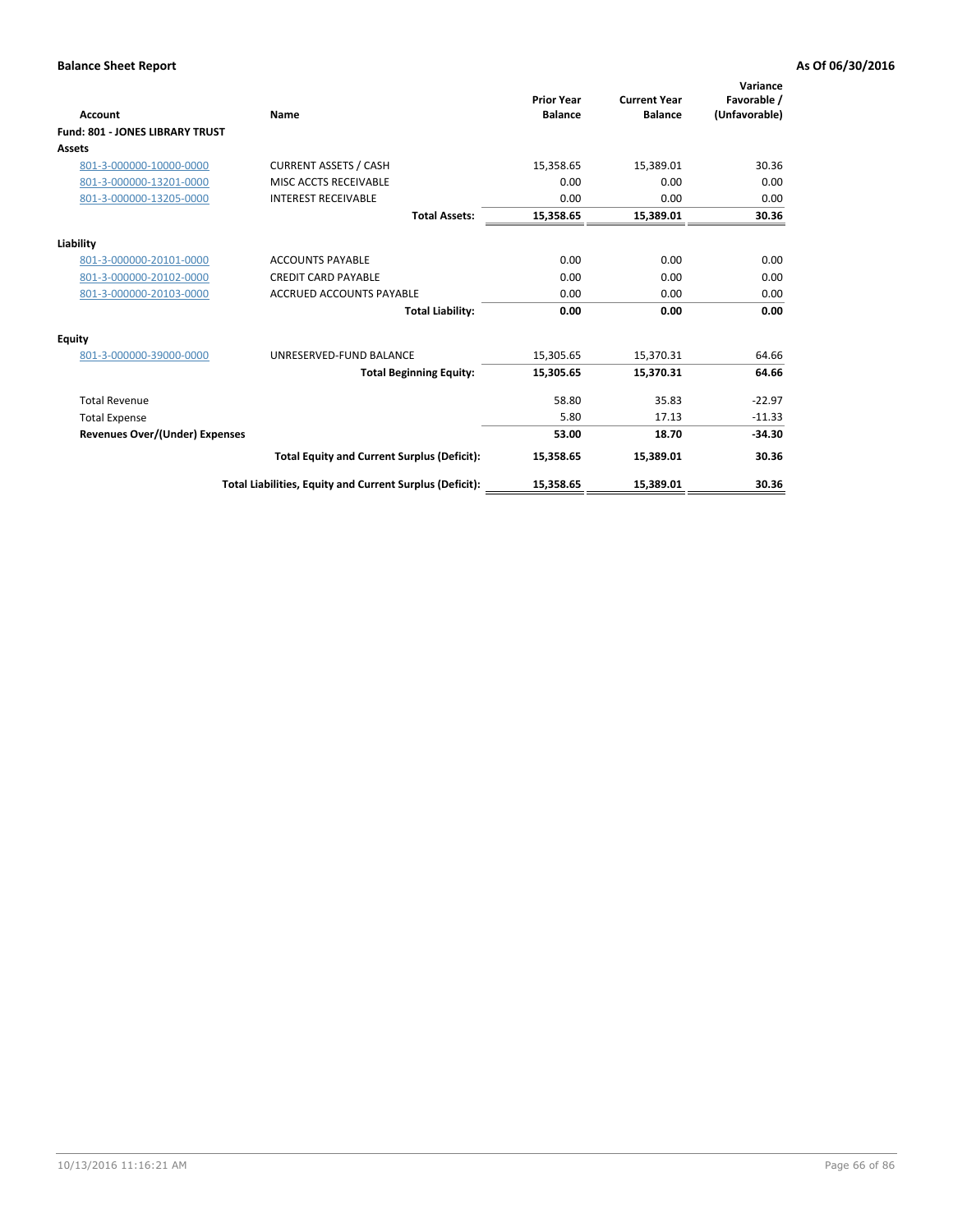| <b>Account</b>                         | Name                                                     | <b>Prior Year</b><br><b>Balance</b> | <b>Current Year</b><br><b>Balance</b> | Variance<br>Favorable /<br>(Unfavorable) |
|----------------------------------------|----------------------------------------------------------|-------------------------------------|---------------------------------------|------------------------------------------|
| <b>Fund: 801 - JONES LIBRARY TRUST</b> |                                                          |                                     |                                       |                                          |
| Assets                                 |                                                          |                                     |                                       |                                          |
| 801-3-000000-10000-0000                | <b>CURRENT ASSETS / CASH</b>                             | 15,358.65                           | 15,389.01                             | 30.36                                    |
| 801-3-000000-13201-0000                | MISC ACCTS RECEIVABLE                                    | 0.00                                | 0.00                                  | 0.00                                     |
| 801-3-000000-13205-0000                | <b>INTEREST RECEIVABLE</b>                               | 0.00                                | 0.00                                  | 0.00                                     |
|                                        | <b>Total Assets:</b>                                     | 15,358.65                           | 15,389.01                             | 30.36                                    |
| Liability                              |                                                          |                                     |                                       |                                          |
| 801-3-000000-20101-0000                | <b>ACCOUNTS PAYABLE</b>                                  | 0.00                                | 0.00                                  | 0.00                                     |
| 801-3-000000-20102-0000                | <b>CREDIT CARD PAYABLE</b>                               | 0.00                                | 0.00                                  | 0.00                                     |
| 801-3-000000-20103-0000                | ACCRUED ACCOUNTS PAYABLE                                 | 0.00                                | 0.00                                  | 0.00                                     |
|                                        | <b>Total Liability:</b>                                  | 0.00                                | 0.00                                  | 0.00                                     |
| Equity                                 |                                                          |                                     |                                       |                                          |
| 801-3-000000-39000-0000                | UNRESERVED-FUND BALANCE                                  | 15,305.65                           | 15,370.31                             | 64.66                                    |
|                                        | <b>Total Beginning Equity:</b>                           | 15,305.65                           | 15,370.31                             | 64.66                                    |
| <b>Total Revenue</b>                   |                                                          | 58.80                               | 35.83                                 | $-22.97$                                 |
| <b>Total Expense</b>                   |                                                          | 5.80                                | 17.13                                 | $-11.33$                                 |
| <b>Revenues Over/(Under) Expenses</b>  |                                                          | 53.00                               | 18.70                                 | $-34.30$                                 |
|                                        | <b>Total Equity and Current Surplus (Deficit):</b>       | 15,358.65                           | 15,389.01                             | 30.36                                    |
|                                        | Total Liabilities, Equity and Current Surplus (Deficit): | 15,358.65                           | 15,389.01                             | 30.36                                    |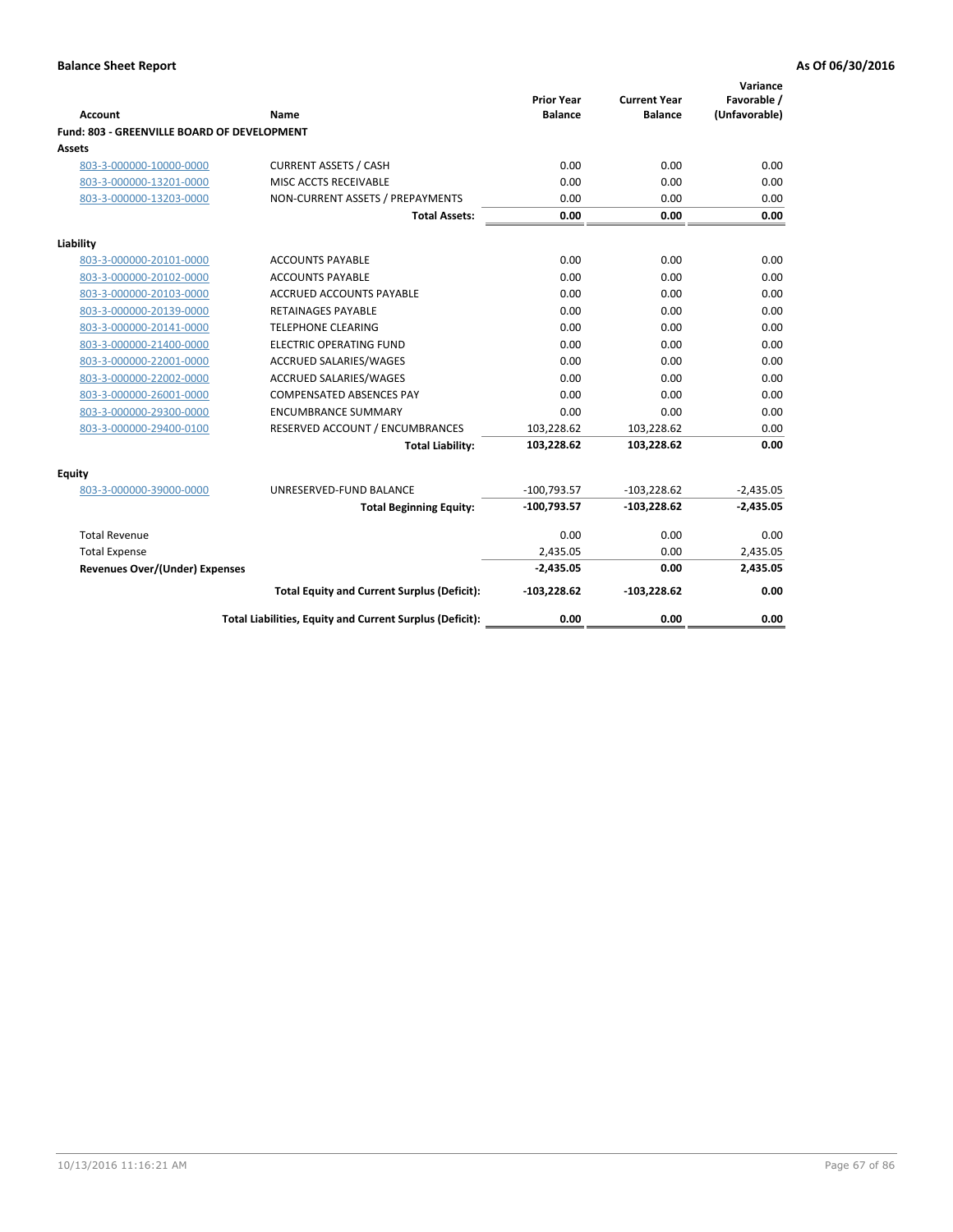| Account                                     | <b>Name</b>                                              | <b>Prior Year</b><br><b>Balance</b> | <b>Current Year</b><br><b>Balance</b> | Variance<br>Favorable /<br>(Unfavorable) |
|---------------------------------------------|----------------------------------------------------------|-------------------------------------|---------------------------------------|------------------------------------------|
| Fund: 803 - GREENVILLE BOARD OF DEVELOPMENT |                                                          |                                     |                                       |                                          |
| Assets                                      |                                                          |                                     |                                       |                                          |
| 803-3-000000-10000-0000                     | <b>CURRENT ASSETS / CASH</b>                             | 0.00                                | 0.00                                  | 0.00                                     |
| 803-3-000000-13201-0000                     | MISC ACCTS RECEIVABLE                                    | 0.00                                | 0.00                                  | 0.00                                     |
| 803-3-000000-13203-0000                     | NON-CURRENT ASSETS / PREPAYMENTS                         | 0.00                                | 0.00                                  | 0.00                                     |
|                                             | <b>Total Assets:</b>                                     | 0.00                                | 0.00                                  | 0.00                                     |
| Liability                                   |                                                          |                                     |                                       |                                          |
| 803-3-000000-20101-0000                     | <b>ACCOUNTS PAYABLE</b>                                  | 0.00                                | 0.00                                  | 0.00                                     |
| 803-3-000000-20102-0000                     | <b>ACCOUNTS PAYABLE</b>                                  | 0.00                                | 0.00                                  | 0.00                                     |
| 803-3-000000-20103-0000                     | <b>ACCRUED ACCOUNTS PAYABLE</b>                          | 0.00                                | 0.00                                  | 0.00                                     |
| 803-3-000000-20139-0000                     | <b>RETAINAGES PAYABLE</b>                                | 0.00                                | 0.00                                  | 0.00                                     |
| 803-3-000000-20141-0000                     | <b>TELEPHONE CLEARING</b>                                | 0.00                                | 0.00                                  | 0.00                                     |
| 803-3-000000-21400-0000                     | <b>ELECTRIC OPERATING FUND</b>                           | 0.00                                | 0.00                                  | 0.00                                     |
| 803-3-000000-22001-0000                     | ACCRUED SALARIES/WAGES                                   | 0.00                                | 0.00                                  | 0.00                                     |
| 803-3-000000-22002-0000                     | <b>ACCRUED SALARIES/WAGES</b>                            | 0.00                                | 0.00                                  | 0.00                                     |
| 803-3-000000-26001-0000                     | <b>COMPENSATED ABSENCES PAY</b>                          | 0.00                                | 0.00                                  | 0.00                                     |
| 803-3-000000-29300-0000                     | <b>ENCUMBRANCE SUMMARY</b>                               | 0.00                                | 0.00                                  | 0.00                                     |
| 803-3-000000-29400-0100                     | RESERVED ACCOUNT / ENCUMBRANCES                          | 103,228.62                          | 103,228.62                            | 0.00                                     |
|                                             | <b>Total Liability:</b>                                  | 103,228.62                          | 103,228.62                            | 0.00                                     |
| <b>Equity</b>                               |                                                          |                                     |                                       |                                          |
| 803-3-000000-39000-0000                     | UNRESERVED-FUND BALANCE                                  | $-100,793.57$                       | $-103,228.62$                         | $-2,435.05$                              |
|                                             | <b>Total Beginning Equity:</b>                           | $-100,793.57$                       | $-103,228.62$                         | $-2,435.05$                              |
| <b>Total Revenue</b>                        |                                                          | 0.00                                | 0.00                                  | 0.00                                     |
| <b>Total Expense</b>                        |                                                          | 2,435.05                            | 0.00                                  | 2,435.05                                 |
| Revenues Over/(Under) Expenses              |                                                          | $-2,435.05$                         | 0.00                                  | 2,435.05                                 |
|                                             | <b>Total Equity and Current Surplus (Deficit):</b>       | $-103,228.62$                       | $-103,228.62$                         | 0.00                                     |
|                                             | Total Liabilities, Equity and Current Surplus (Deficit): | 0.00                                | 0.00                                  | 0.00                                     |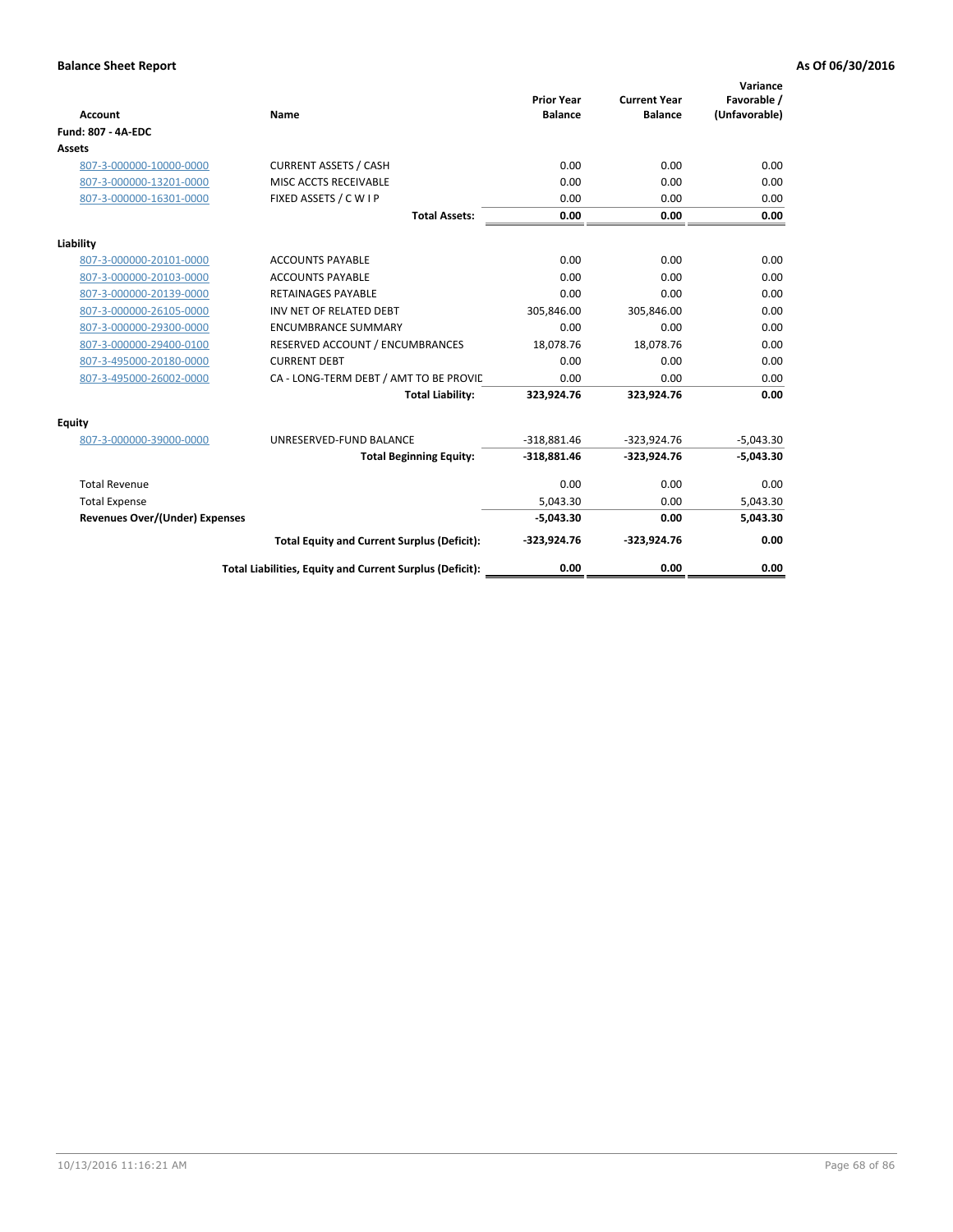| <b>Account</b>                        | Name                                                     | <b>Prior Year</b><br><b>Balance</b> | <b>Current Year</b><br><b>Balance</b> | Variance<br>Favorable /<br>(Unfavorable) |
|---------------------------------------|----------------------------------------------------------|-------------------------------------|---------------------------------------|------------------------------------------|
| <b>Fund: 807 - 4A-EDC</b>             |                                                          |                                     |                                       |                                          |
| <b>Assets</b>                         |                                                          |                                     |                                       |                                          |
| 807-3-000000-10000-0000               | <b>CURRENT ASSETS / CASH</b>                             | 0.00                                | 0.00                                  | 0.00                                     |
| 807-3-000000-13201-0000               | MISC ACCTS RECEIVABLE                                    | 0.00                                | 0.00                                  | 0.00                                     |
| 807-3-000000-16301-0000               | FIXED ASSETS / C W I P                                   | 0.00                                | 0.00                                  | 0.00                                     |
|                                       | <b>Total Assets:</b>                                     | 0.00                                | 0.00                                  | 0.00                                     |
| Liability                             |                                                          |                                     |                                       |                                          |
| 807-3-000000-20101-0000               | <b>ACCOUNTS PAYABLE</b>                                  | 0.00                                | 0.00                                  | 0.00                                     |
| 807-3-000000-20103-0000               | <b>ACCOUNTS PAYABLE</b>                                  | 0.00                                | 0.00                                  | 0.00                                     |
| 807-3-000000-20139-0000               | <b>RETAINAGES PAYABLE</b>                                | 0.00                                | 0.00                                  | 0.00                                     |
| 807-3-000000-26105-0000               | INV NET OF RELATED DEBT                                  | 305,846.00                          | 305,846.00                            | 0.00                                     |
| 807-3-000000-29300-0000               | <b>ENCUMBRANCE SUMMARY</b>                               | 0.00                                | 0.00                                  | 0.00                                     |
| 807-3-000000-29400-0100               | RESERVED ACCOUNT / ENCUMBRANCES                          | 18,078.76                           | 18,078.76                             | 0.00                                     |
| 807-3-495000-20180-0000               | <b>CURRENT DEBT</b>                                      | 0.00                                | 0.00                                  | 0.00                                     |
| 807-3-495000-26002-0000               | CA - LONG-TERM DEBT / AMT TO BE PROVIL                   | 0.00                                | 0.00                                  | 0.00                                     |
|                                       | <b>Total Liability:</b>                                  | 323,924.76                          | 323,924.76                            | 0.00                                     |
| Equity                                |                                                          |                                     |                                       |                                          |
| 807-3-000000-39000-0000               | UNRESERVED-FUND BALANCE                                  | $-318,881.46$                       | $-323,924.76$                         | $-5,043.30$                              |
|                                       | <b>Total Beginning Equity:</b>                           | $-318,881.46$                       | $-323,924.76$                         | $-5,043.30$                              |
| <b>Total Revenue</b>                  |                                                          | 0.00                                | 0.00                                  | 0.00                                     |
| <b>Total Expense</b>                  |                                                          | 5.043.30                            | 0.00                                  | 5,043.30                                 |
| <b>Revenues Over/(Under) Expenses</b> |                                                          | $-5,043.30$                         | 0.00                                  | 5,043.30                                 |
|                                       | <b>Total Equity and Current Surplus (Deficit):</b>       | $-323,924.76$                       | $-323,924.76$                         | 0.00                                     |
|                                       | Total Liabilities, Equity and Current Surplus (Deficit): | 0.00                                | 0.00                                  | 0.00                                     |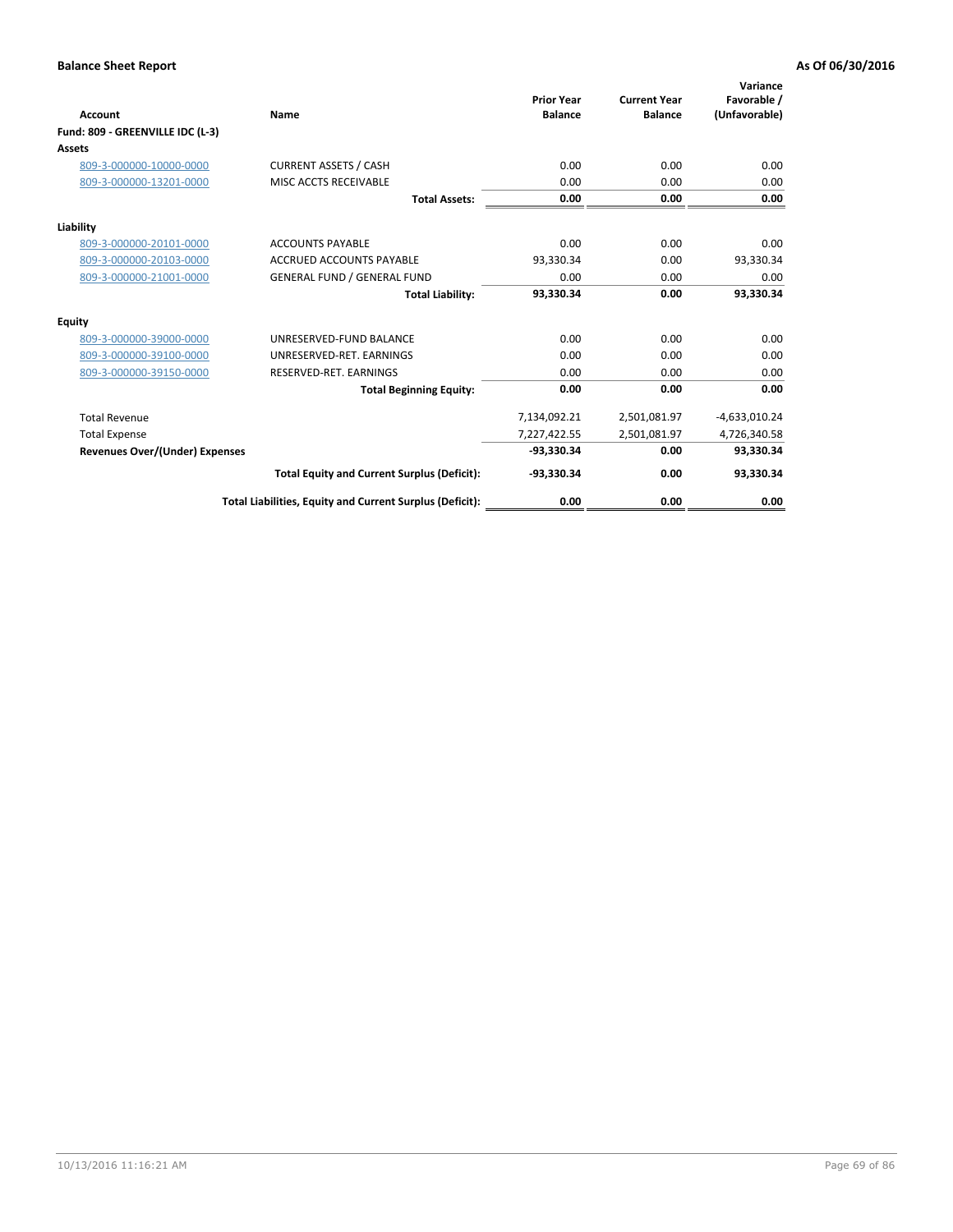| <b>Account</b>                        | <b>Name</b>                                              | <b>Prior Year</b><br><b>Balance</b> | <b>Current Year</b><br><b>Balance</b> | Variance<br>Favorable /<br>(Unfavorable) |
|---------------------------------------|----------------------------------------------------------|-------------------------------------|---------------------------------------|------------------------------------------|
| Fund: 809 - GREENVILLE IDC (L-3)      |                                                          |                                     |                                       |                                          |
| Assets                                |                                                          |                                     |                                       |                                          |
| 809-3-000000-10000-0000               | <b>CURRENT ASSETS / CASH</b>                             | 0.00                                | 0.00                                  | 0.00                                     |
| 809-3-000000-13201-0000               | MISC ACCTS RECEIVABLE                                    | 0.00                                | 0.00                                  | 0.00                                     |
|                                       | <b>Total Assets:</b>                                     | 0.00                                | 0.00                                  | 0.00                                     |
| Liability                             |                                                          |                                     |                                       |                                          |
| 809-3-000000-20101-0000               | <b>ACCOUNTS PAYABLE</b>                                  | 0.00                                | 0.00                                  | 0.00                                     |
| 809-3-000000-20103-0000               | <b>ACCRUED ACCOUNTS PAYABLE</b>                          | 93,330.34                           | 0.00                                  | 93,330.34                                |
| 809-3-000000-21001-0000               | <b>GENERAL FUND / GENERAL FUND</b>                       | 0.00                                | 0.00                                  | 0.00                                     |
|                                       | <b>Total Liability:</b>                                  | 93,330.34                           | 0.00                                  | 93,330.34                                |
| Equity                                |                                                          |                                     |                                       |                                          |
| 809-3-000000-39000-0000               | UNRESERVED-FUND BALANCE                                  | 0.00                                | 0.00                                  | 0.00                                     |
| 809-3-000000-39100-0000               | UNRESERVED-RET. EARNINGS                                 | 0.00                                | 0.00                                  | 0.00                                     |
| 809-3-000000-39150-0000               | RESERVED-RET. EARNINGS                                   | 0.00                                | 0.00                                  | 0.00                                     |
|                                       | <b>Total Beginning Equity:</b>                           | 0.00                                | 0.00                                  | 0.00                                     |
| <b>Total Revenue</b>                  |                                                          | 7,134,092.21                        | 2,501,081.97                          | $-4,633,010.24$                          |
| <b>Total Expense</b>                  |                                                          | 7,227,422.55                        | 2,501,081.97                          | 4,726,340.58                             |
| <b>Revenues Over/(Under) Expenses</b> |                                                          | -93.330.34                          | 0.00                                  | 93,330.34                                |
|                                       | <b>Total Equity and Current Surplus (Deficit):</b>       | $-93,330.34$                        | 0.00                                  | 93,330.34                                |
|                                       | Total Liabilities, Equity and Current Surplus (Deficit): | 0.00                                | 0.00                                  | 0.00                                     |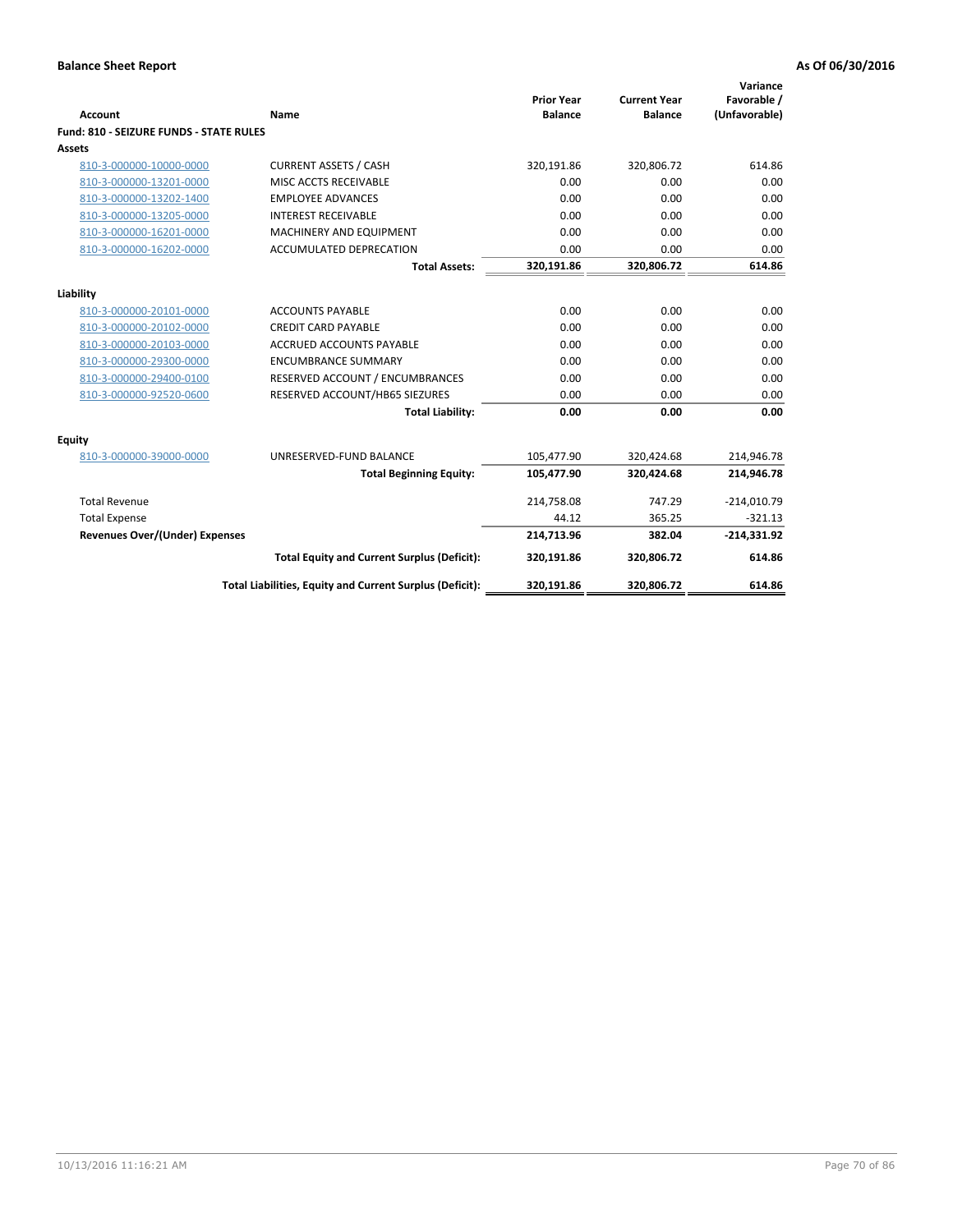|                                         |                                                          | <b>Prior Year</b> | <b>Current Year</b> | Variance<br>Favorable / |
|-----------------------------------------|----------------------------------------------------------|-------------------|---------------------|-------------------------|
| <b>Account</b>                          | Name                                                     | <b>Balance</b>    | <b>Balance</b>      | (Unfavorable)           |
| Fund: 810 - SEIZURE FUNDS - STATE RULES |                                                          |                   |                     |                         |
| <b>Assets</b>                           |                                                          |                   |                     |                         |
| 810-3-000000-10000-0000                 | <b>CURRENT ASSETS / CASH</b>                             | 320,191.86        | 320,806.72          | 614.86                  |
| 810-3-000000-13201-0000                 | MISC ACCTS RECEIVABLE                                    | 0.00              | 0.00                | 0.00                    |
| 810-3-000000-13202-1400                 | <b>EMPLOYEE ADVANCES</b>                                 | 0.00              | 0.00                | 0.00                    |
| 810-3-000000-13205-0000                 | <b>INTEREST RECEIVABLE</b>                               | 0.00              | 0.00                | 0.00                    |
| 810-3-000000-16201-0000                 | <b>MACHINERY AND EQUIPMENT</b>                           | 0.00              | 0.00                | 0.00                    |
| 810-3-000000-16202-0000                 | ACCUMULATED DEPRECATION                                  | 0.00              | 0.00                | 0.00                    |
|                                         | <b>Total Assets:</b>                                     | 320,191.86        | 320,806.72          | 614.86                  |
|                                         |                                                          |                   |                     |                         |
| Liability                               |                                                          |                   |                     |                         |
| 810-3-000000-20101-0000                 | <b>ACCOUNTS PAYABLE</b>                                  | 0.00              | 0.00                | 0.00                    |
| 810-3-000000-20102-0000                 | <b>CREDIT CARD PAYABLE</b>                               | 0.00              | 0.00                | 0.00                    |
| 810-3-000000-20103-0000                 | <b>ACCRUED ACCOUNTS PAYABLE</b>                          | 0.00              | 0.00                | 0.00                    |
| 810-3-000000-29300-0000                 | <b>ENCUMBRANCE SUMMARY</b>                               | 0.00              | 0.00                | 0.00                    |
| 810-3-000000-29400-0100                 | RESERVED ACCOUNT / ENCUMBRANCES                          | 0.00              | 0.00                | 0.00                    |
| 810-3-000000-92520-0600                 | RESERVED ACCOUNT/HB65 SIEZURES                           | 0.00              | 0.00                | 0.00                    |
|                                         | <b>Total Liability:</b>                                  | 0.00              | 0.00                | 0.00                    |
| <b>Equity</b>                           |                                                          |                   |                     |                         |
| 810-3-000000-39000-0000                 | UNRESERVED-FUND BALANCE                                  | 105,477.90        | 320,424.68          | 214,946.78              |
|                                         | <b>Total Beginning Equity:</b>                           | 105,477.90        | 320,424.68          | 214,946.78              |
| <b>Total Revenue</b>                    |                                                          | 214,758.08        | 747.29              | $-214,010.79$           |
| <b>Total Expense</b>                    |                                                          | 44.12             | 365.25              | $-321.13$               |
| Revenues Over/(Under) Expenses          |                                                          | 214,713.96        | 382.04              | $-214,331.92$           |
|                                         | <b>Total Equity and Current Surplus (Deficit):</b>       | 320,191.86        | 320,806.72          | 614.86                  |
|                                         | Total Liabilities, Equity and Current Surplus (Deficit): | 320,191.86        | 320,806.72          | 614.86                  |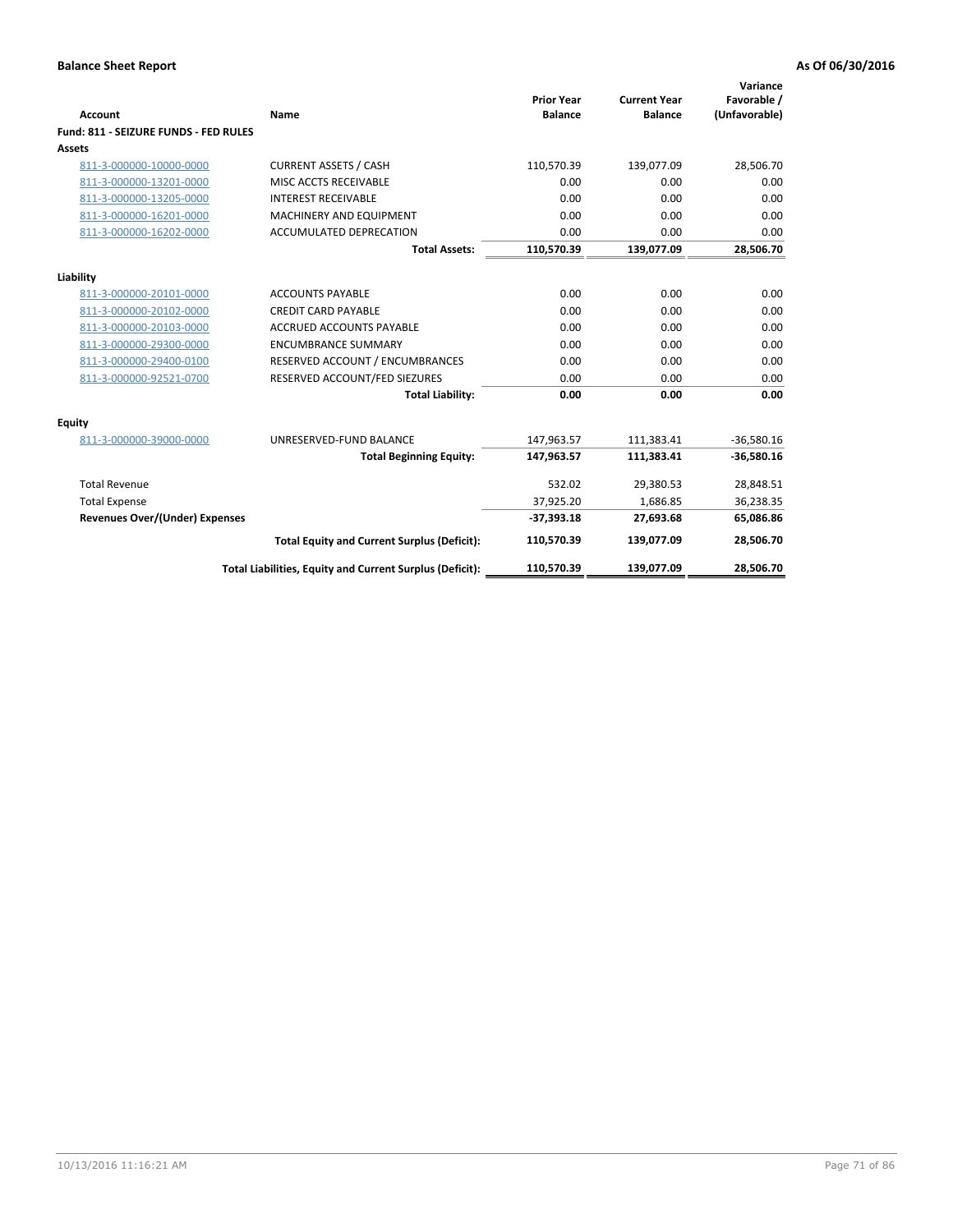| <b>Account</b>                        | <b>Name</b>                                              | <b>Prior Year</b><br><b>Balance</b> | <b>Current Year</b><br><b>Balance</b> | Variance<br>Favorable /<br>(Unfavorable) |
|---------------------------------------|----------------------------------------------------------|-------------------------------------|---------------------------------------|------------------------------------------|
| Fund: 811 - SEIZURE FUNDS - FED RULES |                                                          |                                     |                                       |                                          |
| <b>Assets</b>                         |                                                          |                                     |                                       |                                          |
| 811-3-000000-10000-0000               | <b>CURRENT ASSETS / CASH</b>                             | 110,570.39                          | 139,077.09                            | 28,506.70                                |
| 811-3-000000-13201-0000               | MISC ACCTS RECEIVABLE                                    | 0.00                                | 0.00                                  | 0.00                                     |
| 811-3-000000-13205-0000               | <b>INTEREST RECEIVABLE</b>                               | 0.00                                | 0.00                                  | 0.00                                     |
| 811-3-000000-16201-0000               | <b>MACHINERY AND EQUIPMENT</b>                           | 0.00                                | 0.00                                  | 0.00                                     |
| 811-3-000000-16202-0000               | <b>ACCUMULATED DEPRECATION</b>                           | 0.00                                | 0.00                                  | 0.00                                     |
|                                       | <b>Total Assets:</b>                                     | 110,570.39                          | 139,077.09                            | 28,506.70                                |
| Liability                             |                                                          |                                     |                                       |                                          |
| 811-3-000000-20101-0000               | <b>ACCOUNTS PAYABLE</b>                                  | 0.00                                | 0.00                                  | 0.00                                     |
| 811-3-000000-20102-0000               | <b>CREDIT CARD PAYABLE</b>                               | 0.00                                | 0.00                                  | 0.00                                     |
| 811-3-000000-20103-0000               | <b>ACCRUED ACCOUNTS PAYABLE</b>                          | 0.00                                | 0.00                                  | 0.00                                     |
| 811-3-000000-29300-0000               | <b>ENCUMBRANCE SUMMARY</b>                               | 0.00                                | 0.00                                  | 0.00                                     |
| 811-3-000000-29400-0100               | RESERVED ACCOUNT / ENCUMBRANCES                          | 0.00                                | 0.00                                  | 0.00                                     |
| 811-3-000000-92521-0700               | RESERVED ACCOUNT/FED SIEZURES                            | 0.00                                | 0.00                                  | 0.00                                     |
|                                       | <b>Total Liability:</b>                                  | 0.00                                | 0.00                                  | 0.00                                     |
| <b>Equity</b>                         |                                                          |                                     |                                       |                                          |
| 811-3-000000-39000-0000               | UNRESERVED-FUND BALANCE                                  | 147,963.57                          | 111,383.41                            | $-36,580.16$                             |
|                                       | <b>Total Beginning Equity:</b>                           | 147,963.57                          | 111,383.41                            | $-36,580.16$                             |
| <b>Total Revenue</b>                  |                                                          | 532.02                              | 29,380.53                             | 28,848.51                                |
| <b>Total Expense</b>                  |                                                          | 37,925.20                           | 1,686.85                              | 36,238.35                                |
| <b>Revenues Over/(Under) Expenses</b> |                                                          | $-37,393.18$                        | 27,693.68                             | 65,086.86                                |
|                                       | <b>Total Equity and Current Surplus (Deficit):</b>       | 110,570.39                          | 139,077.09                            | 28,506.70                                |
|                                       | Total Liabilities, Equity and Current Surplus (Deficit): | 110,570.39                          | 139.077.09                            | 28,506.70                                |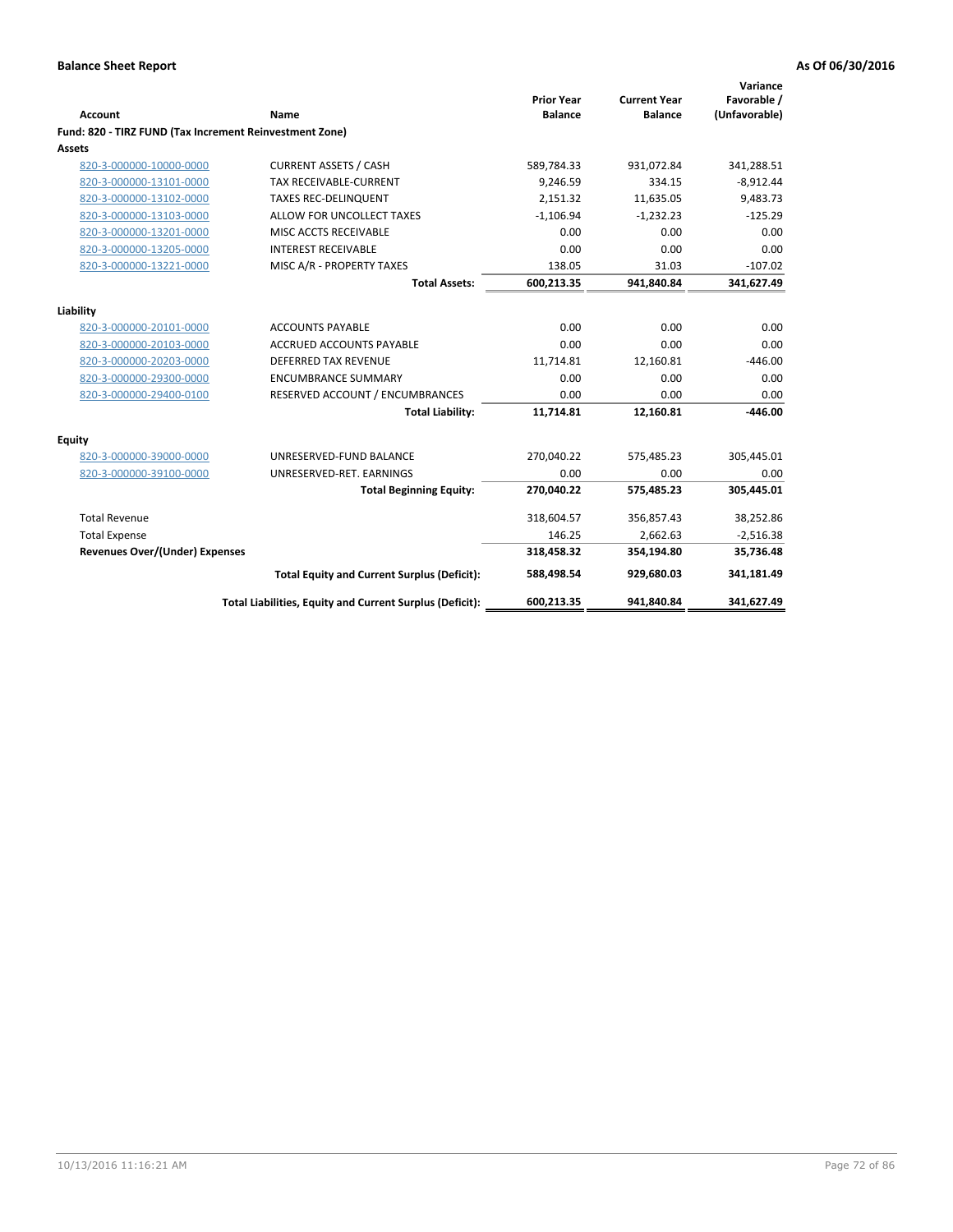| <b>Account</b>                                          | Name                                                     | <b>Prior Year</b><br><b>Balance</b> | <b>Current Year</b><br><b>Balance</b> | Variance<br>Favorable /<br>(Unfavorable) |
|---------------------------------------------------------|----------------------------------------------------------|-------------------------------------|---------------------------------------|------------------------------------------|
| Fund: 820 - TIRZ FUND (Tax Increment Reinvestment Zone) |                                                          |                                     |                                       |                                          |
| <b>Assets</b>                                           |                                                          |                                     |                                       |                                          |
| 820-3-000000-10000-0000                                 | <b>CURRENT ASSETS / CASH</b>                             | 589,784.33                          | 931,072.84                            | 341,288.51                               |
| 820-3-000000-13101-0000                                 | <b>TAX RECEIVABLE-CURRENT</b>                            | 9,246.59                            | 334.15                                | $-8,912.44$                              |
| 820-3-000000-13102-0000                                 | <b>TAXES REC-DELINQUENT</b>                              | 2,151.32                            | 11,635.05                             | 9,483.73                                 |
| 820-3-000000-13103-0000                                 | ALLOW FOR UNCOLLECT TAXES                                | $-1,106.94$                         | $-1,232.23$                           | $-125.29$                                |
| 820-3-000000-13201-0000                                 | MISC ACCTS RECEIVABLE                                    | 0.00                                | 0.00                                  | 0.00                                     |
| 820-3-000000-13205-0000                                 | <b>INTEREST RECEIVABLE</b>                               | 0.00                                | 0.00                                  | 0.00                                     |
| 820-3-000000-13221-0000                                 | MISC A/R - PROPERTY TAXES                                | 138.05                              | 31.03                                 | $-107.02$                                |
|                                                         | <b>Total Assets:</b>                                     | 600,213.35                          | 941,840.84                            | 341,627.49                               |
| Liability                                               |                                                          |                                     |                                       |                                          |
| 820-3-000000-20101-0000                                 | <b>ACCOUNTS PAYABLE</b>                                  | 0.00                                | 0.00                                  | 0.00                                     |
| 820-3-000000-20103-0000                                 | <b>ACCRUED ACCOUNTS PAYABLE</b>                          | 0.00                                | 0.00                                  | 0.00                                     |
| 820-3-000000-20203-0000                                 | <b>DEFERRED TAX REVENUE</b>                              | 11,714.81                           | 12,160.81                             | $-446.00$                                |
| 820-3-000000-29300-0000                                 | <b>ENCUMBRANCE SUMMARY</b>                               | 0.00                                | 0.00                                  | 0.00                                     |
| 820-3-000000-29400-0100                                 | RESERVED ACCOUNT / ENCUMBRANCES                          | 0.00                                | 0.00                                  | 0.00                                     |
|                                                         | <b>Total Liability:</b>                                  | 11,714.81                           | 12,160.81                             | $-446.00$                                |
| <b>Equity</b>                                           |                                                          |                                     |                                       |                                          |
| 820-3-000000-39000-0000                                 | UNRESERVED-FUND BALANCE                                  | 270,040.22                          | 575,485.23                            | 305,445.01                               |
| 820-3-000000-39100-0000                                 | UNRESERVED-RET. EARNINGS                                 | 0.00                                | 0.00                                  | 0.00                                     |
|                                                         | <b>Total Beginning Equity:</b>                           | 270,040.22                          | 575,485.23                            | 305,445.01                               |
| <b>Total Revenue</b>                                    |                                                          | 318,604.57                          | 356,857.43                            | 38,252.86                                |
| <b>Total Expense</b>                                    |                                                          | 146.25                              | 2,662.63                              | $-2,516.38$                              |
| <b>Revenues Over/(Under) Expenses</b>                   |                                                          | 318,458.32                          | 354,194.80                            | 35,736.48                                |
|                                                         | <b>Total Equity and Current Surplus (Deficit):</b>       | 588,498.54                          | 929,680.03                            | 341,181.49                               |
|                                                         | Total Liabilities, Equity and Current Surplus (Deficit): | 600,213.35                          | 941,840.84                            | 341,627.49                               |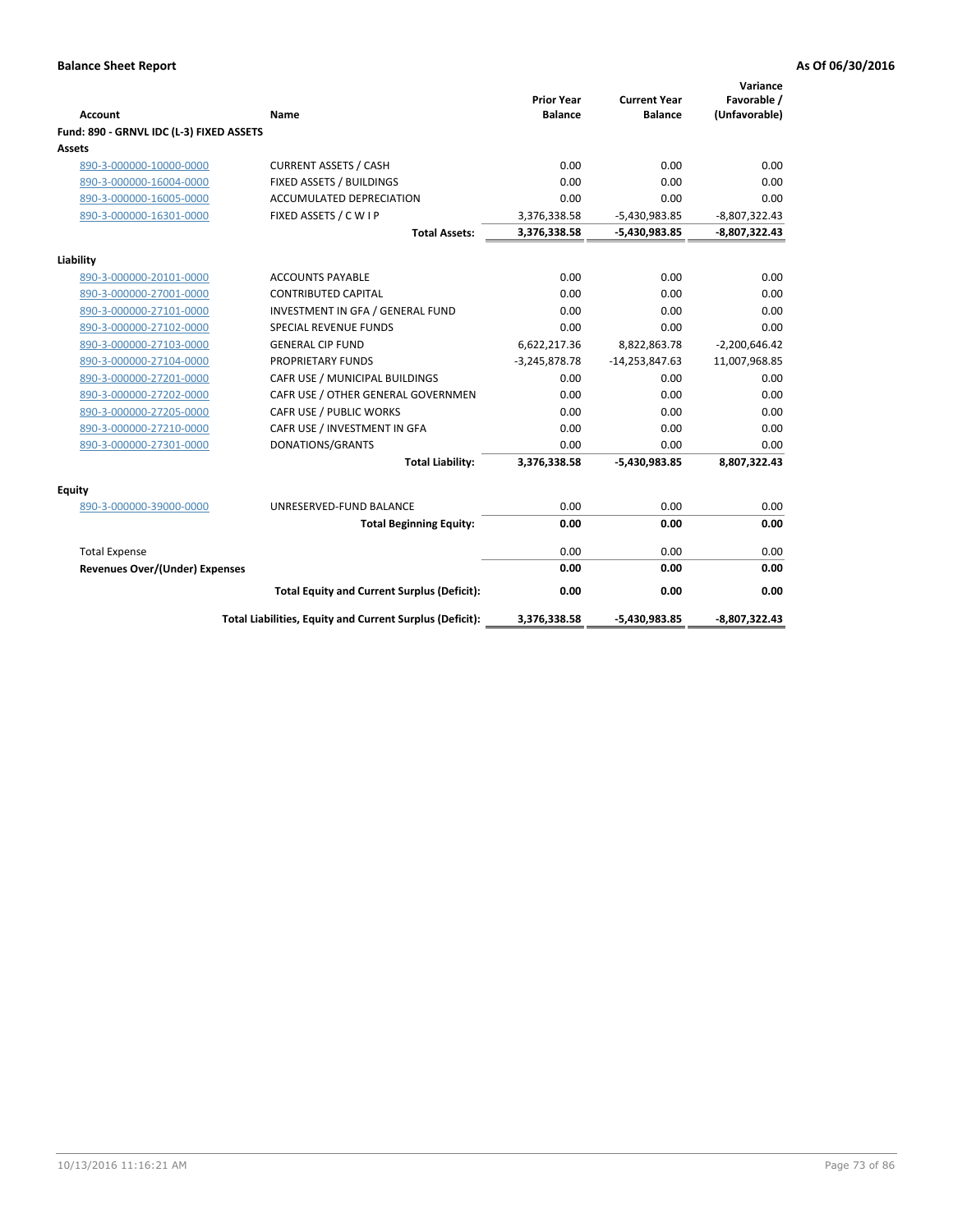| <b>Account</b>                           | Name                                                     | <b>Prior Year</b><br><b>Balance</b> | <b>Current Year</b><br><b>Balance</b> | Variance<br>Favorable /<br>(Unfavorable) |
|------------------------------------------|----------------------------------------------------------|-------------------------------------|---------------------------------------|------------------------------------------|
| Fund: 890 - GRNVL IDC (L-3) FIXED ASSETS |                                                          |                                     |                                       |                                          |
| Assets                                   |                                                          |                                     |                                       |                                          |
| 890-3-000000-10000-0000                  | <b>CURRENT ASSETS / CASH</b>                             | 0.00                                | 0.00                                  | 0.00                                     |
| 890-3-000000-16004-0000                  | FIXED ASSETS / BUILDINGS                                 | 0.00                                | 0.00                                  | 0.00                                     |
| 890-3-000000-16005-0000                  | <b>ACCUMULATED DEPRECIATION</b>                          | 0.00                                | 0.00                                  | 0.00                                     |
| 890-3-000000-16301-0000                  | FIXED ASSETS / C W I P                                   | 3,376,338.58                        | $-5,430,983.85$                       | $-8,807,322.43$                          |
|                                          | <b>Total Assets:</b>                                     | 3,376,338.58                        | $-5,430,983.85$                       | $-8,807,322.43$                          |
|                                          |                                                          |                                     |                                       |                                          |
| Liability<br>890-3-000000-20101-0000     | <b>ACCOUNTS PAYABLE</b>                                  | 0.00                                | 0.00                                  | 0.00                                     |
| 890-3-000000-27001-0000                  | <b>CONTRIBUTED CAPITAL</b>                               | 0.00                                | 0.00                                  | 0.00                                     |
| 890-3-000000-27101-0000                  | INVESTMENT IN GFA / GENERAL FUND                         | 0.00                                | 0.00                                  | 0.00                                     |
| 890-3-000000-27102-0000                  | <b>SPECIAL REVENUE FUNDS</b>                             | 0.00                                | 0.00                                  | 0.00                                     |
| 890-3-000000-27103-0000                  | <b>GENERAL CIP FUND</b>                                  | 6,622,217.36                        | 8,822,863.78                          | $-2,200,646.42$                          |
| 890-3-000000-27104-0000                  | <b>PROPRIETARY FUNDS</b>                                 | $-3,245,878.78$                     | $-14,253,847.63$                      | 11,007,968.85                            |
| 890-3-000000-27201-0000                  | CAFR USE / MUNICIPAL BUILDINGS                           | 0.00                                | 0.00                                  | 0.00                                     |
| 890-3-000000-27202-0000                  | CAFR USE / OTHER GENERAL GOVERNMEN                       | 0.00                                | 0.00                                  | 0.00                                     |
| 890-3-000000-27205-0000                  | CAFR USE / PUBLIC WORKS                                  | 0.00                                | 0.00                                  | 0.00                                     |
| 890-3-000000-27210-0000                  | CAFR USE / INVESTMENT IN GFA                             | 0.00                                | 0.00                                  | 0.00                                     |
| 890-3-000000-27301-0000                  | DONATIONS/GRANTS                                         | 0.00                                | 0.00                                  | 0.00                                     |
|                                          | <b>Total Liability:</b>                                  | 3,376,338.58                        | -5,430,983.85                         | 8,807,322.43                             |
| <b>Equity</b>                            |                                                          |                                     |                                       |                                          |
| 890-3-000000-39000-0000                  | UNRESERVED-FUND BALANCE                                  | 0.00                                | 0.00                                  | 0.00                                     |
|                                          | <b>Total Beginning Equity:</b>                           | 0.00                                | 0.00                                  | 0.00                                     |
| <b>Total Expense</b>                     |                                                          | 0.00                                | 0.00                                  | 0.00                                     |
| Revenues Over/(Under) Expenses           |                                                          | 0.00                                | 0.00                                  | 0.00                                     |
|                                          | <b>Total Equity and Current Surplus (Deficit):</b>       | 0.00                                | 0.00                                  | 0.00                                     |
|                                          | Total Liabilities, Equity and Current Surplus (Deficit): | 3,376,338.58                        | -5,430,983.85                         | -8,807,322.43                            |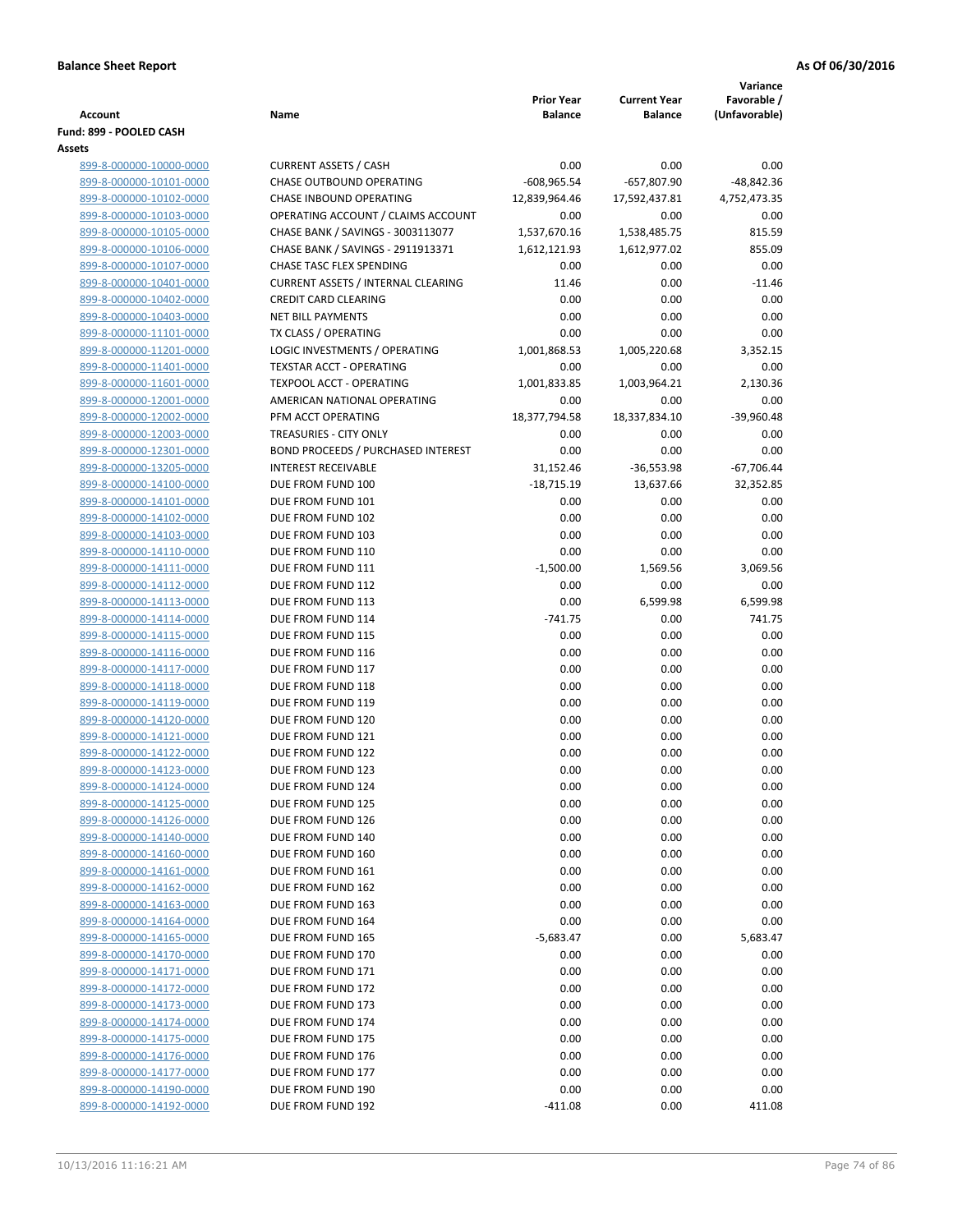| <b>Account</b>                                     | Name                                                                  | <b>Prior Year</b><br><b>Balance</b> | <b>Current Year</b><br><b>Balance</b> | Variance<br>Favorable /<br>(Unfavorable) |
|----------------------------------------------------|-----------------------------------------------------------------------|-------------------------------------|---------------------------------------|------------------------------------------|
| Fund: 899 - POOLED CASH                            |                                                                       |                                     |                                       |                                          |
| Assets                                             |                                                                       |                                     |                                       |                                          |
| 899-8-000000-10000-0000                            | <b>CURRENT ASSETS / CASH</b>                                          | 0.00                                | 0.00                                  | 0.00                                     |
| 899-8-000000-10101-0000                            | CHASE OUTBOUND OPERATING                                              | $-608,965.54$                       | $-657,807.90$                         | -48,842.36                               |
| 899-8-000000-10102-0000                            | CHASE INBOUND OPERATING                                               | 12,839,964.46                       | 17,592,437.81                         | 4,752,473.35                             |
| 899-8-000000-10103-0000                            | OPERATING ACCOUNT / CLAIMS ACCOUNT                                    | 0.00                                | 0.00                                  | 0.00                                     |
| 899-8-000000-10105-0000                            | CHASE BANK / SAVINGS - 3003113077                                     | 1,537,670.16                        | 1,538,485.75                          | 815.59                                   |
| 899-8-000000-10106-0000                            | CHASE BANK / SAVINGS - 2911913371                                     | 1,612,121.93<br>0.00                | 1,612,977.02<br>0.00                  | 855.09                                   |
| 899-8-000000-10107-0000<br>899-8-000000-10401-0000 | CHASE TASC FLEX SPENDING<br><b>CURRENT ASSETS / INTERNAL CLEARING</b> | 11.46                               | 0.00                                  | 0.00<br>$-11.46$                         |
| 899-8-000000-10402-0000                            | <b>CREDIT CARD CLEARING</b>                                           | 0.00                                | 0.00                                  | 0.00                                     |
| 899-8-000000-10403-0000                            | <b>NET BILL PAYMENTS</b>                                              | 0.00                                | 0.00                                  | 0.00                                     |
| 899-8-000000-11101-0000                            | TX CLASS / OPERATING                                                  | 0.00                                | 0.00                                  | 0.00                                     |
| 899-8-000000-11201-0000                            | LOGIC INVESTMENTS / OPERATING                                         | 1,001,868.53                        | 1,005,220.68                          | 3,352.15                                 |
| 899-8-000000-11401-0000                            | <b>TEXSTAR ACCT - OPERATING</b>                                       | 0.00                                | 0.00                                  | 0.00                                     |
| 899-8-000000-11601-0000                            | <b>TEXPOOL ACCT - OPERATING</b>                                       | 1,001,833.85                        | 1,003,964.21                          | 2,130.36                                 |
| 899-8-000000-12001-0000                            | AMERICAN NATIONAL OPERATING                                           | 0.00                                | 0.00                                  | 0.00                                     |
| 899-8-000000-12002-0000                            | PFM ACCT OPERATING                                                    | 18,377,794.58                       | 18,337,834.10                         | $-39,960.48$                             |
| 899-8-000000-12003-0000                            | <b>TREASURIES - CITY ONLY</b>                                         | 0.00                                | 0.00                                  | 0.00                                     |
| 899-8-000000-12301-0000                            | BOND PROCEEDS / PURCHASED INTEREST                                    | 0.00                                | 0.00                                  | 0.00                                     |
| 899-8-000000-13205-0000                            | <b>INTEREST RECEIVABLE</b>                                            | 31,152.46                           | $-36,553.98$                          | $-67,706.44$                             |
| 899-8-000000-14100-0000                            | DUE FROM FUND 100                                                     | $-18,715.19$                        | 13,637.66                             | 32,352.85                                |
| 899-8-000000-14101-0000                            | DUE FROM FUND 101                                                     | 0.00                                | 0.00                                  | 0.00                                     |
| 899-8-000000-14102-0000                            | DUE FROM FUND 102                                                     | 0.00                                | 0.00                                  | 0.00                                     |
| 899-8-000000-14103-0000                            | DUE FROM FUND 103                                                     | 0.00                                | 0.00                                  | 0.00                                     |
| 899-8-000000-14110-0000                            | DUE FROM FUND 110                                                     | 0.00                                | 0.00                                  | 0.00                                     |
| 899-8-000000-14111-0000                            | DUE FROM FUND 111                                                     | $-1,500.00$                         | 1,569.56                              | 3,069.56                                 |
| 899-8-000000-14112-0000                            | DUE FROM FUND 112                                                     | 0.00                                | 0.00                                  | 0.00                                     |
| 899-8-000000-14113-0000                            | DUE FROM FUND 113                                                     | 0.00                                | 6,599.98                              | 6,599.98                                 |
| 899-8-000000-14114-0000                            | DUE FROM FUND 114                                                     | $-741.75$                           | 0.00                                  | 741.75                                   |
| 899-8-000000-14115-0000                            | DUE FROM FUND 115                                                     | 0.00                                | 0.00                                  | 0.00                                     |
| 899-8-000000-14116-0000                            | DUE FROM FUND 116                                                     | 0.00                                | 0.00                                  | 0.00                                     |
| 899-8-000000-14117-0000                            | DUE FROM FUND 117                                                     | 0.00                                | 0.00                                  | 0.00                                     |
| 899-8-000000-14118-0000                            | DUE FROM FUND 118                                                     | 0.00                                | 0.00                                  | 0.00                                     |
| 899-8-000000-14119-0000                            | DUE FROM FUND 119                                                     | 0.00                                | 0.00                                  | 0.00                                     |
| 899-8-000000-14120-0000                            | DUE FROM FUND 120                                                     | 0.00                                | 0.00                                  | 0.00                                     |
| 899-8-000000-14121-0000                            | DUE FROM FUND 121                                                     | 0.00                                | 0.00                                  | 0.00                                     |
| 899-8-000000-14122-0000                            | DUE FROM FUND 122                                                     | 0.00                                | 0.00                                  | 0.00                                     |
| 899-8-000000-14123-0000                            | DUE FROM FUND 123                                                     | 0.00                                | 0.00                                  | 0.00                                     |
| 899-8-000000-14124-0000                            | DUE FROM FUND 124                                                     | 0.00                                | 0.00                                  | 0.00                                     |
| 899-8-000000-14125-0000                            | DUE FROM FUND 125                                                     | 0.00                                | 0.00                                  | 0.00                                     |
| 899-8-000000-14126-0000                            | DUE FROM FUND 126                                                     | 0.00                                | 0.00                                  | 0.00                                     |
| 899-8-000000-14140-0000                            | DUE FROM FUND 140                                                     | 0.00                                | 0.00                                  | 0.00                                     |
| 899-8-000000-14160-0000                            | DUE FROM FUND 160                                                     | 0.00                                | 0.00                                  | 0.00                                     |
| 899-8-000000-14161-0000                            | DUE FROM FUND 161                                                     | 0.00                                | 0.00                                  | 0.00                                     |
| 899-8-000000-14162-0000                            | DUE FROM FUND 162                                                     | 0.00                                | 0.00                                  | 0.00                                     |
| 899-8-000000-14163-0000                            | DUE FROM FUND 163                                                     | 0.00                                | 0.00                                  | 0.00                                     |
| 899-8-000000-14164-0000                            | DUE FROM FUND 164                                                     | 0.00                                | 0.00                                  | 0.00                                     |
| 899-8-000000-14165-0000                            | DUE FROM FUND 165                                                     | $-5,683.47$                         | 0.00                                  | 5,683.47                                 |
| 899-8-000000-14170-0000                            | DUE FROM FUND 170                                                     | 0.00                                | 0.00                                  | 0.00                                     |
| 899-8-000000-14171-0000                            | DUE FROM FUND 171                                                     | 0.00                                | 0.00                                  | 0.00                                     |
| 899-8-000000-14172-0000                            | DUE FROM FUND 172                                                     | 0.00                                | 0.00                                  | 0.00                                     |
| 899-8-000000-14173-0000                            | DUE FROM FUND 173                                                     | 0.00                                | 0.00                                  | 0.00                                     |
| 899-8-000000-14174-0000                            | DUE FROM FUND 174                                                     | 0.00                                | 0.00                                  | 0.00                                     |
| 899-8-000000-14175-0000                            | DUE FROM FUND 175                                                     | 0.00                                | 0.00                                  | 0.00                                     |
| 899-8-000000-14176-0000                            | DUE FROM FUND 176                                                     | 0.00                                | 0.00                                  | 0.00                                     |
| 899-8-000000-14177-0000                            | DUE FROM FUND 177                                                     | 0.00                                | 0.00                                  | 0.00                                     |
| 899-8-000000-14190-0000                            | DUE FROM FUND 190                                                     | 0.00                                | 0.00                                  | 0.00                                     |
| 899-8-000000-14192-0000                            | DUE FROM FUND 192                                                     | $-411.08$                           | 0.00                                  | 411.08                                   |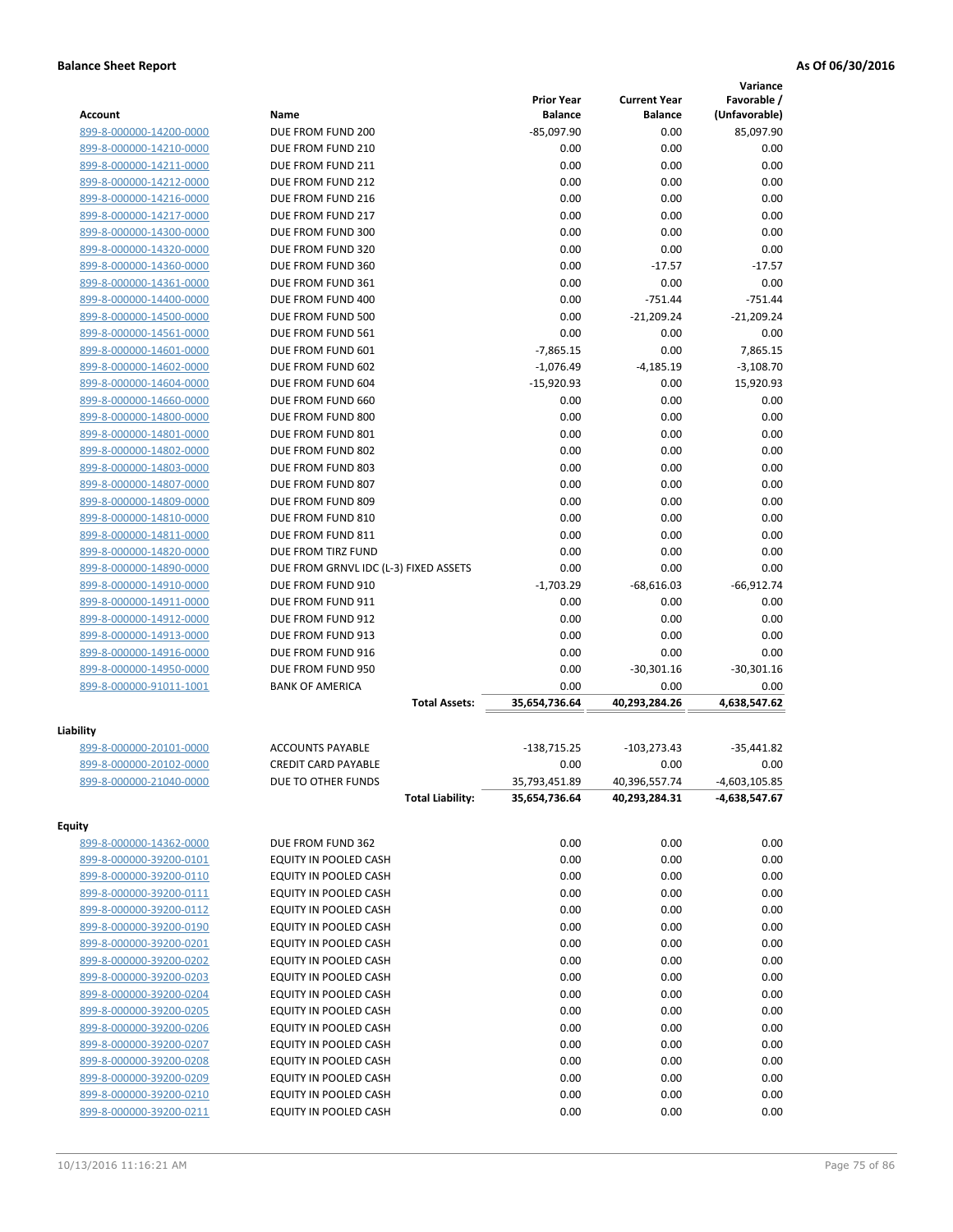|                         |                                       |                   |                     | Variance        |
|-------------------------|---------------------------------------|-------------------|---------------------|-----------------|
|                         |                                       | <b>Prior Year</b> | <b>Current Year</b> | Favorable /     |
| Account                 | Name                                  | <b>Balance</b>    | <b>Balance</b>      | (Unfavorable)   |
| 899-8-000000-14200-0000 | DUE FROM FUND 200                     | $-85,097.90$      | 0.00                | 85,097.90       |
| 899-8-000000-14210-0000 | DUE FROM FUND 210                     | 0.00              | 0.00                | 0.00            |
| 899-8-000000-14211-0000 | DUE FROM FUND 211                     | 0.00              | 0.00                | 0.00            |
| 899-8-000000-14212-0000 | DUE FROM FUND 212                     | 0.00              | 0.00                | 0.00            |
| 899-8-000000-14216-0000 | DUE FROM FUND 216                     | 0.00              | 0.00                | 0.00            |
| 899-8-000000-14217-0000 | DUE FROM FUND 217                     | 0.00              | 0.00                | 0.00            |
| 899-8-000000-14300-0000 | DUE FROM FUND 300                     | 0.00              | 0.00                | 0.00            |
| 899-8-000000-14320-0000 | DUE FROM FUND 320                     | 0.00              | 0.00                | 0.00            |
| 899-8-000000-14360-0000 | DUE FROM FUND 360                     | 0.00              | $-17.57$            | $-17.57$        |
| 899-8-000000-14361-0000 | DUE FROM FUND 361                     | 0.00              | 0.00                | 0.00            |
| 899-8-000000-14400-0000 | DUE FROM FUND 400                     | 0.00              | $-751.44$           | $-751.44$       |
| 899-8-000000-14500-0000 | DUE FROM FUND 500                     | 0.00              | $-21,209.24$        | $-21,209.24$    |
| 899-8-000000-14561-0000 | DUE FROM FUND 561                     | 0.00              | 0.00                | 0.00            |
| 899-8-000000-14601-0000 | DUE FROM FUND 601                     | $-7,865.15$       | 0.00                | 7,865.15        |
| 899-8-000000-14602-0000 | DUE FROM FUND 602                     | $-1,076.49$       | $-4,185.19$         | $-3,108.70$     |
| 899-8-000000-14604-0000 | DUE FROM FUND 604                     | $-15,920.93$      | 0.00                | 15,920.93       |
| 899-8-000000-14660-0000 | DUE FROM FUND 660                     | 0.00              | 0.00                | 0.00            |
| 899-8-000000-14800-0000 | DUE FROM FUND 800                     | 0.00              | 0.00                | 0.00            |
| 899-8-000000-14801-0000 | DUE FROM FUND 801                     | 0.00              | 0.00                | 0.00            |
| 899-8-000000-14802-0000 | DUE FROM FUND 802                     | 0.00              | 0.00                | 0.00            |
| 899-8-000000-14803-0000 | DUE FROM FUND 803                     | 0.00              | 0.00                | 0.00            |
| 899-8-000000-14807-0000 | DUE FROM FUND 807                     | 0.00              | 0.00                | 0.00            |
| 899-8-000000-14809-0000 | DUE FROM FUND 809                     | 0.00              | 0.00                | 0.00            |
| 899-8-000000-14810-0000 | DUE FROM FUND 810                     | 0.00              | 0.00                | 0.00            |
| 899-8-000000-14811-0000 | DUE FROM FUND 811                     | 0.00              | 0.00                | 0.00            |
| 899-8-000000-14820-0000 | DUE FROM TIRZ FUND                    | 0.00              | 0.00                | 0.00            |
| 899-8-000000-14890-0000 | DUE FROM GRNVL IDC (L-3) FIXED ASSETS | 0.00              | 0.00                | 0.00            |
| 899-8-000000-14910-0000 | DUE FROM FUND 910                     | $-1,703.29$       | $-68,616.03$        | $-66,912.74$    |
| 899-8-000000-14911-0000 | DUE FROM FUND 911                     | 0.00              | 0.00                | 0.00            |
| 899-8-000000-14912-0000 | DUE FROM FUND 912                     | 0.00              | 0.00                | 0.00            |
| 899-8-000000-14913-0000 | DUE FROM FUND 913                     | 0.00              | 0.00                | 0.00            |
| 899-8-000000-14916-0000 | DUE FROM FUND 916                     | 0.00              | 0.00                | 0.00            |
| 899-8-000000-14950-0000 | DUE FROM FUND 950                     | 0.00              | $-30,301.16$        | $-30,301.16$    |
| 899-8-000000-91011-1001 | <b>BANK OF AMERICA</b>                | 0.00              | 0.00                | 0.00            |
|                         | <b>Total Assets:</b>                  | 35,654,736.64     | 40,293,284.26       | 4,638,547.62    |
|                         |                                       |                   |                     |                 |
| Liability               |                                       |                   |                     |                 |
| 899-8-000000-20101-0000 | <b>ACCOUNTS PAYABLE</b>               | $-138,715.25$     | $-103,273.43$       | $-35,441.82$    |
| 899-8-000000-20102-0000 | <b>CREDIT CARD PAYABLE</b>            | 0.00              | 0.00                | 0.00            |
| 899-8-000000-21040-0000 | DUE TO OTHER FUNDS                    | 35,793,451.89     | 40,396,557.74       | $-4,603,105.85$ |
|                         | <b>Total Liability:</b>               | 35,654,736.64     | 40,293,284.31       | -4,638,547.67   |
|                         |                                       |                   |                     |                 |
| <b>Equity</b>           |                                       |                   |                     |                 |
| 899-8-000000-14362-0000 | DUE FROM FUND 362                     | 0.00              | 0.00                | 0.00            |
| 899-8-000000-39200-0101 | EQUITY IN POOLED CASH                 | 0.00              | 0.00                | 0.00            |
| 899-8-000000-39200-0110 | EQUITY IN POOLED CASH                 | 0.00              | 0.00                | 0.00            |
| 899-8-000000-39200-0111 | EQUITY IN POOLED CASH                 | 0.00              | 0.00                | 0.00            |
| 899-8-000000-39200-0112 | EQUITY IN POOLED CASH                 | 0.00              | 0.00                | 0.00            |
| 899-8-000000-39200-0190 | EQUITY IN POOLED CASH                 | 0.00              | 0.00                | 0.00            |
| 899-8-000000-39200-0201 | EQUITY IN POOLED CASH                 | 0.00              | 0.00                | 0.00            |
| 899-8-000000-39200-0202 | EQUITY IN POOLED CASH                 | 0.00              | 0.00                | 0.00            |
| 899-8-000000-39200-0203 | EQUITY IN POOLED CASH                 | 0.00              | 0.00                | 0.00            |
| 899-8-000000-39200-0204 | EQUITY IN POOLED CASH                 | 0.00              | 0.00                | 0.00            |
| 899-8-000000-39200-0205 | EQUITY IN POOLED CASH                 | 0.00              | 0.00                | 0.00            |
| 899-8-000000-39200-0206 | EQUITY IN POOLED CASH                 | 0.00              | 0.00                | 0.00            |
| 899-8-000000-39200-0207 | EQUITY IN POOLED CASH                 | 0.00              | 0.00                | 0.00            |
| 899-8-000000-39200-0208 | EQUITY IN POOLED CASH                 | 0.00              | 0.00                | 0.00            |
| 899-8-000000-39200-0209 | EQUITY IN POOLED CASH                 | 0.00              | 0.00                | 0.00            |
| 899-8-000000-39200-0210 | EQUITY IN POOLED CASH                 | 0.00              | 0.00                | 0.00            |
| 899-8-000000-39200-0211 | EQUITY IN POOLED CASH                 | 0.00              | 0.00                | 0.00            |
|                         |                                       |                   |                     |                 |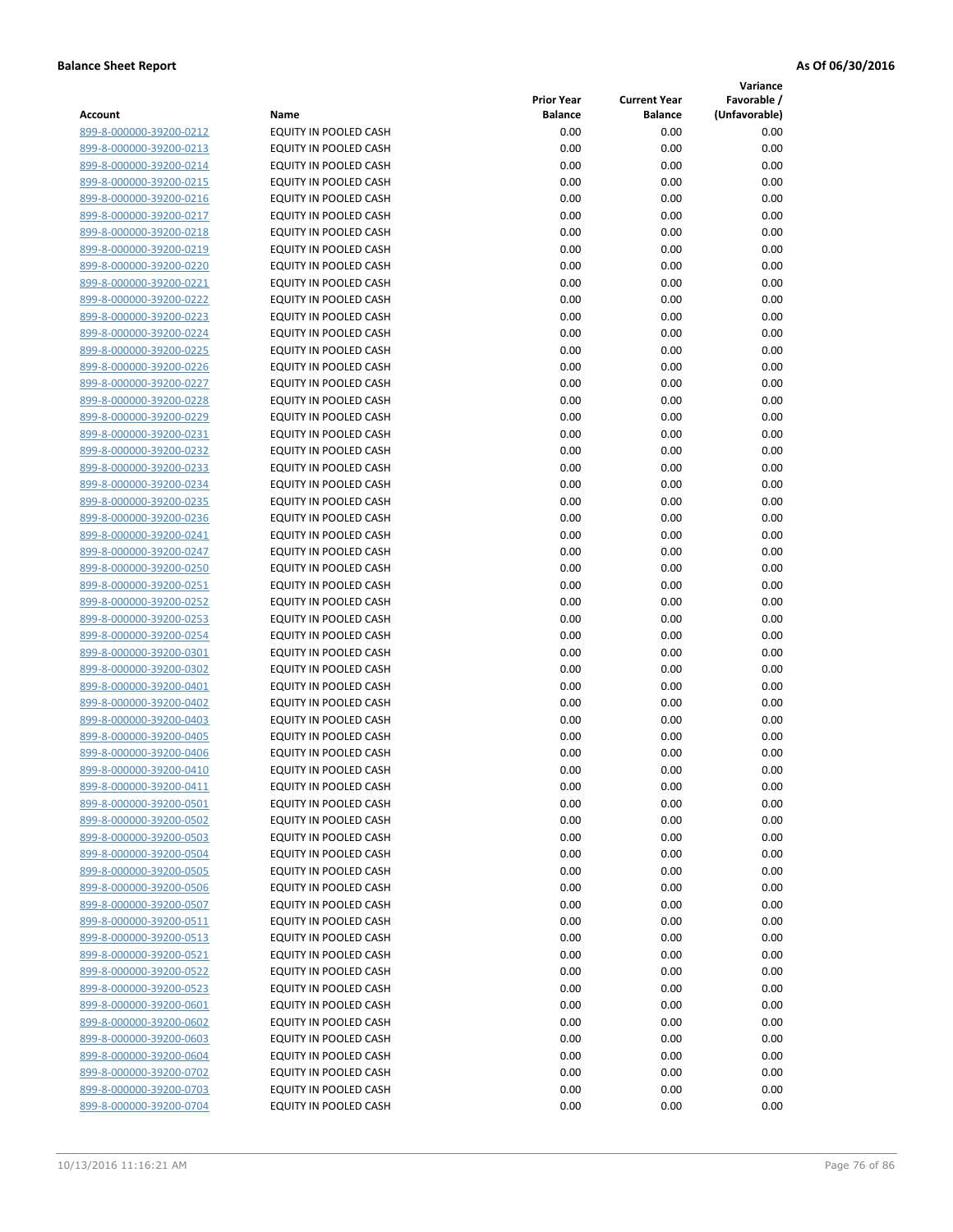**Variance**

|                         |                              | <b>Prior Year</b> | <b>Current Year</b> | Favorable /   |
|-------------------------|------------------------------|-------------------|---------------------|---------------|
| Account                 | Name                         | <b>Balance</b>    | <b>Balance</b>      | (Unfavorable) |
| 899-8-000000-39200-0212 | EQUITY IN POOLED CASH        | 0.00              | 0.00                | 0.00          |
| 899-8-000000-39200-0213 | EQUITY IN POOLED CASH        | 0.00              | 0.00                | 0.00          |
| 899-8-000000-39200-0214 | EQUITY IN POOLED CASH        | 0.00              | 0.00                | 0.00          |
| 899-8-000000-39200-0215 | <b>EQUITY IN POOLED CASH</b> | 0.00              | 0.00                | 0.00          |
| 899-8-000000-39200-0216 | EQUITY IN POOLED CASH        | 0.00              | 0.00                | 0.00          |
| 899-8-000000-39200-0217 | EQUITY IN POOLED CASH        | 0.00              | 0.00                | 0.00          |
| 899-8-000000-39200-0218 | EQUITY IN POOLED CASH        | 0.00              | 0.00                | 0.00          |
| 899-8-000000-39200-0219 | <b>EQUITY IN POOLED CASH</b> | 0.00              | 0.00                | 0.00          |
| 899-8-000000-39200-0220 | EQUITY IN POOLED CASH        | 0.00              | 0.00                | 0.00          |
| 899-8-000000-39200-0221 | EQUITY IN POOLED CASH        | 0.00              | 0.00                | 0.00          |
| 899-8-000000-39200-0222 | EQUITY IN POOLED CASH        | 0.00              | 0.00                | 0.00          |
| 899-8-000000-39200-0223 | EQUITY IN POOLED CASH        | 0.00              | 0.00                | 0.00          |
| 899-8-000000-39200-0224 | EQUITY IN POOLED CASH        | 0.00              | 0.00                | 0.00          |
| 899-8-000000-39200-0225 | EQUITY IN POOLED CASH        | 0.00              | 0.00                | 0.00          |
| 899-8-000000-39200-0226 | EQUITY IN POOLED CASH        | 0.00              | 0.00                | 0.00          |
| 899-8-000000-39200-0227 | EQUITY IN POOLED CASH        | 0.00              | 0.00                | 0.00          |
| 899-8-000000-39200-0228 | EQUITY IN POOLED CASH        | 0.00              | 0.00                | 0.00          |
| 899-8-000000-39200-0229 | EQUITY IN POOLED CASH        | 0.00              | 0.00                | 0.00          |
| 899-8-000000-39200-0231 | EQUITY IN POOLED CASH        | 0.00              | 0.00                | 0.00          |
| 899-8-000000-39200-0232 | EQUITY IN POOLED CASH        | 0.00              | 0.00                | 0.00          |
| 899-8-000000-39200-0233 | <b>EQUITY IN POOLED CASH</b> | 0.00              | 0.00                | 0.00          |
| 899-8-000000-39200-0234 | EQUITY IN POOLED CASH        | 0.00              | 0.00                | 0.00          |
| 899-8-000000-39200-0235 | EQUITY IN POOLED CASH        | 0.00              | 0.00                | 0.00          |
| 899-8-000000-39200-0236 | <b>EQUITY IN POOLED CASH</b> | 0.00              | 0.00                | 0.00          |
| 899-8-000000-39200-0241 | EQUITY IN POOLED CASH        | 0.00              | 0.00                | 0.00          |
| 899-8-000000-39200-0247 | EQUITY IN POOLED CASH        | 0.00              | 0.00                | 0.00          |
| 899-8-000000-39200-0250 | EQUITY IN POOLED CASH        | 0.00              | 0.00                | 0.00          |
| 899-8-000000-39200-0251 | EQUITY IN POOLED CASH        | 0.00              | 0.00                | 0.00          |
| 899-8-000000-39200-0252 | EQUITY IN POOLED CASH        | 0.00              | 0.00                | 0.00          |
| 899-8-000000-39200-0253 | EQUITY IN POOLED CASH        | 0.00              | 0.00                | 0.00          |
| 899-8-000000-39200-0254 | EQUITY IN POOLED CASH        | 0.00              | 0.00                | 0.00          |
| 899-8-000000-39200-0301 | EQUITY IN POOLED CASH        | 0.00              | 0.00                | 0.00          |
| 899-8-000000-39200-0302 | EQUITY IN POOLED CASH        | 0.00              | 0.00                | 0.00          |
| 899-8-000000-39200-0401 | EQUITY IN POOLED CASH        | 0.00              | 0.00                | 0.00          |
| 899-8-000000-39200-0402 | EQUITY IN POOLED CASH        | 0.00              | 0.00                | 0.00          |
| 899-8-000000-39200-0403 | EQUITY IN POOLED CASH        | 0.00              | 0.00                | 0.00          |
| 899-8-000000-39200-0405 | EQUITY IN POOLED CASH        | 0.00              | 0.00                | 0.00          |
| 899-8-000000-39200-0406 | EQUITY IN POOLED CASH        | 0.00              | 0.00                | 0.00          |
| 899-8-000000-39200-0410 | EQUITY IN POOLED CASH        | 0.00              | 0.00                | 0.00          |
| 899-8-000000-39200-0411 | EQUITY IN POOLED CASH        | 0.00              | 0.00                | 0.00          |
| 899-8-000000-39200-0501 | EQUITY IN POOLED CASH        | 0.00              | 0.00                | 0.00          |
| 899-8-000000-39200-0502 | EQUITY IN POOLED CASH        | 0.00              | 0.00                | 0.00          |
| 899-8-000000-39200-0503 | EQUITY IN POOLED CASH        | 0.00              | 0.00                | 0.00          |
| 899-8-000000-39200-0504 | <b>EQUITY IN POOLED CASH</b> | 0.00              | 0.00                | 0.00          |
| 899-8-000000-39200-0505 | EQUITY IN POOLED CASH        | 0.00              | 0.00                | 0.00          |
| 899-8-000000-39200-0506 | EQUITY IN POOLED CASH        | 0.00              | 0.00                | 0.00          |
| 899-8-000000-39200-0507 | EQUITY IN POOLED CASH        | 0.00              | 0.00                | 0.00          |
| 899-8-000000-39200-0511 | EQUITY IN POOLED CASH        | 0.00              | 0.00                | 0.00          |
| 899-8-000000-39200-0513 | EQUITY IN POOLED CASH        | 0.00              | 0.00                | 0.00          |
| 899-8-000000-39200-0521 | EQUITY IN POOLED CASH        | 0.00              | 0.00                | 0.00          |
| 899-8-000000-39200-0522 | EQUITY IN POOLED CASH        | 0.00              | 0.00                | 0.00          |
| 899-8-000000-39200-0523 | EQUITY IN POOLED CASH        | 0.00              | 0.00                | 0.00          |
| 899-8-000000-39200-0601 | EQUITY IN POOLED CASH        | 0.00              | 0.00                | 0.00          |
| 899-8-000000-39200-0602 | EQUITY IN POOLED CASH        | 0.00              | 0.00                | 0.00          |
| 899-8-000000-39200-0603 | EQUITY IN POOLED CASH        | 0.00              | 0.00                | 0.00          |
| 899-8-000000-39200-0604 | EQUITY IN POOLED CASH        | 0.00              | 0.00                | 0.00          |
| 899-8-000000-39200-0702 | EQUITY IN POOLED CASH        | 0.00              | 0.00                | 0.00          |
| 899-8-000000-39200-0703 | EQUITY IN POOLED CASH        | 0.00              | 0.00                | 0.00          |
| 899-8-000000-39200-0704 | EQUITY IN POOLED CASH        | 0.00              | 0.00                | 0.00          |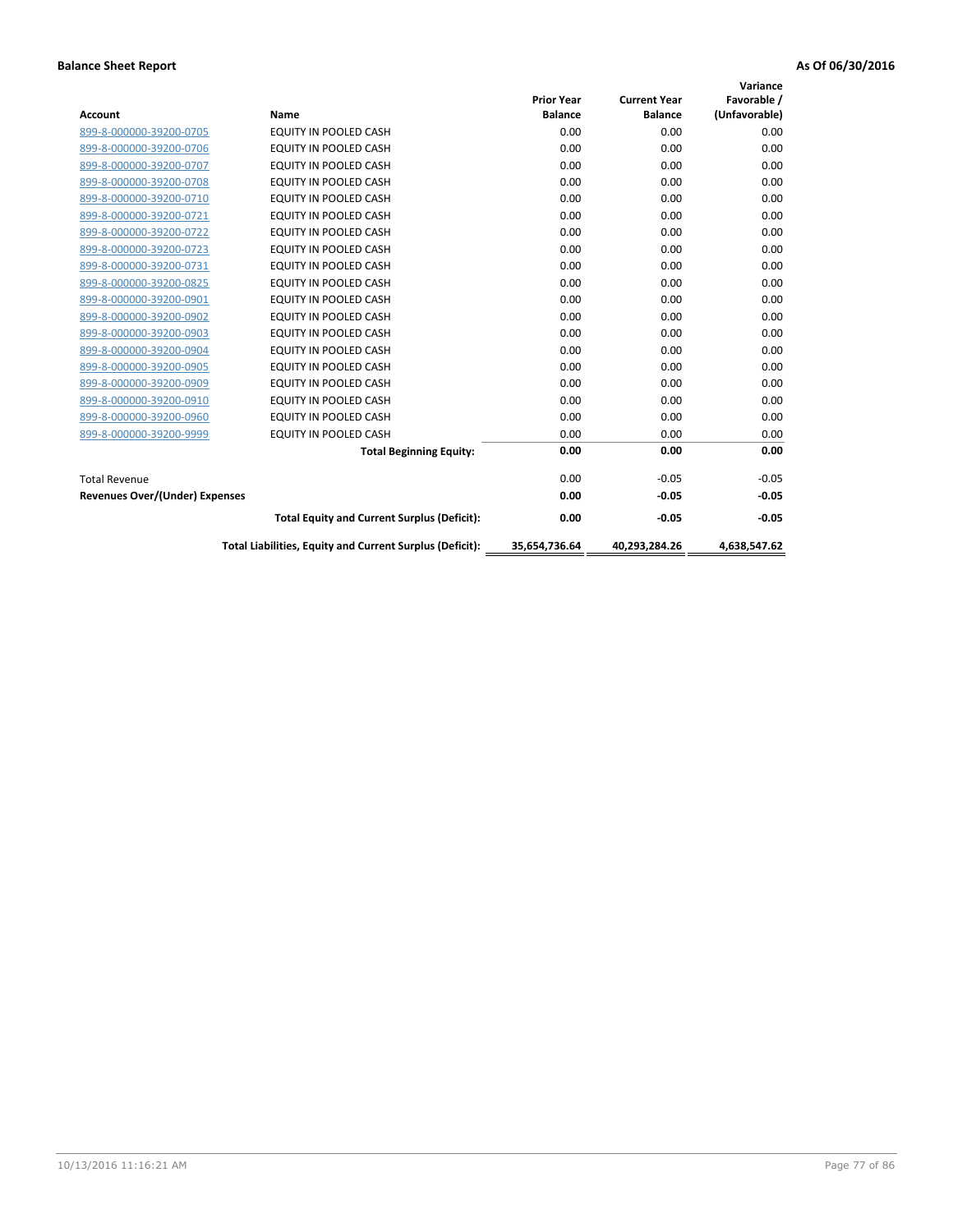|                                       |                                                          |                   |                     | Variance      |
|---------------------------------------|----------------------------------------------------------|-------------------|---------------------|---------------|
|                                       |                                                          | <b>Prior Year</b> | <b>Current Year</b> | Favorable /   |
| Account                               | Name                                                     | <b>Balance</b>    | <b>Balance</b>      | (Unfavorable) |
| 899-8-000000-39200-0705               | EQUITY IN POOLED CASH                                    | 0.00              | 0.00                | 0.00          |
| 899-8-000000-39200-0706               | <b>EQUITY IN POOLED CASH</b>                             | 0.00              | 0.00                | 0.00          |
| 899-8-000000-39200-0707               | EQUITY IN POOLED CASH                                    | 0.00              | 0.00                | 0.00          |
| 899-8-000000-39200-0708               | <b>EQUITY IN POOLED CASH</b>                             | 0.00              | 0.00                | 0.00          |
| 899-8-000000-39200-0710               | <b>EQUITY IN POOLED CASH</b>                             | 0.00              | 0.00                | 0.00          |
| 899-8-000000-39200-0721               | <b>EQUITY IN POOLED CASH</b>                             | 0.00              | 0.00                | 0.00          |
| 899-8-000000-39200-0722               | EQUITY IN POOLED CASH                                    | 0.00              | 0.00                | 0.00          |
| 899-8-000000-39200-0723               | EQUITY IN POOLED CASH                                    | 0.00              | 0.00                | 0.00          |
| 899-8-000000-39200-0731               | <b>EQUITY IN POOLED CASH</b>                             | 0.00              | 0.00                | 0.00          |
| 899-8-000000-39200-0825               | <b>EQUITY IN POOLED CASH</b>                             | 0.00              | 0.00                | 0.00          |
| 899-8-000000-39200-0901               | <b>EQUITY IN POOLED CASH</b>                             | 0.00              | 0.00                | 0.00          |
| 899-8-000000-39200-0902               | EQUITY IN POOLED CASH                                    | 0.00              | 0.00                | 0.00          |
| 899-8-000000-39200-0903               | <b>EQUITY IN POOLED CASH</b>                             | 0.00              | 0.00                | 0.00          |
| 899-8-000000-39200-0904               | EQUITY IN POOLED CASH                                    | 0.00              | 0.00                | 0.00          |
| 899-8-000000-39200-0905               | <b>EQUITY IN POOLED CASH</b>                             | 0.00              | 0.00                | 0.00          |
| 899-8-000000-39200-0909               | <b>EQUITY IN POOLED CASH</b>                             | 0.00              | 0.00                | 0.00          |
| 899-8-000000-39200-0910               | <b>EQUITY IN POOLED CASH</b>                             | 0.00              | 0.00                | 0.00          |
| 899-8-000000-39200-0960               | <b>EQUITY IN POOLED CASH</b>                             | 0.00              | 0.00                | 0.00          |
| 899-8-000000-39200-9999               | EQUITY IN POOLED CASH                                    | 0.00              | 0.00                | 0.00          |
|                                       | <b>Total Beginning Equity:</b>                           | 0.00              | 0.00                | 0.00          |
| <b>Total Revenue</b>                  |                                                          | 0.00              | $-0.05$             | $-0.05$       |
| <b>Revenues Over/(Under) Expenses</b> |                                                          | 0.00              | $-0.05$             | $-0.05$       |
|                                       | <b>Total Equity and Current Surplus (Deficit):</b>       | 0.00              | $-0.05$             | $-0.05$       |
|                                       | Total Liabilities, Equity and Current Surplus (Deficit): | 35,654,736.64     | 40.293.284.26       | 4.638.547.62  |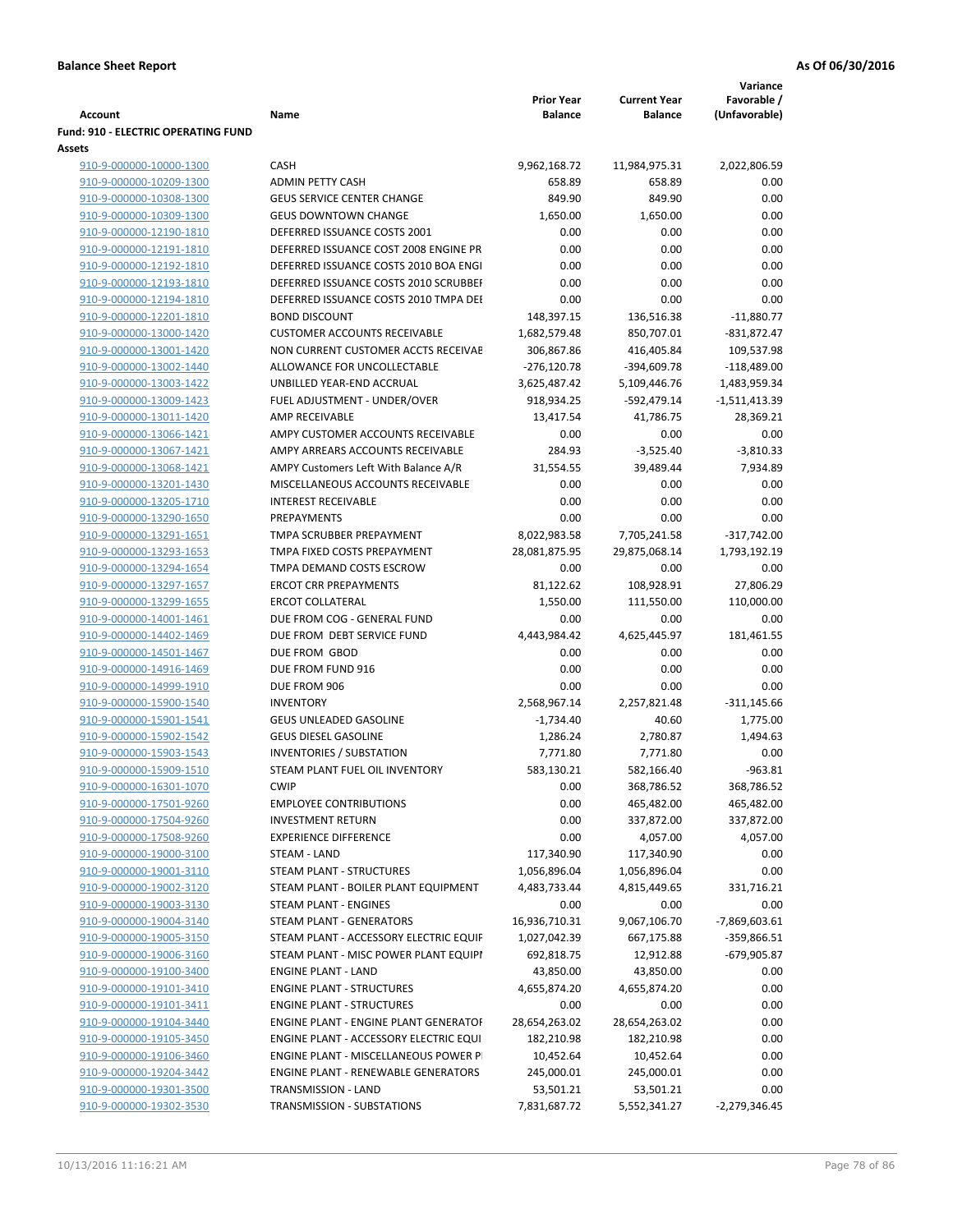|                                                    |                                                                    |                                     |                                       | Variance                     |
|----------------------------------------------------|--------------------------------------------------------------------|-------------------------------------|---------------------------------------|------------------------------|
| <b>Account</b>                                     | Name                                                               | <b>Prior Year</b><br><b>Balance</b> | <b>Current Year</b><br><b>Balance</b> | Favorable /<br>(Unfavorable) |
| <b>Fund: 910 - ELECTRIC OPERATING FUND</b>         |                                                                    |                                     |                                       |                              |
| Assets                                             |                                                                    |                                     |                                       |                              |
| 910-9-000000-10000-1300                            | CASH                                                               | 9,962,168.72                        | 11,984,975.31                         | 2,022,806.59                 |
| 910-9-000000-10209-1300                            | <b>ADMIN PETTY CASH</b>                                            | 658.89                              | 658.89                                | 0.00                         |
| 910-9-000000-10308-1300                            | <b>GEUS SERVICE CENTER CHANGE</b>                                  | 849.90                              | 849.90                                | 0.00                         |
| 910-9-000000-10309-1300                            | <b>GEUS DOWNTOWN CHANGE</b>                                        | 1,650.00                            | 1,650.00                              | 0.00                         |
| 910-9-000000-12190-1810                            | DEFERRED ISSUANCE COSTS 2001                                       | 0.00                                | 0.00                                  | 0.00                         |
| 910-9-000000-12191-1810                            | DEFERRED ISSUANCE COST 2008 ENGINE PR                              | 0.00                                | 0.00                                  | 0.00                         |
| 910-9-000000-12192-1810                            | DEFERRED ISSUANCE COSTS 2010 BOA ENGI                              | 0.00                                | 0.00                                  | 0.00                         |
| 910-9-000000-12193-1810                            | DEFERRED ISSUANCE COSTS 2010 SCRUBBEF                              | 0.00                                | 0.00                                  | 0.00                         |
| 910-9-000000-12194-1810                            | DEFERRED ISSUANCE COSTS 2010 TMPA DEI                              | 0.00                                | 0.00                                  | 0.00                         |
| 910-9-000000-12201-1810                            | <b>BOND DISCOUNT</b>                                               | 148,397.15                          | 136,516.38                            | $-11,880.77$                 |
| 910-9-000000-13000-1420                            | <b>CUSTOMER ACCOUNTS RECEIVABLE</b>                                | 1,682,579.48                        | 850,707.01                            | $-831,872.47$                |
| 910-9-000000-13001-1420                            | NON CURRENT CUSTOMER ACCTS RECEIVAE                                | 306,867.86                          | 416,405.84                            | 109,537.98                   |
| 910-9-000000-13002-1440                            | ALLOWANCE FOR UNCOLLECTABLE                                        | $-276,120.78$                       | -394,609.78                           | $-118,489.00$                |
| 910-9-000000-13003-1422                            | UNBILLED YEAR-END ACCRUAL                                          | 3,625,487.42                        | 5,109,446.76                          | 1,483,959.34                 |
| 910-9-000000-13009-1423                            | FUEL ADJUSTMENT - UNDER/OVER<br><b>AMP RECEIVABLE</b>              | 918,934.25                          | $-592,479.14$                         | $-1,511,413.39$              |
| 910-9-000000-13011-1420<br>910-9-000000-13066-1421 | AMPY CUSTOMER ACCOUNTS RECEIVABLE                                  | 13,417.54<br>0.00                   | 41,786.75<br>0.00                     | 28,369.21<br>0.00            |
| 910-9-000000-13067-1421                            | AMPY ARREARS ACCOUNTS RECEIVABLE                                   | 284.93                              | $-3,525.40$                           |                              |
| 910-9-000000-13068-1421                            | AMPY Customers Left With Balance A/R                               | 31,554.55                           | 39,489.44                             | $-3,810.33$<br>7,934.89      |
| 910-9-000000-13201-1430                            | MISCELLANEOUS ACCOUNTS RECEIVABLE                                  | 0.00                                | 0.00                                  | 0.00                         |
| 910-9-000000-13205-1710                            | <b>INTEREST RECEIVABLE</b>                                         | 0.00                                | 0.00                                  | 0.00                         |
| 910-9-000000-13290-1650                            | PREPAYMENTS                                                        | 0.00                                | 0.00                                  | 0.00                         |
| 910-9-000000-13291-1651                            | TMPA SCRUBBER PREPAYMENT                                           | 8,022,983.58                        | 7,705,241.58                          | $-317,742.00$                |
| 910-9-000000-13293-1653                            | TMPA FIXED COSTS PREPAYMENT                                        | 28,081,875.95                       | 29,875,068.14                         | 1,793,192.19                 |
| 910-9-000000-13294-1654                            | TMPA DEMAND COSTS ESCROW                                           | 0.00                                | 0.00                                  | 0.00                         |
| 910-9-000000-13297-1657                            | <b>ERCOT CRR PREPAYMENTS</b>                                       | 81,122.62                           | 108,928.91                            | 27,806.29                    |
| 910-9-000000-13299-1655                            | <b>ERCOT COLLATERAL</b>                                            | 1,550.00                            | 111,550.00                            | 110,000.00                   |
| 910-9-000000-14001-1461                            | DUE FROM COG - GENERAL FUND                                        | 0.00                                | 0.00                                  | 0.00                         |
| 910-9-000000-14402-1469                            | DUE FROM DEBT SERVICE FUND                                         | 4,443,984.42                        | 4,625,445.97                          | 181,461.55                   |
| 910-9-000000-14501-1467                            | DUE FROM GBOD                                                      | 0.00                                | 0.00                                  | 0.00                         |
| 910-9-000000-14916-1469                            | DUE FROM FUND 916                                                  | 0.00                                | 0.00                                  | 0.00                         |
| 910-9-000000-14999-1910                            | DUE FROM 906                                                       | 0.00                                | 0.00                                  | 0.00                         |
| 910-9-000000-15900-1540                            | <b>INVENTORY</b>                                                   | 2,568,967.14                        | 2,257,821.48                          | $-311,145.66$                |
| 910-9-000000-15901-1541                            | <b>GEUS UNLEADED GASOLINE</b>                                      | $-1,734.40$                         | 40.60                                 | 1,775.00                     |
| 910-9-000000-15902-1542                            | <b>GEUS DIESEL GASOLINE</b>                                        | 1,286.24                            | 2,780.87                              | 1,494.63                     |
| 910-9-000000-15903-1543                            | <b>INVENTORIES / SUBSTATION</b>                                    | 7,771.80                            | 7,771.80                              | 0.00                         |
| 910-9-000000-15909-1510                            | STEAM PLANT FUEL OIL INVENTORY                                     | 583,130.21                          | 582,166.40                            | $-963.81$                    |
| 910-9-000000-16301-1070                            | <b>CWIP</b>                                                        | 0.00                                | 368,786.52                            | 368,786.52                   |
| 910-9-000000-17501-9260                            | <b>EMPLOYEE CONTRIBUTIONS</b>                                      | 0.00                                | 465,482.00                            | 465,482.00                   |
| 910-9-000000-17504-9260                            | <b>INVESTMENT RETURN</b>                                           | 0.00                                | 337,872.00                            | 337,872.00                   |
| 910-9-000000-17508-9260                            | <b>EXPERIENCE DIFFERENCE</b>                                       | 0.00                                | 4,057.00                              | 4,057.00                     |
| 910-9-000000-19000-3100                            | STEAM - LAND                                                       | 117,340.90                          | 117,340.90                            | 0.00                         |
| 910-9-000000-19001-3110                            | <b>STEAM PLANT - STRUCTURES</b>                                    | 1,056,896.04                        | 1,056,896.04                          | 0.00                         |
| 910-9-000000-19002-3120                            | STEAM PLANT - BOILER PLANT EQUIPMENT                               | 4,483,733.44                        | 4,815,449.65                          | 331,716.21                   |
| 910-9-000000-19003-3130                            | STEAM PLANT - ENGINES                                              | 0.00                                | 0.00                                  | 0.00                         |
| 910-9-000000-19004-3140<br>910-9-000000-19005-3150 | STEAM PLANT - GENERATORS<br>STEAM PLANT - ACCESSORY ELECTRIC EQUIF | 16,936,710.31<br>1,027,042.39       | 9,067,106.70<br>667,175.88            | -7,869,603.61<br>-359,866.51 |
| 910-9-000000-19006-3160                            | STEAM PLANT - MISC POWER PLANT EQUIPI                              | 692,818.75                          | 12,912.88                             | -679,905.87                  |
| 910-9-000000-19100-3400                            | <b>ENGINE PLANT - LAND</b>                                         | 43,850.00                           | 43,850.00                             | 0.00                         |
| 910-9-000000-19101-3410                            | <b>ENGINE PLANT - STRUCTURES</b>                                   | 4,655,874.20                        | 4,655,874.20                          | 0.00                         |
| 910-9-000000-19101-3411                            | <b>ENGINE PLANT - STRUCTURES</b>                                   | 0.00                                | 0.00                                  | 0.00                         |
| 910-9-000000-19104-3440                            | ENGINE PLANT - ENGINE PLANT GENERATOF                              | 28,654,263.02                       | 28,654,263.02                         | 0.00                         |
| 910-9-000000-19105-3450                            | ENGINE PLANT - ACCESSORY ELECTRIC EQUI                             | 182,210.98                          | 182,210.98                            | 0.00                         |
| 910-9-000000-19106-3460                            | ENGINE PLANT - MISCELLANEOUS POWER P                               | 10,452.64                           | 10,452.64                             | 0.00                         |
| 910-9-000000-19204-3442                            | <b>ENGINE PLANT - RENEWABLE GENERATORS</b>                         | 245,000.01                          | 245,000.01                            | 0.00                         |
| 910-9-000000-19301-3500                            | TRANSMISSION - LAND                                                | 53,501.21                           | 53,501.21                             | 0.00                         |
| 910-9-000000-19302-3530                            | TRANSMISSION - SUBSTATIONS                                         | 7,831,687.72                        | 5,552,341.27                          | -2,279,346.45                |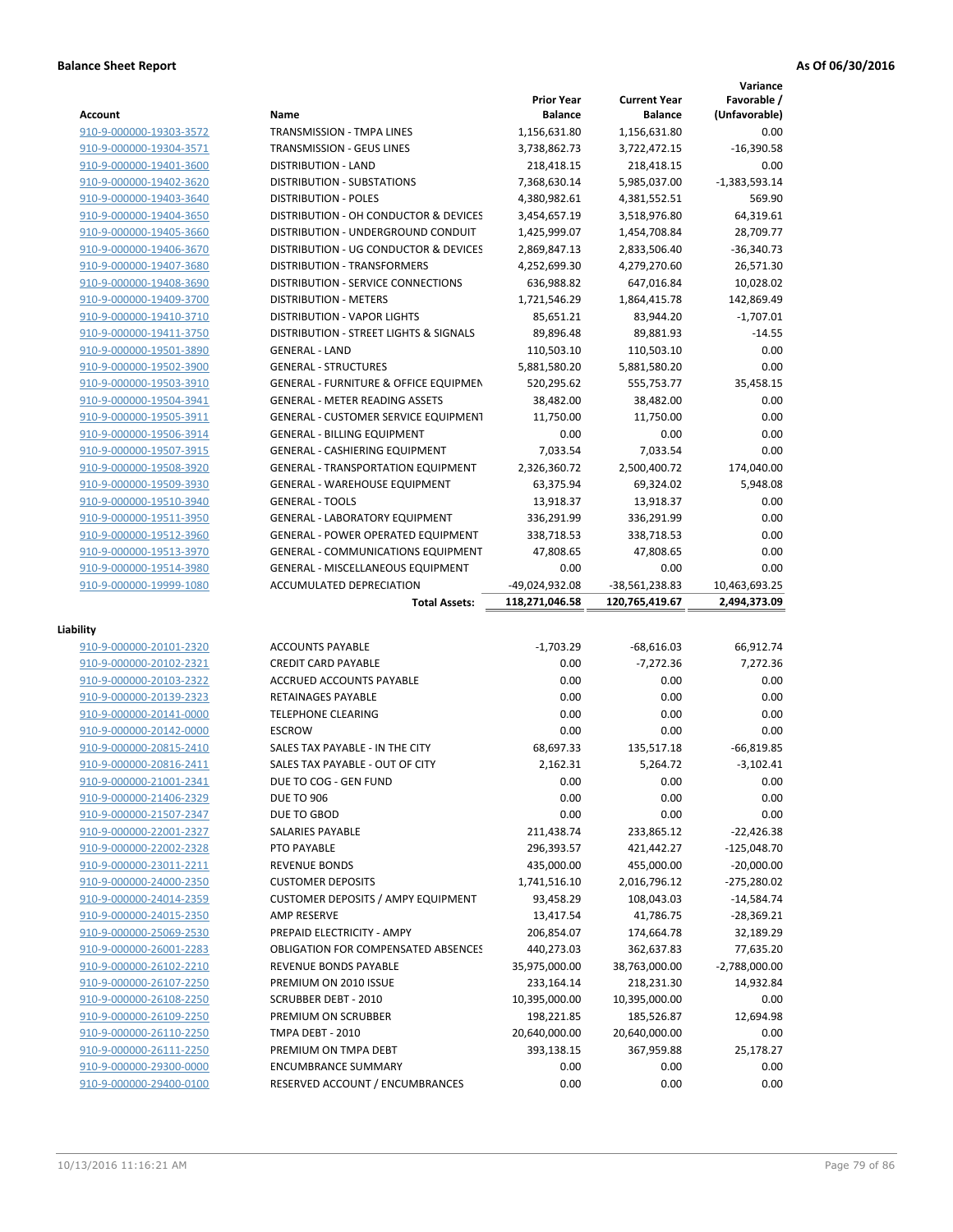|                                                    |                                                               |                                     |                                       | Variance                     |
|----------------------------------------------------|---------------------------------------------------------------|-------------------------------------|---------------------------------------|------------------------------|
| <b>Account</b>                                     | Name                                                          | <b>Prior Year</b><br><b>Balance</b> | <b>Current Year</b><br><b>Balance</b> | Favorable /<br>(Unfavorable) |
| 910-9-000000-19303-3572                            | <b>TRANSMISSION - TMPA LINES</b>                              | 1,156,631.80                        | 1,156,631.80                          | 0.00                         |
| 910-9-000000-19304-3571                            | <b>TRANSMISSION - GEUS LINES</b>                              | 3,738,862.73                        | 3,722,472.15                          | $-16,390.58$                 |
| 910-9-000000-19401-3600                            | <b>DISTRIBUTION - LAND</b>                                    | 218,418.15                          | 218,418.15                            | 0.00                         |
| 910-9-000000-19402-3620                            | <b>DISTRIBUTION - SUBSTATIONS</b>                             | 7,368,630.14                        | 5,985,037.00                          | $-1,383,593.14$              |
| 910-9-000000-19403-3640                            | <b>DISTRIBUTION - POLES</b>                                   | 4,380,982.61                        | 4,381,552.51                          | 569.90                       |
| 910-9-000000-19404-3650                            | DISTRIBUTION - OH CONDUCTOR & DEVICES                         | 3,454,657.19                        | 3,518,976.80                          | 64,319.61                    |
| 910-9-000000-19405-3660                            | DISTRIBUTION - UNDERGROUND CONDUIT                            | 1,425,999.07                        | 1,454,708.84                          | 28,709.77                    |
| 910-9-000000-19406-3670                            | DISTRIBUTION - UG CONDUCTOR & DEVICES                         | 2,869,847.13                        | 2,833,506.40                          | $-36,340.73$                 |
| 910-9-000000-19407-3680                            | <b>DISTRIBUTION - TRANSFORMERS</b>                            | 4,252,699.30                        | 4,279,270.60                          | 26,571.30                    |
| 910-9-000000-19408-3690                            | DISTRIBUTION - SERVICE CONNECTIONS                            | 636,988.82                          | 647,016.84                            | 10,028.02                    |
| 910-9-000000-19409-3700                            | <b>DISTRIBUTION - METERS</b>                                  | 1,721,546.29                        | 1,864,415.78                          | 142,869.49                   |
| 910-9-000000-19410-3710                            | <b>DISTRIBUTION - VAPOR LIGHTS</b>                            | 85,651.21                           | 83,944.20                             | $-1,707.01$                  |
| 910-9-000000-19411-3750                            | DISTRIBUTION - STREET LIGHTS & SIGNALS                        | 89,896.48                           | 89,881.93                             | $-14.55$                     |
| 910-9-000000-19501-3890                            | <b>GENERAL - LAND</b>                                         | 110,503.10                          | 110,503.10                            | 0.00                         |
| 910-9-000000-19502-3900                            | <b>GENERAL - STRUCTURES</b>                                   | 5,881,580.20                        | 5,881,580.20                          | 0.00                         |
| 910-9-000000-19503-3910                            | <b>GENERAL - FURNITURE &amp; OFFICE EQUIPMEN</b>              | 520,295.62                          | 555,753.77                            | 35,458.15                    |
| 910-9-000000-19504-3941                            | <b>GENERAL - METER READING ASSETS</b>                         | 38,482.00                           | 38,482.00                             | 0.00                         |
| 910-9-000000-19505-3911                            | <b>GENERAL - CUSTOMER SERVICE EQUIPMENT</b>                   | 11,750.00                           | 11,750.00                             | 0.00                         |
| 910-9-000000-19506-3914                            | <b>GENERAL - BILLING EQUIPMENT</b>                            | 0.00                                | 0.00                                  | 0.00                         |
| 910-9-000000-19507-3915                            | <b>GENERAL - CASHIERING EQUIPMENT</b>                         | 7,033.54                            | 7,033.54                              | 0.00                         |
| 910-9-000000-19508-3920                            | <b>GENERAL - TRANSPORTATION EQUIPMENT</b>                     | 2,326,360.72                        | 2,500,400.72                          | 174,040.00                   |
| 910-9-000000-19509-3930                            | <b>GENERAL - WAREHOUSE EQUIPMENT</b>                          | 63,375.94                           | 69,324.02                             | 5,948.08                     |
| 910-9-000000-19510-3940                            | <b>GENERAL - TOOLS</b>                                        | 13,918.37                           | 13,918.37                             | 0.00                         |
| 910-9-000000-19511-3950                            | <b>GENERAL - LABORATORY EQUIPMENT</b>                         | 336,291.99                          | 336,291.99                            | 0.00                         |
| 910-9-000000-19512-3960                            | <b>GENERAL - POWER OPERATED EQUIPMENT</b>                     | 338,718.53                          | 338,718.53                            | 0.00                         |
| 910-9-000000-19513-3970                            | <b>GENERAL - COMMUNICATIONS EQUIPMENT</b>                     | 47,808.65                           | 47,808.65                             | 0.00                         |
| 910-9-000000-19514-3980                            | <b>GENERAL - MISCELLANEOUS EQUIPMENT</b>                      | 0.00                                | 0.00                                  | 0.00                         |
| 910-9-000000-19999-1080                            | ACCUMULATED DEPRECIATION                                      | -49,024,932.08                      | -38,561,238.83                        | 10,463,693.25                |
|                                                    |                                                               |                                     |                                       |                              |
|                                                    | <b>Total Assets:</b>                                          | 118,271,046.58                      | 120,765,419.67                        | 2,494,373.09                 |
|                                                    |                                                               |                                     |                                       |                              |
| Liability                                          |                                                               |                                     |                                       |                              |
| 910-9-000000-20101-2320                            | <b>ACCOUNTS PAYABLE</b>                                       | $-1,703.29$                         | $-68,616.03$                          | 66,912.74                    |
| 910-9-000000-20102-2321                            | <b>CREDIT CARD PAYABLE</b>                                    | 0.00                                | $-7,272.36$                           | 7,272.36                     |
| 910-9-000000-20103-2322                            | <b>ACCRUED ACCOUNTS PAYABLE</b>                               | 0.00                                | 0.00                                  | 0.00                         |
| 910-9-000000-20139-2323                            | <b>RETAINAGES PAYABLE</b>                                     | 0.00                                | 0.00                                  | 0.00                         |
| 910-9-000000-20141-0000                            | <b>TELEPHONE CLEARING</b>                                     | 0.00                                | 0.00                                  | 0.00                         |
| 910-9-000000-20142-0000                            | <b>ESCROW</b>                                                 | 0.00                                | 0.00                                  | 0.00                         |
| 910-9-000000-20815-2410                            | SALES TAX PAYABLE - IN THE CITY                               | 68,697.33                           | 135,517.18                            | $-66,819.85$                 |
| 910-9-000000-20816-2411                            | SALES TAX PAYABLE - OUT OF CITY                               | 2,162.31                            | 5,264.72                              | $-3,102.41$                  |
| 910-9-000000-21001-2341                            | DUE TO COG - GEN FUND                                         | 0.00                                | 0.00                                  | 0.00                         |
| 910-9-000000-21406-2329                            | <b>DUE TO 906</b>                                             | 0.00                                | 0.00                                  | 0.00                         |
| 910-9-000000-21507-2347                            | DUE TO GBOD                                                   | 0.00                                | 0.00                                  | 0.00                         |
| 910-9-000000-22001-2327                            | SALARIES PAYABLE                                              | 211,438.74                          | 233,865.12                            | $-22,426.38$                 |
| 910-9-000000-22002-2328                            | PTO PAYABLE                                                   | 296,393.57                          | 421,442.27                            | $-125,048.70$                |
| 910-9-000000-23011-2211                            | <b>REVENUE BONDS</b>                                          | 435,000.00                          | 455,000.00                            | $-20,000.00$                 |
| 910-9-000000-24000-2350                            | <b>CUSTOMER DEPOSITS</b>                                      | 1,741,516.10                        | 2,016,796.12                          | -275,280.02                  |
| 910-9-000000-24014-2359                            | <b>CUSTOMER DEPOSITS / AMPY EQUIPMENT</b>                     | 93,458.29                           | 108,043.03                            | $-14,584.74$                 |
| 910-9-000000-24015-2350                            | AMP RESERVE                                                   | 13,417.54                           | 41,786.75                             | $-28,369.21$                 |
| 910-9-000000-25069-2530                            | PREPAID ELECTRICITY - AMPY                                    | 206,854.07                          | 174,664.78                            | 32,189.29                    |
| 910-9-000000-26001-2283                            | <b>OBLIGATION FOR COMPENSATED ABSENCES</b>                    | 440,273.03                          | 362,637.83                            | 77,635.20                    |
| 910-9-000000-26102-2210                            | REVENUE BONDS PAYABLE                                         | 35,975,000.00                       | 38,763,000.00                         | $-2,788,000.00$              |
| 910-9-000000-26107-2250                            | PREMIUM ON 2010 ISSUE                                         | 233,164.14                          | 218,231.30                            | 14,932.84                    |
| 910-9-000000-26108-2250                            | <b>SCRUBBER DEBT - 2010</b>                                   | 10,395,000.00                       | 10,395,000.00                         | 0.00                         |
| 910-9-000000-26109-2250                            | PREMIUM ON SCRUBBER                                           | 198,221.85                          | 185,526.87                            | 12,694.98                    |
| 910-9-000000-26110-2250                            | TMPA DEBT - 2010                                              | 20,640,000.00                       | 20,640,000.00                         | 0.00                         |
| 910-9-000000-26111-2250                            | PREMIUM ON TMPA DEBT                                          | 393,138.15                          | 367,959.88                            | 25,178.27                    |
| 910-9-000000-29300-0000<br>910-9-000000-29400-0100 | <b>ENCUMBRANCE SUMMARY</b><br>RESERVED ACCOUNT / ENCUMBRANCES | 0.00<br>0.00                        | 0.00<br>0.00                          | 0.00<br>0.00                 |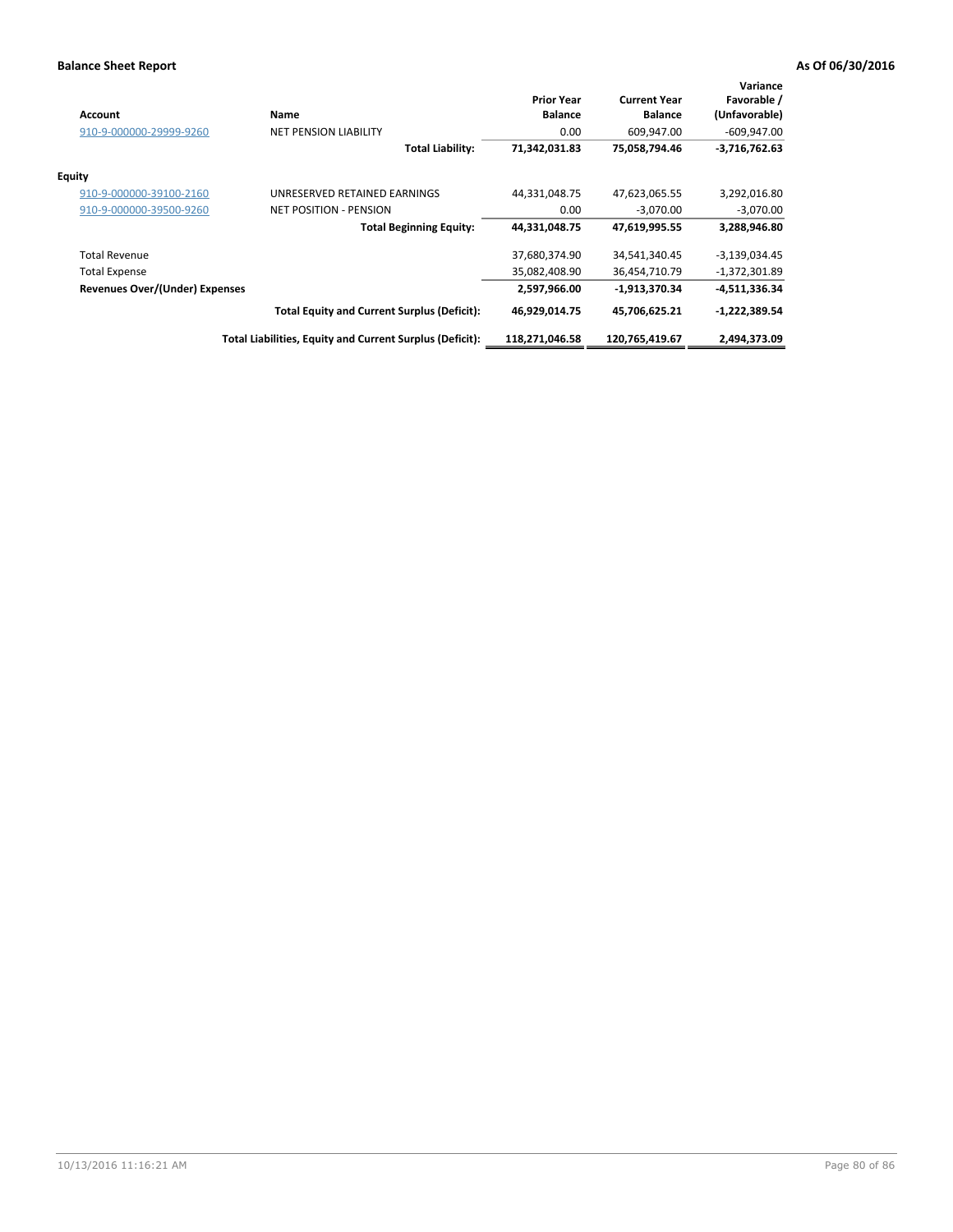| Account                               | Name                                                     | <b>Prior Year</b><br><b>Balance</b> | <b>Current Year</b><br><b>Balance</b> | Variance<br>Favorable /<br>(Unfavorable) |
|---------------------------------------|----------------------------------------------------------|-------------------------------------|---------------------------------------|------------------------------------------|
| 910-9-000000-29999-9260               | <b>NET PENSION LIABILITY</b>                             | 0.00                                | 609.947.00                            | $-609,947.00$                            |
|                                       | <b>Total Liability:</b>                                  | 71,342,031.83                       | 75,058,794.46                         | $-3,716,762.63$                          |
| <b>Equity</b>                         |                                                          |                                     |                                       |                                          |
| 910-9-000000-39100-2160               | UNRESERVED RETAINED EARNINGS                             | 44,331,048.75                       | 47,623,065.55                         | 3,292,016.80                             |
| 910-9-000000-39500-9260               | <b>NET POSITION - PENSION</b>                            | 0.00                                | $-3,070.00$                           | $-3,070.00$                              |
|                                       | <b>Total Beginning Equity:</b>                           | 44,331,048.75                       | 47,619,995.55                         | 3,288,946.80                             |
| <b>Total Revenue</b>                  |                                                          | 37,680,374.90                       | 34,541,340.45                         | $-3,139,034.45$                          |
| <b>Total Expense</b>                  |                                                          | 35,082,408.90                       | 36,454,710.79                         | $-1,372,301.89$                          |
| <b>Revenues Over/(Under) Expenses</b> |                                                          | 2.597.966.00                        | -1,913,370.34                         | $-4,511,336.34$                          |
|                                       | <b>Total Equity and Current Surplus (Deficit):</b>       | 46,929,014.75                       | 45,706,625.21                         | $-1,222,389.54$                          |
|                                       | Total Liabilities, Equity and Current Surplus (Deficit): | 118,271,046.58                      | 120,765,419.67                        | 2,494,373.09                             |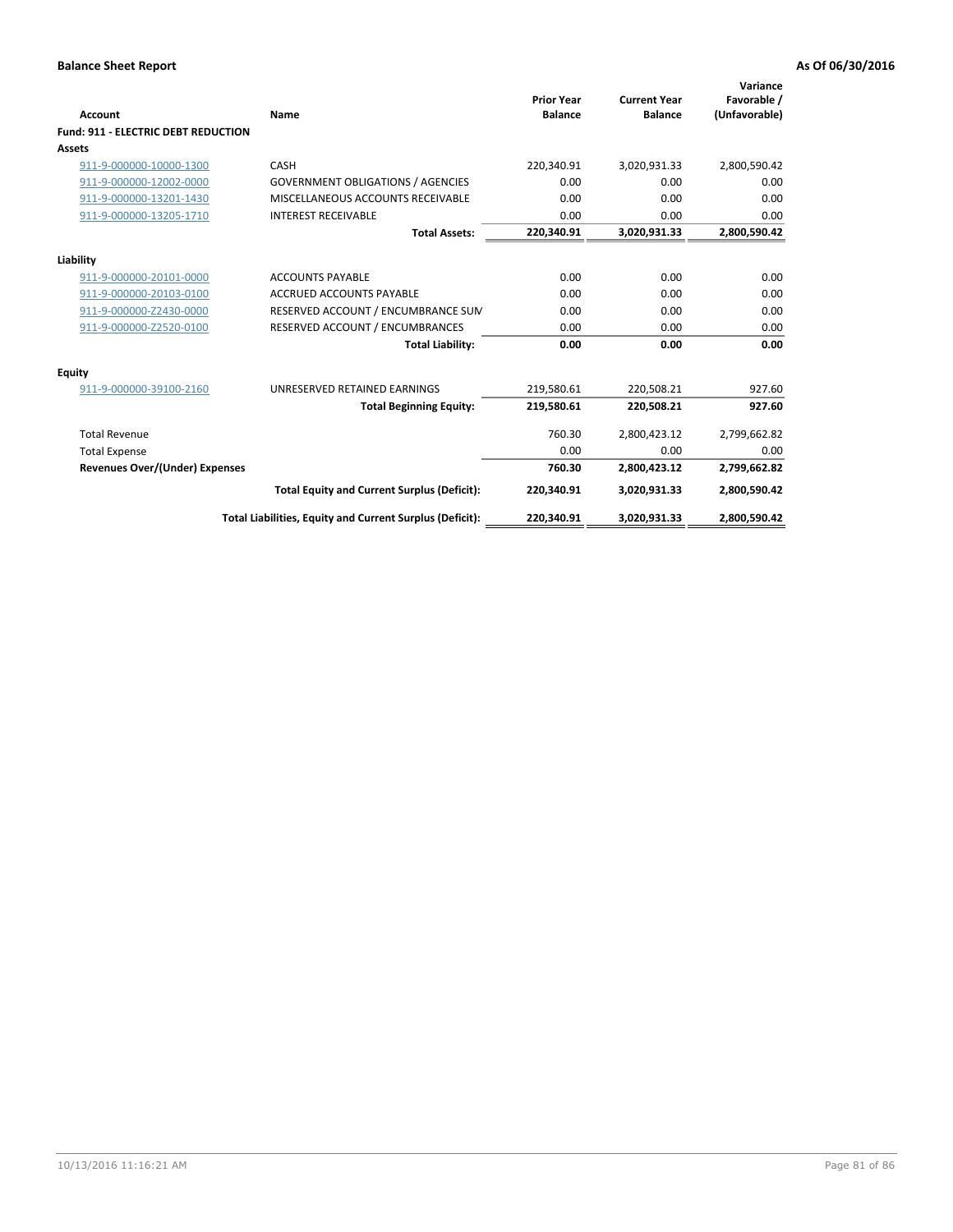| <b>Account</b>                             | Name                                                     | <b>Prior Year</b><br><b>Balance</b> | <b>Current Year</b><br><b>Balance</b> | Variance<br>Favorable /<br>(Unfavorable) |
|--------------------------------------------|----------------------------------------------------------|-------------------------------------|---------------------------------------|------------------------------------------|
| <b>Fund: 911 - ELECTRIC DEBT REDUCTION</b> |                                                          |                                     |                                       |                                          |
| Assets                                     |                                                          |                                     |                                       |                                          |
| 911-9-000000-10000-1300                    | CASH                                                     | 220,340.91                          | 3,020,931.33                          | 2,800,590.42                             |
| 911-9-000000-12002-0000                    | <b>GOVERNMENT OBLIGATIONS / AGENCIES</b>                 | 0.00                                | 0.00                                  | 0.00                                     |
| 911-9-000000-13201-1430                    | MISCELLANEOUS ACCOUNTS RECEIVABLE                        | 0.00                                | 0.00                                  | 0.00                                     |
| 911-9-000000-13205-1710                    | <b>INTEREST RECEIVABLE</b>                               | 0.00                                | 0.00                                  | 0.00                                     |
|                                            | <b>Total Assets:</b>                                     | 220,340.91                          | 3,020,931.33                          | 2,800,590.42                             |
| Liability                                  |                                                          |                                     |                                       |                                          |
| 911-9-000000-20101-0000                    | <b>ACCOUNTS PAYABLE</b>                                  | 0.00                                | 0.00                                  | 0.00                                     |
| 911-9-000000-20103-0100                    | <b>ACCRUED ACCOUNTS PAYABLE</b>                          | 0.00                                | 0.00                                  | 0.00                                     |
| 911-9-000000-Z2430-0000                    | RESERVED ACCOUNT / ENCUMBRANCE SUM                       | 0.00                                | 0.00                                  | 0.00                                     |
| 911-9-000000-Z2520-0100                    | RESERVED ACCOUNT / ENCUMBRANCES                          | 0.00                                | 0.00                                  | 0.00                                     |
|                                            | <b>Total Liability:</b>                                  | 0.00                                | 0.00                                  | 0.00                                     |
| <b>Equity</b>                              |                                                          |                                     |                                       |                                          |
| 911-9-000000-39100-2160                    | UNRESERVED RETAINED EARNINGS                             | 219,580.61                          | 220,508.21                            | 927.60                                   |
|                                            | <b>Total Beginning Equity:</b>                           | 219,580.61                          | 220.508.21                            | 927.60                                   |
| <b>Total Revenue</b>                       |                                                          | 760.30                              | 2,800,423.12                          | 2,799,662.82                             |
| <b>Total Expense</b>                       |                                                          | 0.00                                | 0.00                                  | 0.00                                     |
| <b>Revenues Over/(Under) Expenses</b>      |                                                          | 760.30                              | 2,800,423.12                          | 2,799,662.82                             |
|                                            | <b>Total Equity and Current Surplus (Deficit):</b>       | 220,340.91                          | 3,020,931.33                          | 2,800,590.42                             |
|                                            | Total Liabilities, Equity and Current Surplus (Deficit): | 220,340.91                          | 3,020,931.33                          | 2,800,590.42                             |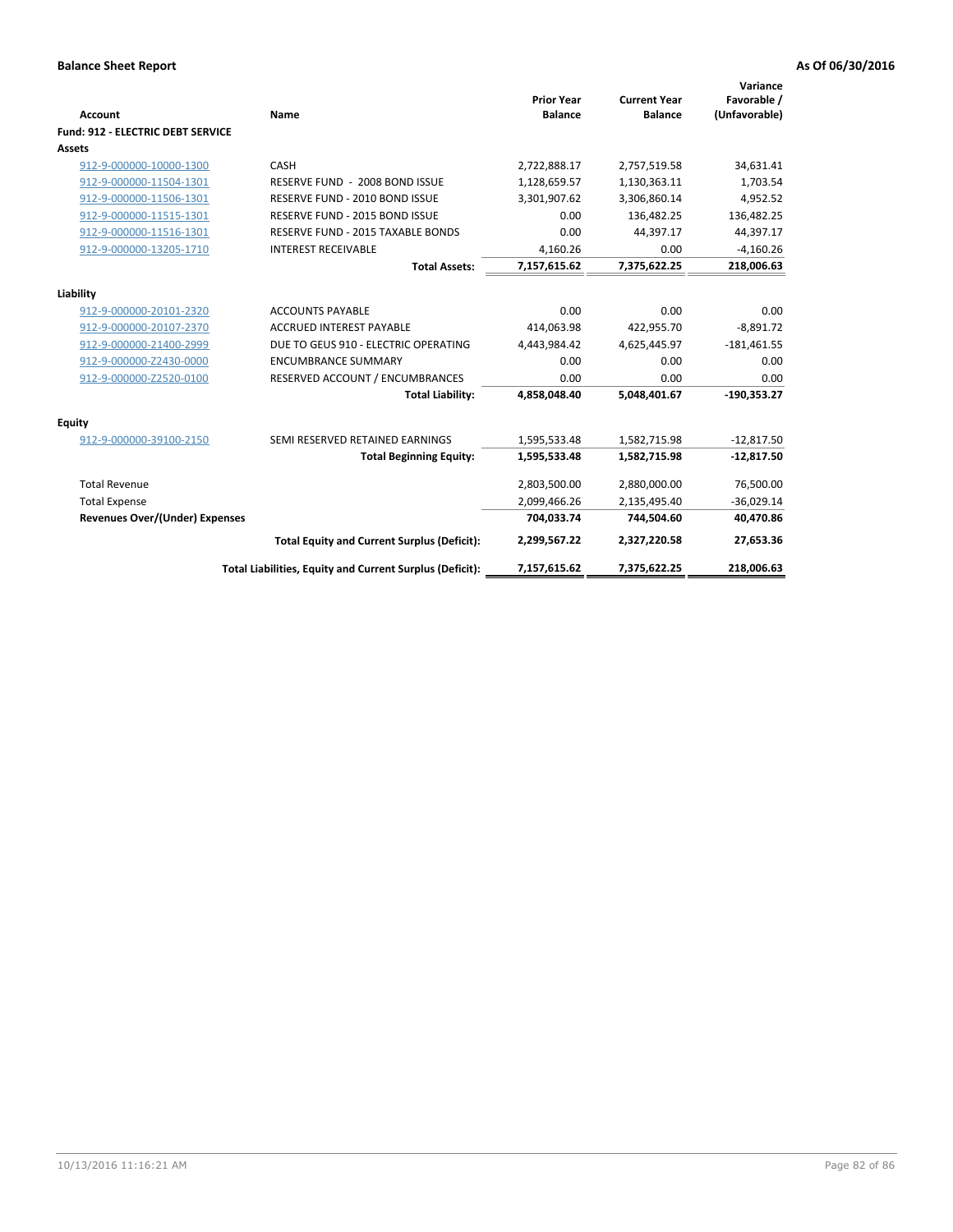| Account                               | Name                                                     | <b>Prior Year</b><br><b>Balance</b> | <b>Current Year</b><br><b>Balance</b> | Variance<br>Favorable /<br>(Unfavorable) |
|---------------------------------------|----------------------------------------------------------|-------------------------------------|---------------------------------------|------------------------------------------|
| Fund: 912 - ELECTRIC DEBT SERVICE     |                                                          |                                     |                                       |                                          |
| <b>Assets</b>                         |                                                          |                                     |                                       |                                          |
| 912-9-000000-10000-1300               | CASH                                                     | 2,722,888.17                        | 2,757,519.58                          | 34,631.41                                |
| 912-9-000000-11504-1301               | RESERVE FUND - 2008 BOND ISSUE                           | 1,128,659.57                        | 1,130,363.11                          | 1,703.54                                 |
| 912-9-000000-11506-1301               | RESERVE FUND - 2010 BOND ISSUE                           | 3,301,907.62                        | 3,306,860.14                          | 4,952.52                                 |
| 912-9-000000-11515-1301               | RESERVE FUND - 2015 BOND ISSUE                           | 0.00                                | 136,482.25                            | 136,482.25                               |
| 912-9-000000-11516-1301               | RESERVE FUND - 2015 TAXABLE BONDS                        | 0.00                                | 44,397.17                             | 44,397.17                                |
| 912-9-000000-13205-1710               | <b>INTEREST RECEIVABLE</b>                               | 4,160.26                            | 0.00                                  | $-4,160.26$                              |
|                                       | <b>Total Assets:</b>                                     | 7,157,615.62                        | 7,375,622.25                          | 218,006.63                               |
| Liability                             |                                                          |                                     |                                       |                                          |
| 912-9-000000-20101-2320               | <b>ACCOUNTS PAYABLE</b>                                  | 0.00                                | 0.00                                  | 0.00                                     |
| 912-9-000000-20107-2370               | <b>ACCRUED INTEREST PAYABLE</b>                          | 414,063.98                          | 422,955.70                            | $-8,891.72$                              |
| 912-9-000000-21400-2999               | DUE TO GEUS 910 - ELECTRIC OPERATING                     | 4.443.984.42                        | 4,625,445.97                          | $-181,461.55$                            |
| 912-9-000000-Z2430-0000               | <b>ENCUMBRANCE SUMMARY</b>                               | 0.00                                | 0.00                                  | 0.00                                     |
| 912-9-000000-Z2520-0100               | RESERVED ACCOUNT / ENCUMBRANCES                          | 0.00                                | 0.00                                  | 0.00                                     |
|                                       | <b>Total Liability:</b>                                  | 4,858,048.40                        | 5,048,401.67                          | $-190,353.27$                            |
| Equity                                |                                                          |                                     |                                       |                                          |
| 912-9-000000-39100-2150               | SEMI RESERVED RETAINED EARNINGS                          | 1,595,533.48                        | 1,582,715.98                          | $-12,817.50$                             |
|                                       | <b>Total Beginning Equity:</b>                           | 1,595,533.48                        | 1,582,715.98                          | $-12,817.50$                             |
| <b>Total Revenue</b>                  |                                                          | 2,803,500.00                        | 2,880,000.00                          | 76,500.00                                |
| <b>Total Expense</b>                  |                                                          | 2,099,466.26                        | 2,135,495.40                          | $-36,029.14$                             |
| <b>Revenues Over/(Under) Expenses</b> |                                                          | 704,033.74                          | 744,504.60                            | 40,470.86                                |
|                                       | <b>Total Equity and Current Surplus (Deficit):</b>       | 2,299,567.22                        | 2,327,220.58                          | 27,653.36                                |
|                                       | Total Liabilities, Equity and Current Surplus (Deficit): | 7,157,615.62                        | 7,375,622.25                          | 218,006.63                               |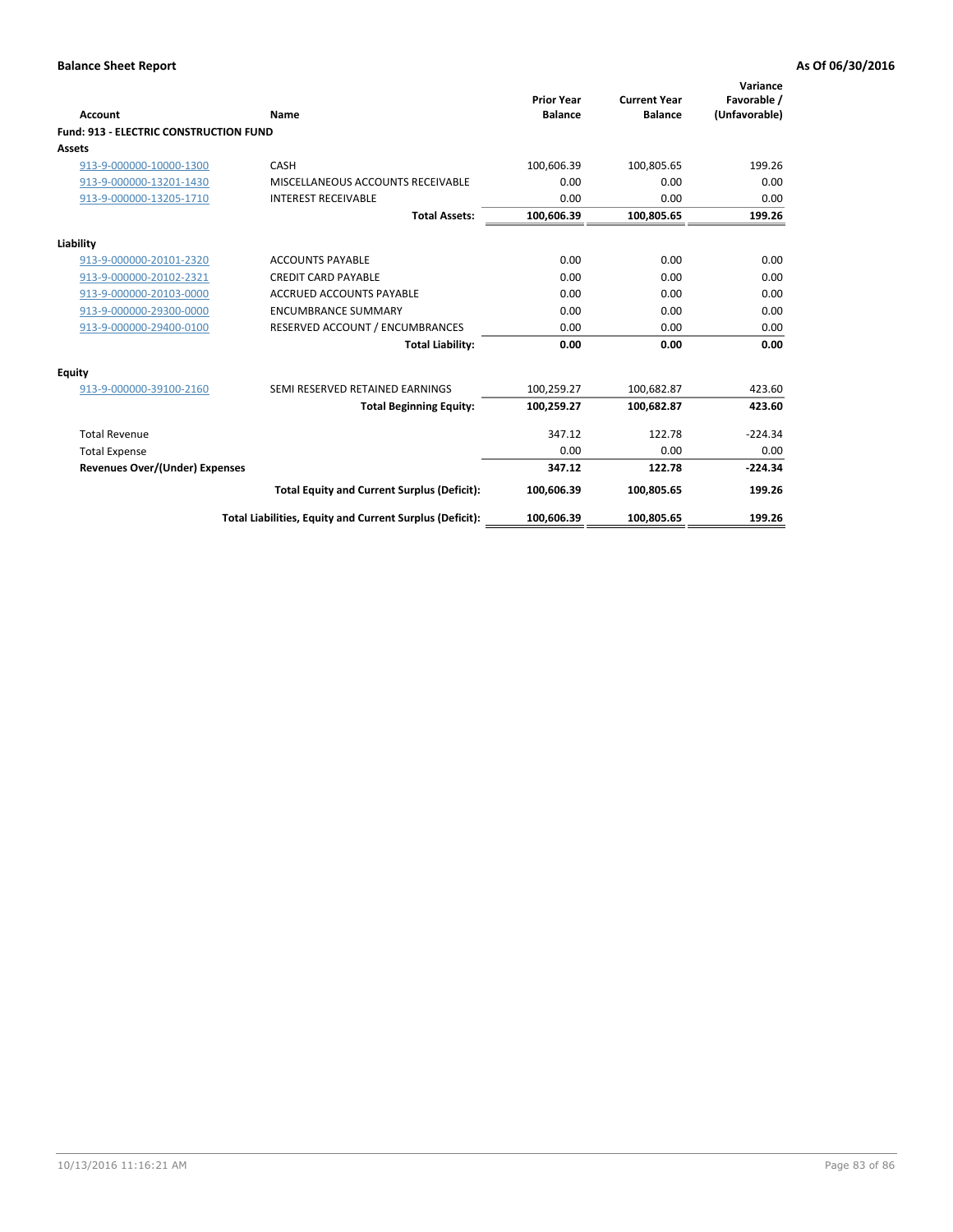| <b>Account</b>                                | Name                                                     | <b>Prior Year</b><br><b>Balance</b> | <b>Current Year</b><br><b>Balance</b> | Variance<br>Favorable /<br>(Unfavorable) |
|-----------------------------------------------|----------------------------------------------------------|-------------------------------------|---------------------------------------|------------------------------------------|
| <b>Fund: 913 - ELECTRIC CONSTRUCTION FUND</b> |                                                          |                                     |                                       |                                          |
| Assets                                        |                                                          |                                     |                                       |                                          |
| 913-9-000000-10000-1300                       | CASH                                                     | 100,606.39                          | 100,805.65                            | 199.26                                   |
| 913-9-000000-13201-1430                       | MISCELLANEOUS ACCOUNTS RECEIVABLE                        | 0.00                                | 0.00                                  | 0.00                                     |
| 913-9-000000-13205-1710                       | <b>INTEREST RECEIVABLE</b>                               | 0.00                                | 0.00                                  | 0.00                                     |
|                                               | <b>Total Assets:</b>                                     | 100,606.39                          | 100,805.65                            | 199.26                                   |
| Liability                                     |                                                          |                                     |                                       |                                          |
| 913-9-000000-20101-2320                       | <b>ACCOUNTS PAYABLE</b>                                  | 0.00                                | 0.00                                  | 0.00                                     |
| 913-9-000000-20102-2321                       | <b>CREDIT CARD PAYABLE</b>                               | 0.00                                | 0.00                                  | 0.00                                     |
| 913-9-000000-20103-0000                       | <b>ACCRUED ACCOUNTS PAYABLE</b>                          | 0.00                                | 0.00                                  | 0.00                                     |
| 913-9-000000-29300-0000                       | <b>ENCUMBRANCE SUMMARY</b>                               | 0.00                                | 0.00                                  | 0.00                                     |
| 913-9-000000-29400-0100                       | RESERVED ACCOUNT / ENCUMBRANCES                          | 0.00                                | 0.00                                  | 0.00                                     |
|                                               | <b>Total Liability:</b>                                  | 0.00                                | 0.00                                  | 0.00                                     |
| <b>Equity</b>                                 |                                                          |                                     |                                       |                                          |
| 913-9-000000-39100-2160                       | SEMI RESERVED RETAINED EARNINGS                          | 100,259.27                          | 100,682.87                            | 423.60                                   |
|                                               | <b>Total Beginning Equity:</b>                           | 100,259.27                          | 100,682.87                            | 423.60                                   |
| <b>Total Revenue</b>                          |                                                          | 347.12                              | 122.78                                | $-224.34$                                |
| <b>Total Expense</b>                          |                                                          | 0.00                                | 0.00                                  | 0.00                                     |
| <b>Revenues Over/(Under) Expenses</b>         |                                                          | 347.12                              | 122.78                                | $-224.34$                                |
|                                               | <b>Total Equity and Current Surplus (Deficit):</b>       | 100,606.39                          | 100,805.65                            | 199.26                                   |
|                                               | Total Liabilities, Equity and Current Surplus (Deficit): | 100,606.39                          | 100,805.65                            | 199.26                                   |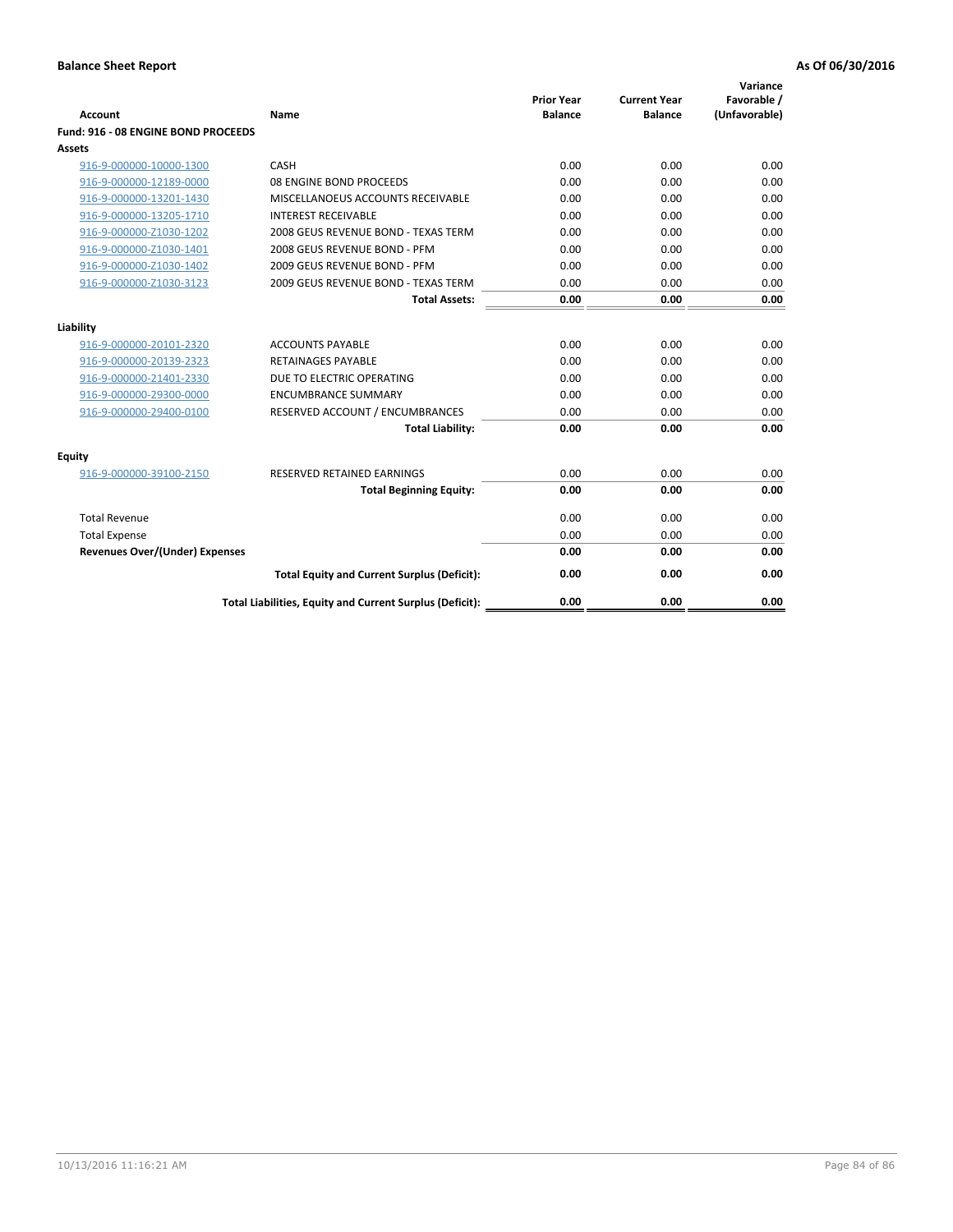|                                       |                                                          | <b>Prior Year</b> | <b>Current Year</b> | Variance<br>Favorable / |
|---------------------------------------|----------------------------------------------------------|-------------------|---------------------|-------------------------|
| <b>Account</b>                        | Name                                                     | <b>Balance</b>    | <b>Balance</b>      | (Unfavorable)           |
| Fund: 916 - 08 ENGINE BOND PROCEEDS   |                                                          |                   |                     |                         |
| Assets                                |                                                          |                   |                     |                         |
| 916-9-000000-10000-1300               | CASH                                                     | 0.00              | 0.00                | 0.00                    |
| 916-9-000000-12189-0000               | 08 ENGINE BOND PROCEEDS                                  | 0.00              | 0.00                | 0.00                    |
| 916-9-000000-13201-1430               | MISCELLANOEUS ACCOUNTS RECEIVABLE                        | 0.00              | 0.00                | 0.00                    |
| 916-9-000000-13205-1710               | <b>INTEREST RECEIVABLE</b>                               | 0.00              | 0.00                | 0.00                    |
| 916-9-000000-Z1030-1202               | 2008 GEUS REVENUE BOND - TEXAS TERM                      | 0.00              | 0.00                | 0.00                    |
| 916-9-000000-Z1030-1401               | 2008 GEUS REVENUE BOND - PFM                             | 0.00              | 0.00                | 0.00                    |
| 916-9-000000-Z1030-1402               | 2009 GEUS REVENUE BOND - PFM                             | 0.00              | 0.00                | 0.00                    |
| 916-9-000000-Z1030-3123               | 2009 GEUS REVENUE BOND - TEXAS TERM                      | 0.00              | 0.00                | 0.00                    |
|                                       | <b>Total Assets:</b>                                     | 0.00              | 0.00                | 0.00                    |
| Liability                             |                                                          |                   |                     |                         |
| 916-9-000000-20101-2320               | <b>ACCOUNTS PAYABLE</b>                                  | 0.00              | 0.00                | 0.00                    |
| 916-9-000000-20139-2323               | <b>RETAINAGES PAYABLE</b>                                | 0.00              | 0.00                | 0.00                    |
| 916-9-000000-21401-2330               | DUE TO ELECTRIC OPERATING                                | 0.00              | 0.00                | 0.00                    |
| 916-9-000000-29300-0000               | <b>ENCUMBRANCE SUMMARY</b>                               | 0.00              | 0.00                | 0.00                    |
| 916-9-000000-29400-0100               | RESERVED ACCOUNT / ENCUMBRANCES                          | 0.00              | 0.00                | 0.00                    |
|                                       | <b>Total Liability:</b>                                  | 0.00              | 0.00                | 0.00                    |
| Equity                                |                                                          |                   |                     |                         |
| 916-9-000000-39100-2150               | <b>RESERVED RETAINED EARNINGS</b>                        | 0.00              | 0.00                | 0.00                    |
|                                       | <b>Total Beginning Equity:</b>                           | 0.00              | 0.00                | 0.00                    |
| <b>Total Revenue</b>                  |                                                          | 0.00              | 0.00                | 0.00                    |
| <b>Total Expense</b>                  |                                                          | 0.00              | 0.00                | 0.00                    |
| <b>Revenues Over/(Under) Expenses</b> |                                                          | 0.00              | 0.00                | 0.00                    |
|                                       | <b>Total Equity and Current Surplus (Deficit):</b>       | 0.00              | 0.00                | 0.00                    |
|                                       | Total Liabilities, Equity and Current Surplus (Deficit): | 0.00              | 0.00                | 0.00                    |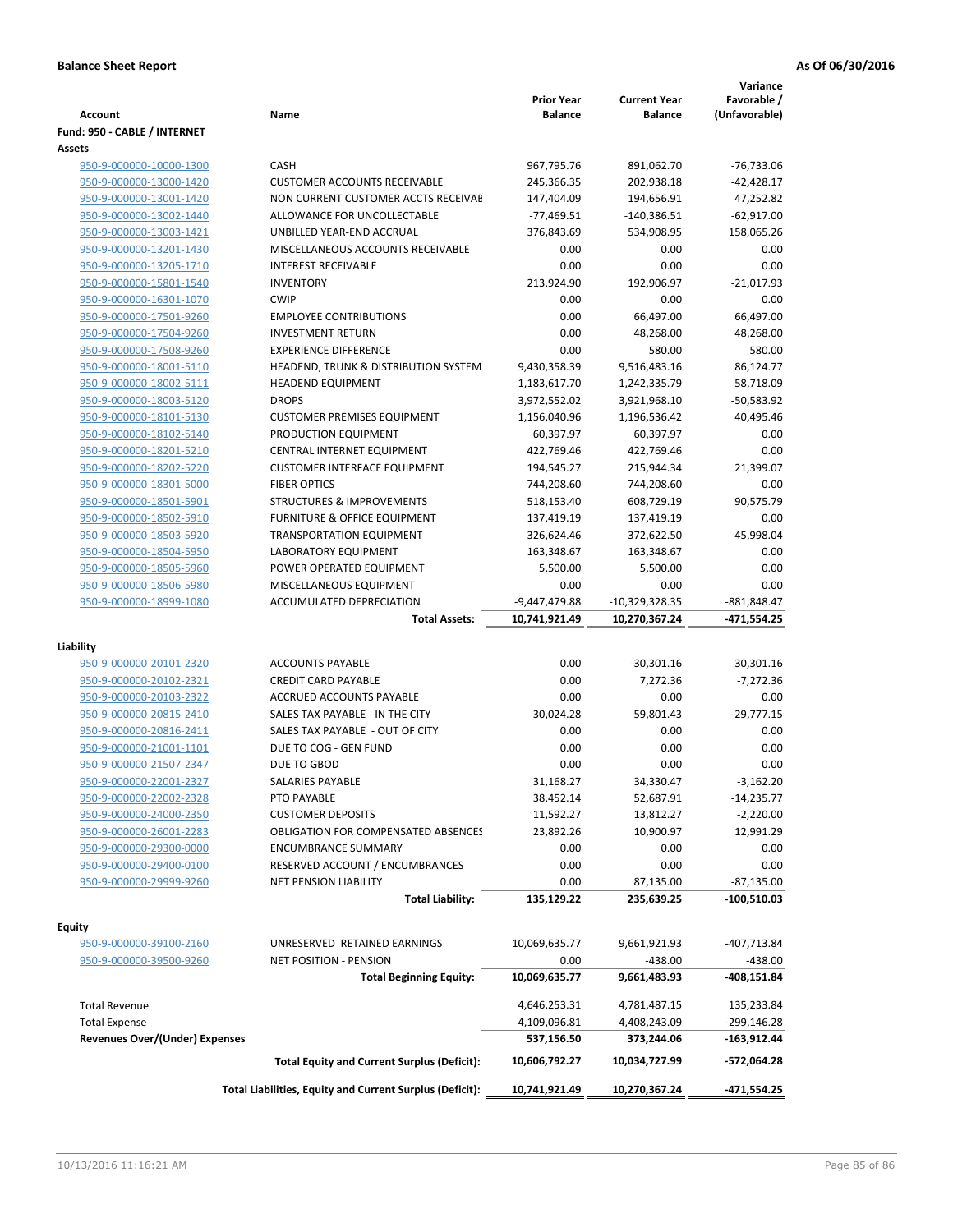| <b>Account</b>                 | Name                                                     | <b>Prior Year</b><br><b>Balance</b> | <b>Current Year</b><br><b>Balance</b> | Variance<br>Favorable /<br>(Unfavorable) |
|--------------------------------|----------------------------------------------------------|-------------------------------------|---------------------------------------|------------------------------------------|
| Fund: 950 - CABLE / INTERNET   |                                                          |                                     |                                       |                                          |
| Assets                         |                                                          |                                     |                                       |                                          |
| 950-9-000000-10000-1300        | CASH                                                     | 967,795.76                          | 891,062.70                            | -76,733.06                               |
| 950-9-000000-13000-1420        | <b>CUSTOMER ACCOUNTS RECEIVABLE</b>                      | 245,366.35                          | 202,938.18                            | $-42,428.17$                             |
| 950-9-000000-13001-1420        | NON CURRENT CUSTOMER ACCTS RECEIVAE                      | 147,404.09                          | 194,656.91                            | 47,252.82                                |
| 950-9-000000-13002-1440        | ALLOWANCE FOR UNCOLLECTABLE                              | $-77,469.51$                        | $-140,386.51$                         | $-62,917.00$                             |
| 950-9-000000-13003-1421        | UNBILLED YEAR-END ACCRUAL                                | 376,843.69                          | 534,908.95                            | 158,065.26                               |
| 950-9-000000-13201-1430        | MISCELLANEOUS ACCOUNTS RECEIVABLE                        | 0.00                                | 0.00                                  | 0.00                                     |
| 950-9-000000-13205-1710        | <b>INTEREST RECEIVABLE</b>                               | 0.00                                | 0.00                                  | 0.00                                     |
| 950-9-000000-15801-1540        | <b>INVENTORY</b>                                         | 213,924.90                          | 192,906.97                            | $-21,017.93$                             |
| 950-9-000000-16301-1070        | <b>CWIP</b>                                              | 0.00                                | 0.00                                  | 0.00                                     |
| 950-9-000000-17501-9260        | <b>EMPLOYEE CONTRIBUTIONS</b>                            | 0.00                                | 66,497.00                             | 66,497.00                                |
| 950-9-000000-17504-9260        | <b>INVESTMENT RETURN</b>                                 | 0.00                                | 48,268.00                             | 48,268.00                                |
| 950-9-000000-17508-9260        | <b>EXPERIENCE DIFFERENCE</b>                             | 0.00                                | 580.00                                | 580.00                                   |
| 950-9-000000-18001-5110        | HEADEND, TRUNK & DISTRIBUTION SYSTEM                     | 9,430,358.39                        | 9,516,483.16                          | 86,124.77                                |
| 950-9-000000-18002-5111        | <b>HEADEND EQUIPMENT</b>                                 | 1,183,617.70                        | 1,242,335.79                          | 58,718.09                                |
| 950-9-000000-18003-5120        | <b>DROPS</b>                                             | 3,972,552.02                        | 3,921,968.10                          | -50,583.92                               |
| 950-9-000000-18101-5130        | <b>CUSTOMER PREMISES EQUIPMENT</b>                       | 1,156,040.96                        | 1,196,536.42                          | 40,495.46                                |
| 950-9-000000-18102-5140        | PRODUCTION EQUIPMENT                                     | 60,397.97                           | 60,397.97                             | 0.00                                     |
| 950-9-000000-18201-5210        | CENTRAL INTERNET EQUIPMENT                               | 422,769.46                          | 422,769.46                            | 0.00                                     |
| 950-9-000000-18202-5220        | <b>CUSTOMER INTERFACE EQUIPMENT</b>                      | 194,545.27                          | 215,944.34                            | 21,399.07                                |
| 950-9-000000-18301-5000        | <b>FIBER OPTICS</b>                                      | 744,208.60                          | 744,208.60                            | 0.00                                     |
| 950-9-000000-18501-5901        | <b>STRUCTURES &amp; IMPROVEMENTS</b>                     | 518,153.40                          | 608,729.19                            | 90,575.79                                |
| 950-9-000000-18502-5910        | <b>FURNITURE &amp; OFFICE EQUIPMENT</b>                  | 137,419.19                          | 137,419.19                            | 0.00                                     |
| 950-9-000000-18503-5920        | <b>TRANSPORTATION EQUIPMENT</b>                          | 326,624.46                          | 372,622.50                            | 45,998.04                                |
| 950-9-000000-18504-5950        | LABORATORY EQUIPMENT                                     | 163,348.67                          | 163,348.67                            | 0.00                                     |
| 950-9-000000-18505-5960        | POWER OPERATED EQUIPMENT                                 | 5,500.00                            | 5,500.00                              | 0.00                                     |
| 950-9-000000-18506-5980        | MISCELLANEOUS EQUIPMENT                                  | 0.00                                | 0.00                                  | 0.00                                     |
| 950-9-000000-18999-1080        | ACCUMULATED DEPRECIATION                                 | -9,447,479.88                       | $-10,329,328.35$                      | $-881,848.47$                            |
|                                | <b>Total Assets:</b>                                     | 10,741,921.49                       | 10,270,367.24                         | $-471,554.25$                            |
| Liability                      |                                                          |                                     |                                       |                                          |
| 950-9-000000-20101-2320        | <b>ACCOUNTS PAYABLE</b>                                  | 0.00                                | $-30,301.16$                          | 30,301.16                                |
| 950-9-000000-20102-2321        | <b>CREDIT CARD PAYABLE</b>                               | 0.00                                | 7,272.36                              | $-7,272.36$                              |
| 950-9-000000-20103-2322        | ACCRUED ACCOUNTS PAYABLE                                 | 0.00                                | 0.00                                  | 0.00                                     |
| 950-9-000000-20815-2410        | SALES TAX PAYABLE - IN THE CITY                          | 30,024.28                           | 59,801.43                             | $-29,777.15$                             |
| 950-9-000000-20816-2411        | SALES TAX PAYABLE - OUT OF CITY                          | 0.00                                | 0.00                                  | 0.00                                     |
| 950-9-000000-21001-1101        | DUE TO COG - GEN FUND                                    | 0.00                                | 0.00                                  | 0.00                                     |
| 950-9-000000-21507-2347        | DUE TO GBOD                                              | 0.00                                | 0.00                                  | 0.00                                     |
| 950-9-000000-22001-2327        | SALARIES PAYABLE                                         | 31,168.27                           | 34,330.47                             | $-3,162.20$                              |
| 950-9-000000-22002-2328        | PTO PAYABLE                                              | 38,452.14                           | 52,687.91                             | $-14,235.77$                             |
| 950-9-000000-24000-2350        | <b>CUSTOMER DEPOSITS</b>                                 | 11,592.27                           | 13,812.27                             | $-2,220.00$                              |
| 950-9-000000-26001-2283        | <b>OBLIGATION FOR COMPENSATED ABSENCES</b>               | 23,892.26                           | 10,900.97                             | 12,991.29                                |
| 950-9-000000-29300-0000        | <b>ENCUMBRANCE SUMMARY</b>                               | 0.00                                | 0.00                                  | 0.00                                     |
| 950-9-000000-29400-0100        | RESERVED ACCOUNT / ENCUMBRANCES                          | 0.00                                | 0.00                                  | 0.00                                     |
| 950-9-000000-29999-9260        | <b>NET PENSION LIABILITY</b>                             | 0.00                                | 87,135.00                             | $-87,135.00$                             |
|                                | <b>Total Liability:</b>                                  | 135,129.22                          | 235,639.25                            | $-100,510.03$                            |
|                                |                                                          |                                     |                                       |                                          |
| Equity                         |                                                          |                                     |                                       |                                          |
| 950-9-000000-39100-2160        | UNRESERVED RETAINED EARNINGS                             | 10,069,635.77                       | 9,661,921.93                          | -407,713.84                              |
| 950-9-000000-39500-9260        | NET POSITION - PENSION                                   | 0.00                                | $-438.00$                             | -438.00                                  |
|                                | <b>Total Beginning Equity:</b>                           | 10,069,635.77                       | 9,661,483.93                          | -408,151.84                              |
| <b>Total Revenue</b>           |                                                          | 4,646,253.31                        | 4,781,487.15                          | 135,233.84                               |
| <b>Total Expense</b>           |                                                          | 4,109,096.81                        | 4,408,243.09                          | -299,146.28                              |
| Revenues Over/(Under) Expenses |                                                          | 537,156.50                          | 373,244.06                            | -163,912.44                              |
|                                | <b>Total Equity and Current Surplus (Deficit):</b>       | 10,606,792.27                       | 10,034,727.99                         | -572,064.28                              |
|                                | Total Liabilities, Equity and Current Surplus (Deficit): | 10,741,921.49                       | 10,270,367.24                         | -471,554.25                              |
|                                |                                                          |                                     |                                       |                                          |